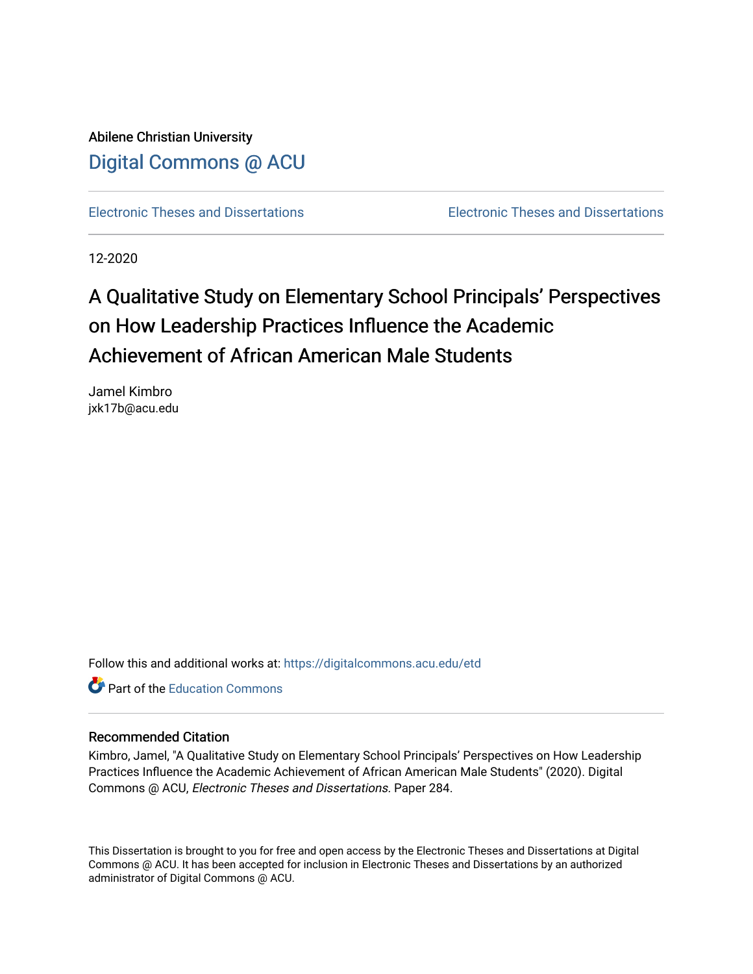Abilene Christian University [Digital Commons @ ACU](https://digitalcommons.acu.edu/)

[Electronic Theses and Dissertations](https://digitalcommons.acu.edu/etd) [Electronic Theses and Dissertations](https://digitalcommons.acu.edu/graduate_works) 

12-2020

# A Qualitative Study on Elementary School Principals' Perspectives on How Leadership Practices Influence the Academic Achievement of African American Male Students

Jamel Kimbro jxk17b@acu.edu

Follow this and additional works at: [https://digitalcommons.acu.edu/etd](https://digitalcommons.acu.edu/etd?utm_source=digitalcommons.acu.edu%2Fetd%2F284&utm_medium=PDF&utm_campaign=PDFCoverPages) 

**C** Part of the [Education Commons](http://network.bepress.com/hgg/discipline/784?utm_source=digitalcommons.acu.edu%2Fetd%2F284&utm_medium=PDF&utm_campaign=PDFCoverPages)

# Recommended Citation

Kimbro, Jamel, "A Qualitative Study on Elementary School Principals' Perspectives on How Leadership Practices Influence the Academic Achievement of African American Male Students" (2020). Digital Commons @ ACU, Electronic Theses and Dissertations. Paper 284.

This Dissertation is brought to you for free and open access by the Electronic Theses and Dissertations at Digital Commons @ ACU. It has been accepted for inclusion in Electronic Theses and Dissertations by an authorized administrator of Digital Commons @ ACU.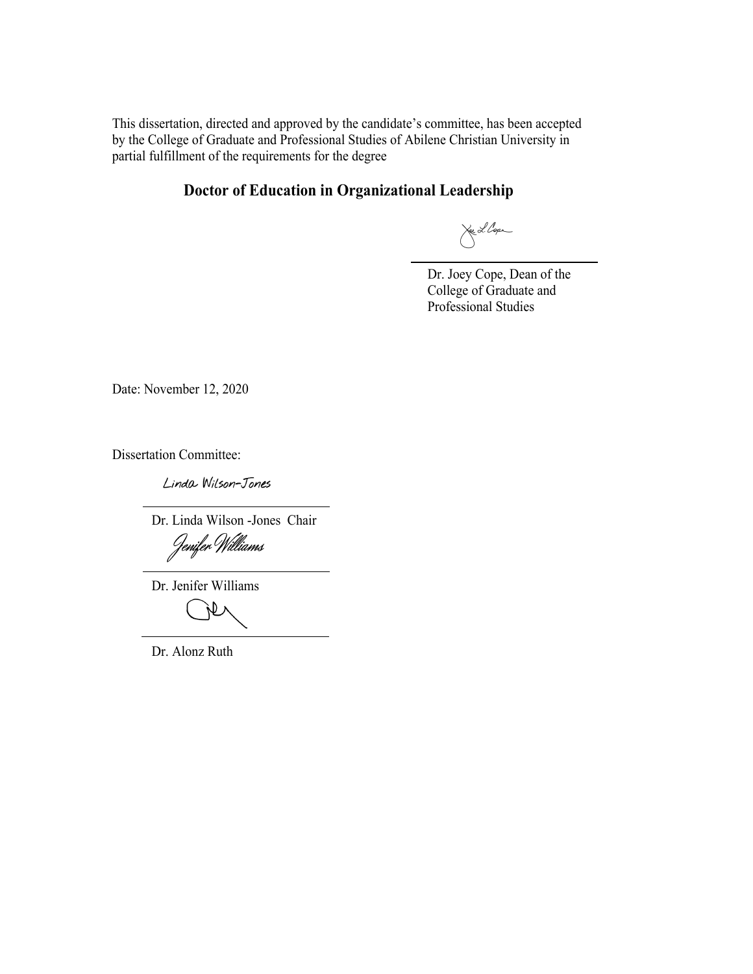This dissertation, directed and approved by the candidate's committee, has been accepted by the College of Graduate and Professional Studies of Abilene Christian University in partial fulfillment of the requirements for the degree

# **Doctor of Education in Organizational Leadership**

Lee L. Cope

Dr. Joey Cope, Dean of the College of Graduate and Professional Studies

Date: November 12, 2020

Dissertation Committee:

Linda Wilson-Jones

Dr. Linda Wilson -Jones Chair

Dr. Jenifer Williams

**N** 

Dr. Alonz Ruth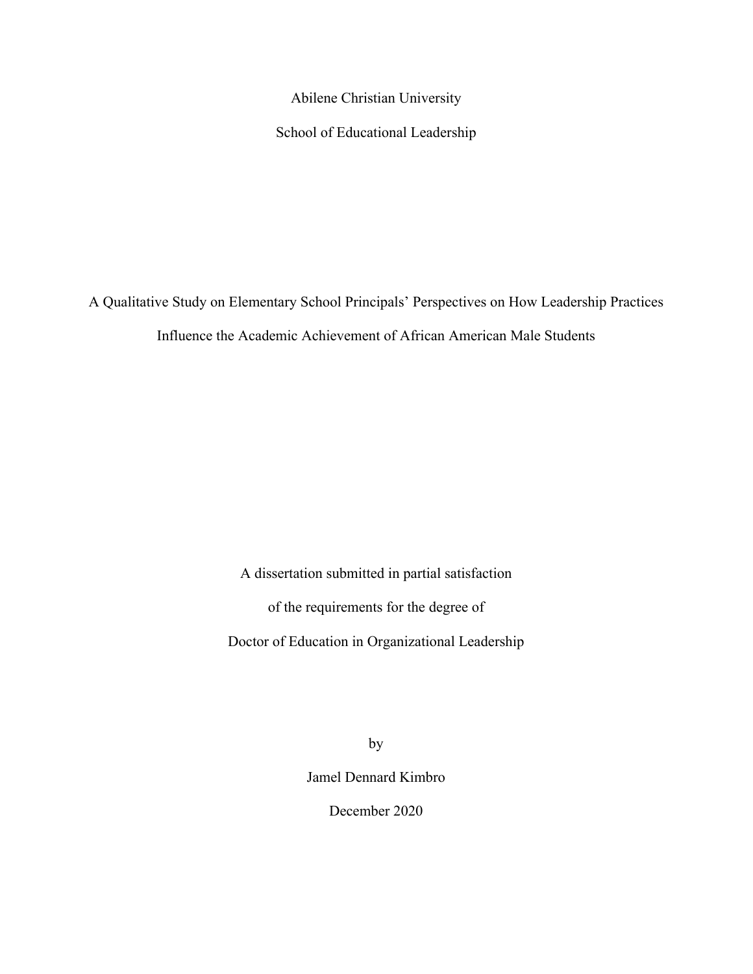Abilene Christian University

School of Educational Leadership

A Qualitative Study on Elementary School Principals' Perspectives on How Leadership Practices Influence the Academic Achievement of African American Male Students

> A dissertation submitted in partial satisfaction of the requirements for the degree of Doctor of Education in Organizational Leadership

> > by

Jamel Dennard Kimbro

December 2020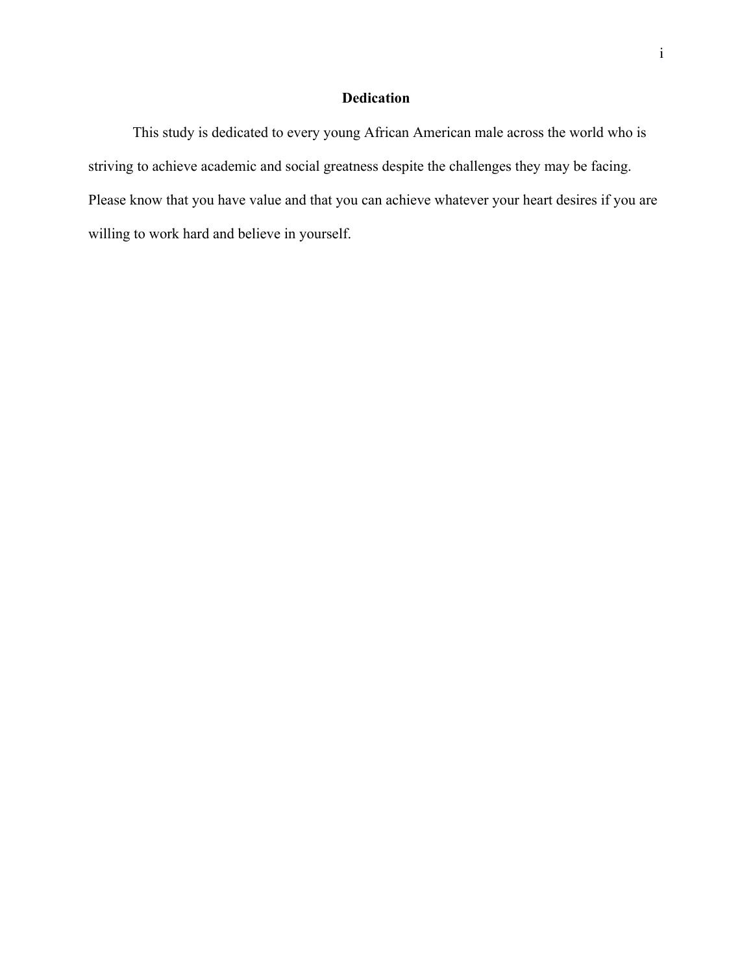# **Dedication**

This study is dedicated to every young African American male across the world who is striving to achieve academic and social greatness despite the challenges they may be facing. Please know that you have value and that you can achieve whatever your heart desires if you are willing to work hard and believe in yourself.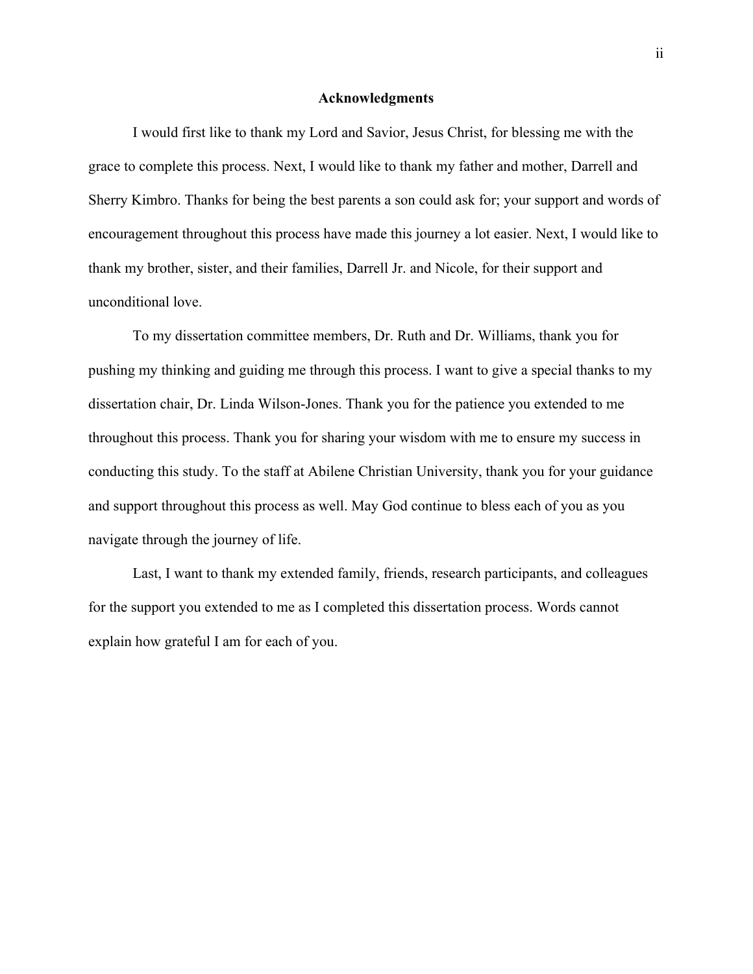# **Acknowledgments**

I would first like to thank my Lord and Savior, Jesus Christ, for blessing me with the grace to complete this process. Next, I would like to thank my father and mother, Darrell and Sherry Kimbro. Thanks for being the best parents a son could ask for; your support and words of encouragement throughout this process have made this journey a lot easier. Next, I would like to thank my brother, sister, and their families, Darrell Jr. and Nicole, for their support and unconditional love.

To my dissertation committee members, Dr. Ruth and Dr. Williams, thank you for pushing my thinking and guiding me through this process. I want to give a special thanks to my dissertation chair, Dr. Linda Wilson-Jones. Thank you for the patience you extended to me throughout this process. Thank you for sharing your wisdom with me to ensure my success in conducting this study. To the staff at Abilene Christian University, thank you for your guidance and support throughout this process as well. May God continue to bless each of you as you navigate through the journey of life.

Last, I want to thank my extended family, friends, research participants, and colleagues for the support you extended to me as I completed this dissertation process. Words cannot explain how grateful I am for each of you.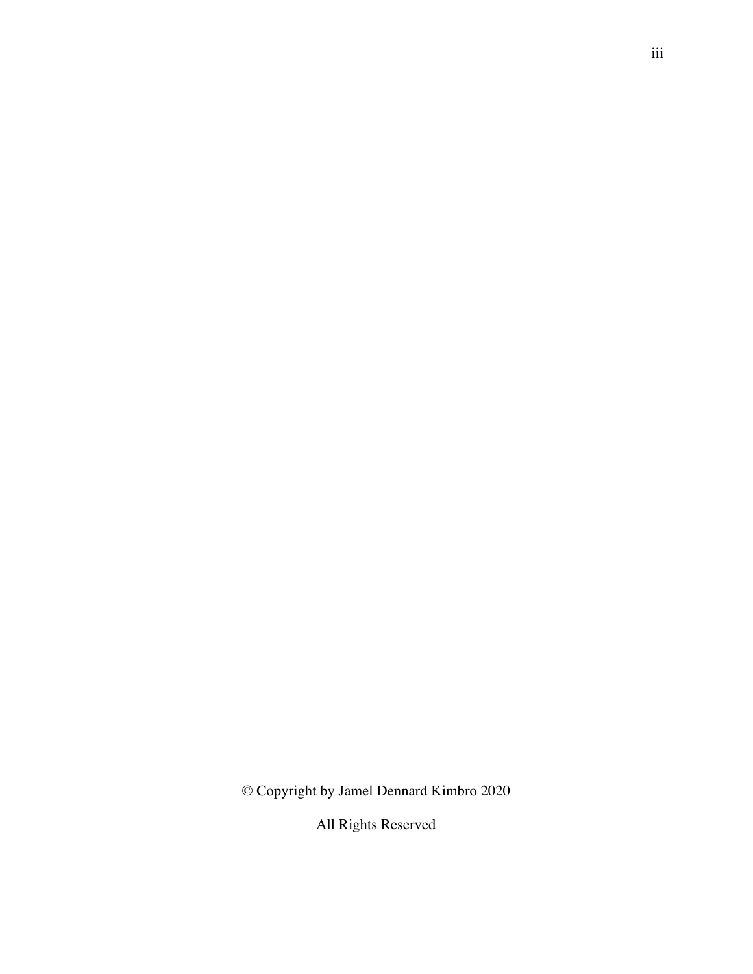© Copyright by Jamel Dennard Kimbro 2020

All Rights Reserved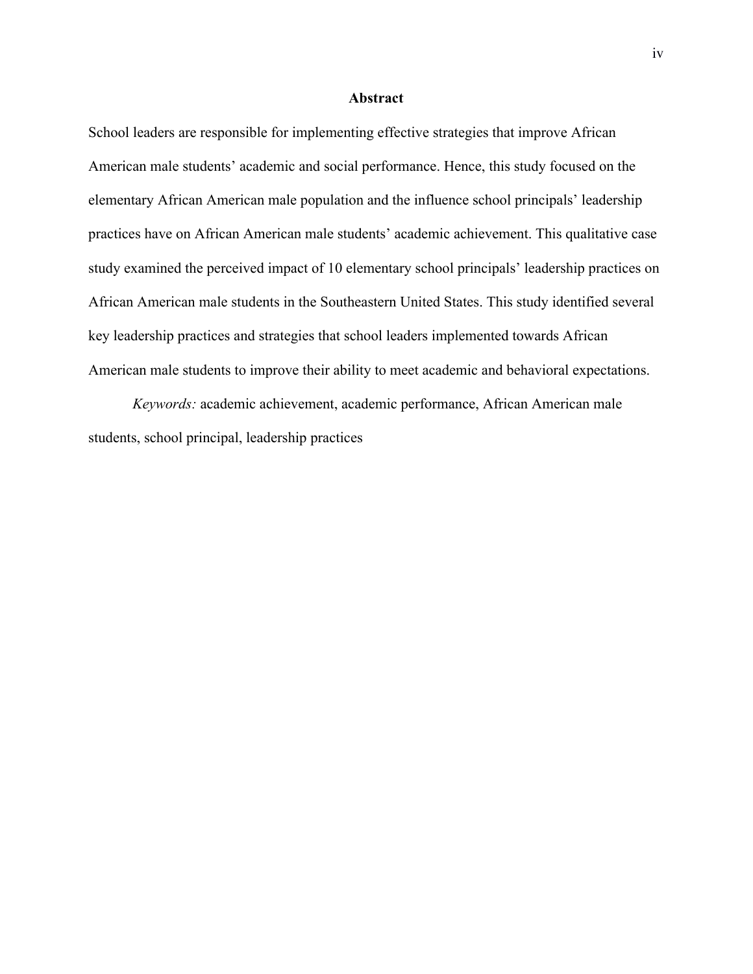### **Abstract**

School leaders are responsible for implementing effective strategies that improve African American male students' academic and social performance. Hence, this study focused on the elementary African American male population and the influence school principals' leadership practices have on African American male students' academic achievement. This qualitative case study examined the perceived impact of 10 elementary school principals' leadership practices on African American male students in the Southeastern United States. This study identified several key leadership practices and strategies that school leaders implemented towards African American male students to improve their ability to meet academic and behavioral expectations.

*Keywords:* academic achievement, academic performance, African American male students, school principal, leadership practices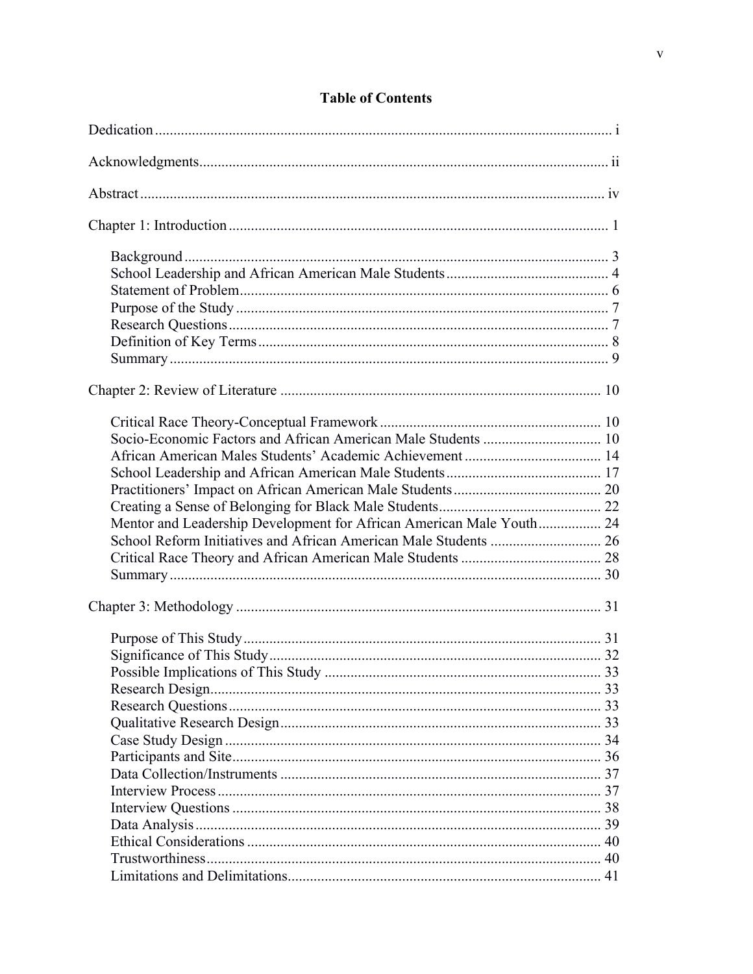| Mentor and Leadership Development for African American Male Youth 24 |  |
|----------------------------------------------------------------------|--|
|                                                                      |  |
|                                                                      |  |
|                                                                      |  |
|                                                                      |  |
|                                                                      |  |
|                                                                      |  |
|                                                                      |  |
|                                                                      |  |
|                                                                      |  |
|                                                                      |  |
|                                                                      |  |
|                                                                      |  |
|                                                                      |  |
|                                                                      |  |
|                                                                      |  |
|                                                                      |  |
|                                                                      |  |
|                                                                      |  |
|                                                                      |  |
|                                                                      |  |

# **Table of Contents**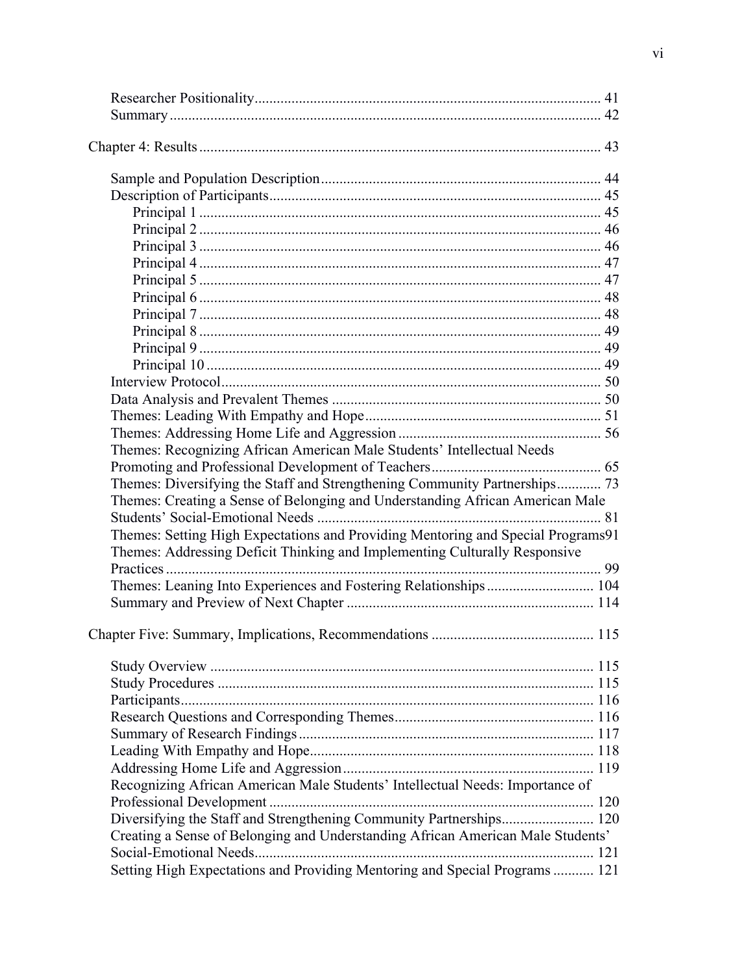| Themes: Recognizing African American Male Students' Intellectual Needs           |     |
|----------------------------------------------------------------------------------|-----|
|                                                                                  |     |
| Themes: Diversifying the Staff and Strengthening Community Partnerships 73       |     |
| Themes: Creating a Sense of Belonging and Understanding African American Male    |     |
|                                                                                  |     |
| Themes: Setting High Expectations and Providing Mentoring and Special Programs91 |     |
| Themes: Addressing Deficit Thinking and Implementing Culturally Responsive       |     |
|                                                                                  |     |
| Themes: Leaning Into Experiences and Fostering Relationships 104                 |     |
|                                                                                  |     |
|                                                                                  |     |
|                                                                                  | 115 |
|                                                                                  |     |
|                                                                                  |     |
|                                                                                  |     |
|                                                                                  |     |
|                                                                                  |     |
|                                                                                  |     |
|                                                                                  |     |
|                                                                                  |     |
| Recognizing African American Male Students' Intellectual Needs: Importance of    |     |
|                                                                                  |     |
| Diversifying the Staff and Strengthening Community Partnerships 120              |     |
| Creating a Sense of Belonging and Understanding African American Male Students'  |     |
|                                                                                  |     |
| Setting High Expectations and Providing Mentoring and Special Programs  121      |     |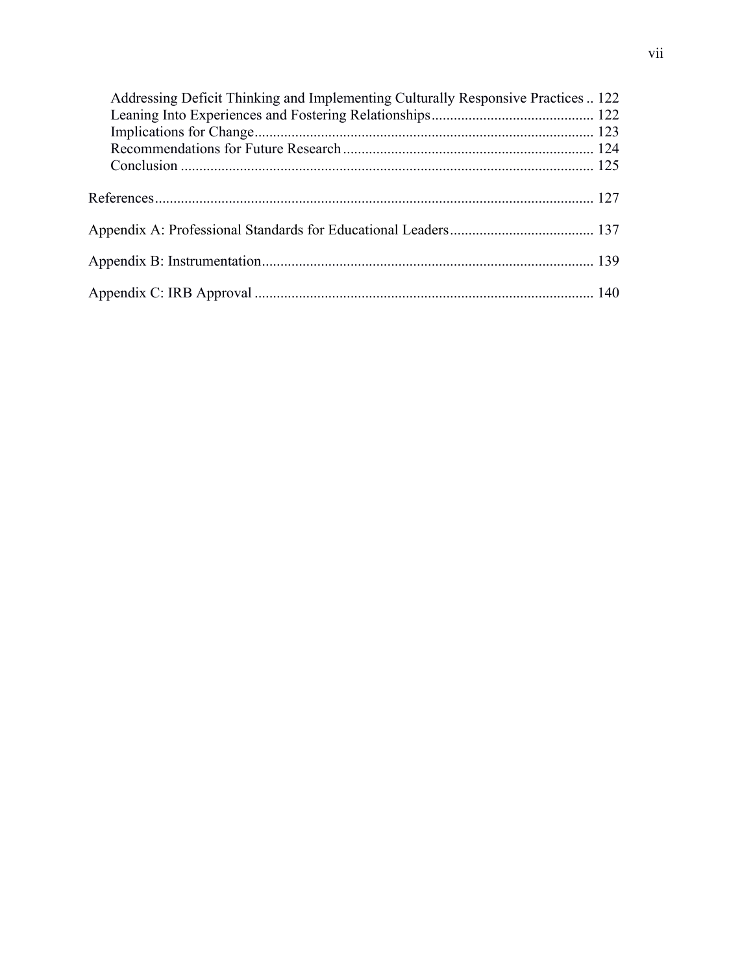| Addressing Deficit Thinking and Implementing Culturally Responsive Practices  122 |  |
|-----------------------------------------------------------------------------------|--|
|                                                                                   |  |
|                                                                                   |  |
|                                                                                   |  |
|                                                                                   |  |
|                                                                                   |  |
|                                                                                   |  |
|                                                                                   |  |
|                                                                                   |  |
|                                                                                   |  |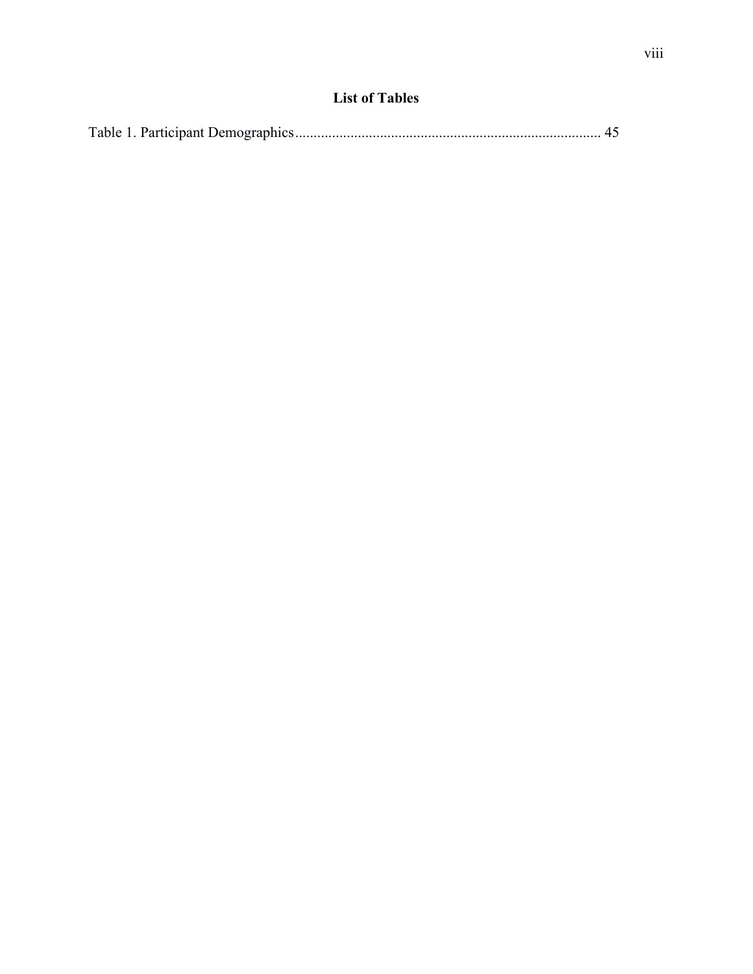# **List of Tables**

|--|--|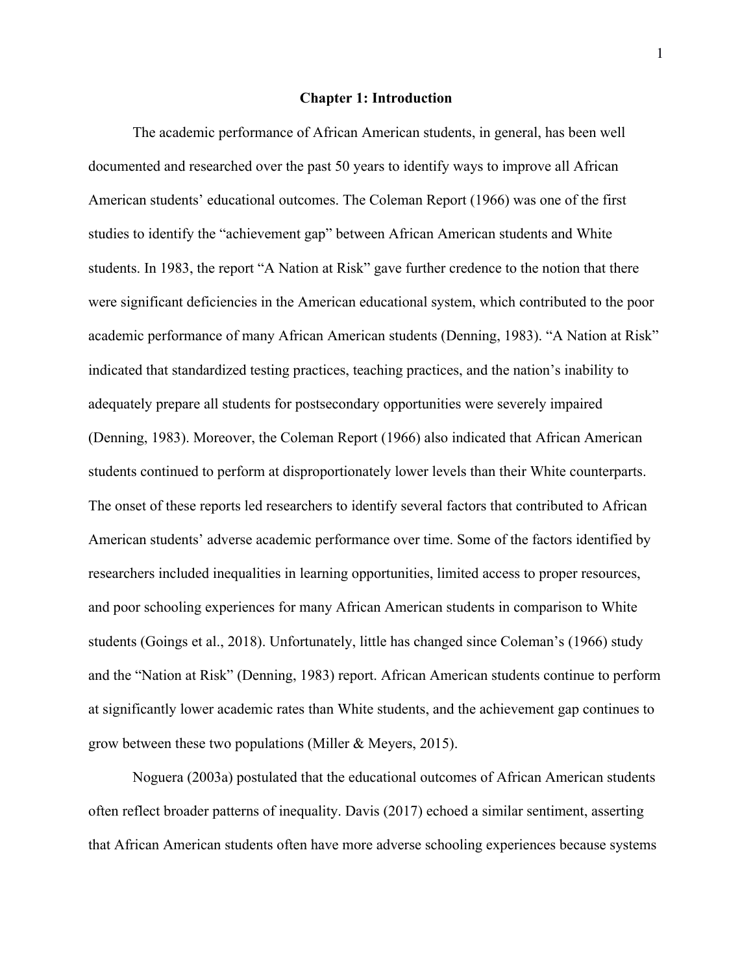# **Chapter 1: Introduction**

The academic performance of African American students, in general, has been well documented and researched over the past 50 years to identify ways to improve all African American students' educational outcomes. The Coleman Report (1966) was one of the first studies to identify the "achievement gap" between African American students and White students. In 1983, the report "A Nation at Risk" gave further credence to the notion that there were significant deficiencies in the American educational system, which contributed to the poor academic performance of many African American students (Denning, 1983). "A Nation at Risk" indicated that standardized testing practices, teaching practices, and the nation's inability to adequately prepare all students for postsecondary opportunities were severely impaired (Denning, 1983). Moreover, the Coleman Report (1966) also indicated that African American students continued to perform at disproportionately lower levels than their White counterparts. The onset of these reports led researchers to identify several factors that contributed to African American students' adverse academic performance over time. Some of the factors identified by researchers included inequalities in learning opportunities, limited access to proper resources, and poor schooling experiences for many African American students in comparison to White students (Goings et al., 2018). Unfortunately, little has changed since Coleman's (1966) study and the "Nation at Risk" (Denning, 1983) report. African American students continue to perform at significantly lower academic rates than White students, and the achievement gap continues to grow between these two populations (Miller & Meyers, 2015).

Noguera (2003a) postulated that the educational outcomes of African American students often reflect broader patterns of inequality. Davis (2017) echoed a similar sentiment, asserting that African American students often have more adverse schooling experiences because systems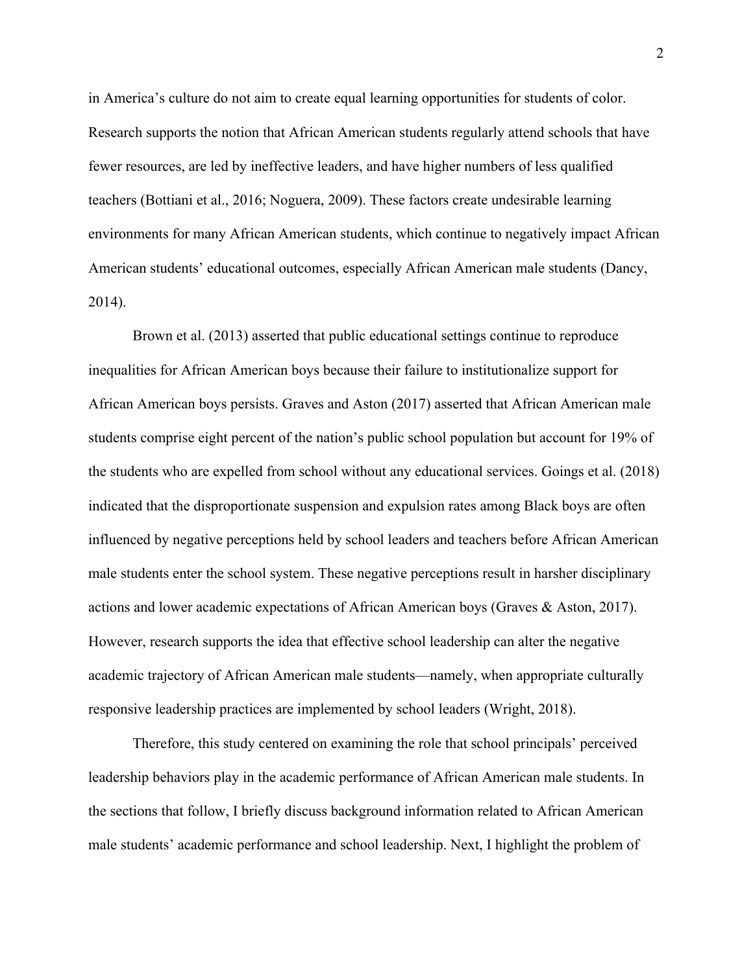in America's culture do not aim to create equal learning opportunities for students of color. Research supports the notion that African American students regularly attend schools that have fewer resources, are led by ineffective leaders, and have higher numbers of less qualified teachers (Bottiani et al., 2016; Noguera, 2009). These factors create undesirable learning environments for many African American students, which continue to negatively impact African American students' educational outcomes, especially African American male students (Dancy, 2014).

Brown et al. (2013) asserted that public educational settings continue to reproduce inequalities for African American boys because their failure to institutionalize support for African American boys persists. Graves and Aston (2017) asserted that African American male students comprise eight percent of the nation's public school population but account for 19% of the students who are expelled from school without any educational services. Goings et al. (2018) indicated that the disproportionate suspension and expulsion rates among Black boys are often influenced by negative perceptions held by school leaders and teachers before African American male students enter the school system. These negative perceptions result in harsher disciplinary actions and lower academic expectations of African American boys (Graves & Aston, 2017). However, research supports the idea that effective school leadership can alter the negative academic trajectory of African American male students—namely, when appropriate culturally responsive leadership practices are implemented by school leaders (Wright, 2018).

Therefore, this study centered on examining the role that school principals' perceived leadership behaviors play in the academic performance of African American male students. In the sections that follow, I briefly discuss background information related to African American male students' academic performance and school leadership. Next, I highlight the problem of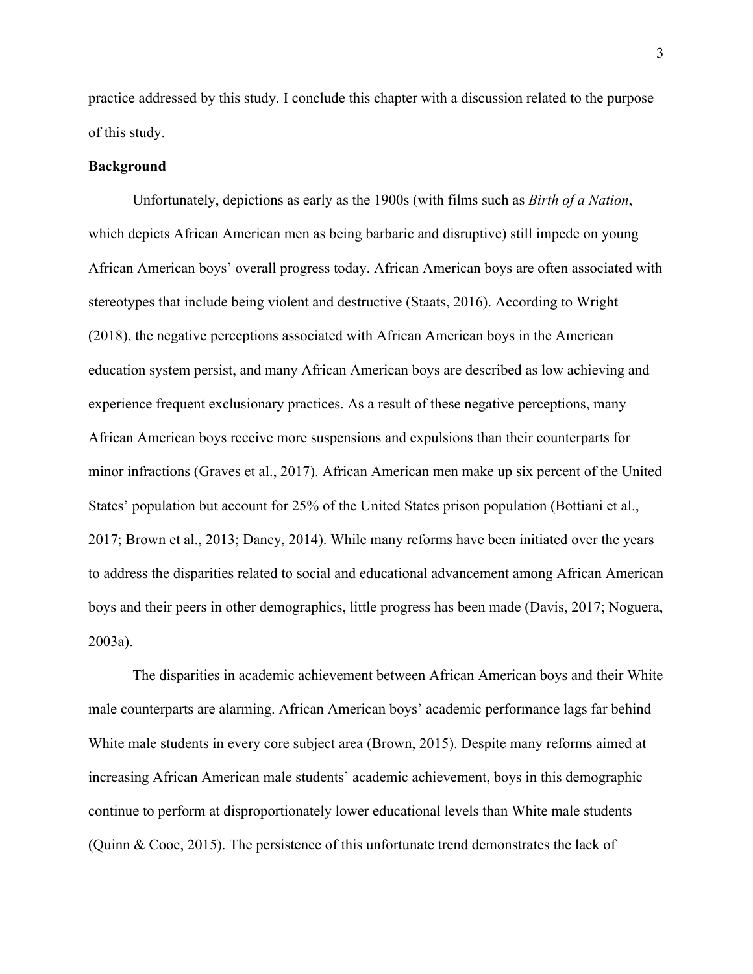practice addressed by this study. I conclude this chapter with a discussion related to the purpose of this study.

### **Background**

Unfortunately, depictions as early as the 1900s (with films such as *Birth of a Nation*, which depicts African American men as being barbaric and disruptive) still impede on young African American boys' overall progress today. African American boys are often associated with stereotypes that include being violent and destructive (Staats, 2016). According to Wright (2018), the negative perceptions associated with African American boys in the American education system persist, and many African American boys are described as low achieving and experience frequent exclusionary practices. As a result of these negative perceptions, many African American boys receive more suspensions and expulsions than their counterparts for minor infractions (Graves et al., 2017). African American men make up six percent of the United States' population but account for 25% of the United States prison population (Bottiani et al., 2017; Brown et al., 2013; Dancy, 2014). While many reforms have been initiated over the years to address the disparities related to social and educational advancement among African American boys and their peers in other demographics, little progress has been made (Davis, 2017; Noguera, 2003a).

The disparities in academic achievement between African American boys and their White male counterparts are alarming. African American boys' academic performance lags far behind White male students in every core subject area (Brown, 2015). Despite many reforms aimed at increasing African American male students' academic achievement, boys in this demographic continue to perform at disproportionately lower educational levels than White male students (Quinn & Cooc, 2015). The persistence of this unfortunate trend demonstrates the lack of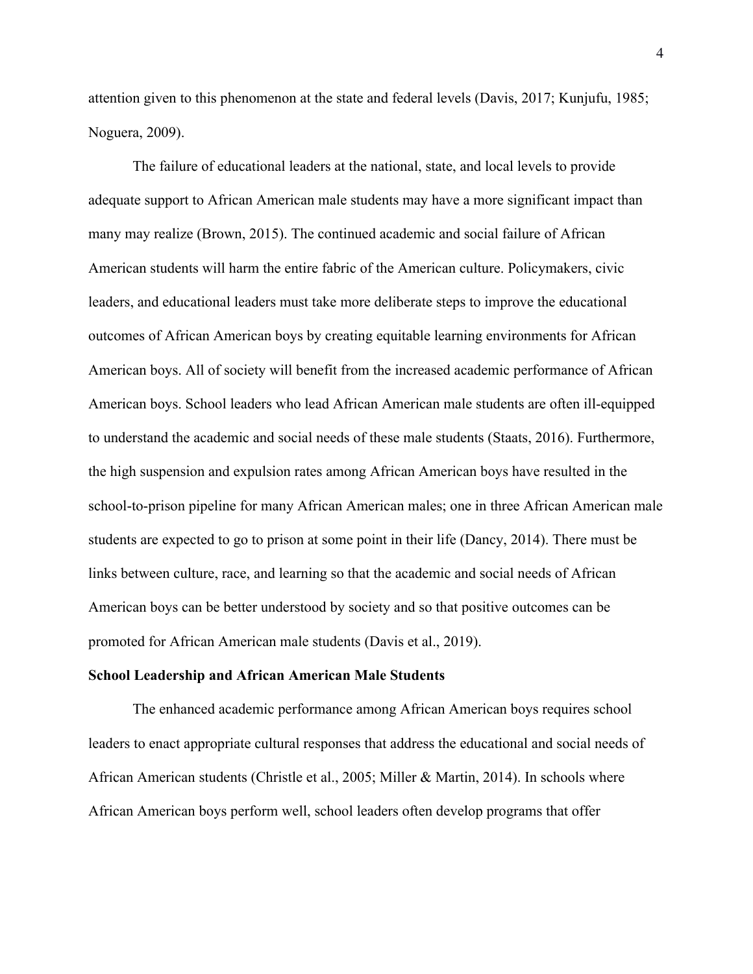attention given to this phenomenon at the state and federal levels (Davis, 2017; Kunjufu, 1985; Noguera, 2009).

The failure of educational leaders at the national, state, and local levels to provide adequate support to African American male students may have a more significant impact than many may realize (Brown, 2015). The continued academic and social failure of African American students will harm the entire fabric of the American culture. Policymakers, civic leaders, and educational leaders must take more deliberate steps to improve the educational outcomes of African American boys by creating equitable learning environments for African American boys. All of society will benefit from the increased academic performance of African American boys. School leaders who lead African American male students are often ill-equipped to understand the academic and social needs of these male students (Staats, 2016). Furthermore, the high suspension and expulsion rates among African American boys have resulted in the school-to-prison pipeline for many African American males; one in three African American male students are expected to go to prison at some point in their life (Dancy, 2014). There must be links between culture, race, and learning so that the academic and social needs of African American boys can be better understood by society and so that positive outcomes can be promoted for African American male students (Davis et al., 2019).

#### **School Leadership and African American Male Students**

The enhanced academic performance among African American boys requires school leaders to enact appropriate cultural responses that address the educational and social needs of African American students (Christle et al., 2005; Miller & Martin, 2014). In schools where African American boys perform well, school leaders often develop programs that offer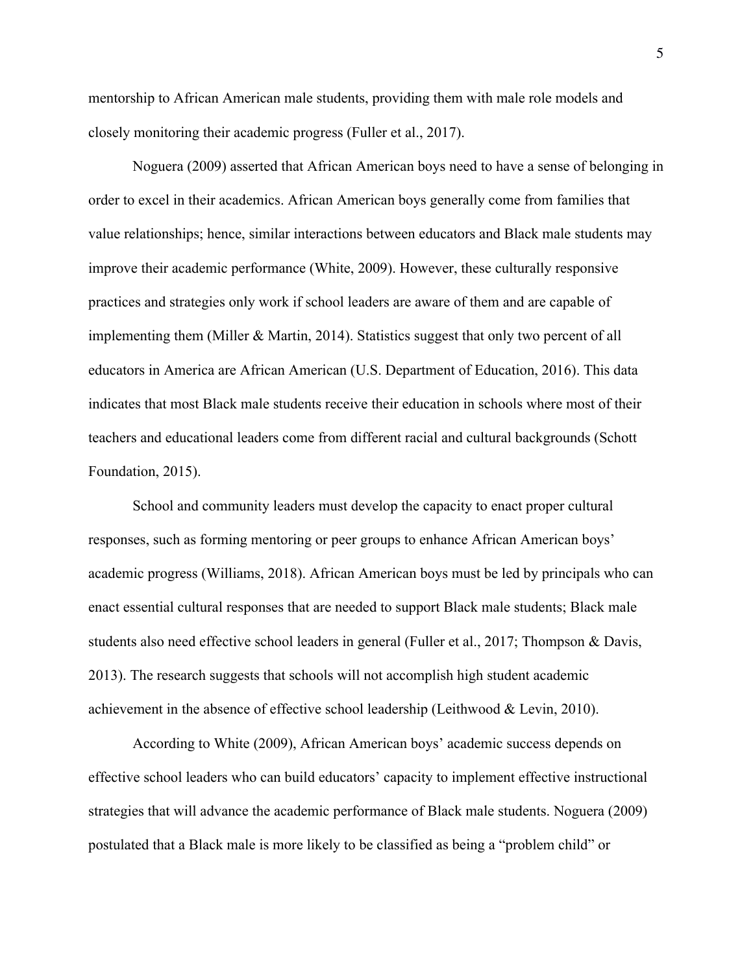mentorship to African American male students, providing them with male role models and closely monitoring their academic progress (Fuller et al., 2017).

Noguera (2009) asserted that African American boys need to have a sense of belonging in order to excel in their academics. African American boys generally come from families that value relationships; hence, similar interactions between educators and Black male students may improve their academic performance (White, 2009). However, these culturally responsive practices and strategies only work if school leaders are aware of them and are capable of implementing them (Miller & Martin, 2014). Statistics suggest that only two percent of all educators in America are African American (U.S. Department of Education, 2016). This data indicates that most Black male students receive their education in schools where most of their teachers and educational leaders come from different racial and cultural backgrounds (Schott Foundation, 2015).

School and community leaders must develop the capacity to enact proper cultural responses, such as forming mentoring or peer groups to enhance African American boys' academic progress (Williams, 2018). African American boys must be led by principals who can enact essential cultural responses that are needed to support Black male students; Black male students also need effective school leaders in general (Fuller et al., 2017; Thompson & Davis, 2013). The research suggests that schools will not accomplish high student academic achievement in the absence of effective school leadership (Leithwood & Levin, 2010).

According to White (2009), African American boys' academic success depends on effective school leaders who can build educators' capacity to implement effective instructional strategies that will advance the academic performance of Black male students. Noguera (2009) postulated that a Black male is more likely to be classified as being a "problem child" or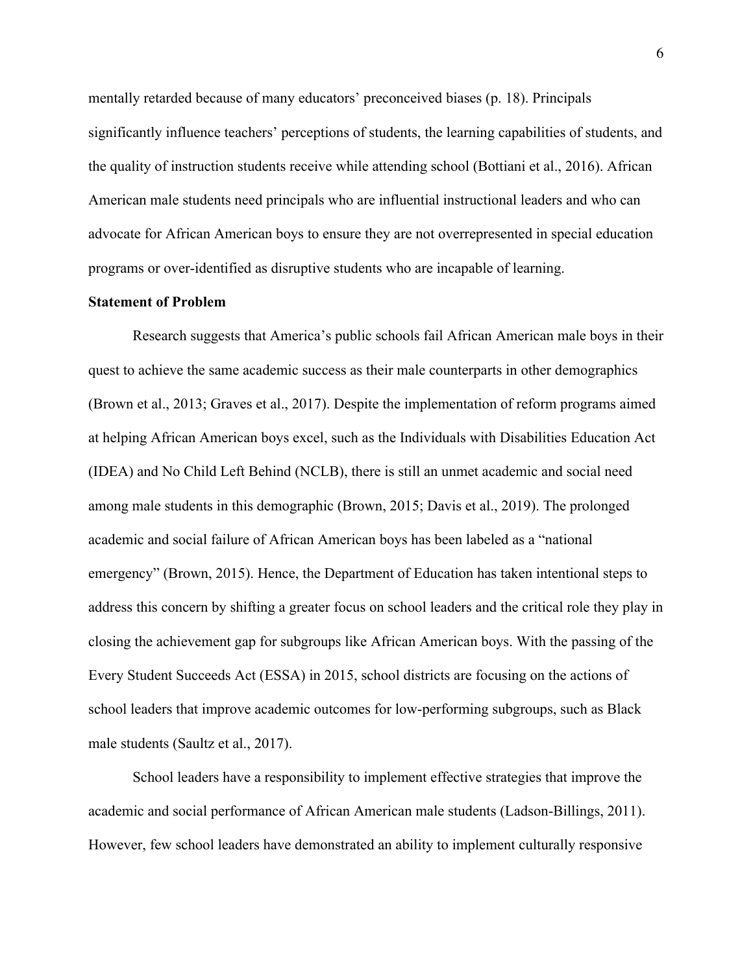mentally retarded because of many educators' preconceived biases (p. 18). Principals significantly influence teachers' perceptions of students, the learning capabilities of students, and the quality of instruction students receive while attending school (Bottiani et al., 2016). African American male students need principals who are influential instructional leaders and who can advocate for African American boys to ensure they are not overrepresented in special education programs or over-identified as disruptive students who are incapable of learning.

# **Statement of Problem**

Research suggests that America's public schools fail African American male boys in their quest to achieve the same academic success as their male counterparts in other demographics (Brown et al., 2013; Graves et al., 2017). Despite the implementation of reform programs aimed at helping African American boys excel, such as the Individuals with Disabilities Education Act (IDEA) and No Child Left Behind (NCLB), there is still an unmet academic and social need among male students in this demographic (Brown, 2015; Davis et al., 2019). The prolonged academic and social failure of African American boys has been labeled as a "national emergency" (Brown, 2015). Hence, the Department of Education has taken intentional steps to address this concern by shifting a greater focus on school leaders and the critical role they play in closing the achievement gap for subgroups like African American boys. With the passing of the Every Student Succeeds Act (ESSA) in 2015, school districts are focusing on the actions of school leaders that improve academic outcomes for low-performing subgroups, such as Black male students (Saultz et al., 2017).

School leaders have a responsibility to implement effective strategies that improve the academic and social performance of African American male students (Ladson-Billings, 2011). However, few school leaders have demonstrated an ability to implement culturally responsive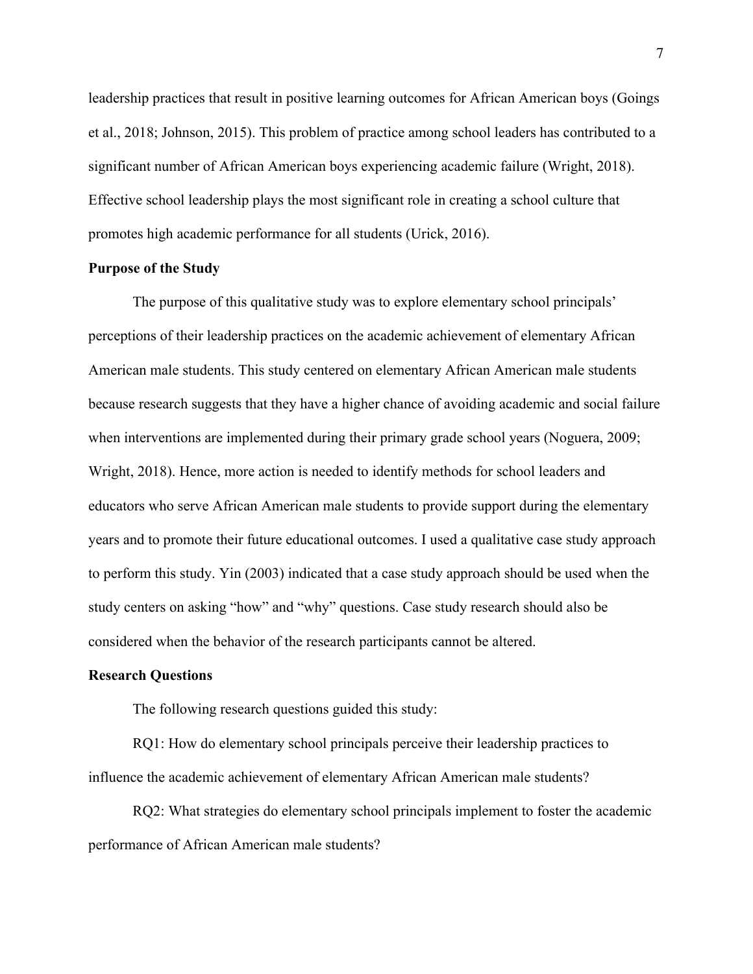leadership practices that result in positive learning outcomes for African American boys (Goings et al., 2018; Johnson, 2015). This problem of practice among school leaders has contributed to a significant number of African American boys experiencing academic failure (Wright, 2018). Effective school leadership plays the most significant role in creating a school culture that promotes high academic performance for all students (Urick, 2016).

# **Purpose of the Study**

The purpose of this qualitative study was to explore elementary school principals' perceptions of their leadership practices on the academic achievement of elementary African American male students. This study centered on elementary African American male students because research suggests that they have a higher chance of avoiding academic and social failure when interventions are implemented during their primary grade school years (Noguera, 2009; Wright, 2018). Hence, more action is needed to identify methods for school leaders and educators who serve African American male students to provide support during the elementary years and to promote their future educational outcomes. I used a qualitative case study approach to perform this study. Yin (2003) indicated that a case study approach should be used when the study centers on asking "how" and "why" questions. Case study research should also be considered when the behavior of the research participants cannot be altered.

#### **Research Questions**

The following research questions guided this study:

RQ1: How do elementary school principals perceive their leadership practices to influence the academic achievement of elementary African American male students?

RQ2: What strategies do elementary school principals implement to foster the academic performance of African American male students?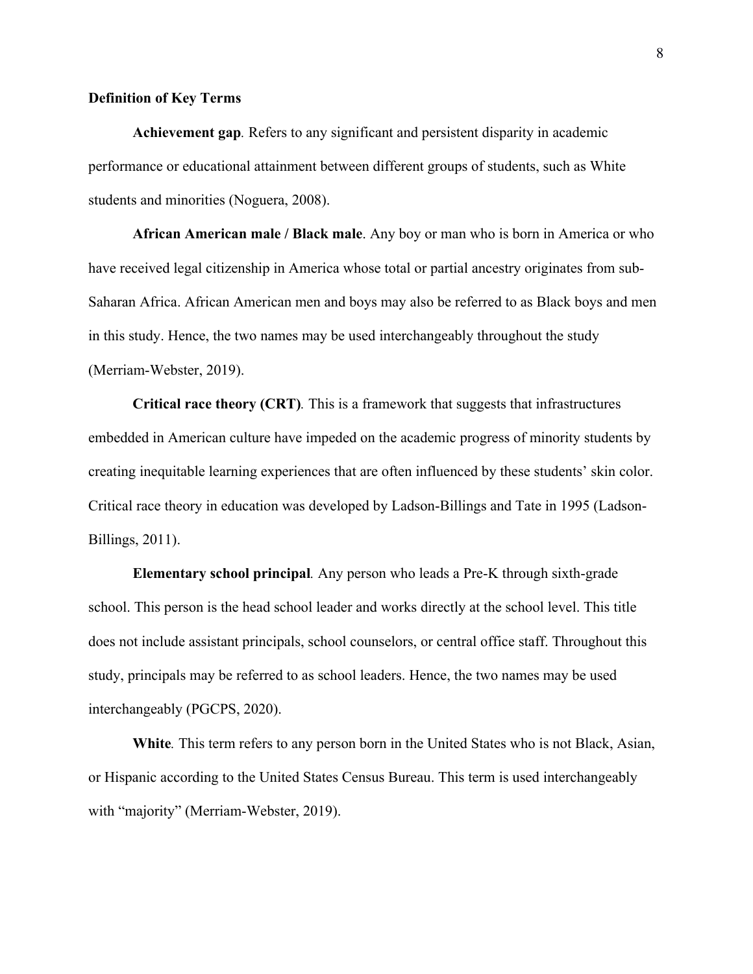# **Definition of Key Terms**

**Achievement gap***.* Refers to any significant and persistent disparity in academic performance or educational attainment between different groups of students, such as White students and minorities (Noguera, 2008).

**African American male / Black male**. Any boy or man who is born in America or who have received legal citizenship in America whose total or partial ancestry originates from sub-Saharan Africa. African American men and boys may also be referred to as Black boys and men in this study. Hence, the two names may be used interchangeably throughout the study (Merriam-Webster, 2019).

**Critical race theory (CRT)***.* This is a framework that suggests that infrastructures embedded in American culture have impeded on the academic progress of minority students by creating inequitable learning experiences that are often influenced by these students' skin color. Critical race theory in education was developed by Ladson-Billings and Tate in 1995 (Ladson-Billings, 2011).

**Elementary school principal***.* Any person who leads a Pre-K through sixth-grade school. This person is the head school leader and works directly at the school level. This title does not include assistant principals, school counselors, or central office staff. Throughout this study, principals may be referred to as school leaders. Hence, the two names may be used interchangeably (PGCPS, 2020).

**White***.* This term refers to any person born in the United States who is not Black, Asian, or Hispanic according to the United States Census Bureau. This term is used interchangeably with "majority" (Merriam-Webster, 2019).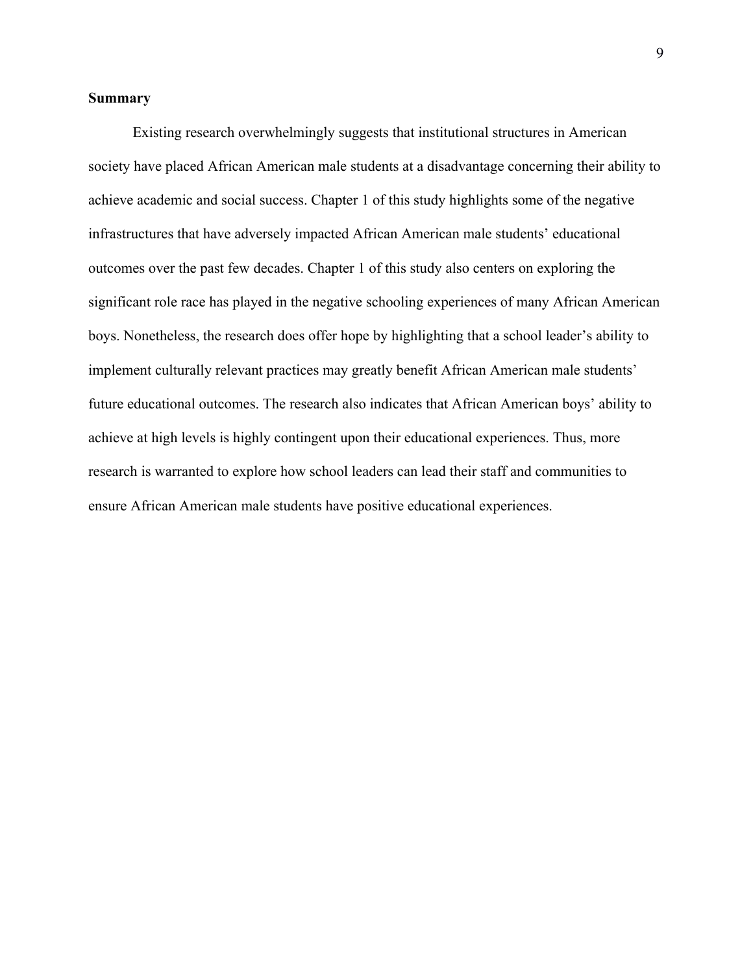# **Summary**

Existing research overwhelmingly suggests that institutional structures in American society have placed African American male students at a disadvantage concerning their ability to achieve academic and social success. Chapter 1 of this study highlights some of the negative infrastructures that have adversely impacted African American male students' educational outcomes over the past few decades. Chapter 1 of this study also centers on exploring the significant role race has played in the negative schooling experiences of many African American boys. Nonetheless, the research does offer hope by highlighting that a school leader's ability to implement culturally relevant practices may greatly benefit African American male students' future educational outcomes. The research also indicates that African American boys' ability to achieve at high levels is highly contingent upon their educational experiences. Thus, more research is warranted to explore how school leaders can lead their staff and communities to ensure African American male students have positive educational experiences.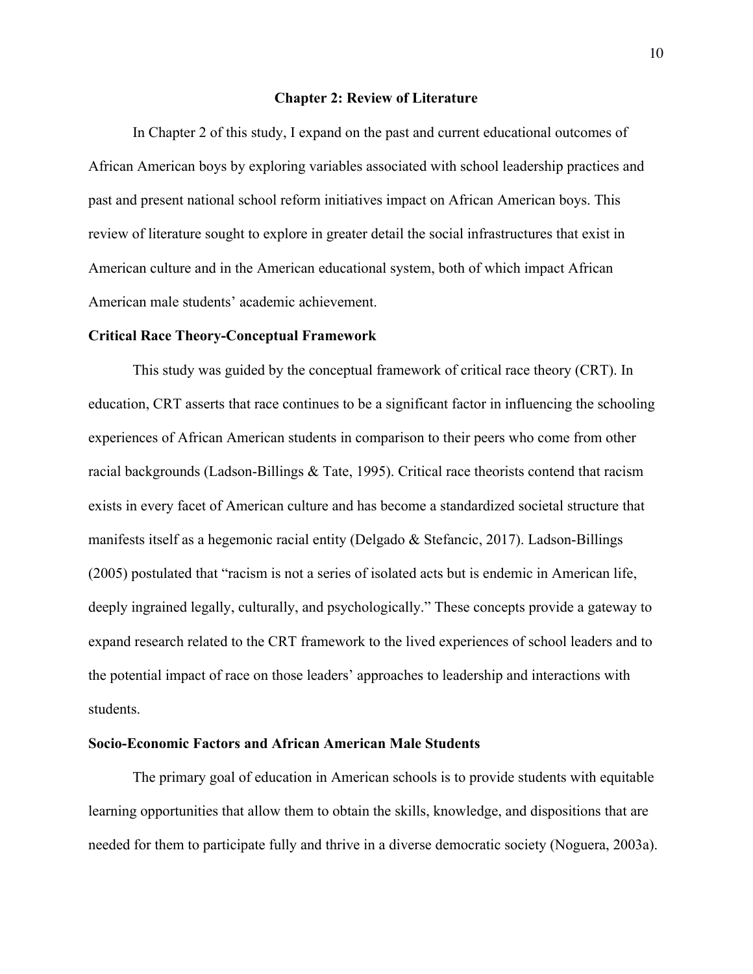### **Chapter 2: Review of Literature**

In Chapter 2 of this study, I expand on the past and current educational outcomes of African American boys by exploring variables associated with school leadership practices and past and present national school reform initiatives impact on African American boys. This review of literature sought to explore in greater detail the social infrastructures that exist in American culture and in the American educational system, both of which impact African American male students' academic achievement.

#### **Critical Race Theory-Conceptual Framework**

This study was guided by the conceptual framework of critical race theory (CRT). In education, CRT asserts that race continues to be a significant factor in influencing the schooling experiences of African American students in comparison to their peers who come from other racial backgrounds (Ladson-Billings & Tate, 1995). Critical race theorists contend that racism exists in every facet of American culture and has become a standardized societal structure that manifests itself as a hegemonic racial entity (Delgado & Stefancic, 2017). Ladson-Billings (2005) postulated that "racism is not a series of isolated acts but is endemic in American life, deeply ingrained legally, culturally, and psychologically." These concepts provide a gateway to expand research related to the CRT framework to the lived experiences of school leaders and to the potential impact of race on those leaders' approaches to leadership and interactions with students.

# **Socio-Economic Factors and African American Male Students**

The primary goal of education in American schools is to provide students with equitable learning opportunities that allow them to obtain the skills, knowledge, and dispositions that are needed for them to participate fully and thrive in a diverse democratic society (Noguera, 2003a).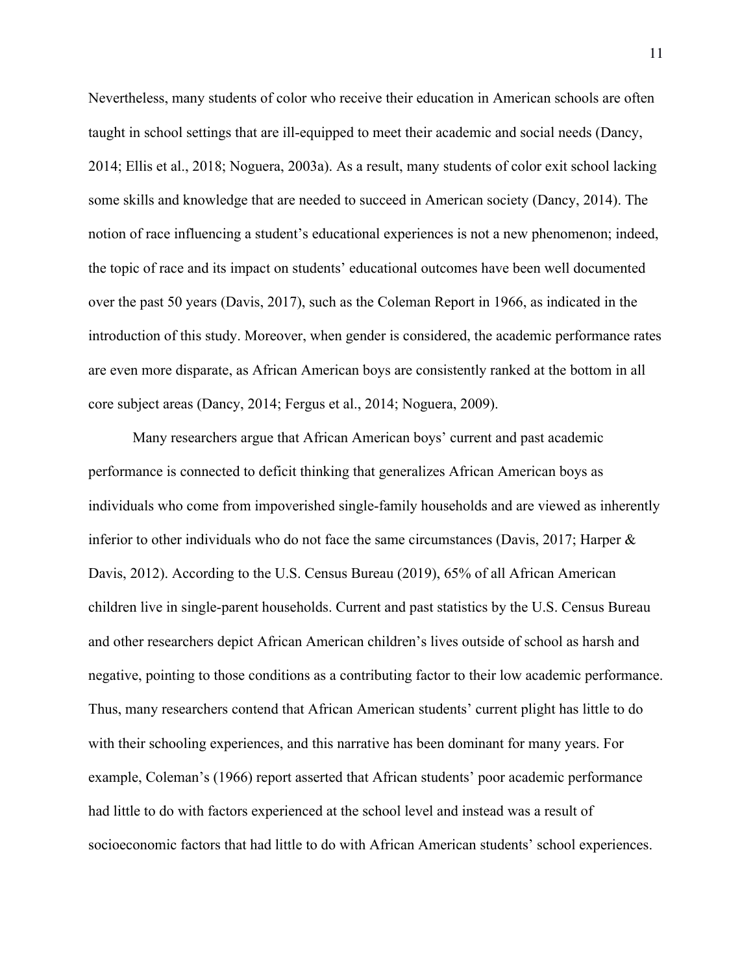Nevertheless, many students of color who receive their education in American schools are often taught in school settings that are ill-equipped to meet their academic and social needs (Dancy, 2014; Ellis et al., 2018; Noguera, 2003a). As a result, many students of color exit school lacking some skills and knowledge that are needed to succeed in American society (Dancy, 2014). The notion of race influencing a student's educational experiences is not a new phenomenon; indeed, the topic of race and its impact on students' educational outcomes have been well documented over the past 50 years (Davis, 2017), such as the Coleman Report in 1966, as indicated in the introduction of this study. Moreover, when gender is considered, the academic performance rates are even more disparate, as African American boys are consistently ranked at the bottom in all core subject areas (Dancy, 2014; Fergus et al., 2014; Noguera, 2009).

Many researchers argue that African American boys' current and past academic performance is connected to deficit thinking that generalizes African American boys as individuals who come from impoverished single-family households and are viewed as inherently inferior to other individuals who do not face the same circumstances (Davis, 2017; Harper & Davis, 2012). According to the U.S. Census Bureau (2019), 65% of all African American children live in single-parent households. Current and past statistics by the U.S. Census Bureau and other researchers depict African American children's lives outside of school as harsh and negative, pointing to those conditions as a contributing factor to their low academic performance. Thus, many researchers contend that African American students' current plight has little to do with their schooling experiences, and this narrative has been dominant for many years. For example, Coleman's (1966) report asserted that African students' poor academic performance had little to do with factors experienced at the school level and instead was a result of socioeconomic factors that had little to do with African American students' school experiences.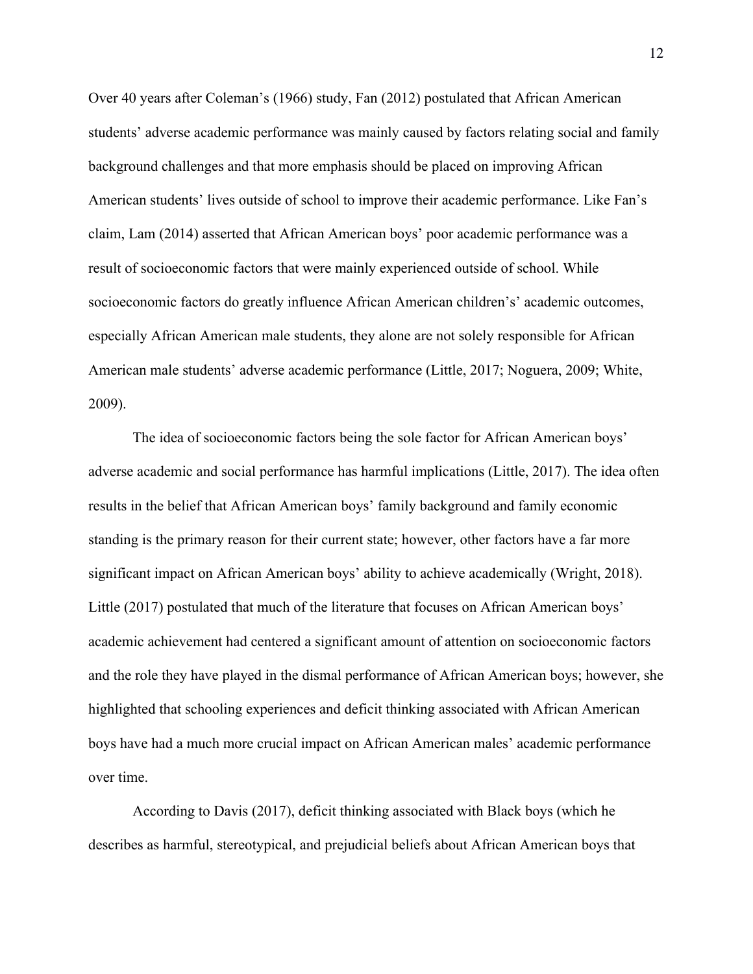Over 40 years after Coleman's (1966) study, Fan (2012) postulated that African American students' adverse academic performance was mainly caused by factors relating social and family background challenges and that more emphasis should be placed on improving African American students' lives outside of school to improve their academic performance. Like Fan's claim, Lam (2014) asserted that African American boys' poor academic performance was a result of socioeconomic factors that were mainly experienced outside of school. While socioeconomic factors do greatly influence African American children's' academic outcomes, especially African American male students, they alone are not solely responsible for African American male students' adverse academic performance (Little, 2017; Noguera, 2009; White, 2009).

The idea of socioeconomic factors being the sole factor for African American boys' adverse academic and social performance has harmful implications (Little, 2017). The idea often results in the belief that African American boys' family background and family economic standing is the primary reason for their current state; however, other factors have a far more significant impact on African American boys' ability to achieve academically (Wright, 2018). Little (2017) postulated that much of the literature that focuses on African American boys' academic achievement had centered a significant amount of attention on socioeconomic factors and the role they have played in the dismal performance of African American boys; however, she highlighted that schooling experiences and deficit thinking associated with African American boys have had a much more crucial impact on African American males' academic performance over time.

According to Davis (2017), deficit thinking associated with Black boys (which he describes as harmful, stereotypical, and prejudicial beliefs about African American boys that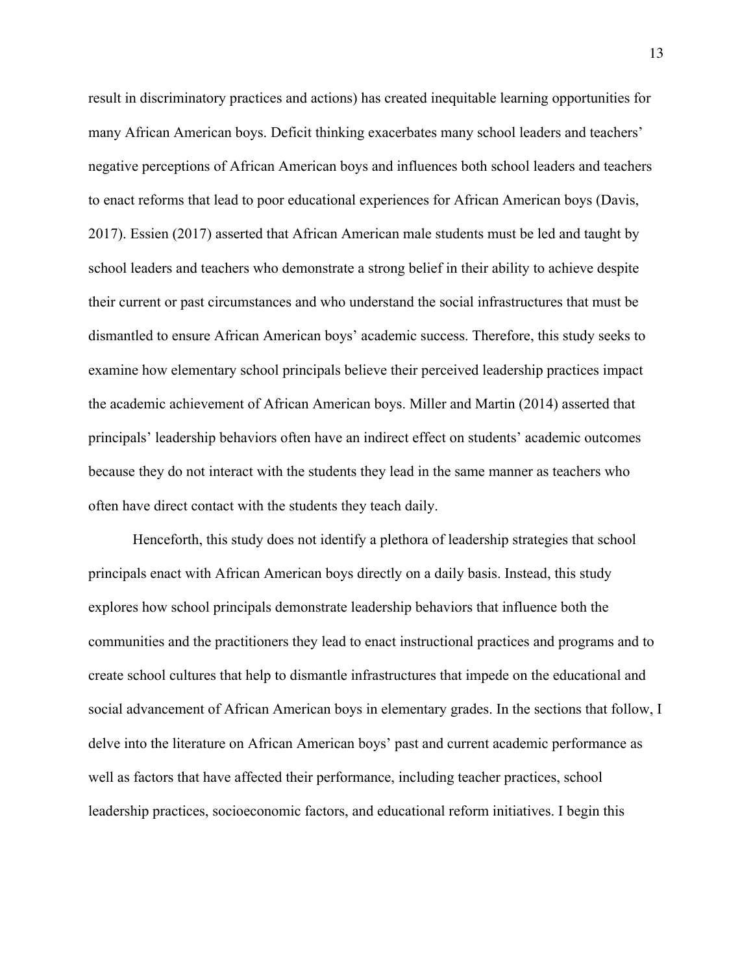result in discriminatory practices and actions) has created inequitable learning opportunities for many African American boys. Deficit thinking exacerbates many school leaders and teachers' negative perceptions of African American boys and influences both school leaders and teachers to enact reforms that lead to poor educational experiences for African American boys (Davis, 2017). Essien (2017) asserted that African American male students must be led and taught by school leaders and teachers who demonstrate a strong belief in their ability to achieve despite their current or past circumstances and who understand the social infrastructures that must be dismantled to ensure African American boys' academic success. Therefore, this study seeks to examine how elementary school principals believe their perceived leadership practices impact the academic achievement of African American boys. Miller and Martin (2014) asserted that principals' leadership behaviors often have an indirect effect on students' academic outcomes because they do not interact with the students they lead in the same manner as teachers who often have direct contact with the students they teach daily.

Henceforth, this study does not identify a plethora of leadership strategies that school principals enact with African American boys directly on a daily basis. Instead, this study explores how school principals demonstrate leadership behaviors that influence both the communities and the practitioners they lead to enact instructional practices and programs and to create school cultures that help to dismantle infrastructures that impede on the educational and social advancement of African American boys in elementary grades. In the sections that follow, I delve into the literature on African American boys' past and current academic performance as well as factors that have affected their performance, including teacher practices, school leadership practices, socioeconomic factors, and educational reform initiatives. I begin this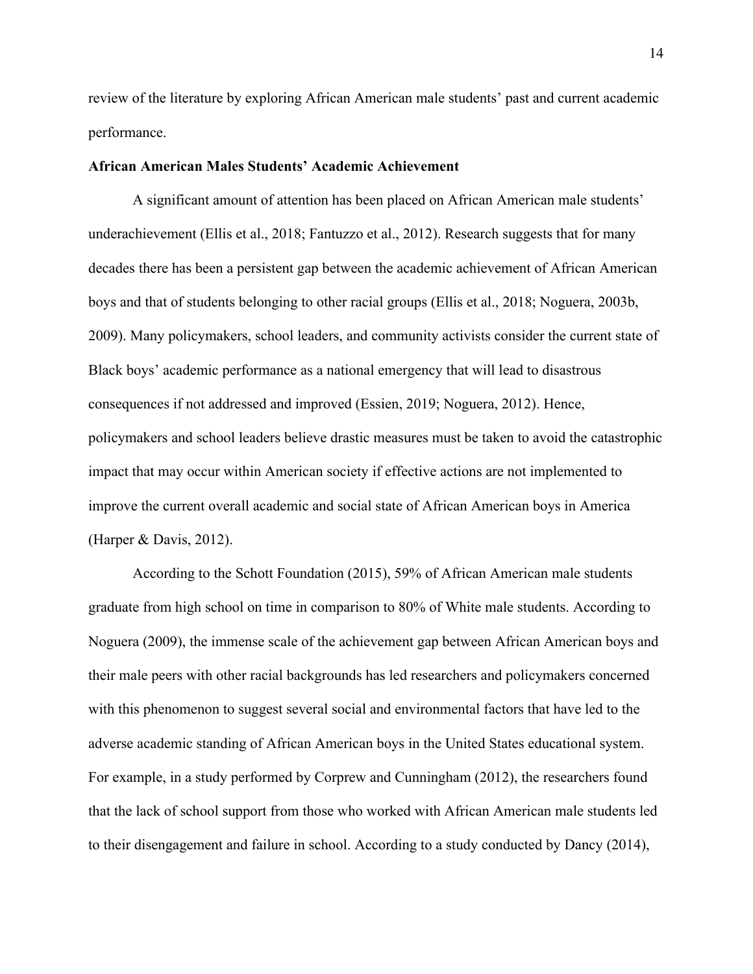review of the literature by exploring African American male students' past and current academic performance.

# **African American Males Students' Academic Achievement**

A significant amount of attention has been placed on African American male students' underachievement (Ellis et al., 2018; Fantuzzo et al., 2012). Research suggests that for many decades there has been a persistent gap between the academic achievement of African American boys and that of students belonging to other racial groups (Ellis et al., 2018; Noguera, 2003b, 2009). Many policymakers, school leaders, and community activists consider the current state of Black boys' academic performance as a national emergency that will lead to disastrous consequences if not addressed and improved (Essien, 2019; Noguera, 2012). Hence, policymakers and school leaders believe drastic measures must be taken to avoid the catastrophic impact that may occur within American society if effective actions are not implemented to improve the current overall academic and social state of African American boys in America (Harper & Davis, 2012).

According to the Schott Foundation (2015), 59% of African American male students graduate from high school on time in comparison to 80% of White male students. According to Noguera (2009), the immense scale of the achievement gap between African American boys and their male peers with other racial backgrounds has led researchers and policymakers concerned with this phenomenon to suggest several social and environmental factors that have led to the adverse academic standing of African American boys in the United States educational system. For example, in a study performed by Corprew and Cunningham (2012), the researchers found that the lack of school support from those who worked with African American male students led to their disengagement and failure in school. According to a study conducted by Dancy (2014),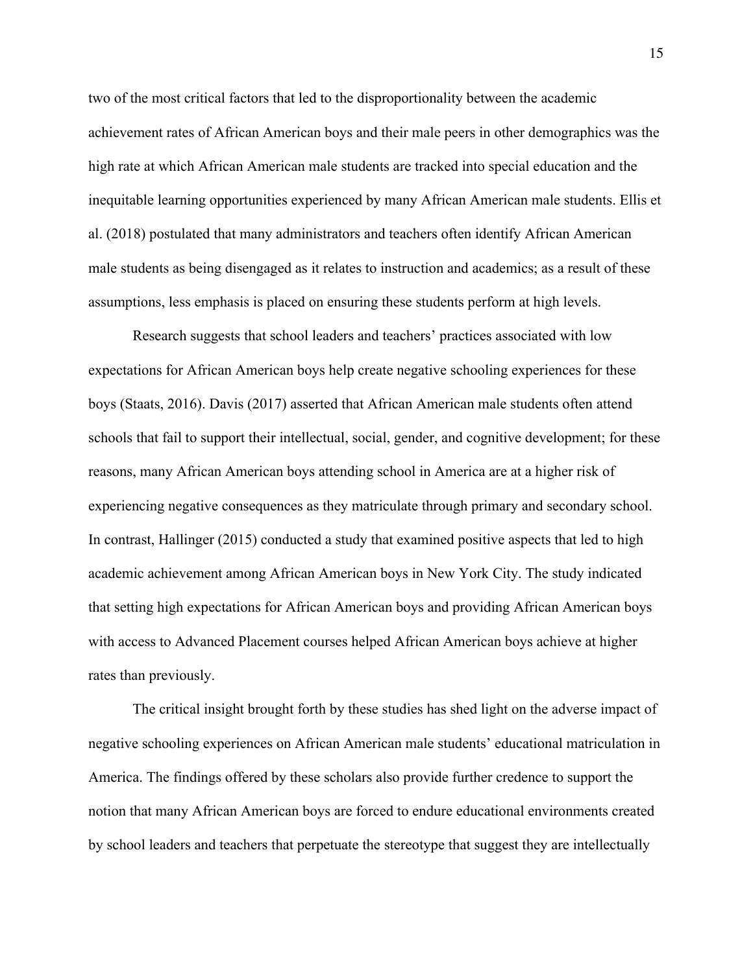two of the most critical factors that led to the disproportionality between the academic achievement rates of African American boys and their male peers in other demographics was the high rate at which African American male students are tracked into special education and the inequitable learning opportunities experienced by many African American male students. Ellis et al. (2018) postulated that many administrators and teachers often identify African American male students as being disengaged as it relates to instruction and academics; as a result of these assumptions, less emphasis is placed on ensuring these students perform at high levels.

Research suggests that school leaders and teachers' practices associated with low expectations for African American boys help create negative schooling experiences for these boys (Staats, 2016). Davis (2017) asserted that African American male students often attend schools that fail to support their intellectual, social, gender, and cognitive development; for these reasons, many African American boys attending school in America are at a higher risk of experiencing negative consequences as they matriculate through primary and secondary school. In contrast, Hallinger (2015) conducted a study that examined positive aspects that led to high academic achievement among African American boys in New York City. The study indicated that setting high expectations for African American boys and providing African American boys with access to Advanced Placement courses helped African American boys achieve at higher rates than previously.

The critical insight brought forth by these studies has shed light on the adverse impact of negative schooling experiences on African American male students' educational matriculation in America. The findings offered by these scholars also provide further credence to support the notion that many African American boys are forced to endure educational environments created by school leaders and teachers that perpetuate the stereotype that suggest they are intellectually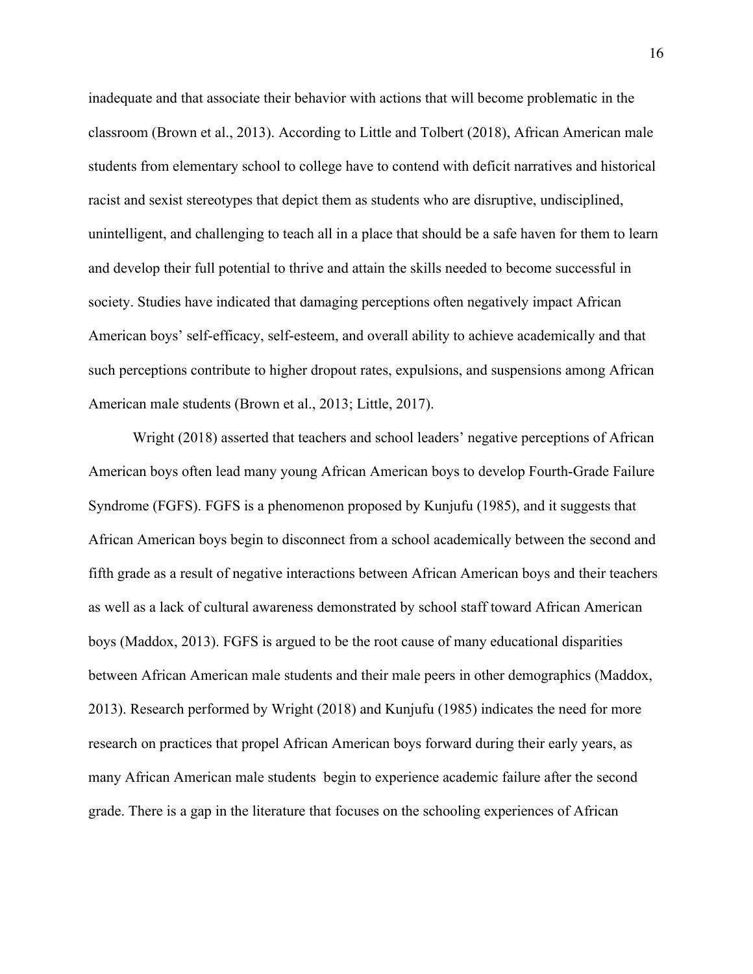inadequate and that associate their behavior with actions that will become problematic in the classroom (Brown et al., 2013). According to Little and Tolbert (2018), African American male students from elementary school to college have to contend with deficit narratives and historical racist and sexist stereotypes that depict them as students who are disruptive, undisciplined, unintelligent, and challenging to teach all in a place that should be a safe haven for them to learn and develop their full potential to thrive and attain the skills needed to become successful in society. Studies have indicated that damaging perceptions often negatively impact African American boys' self-efficacy, self-esteem, and overall ability to achieve academically and that such perceptions contribute to higher dropout rates, expulsions, and suspensions among African American male students (Brown et al., 2013; Little, 2017).

Wright (2018) asserted that teachers and school leaders' negative perceptions of African American boys often lead many young African American boys to develop Fourth-Grade Failure Syndrome (FGFS). FGFS is a phenomenon proposed by Kunjufu (1985), and it suggests that African American boys begin to disconnect from a school academically between the second and fifth grade as a result of negative interactions between African American boys and their teachers as well as a lack of cultural awareness demonstrated by school staff toward African American boys (Maddox, 2013). FGFS is argued to be the root cause of many educational disparities between African American male students and their male peers in other demographics (Maddox, 2013). Research performed by Wright (2018) and Kunjufu (1985) indicates the need for more research on practices that propel African American boys forward during their early years, as many African American male students begin to experience academic failure after the second grade. There is a gap in the literature that focuses on the schooling experiences of African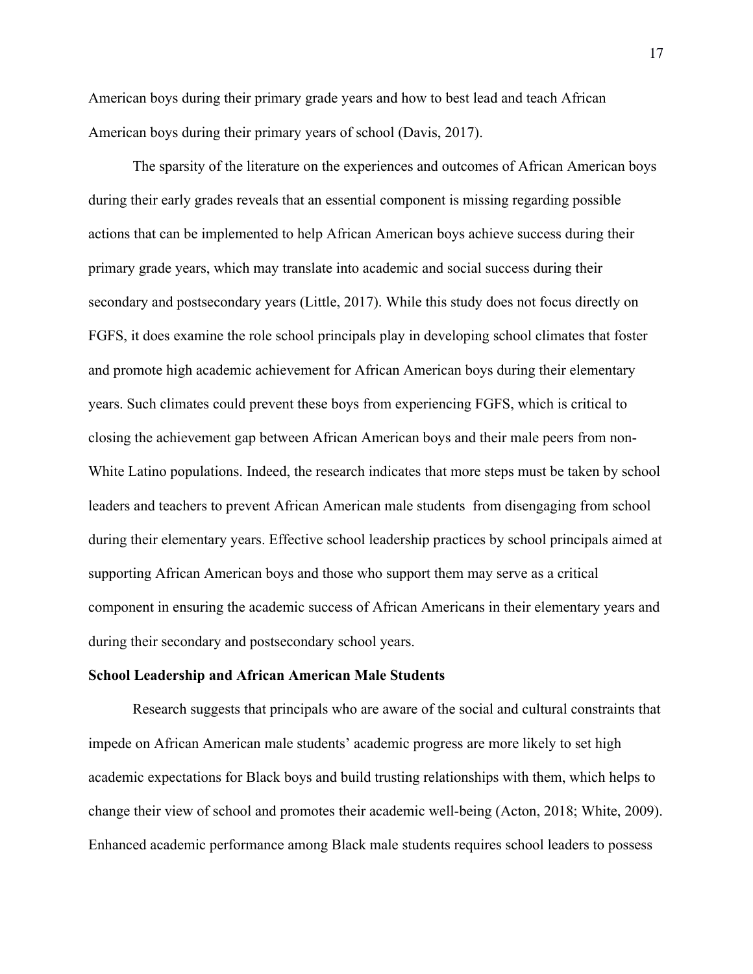American boys during their primary grade years and how to best lead and teach African American boys during their primary years of school (Davis, 2017).

The sparsity of the literature on the experiences and outcomes of African American boys during their early grades reveals that an essential component is missing regarding possible actions that can be implemented to help African American boys achieve success during their primary grade years, which may translate into academic and social success during their secondary and postsecondary years (Little, 2017). While this study does not focus directly on FGFS, it does examine the role school principals play in developing school climates that foster and promote high academic achievement for African American boys during their elementary years. Such climates could prevent these boys from experiencing FGFS, which is critical to closing the achievement gap between African American boys and their male peers from non-White Latino populations. Indeed, the research indicates that more steps must be taken by school leaders and teachers to prevent African American male students from disengaging from school during their elementary years. Effective school leadership practices by school principals aimed at supporting African American boys and those who support them may serve as a critical component in ensuring the academic success of African Americans in their elementary years and during their secondary and postsecondary school years.

#### **School Leadership and African American Male Students**

Research suggests that principals who are aware of the social and cultural constraints that impede on African American male students' academic progress are more likely to set high academic expectations for Black boys and build trusting relationships with them, which helps to change their view of school and promotes their academic well-being (Acton, 2018; White, 2009). Enhanced academic performance among Black male students requires school leaders to possess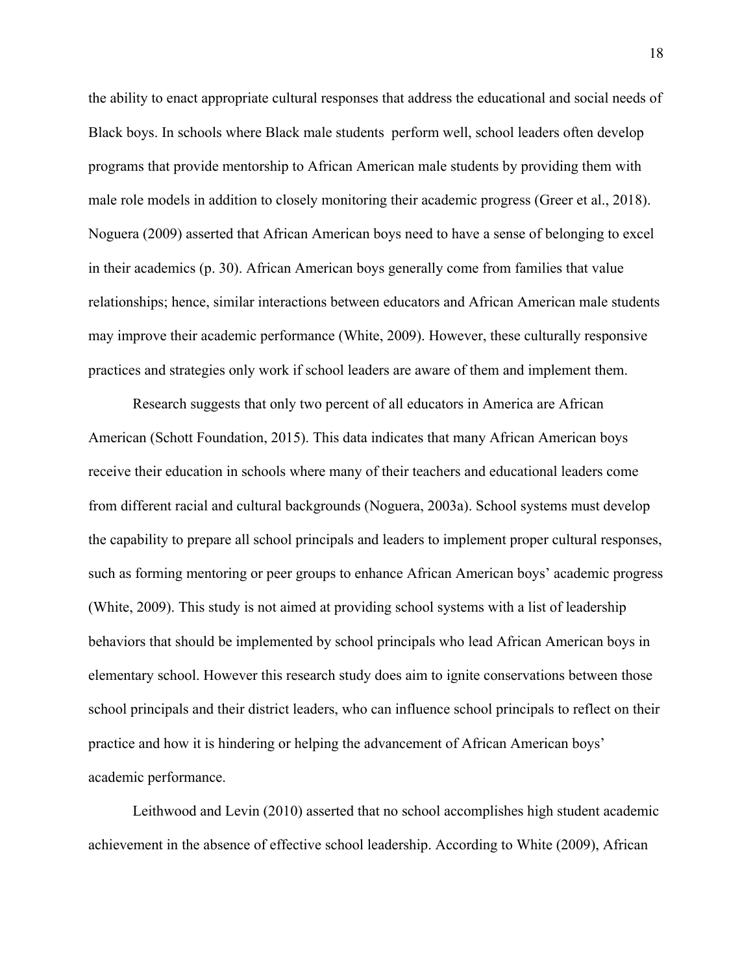the ability to enact appropriate cultural responses that address the educational and social needs of Black boys. In schools where Black male students perform well, school leaders often develop programs that provide mentorship to African American male students by providing them with male role models in addition to closely monitoring their academic progress (Greer et al., 2018). Noguera (2009) asserted that African American boys need to have a sense of belonging to excel in their academics (p. 30). African American boys generally come from families that value relationships; hence, similar interactions between educators and African American male students may improve their academic performance (White, 2009). However, these culturally responsive practices and strategies only work if school leaders are aware of them and implement them.

Research suggests that only two percent of all educators in America are African American (Schott Foundation, 2015). This data indicates that many African American boys receive their education in schools where many of their teachers and educational leaders come from different racial and cultural backgrounds (Noguera, 2003a). School systems must develop the capability to prepare all school principals and leaders to implement proper cultural responses, such as forming mentoring or peer groups to enhance African American boys' academic progress (White, 2009). This study is not aimed at providing school systems with a list of leadership behaviors that should be implemented by school principals who lead African American boys in elementary school. However this research study does aim to ignite conservations between those school principals and their district leaders, who can influence school principals to reflect on their practice and how it is hindering or helping the advancement of African American boys' academic performance.

Leithwood and Levin (2010) asserted that no school accomplishes high student academic achievement in the absence of effective school leadership. According to White (2009), African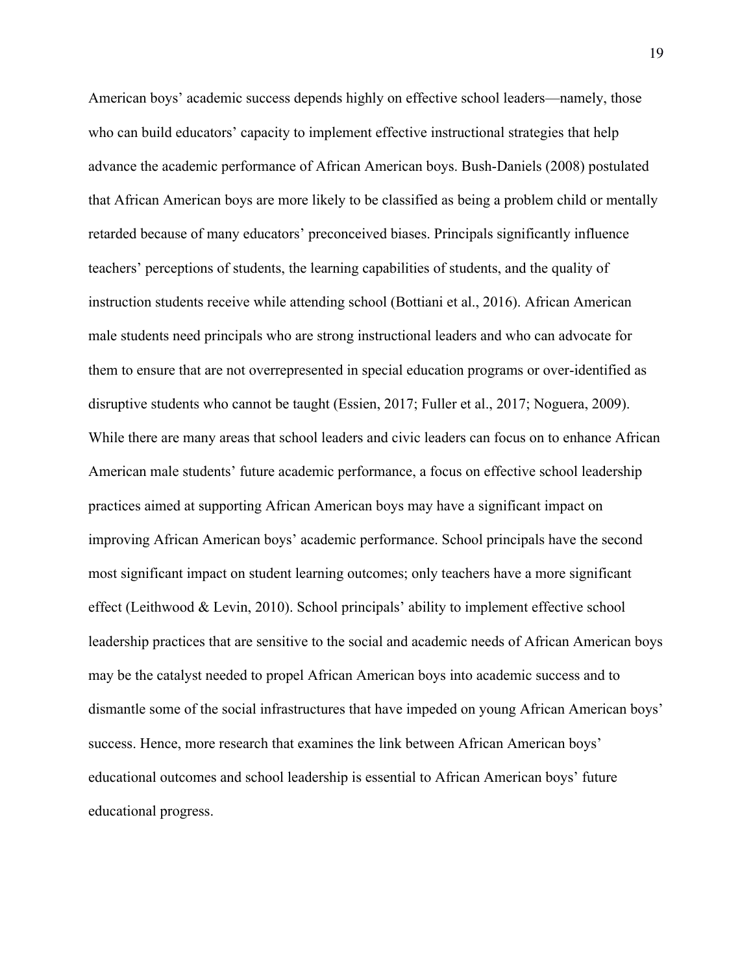American boys' academic success depends highly on effective school leaders—namely, those who can build educators' capacity to implement effective instructional strategies that help advance the academic performance of African American boys. Bush-Daniels (2008) postulated that African American boys are more likely to be classified as being a problem child or mentally retarded because of many educators' preconceived biases. Principals significantly influence teachers' perceptions of students, the learning capabilities of students, and the quality of instruction students receive while attending school (Bottiani et al., 2016). African American male students need principals who are strong instructional leaders and who can advocate for them to ensure that are not overrepresented in special education programs or over-identified as disruptive students who cannot be taught (Essien, 2017; Fuller et al., 2017; Noguera, 2009). While there are many areas that school leaders and civic leaders can focus on to enhance African American male students' future academic performance, a focus on effective school leadership practices aimed at supporting African American boys may have a significant impact on improving African American boys' academic performance. School principals have the second most significant impact on student learning outcomes; only teachers have a more significant effect (Leithwood & Levin, 2010). School principals' ability to implement effective school leadership practices that are sensitive to the social and academic needs of African American boys may be the catalyst needed to propel African American boys into academic success and to dismantle some of the social infrastructures that have impeded on young African American boys' success. Hence, more research that examines the link between African American boys' educational outcomes and school leadership is essential to African American boys' future educational progress.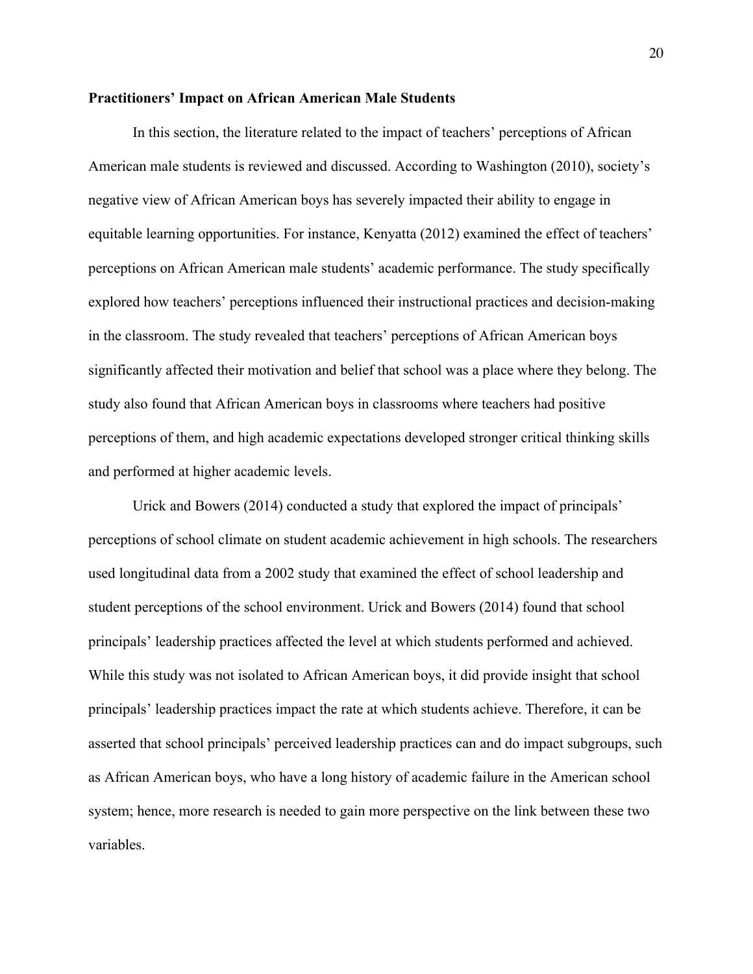# **Practitioners' Impact on African American Male Students**

In this section, the literature related to the impact of teachers' perceptions of African American male students is reviewed and discussed. According to Washington (2010), society's negative view of African American boys has severely impacted their ability to engage in equitable learning opportunities. For instance, Kenyatta (2012) examined the effect of teachers' perceptions on African American male students' academic performance. The study specifically explored how teachers' perceptions influenced their instructional practices and decision-making in the classroom. The study revealed that teachers' perceptions of African American boys significantly affected their motivation and belief that school was a place where they belong. The study also found that African American boys in classrooms where teachers had positive perceptions of them, and high academic expectations developed stronger critical thinking skills and performed at higher academic levels.

Urick and Bowers (2014) conducted a study that explored the impact of principals' perceptions of school climate on student academic achievement in high schools. The researchers used longitudinal data from a 2002 study that examined the effect of school leadership and student perceptions of the school environment. Urick and Bowers (2014) found that school principals' leadership practices affected the level at which students performed and achieved. While this study was not isolated to African American boys, it did provide insight that school principals' leadership practices impact the rate at which students achieve. Therefore, it can be asserted that school principals' perceived leadership practices can and do impact subgroups, such as African American boys, who have a long history of academic failure in the American school system; hence, more research is needed to gain more perspective on the link between these two variables.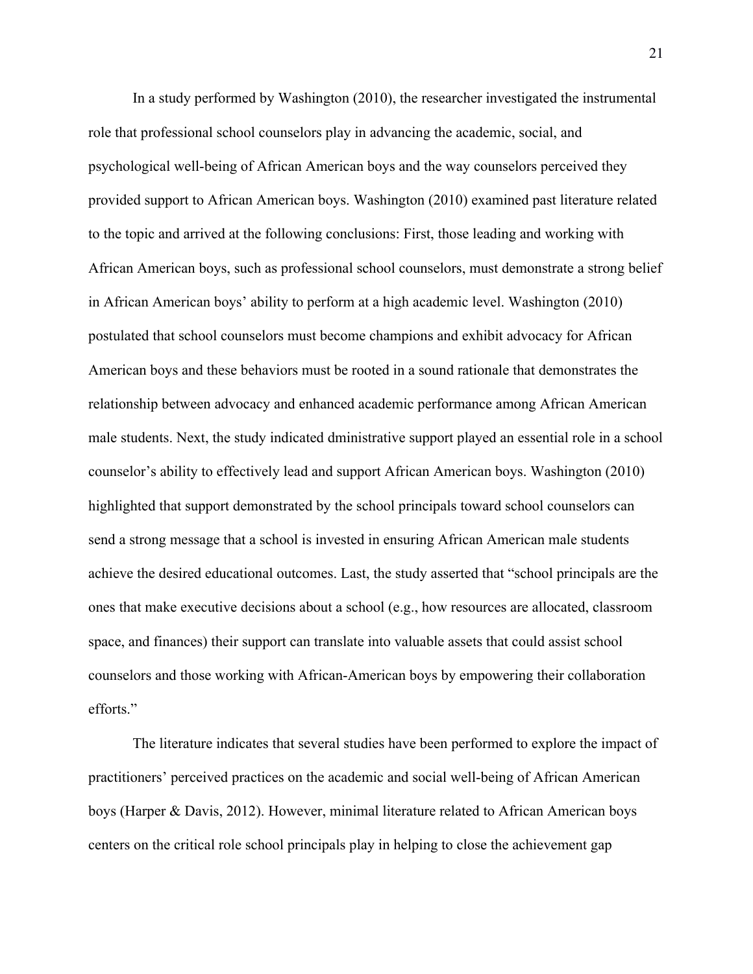In a study performed by Washington (2010), the researcher investigated the instrumental role that professional school counselors play in advancing the academic, social, and psychological well-being of African American boys and the way counselors perceived they provided support to African American boys. Washington (2010) examined past literature related to the topic and arrived at the following conclusions: First, those leading and working with African American boys, such as professional school counselors, must demonstrate a strong belief in African American boys' ability to perform at a high academic level. Washington (2010) postulated that school counselors must become champions and exhibit advocacy for African American boys and these behaviors must be rooted in a sound rationale that demonstrates the relationship between advocacy and enhanced academic performance among African American male students. Next, the study indicated dministrative support played an essential role in a school counselor's ability to effectively lead and support African American boys. Washington (2010) highlighted that support demonstrated by the school principals toward school counselors can send a strong message that a school is invested in ensuring African American male students achieve the desired educational outcomes. Last, the study asserted that "school principals are the ones that make executive decisions about a school (e.g., how resources are allocated, classroom space, and finances) their support can translate into valuable assets that could assist school counselors and those working with African-American boys by empowering their collaboration efforts."

The literature indicates that several studies have been performed to explore the impact of practitioners' perceived practices on the academic and social well-being of African American boys (Harper & Davis, 2012). However, minimal literature related to African American boys centers on the critical role school principals play in helping to close the achievement gap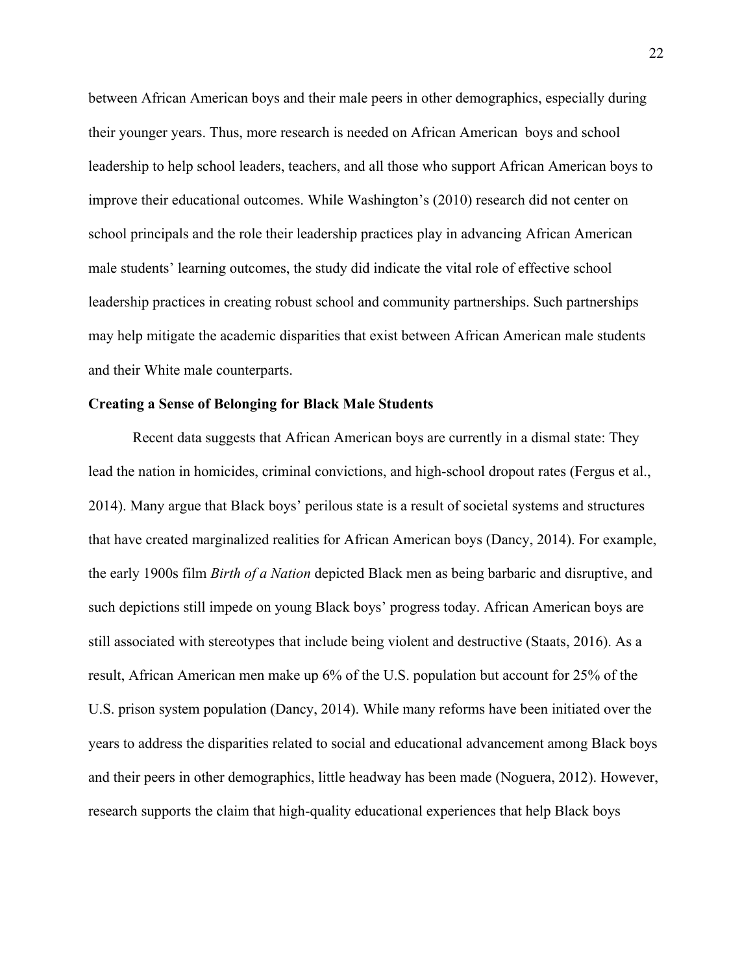between African American boys and their male peers in other demographics, especially during their younger years. Thus, more research is needed on African American boys and school leadership to help school leaders, teachers, and all those who support African American boys to improve their educational outcomes. While Washington's (2010) research did not center on school principals and the role their leadership practices play in advancing African American male students' learning outcomes, the study did indicate the vital role of effective school leadership practices in creating robust school and community partnerships. Such partnerships may help mitigate the academic disparities that exist between African American male students and their White male counterparts.

# **Creating a Sense of Belonging for Black Male Students**

Recent data suggests that African American boys are currently in a dismal state: They lead the nation in homicides, criminal convictions, and high-school dropout rates (Fergus et al., 2014). Many argue that Black boys' perilous state is a result of societal systems and structures that have created marginalized realities for African American boys (Dancy, 2014). For example, the early 1900s film *Birth of a Nation* depicted Black men as being barbaric and disruptive, and such depictions still impede on young Black boys' progress today. African American boys are still associated with stereotypes that include being violent and destructive (Staats, 2016). As a result, African American men make up 6% of the U.S. population but account for 25% of the U.S. prison system population (Dancy, 2014). While many reforms have been initiated over the years to address the disparities related to social and educational advancement among Black boys and their peers in other demographics, little headway has been made (Noguera, 2012). However, research supports the claim that high-quality educational experiences that help Black boys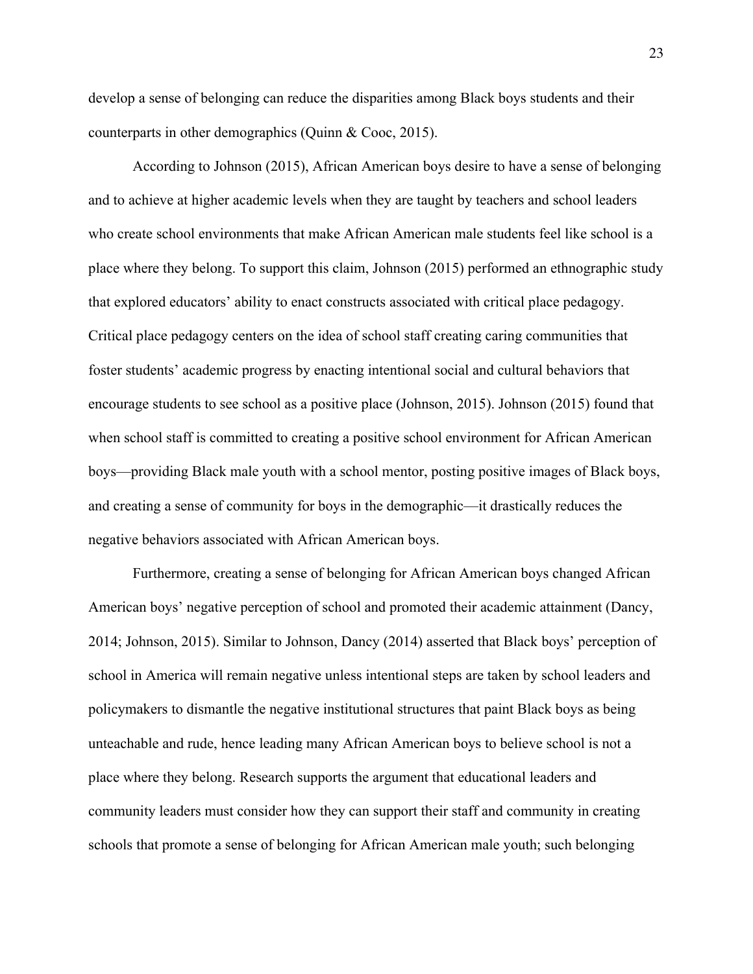develop a sense of belonging can reduce the disparities among Black boys students and their counterparts in other demographics (Quinn & Cooc, 2015).

According to Johnson (2015), African American boys desire to have a sense of belonging and to achieve at higher academic levels when they are taught by teachers and school leaders who create school environments that make African American male students feel like school is a place where they belong. To support this claim, Johnson (2015) performed an ethnographic study that explored educators' ability to enact constructs associated with critical place pedagogy. Critical place pedagogy centers on the idea of school staff creating caring communities that foster students' academic progress by enacting intentional social and cultural behaviors that encourage students to see school as a positive place (Johnson, 2015). Johnson (2015) found that when school staff is committed to creating a positive school environment for African American boys—providing Black male youth with a school mentor, posting positive images of Black boys, and creating a sense of community for boys in the demographic—it drastically reduces the negative behaviors associated with African American boys.

Furthermore, creating a sense of belonging for African American boys changed African American boys' negative perception of school and promoted their academic attainment (Dancy, 2014; Johnson, 2015). Similar to Johnson, Dancy (2014) asserted that Black boys' perception of school in America will remain negative unless intentional steps are taken by school leaders and policymakers to dismantle the negative institutional structures that paint Black boys as being unteachable and rude, hence leading many African American boys to believe school is not a place where they belong. Research supports the argument that educational leaders and community leaders must consider how they can support their staff and community in creating schools that promote a sense of belonging for African American male youth; such belonging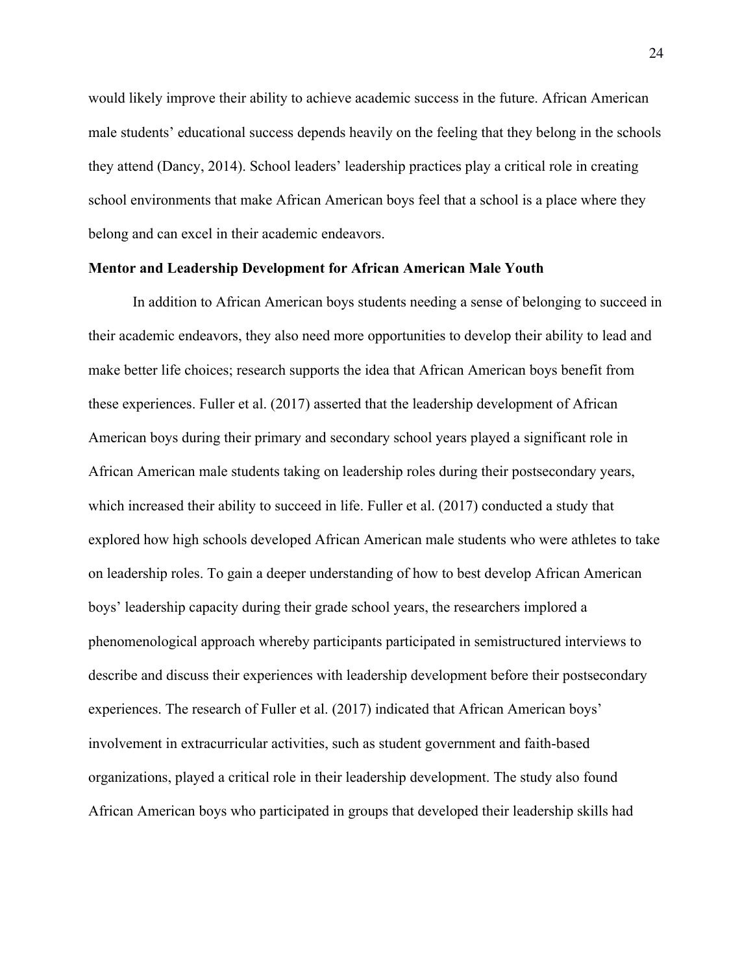would likely improve their ability to achieve academic success in the future. African American male students' educational success depends heavily on the feeling that they belong in the schools they attend (Dancy, 2014). School leaders' leadership practices play a critical role in creating school environments that make African American boys feel that a school is a place where they belong and can excel in their academic endeavors.

# **Mentor and Leadership Development for African American Male Youth**

In addition to African American boys students needing a sense of belonging to succeed in their academic endeavors, they also need more opportunities to develop their ability to lead and make better life choices; research supports the idea that African American boys benefit from these experiences. Fuller et al. (2017) asserted that the leadership development of African American boys during their primary and secondary school years played a significant role in African American male students taking on leadership roles during their postsecondary years, which increased their ability to succeed in life. Fuller et al. (2017) conducted a study that explored how high schools developed African American male students who were athletes to take on leadership roles. To gain a deeper understanding of how to best develop African American boys' leadership capacity during their grade school years, the researchers implored a phenomenological approach whereby participants participated in semistructured interviews to describe and discuss their experiences with leadership development before their postsecondary experiences. The research of Fuller et al. (2017) indicated that African American boys' involvement in extracurricular activities, such as student government and faith-based organizations, played a critical role in their leadership development. The study also found African American boys who participated in groups that developed their leadership skills had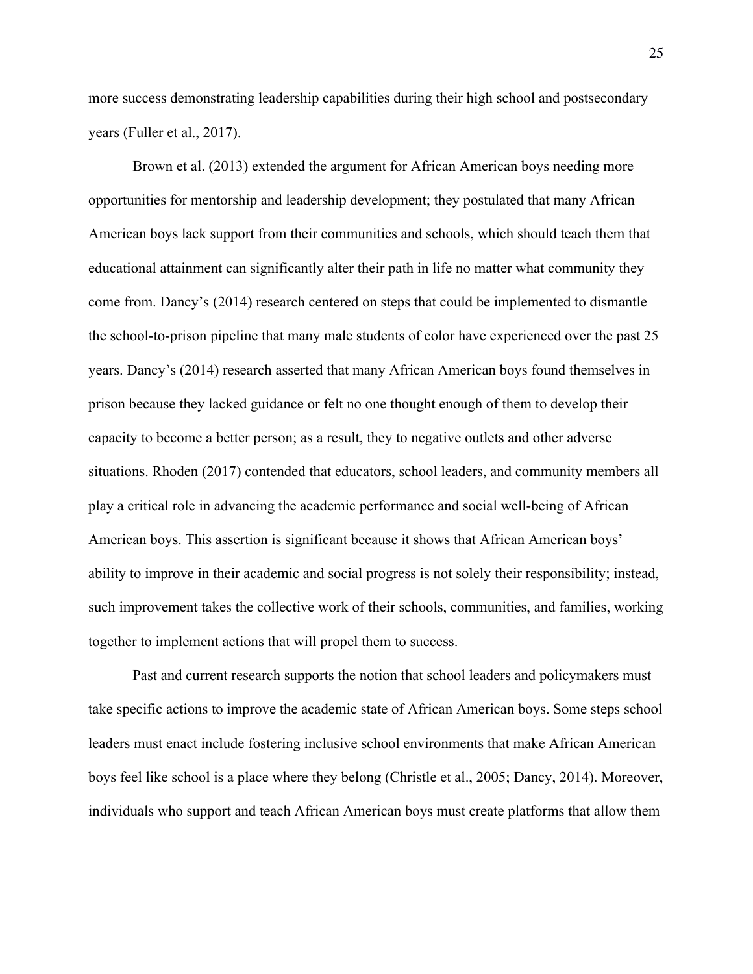more success demonstrating leadership capabilities during their high school and postsecondary years (Fuller et al., 2017).

Brown et al. (2013) extended the argument for African American boys needing more opportunities for mentorship and leadership development; they postulated that many African American boys lack support from their communities and schools, which should teach them that educational attainment can significantly alter their path in life no matter what community they come from. Dancy's (2014) research centered on steps that could be implemented to dismantle the school-to-prison pipeline that many male students of color have experienced over the past 25 years. Dancy's (2014) research asserted that many African American boys found themselves in prison because they lacked guidance or felt no one thought enough of them to develop their capacity to become a better person; as a result, they to negative outlets and other adverse situations. Rhoden (2017) contended that educators, school leaders, and community members all play a critical role in advancing the academic performance and social well-being of African American boys. This assertion is significant because it shows that African American boys' ability to improve in their academic and social progress is not solely their responsibility; instead, such improvement takes the collective work of their schools, communities, and families, working together to implement actions that will propel them to success.

Past and current research supports the notion that school leaders and policymakers must take specific actions to improve the academic state of African American boys. Some steps school leaders must enact include fostering inclusive school environments that make African American boys feel like school is a place where they belong (Christle et al., 2005; Dancy, 2014). Moreover, individuals who support and teach African American boys must create platforms that allow them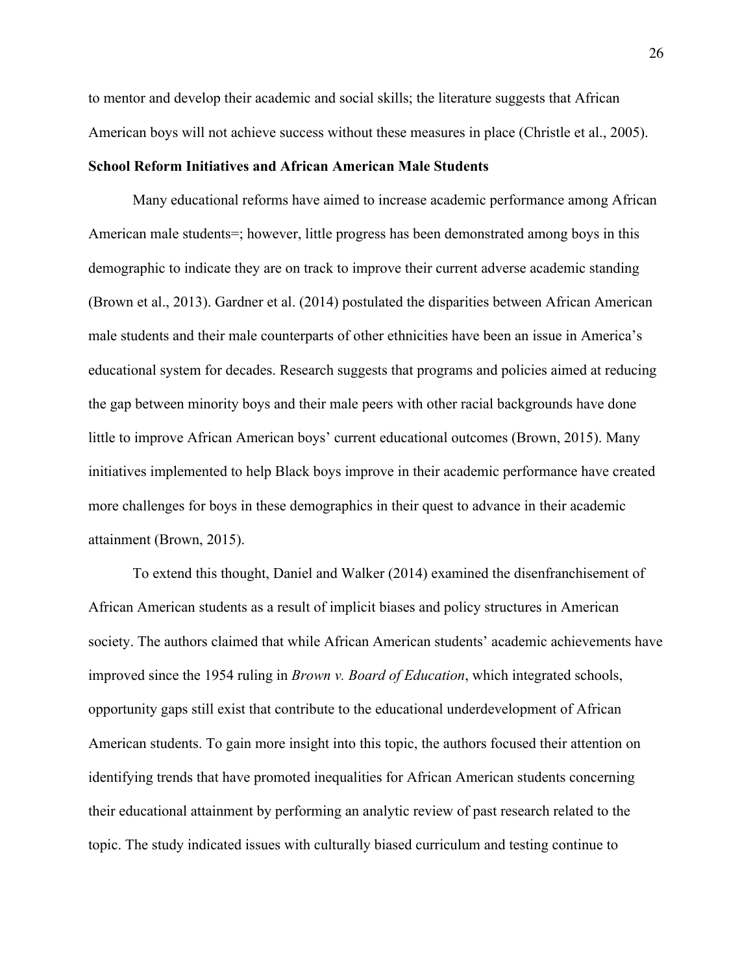to mentor and develop their academic and social skills; the literature suggests that African American boys will not achieve success without these measures in place (Christle et al., 2005).

# **School Reform Initiatives and African American Male Students**

Many educational reforms have aimed to increase academic performance among African American male students=; however, little progress has been demonstrated among boys in this demographic to indicate they are on track to improve their current adverse academic standing (Brown et al., 2013). Gardner et al. (2014) postulated the disparities between African American male students and their male counterparts of other ethnicities have been an issue in America's educational system for decades. Research suggests that programs and policies aimed at reducing the gap between minority boys and their male peers with other racial backgrounds have done little to improve African American boys' current educational outcomes (Brown, 2015). Many initiatives implemented to help Black boys improve in their academic performance have created more challenges for boys in these demographics in their quest to advance in their academic attainment (Brown, 2015).

To extend this thought, Daniel and Walker (2014) examined the disenfranchisement of African American students as a result of implicit biases and policy structures in American society. The authors claimed that while African American students' academic achievements have improved since the 1954 ruling in *Brown v. Board of Education*, which integrated schools, opportunity gaps still exist that contribute to the educational underdevelopment of African American students. To gain more insight into this topic, the authors focused their attention on identifying trends that have promoted inequalities for African American students concerning their educational attainment by performing an analytic review of past research related to the topic. The study indicated issues with culturally biased curriculum and testing continue to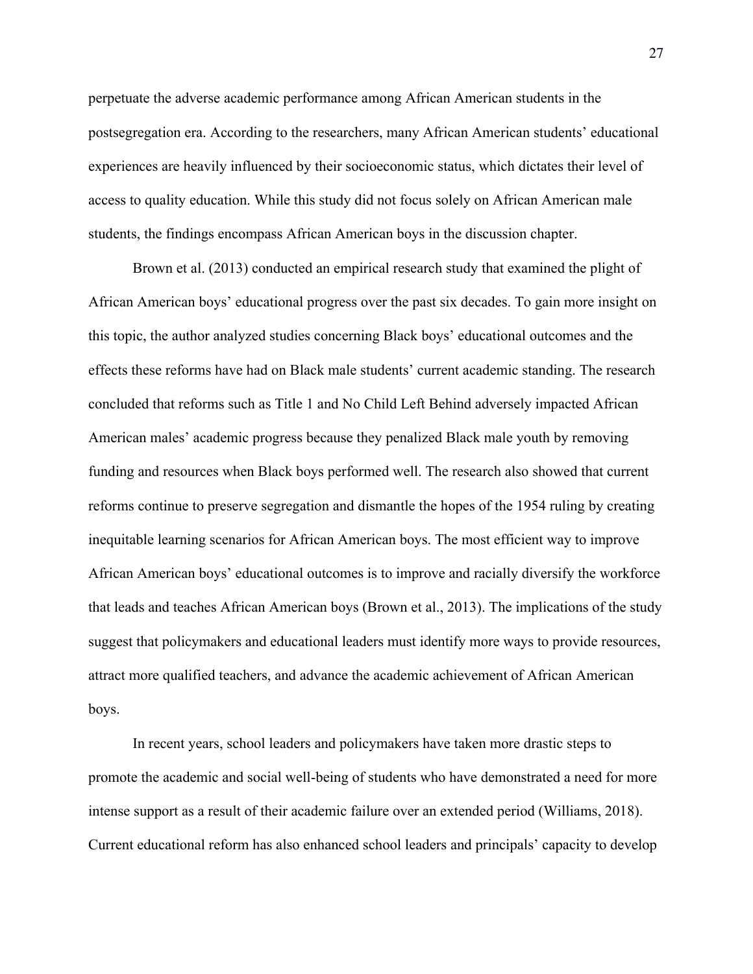perpetuate the adverse academic performance among African American students in the postsegregation era. According to the researchers, many African American students' educational experiences are heavily influenced by their socioeconomic status, which dictates their level of access to quality education. While this study did not focus solely on African American male students, the findings encompass African American boys in the discussion chapter.

Brown et al. (2013) conducted an empirical research study that examined the plight of African American boys' educational progress over the past six decades. To gain more insight on this topic, the author analyzed studies concerning Black boys' educational outcomes and the effects these reforms have had on Black male students' current academic standing. The research concluded that reforms such as Title 1 and No Child Left Behind adversely impacted African American males' academic progress because they penalized Black male youth by removing funding and resources when Black boys performed well. The research also showed that current reforms continue to preserve segregation and dismantle the hopes of the 1954 ruling by creating inequitable learning scenarios for African American boys. The most efficient way to improve African American boys' educational outcomes is to improve and racially diversify the workforce that leads and teaches African American boys (Brown et al., 2013). The implications of the study suggest that policymakers and educational leaders must identify more ways to provide resources, attract more qualified teachers, and advance the academic achievement of African American boys.

In recent years, school leaders and policymakers have taken more drastic steps to promote the academic and social well-being of students who have demonstrated a need for more intense support as a result of their academic failure over an extended period (Williams, 2018). Current educational reform has also enhanced school leaders and principals' capacity to develop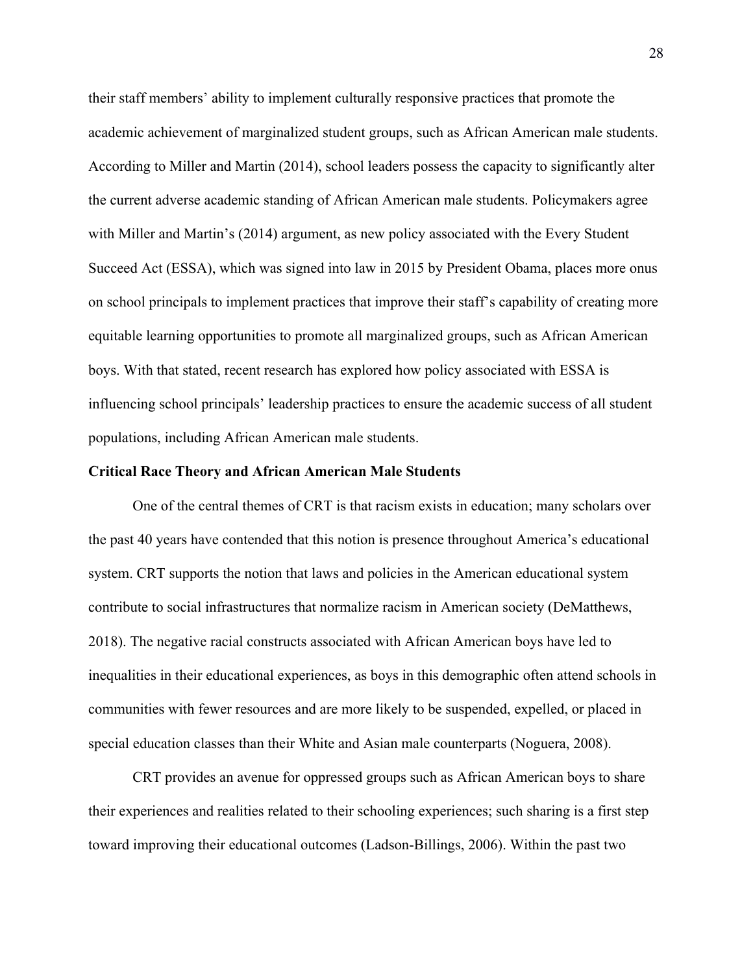their staff members' ability to implement culturally responsive practices that promote the academic achievement of marginalized student groups, such as African American male students. According to Miller and Martin (2014), school leaders possess the capacity to significantly alter the current adverse academic standing of African American male students. Policymakers agree with Miller and Martin's (2014) argument, as new policy associated with the Every Student Succeed Act (ESSA), which was signed into law in 2015 by President Obama, places more onus on school principals to implement practices that improve their staff's capability of creating more equitable learning opportunities to promote all marginalized groups, such as African American boys. With that stated, recent research has explored how policy associated with ESSA is influencing school principals' leadership practices to ensure the academic success of all student populations, including African American male students.

# **Critical Race Theory and African American Male Students**

One of the central themes of CRT is that racism exists in education; many scholars over the past 40 years have contended that this notion is presence throughout America's educational system. CRT supports the notion that laws and policies in the American educational system contribute to social infrastructures that normalize racism in American society (DeMatthews, 2018). The negative racial constructs associated with African American boys have led to inequalities in their educational experiences, as boys in this demographic often attend schools in communities with fewer resources and are more likely to be suspended, expelled, or placed in special education classes than their White and Asian male counterparts (Noguera, 2008).

CRT provides an avenue for oppressed groups such as African American boys to share their experiences and realities related to their schooling experiences; such sharing is a first step toward improving their educational outcomes (Ladson-Billings, 2006). Within the past two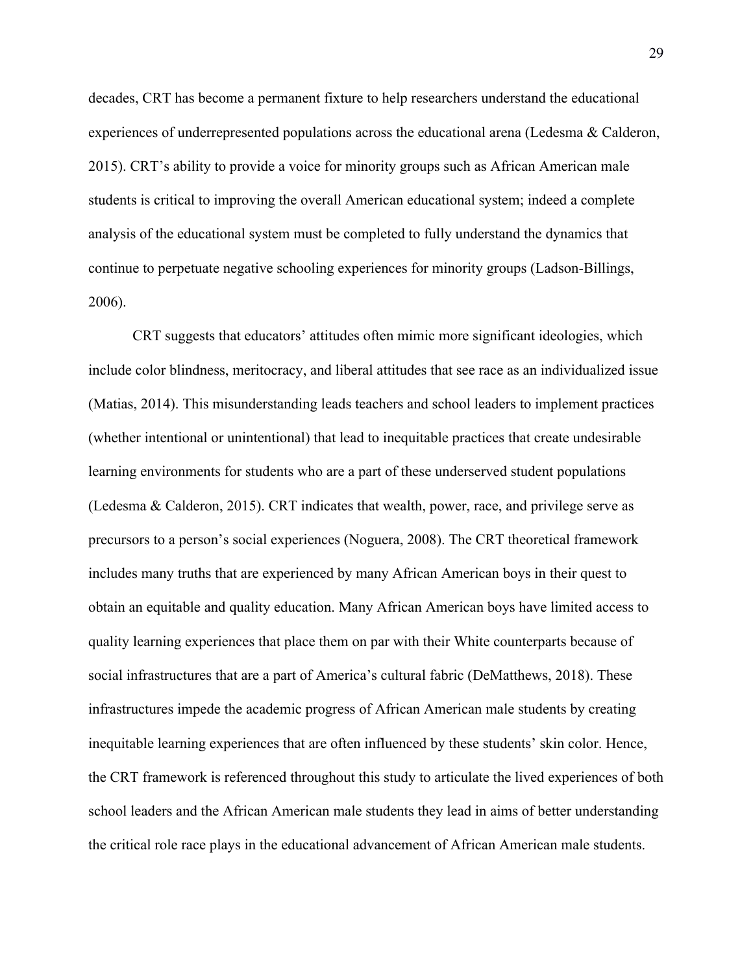decades, CRT has become a permanent fixture to help researchers understand the educational experiences of underrepresented populations across the educational arena (Ledesma & Calderon, 2015). CRT's ability to provide a voice for minority groups such as African American male students is critical to improving the overall American educational system; indeed a complete analysis of the educational system must be completed to fully understand the dynamics that continue to perpetuate negative schooling experiences for minority groups (Ladson-Billings, 2006).

CRT suggests that educators' attitudes often mimic more significant ideologies, which include color blindness, meritocracy, and liberal attitudes that see race as an individualized issue (Matias, 2014). This misunderstanding leads teachers and school leaders to implement practices (whether intentional or unintentional) that lead to inequitable practices that create undesirable learning environments for students who are a part of these underserved student populations (Ledesma & Calderon, 2015). CRT indicates that wealth, power, race, and privilege serve as precursors to a person's social experiences (Noguera, 2008). The CRT theoretical framework includes many truths that are experienced by many African American boys in their quest to obtain an equitable and quality education. Many African American boys have limited access to quality learning experiences that place them on par with their White counterparts because of social infrastructures that are a part of America's cultural fabric (DeMatthews, 2018). These infrastructures impede the academic progress of African American male students by creating inequitable learning experiences that are often influenced by these students' skin color. Hence, the CRT framework is referenced throughout this study to articulate the lived experiences of both school leaders and the African American male students they lead in aims of better understanding the critical role race plays in the educational advancement of African American male students.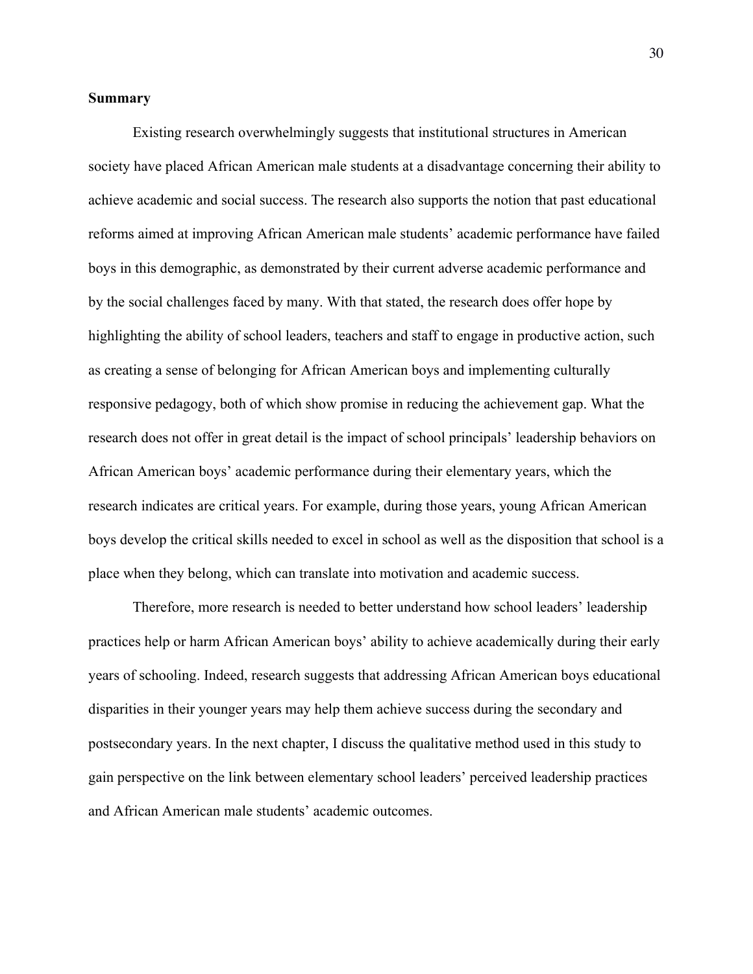# **Summary**

Existing research overwhelmingly suggests that institutional structures in American society have placed African American male students at a disadvantage concerning their ability to achieve academic and social success. The research also supports the notion that past educational reforms aimed at improving African American male students' academic performance have failed boys in this demographic, as demonstrated by their current adverse academic performance and by the social challenges faced by many. With that stated, the research does offer hope by highlighting the ability of school leaders, teachers and staff to engage in productive action, such as creating a sense of belonging for African American boys and implementing culturally responsive pedagogy, both of which show promise in reducing the achievement gap. What the research does not offer in great detail is the impact of school principals' leadership behaviors on African American boys' academic performance during their elementary years, which the research indicates are critical years. For example, during those years, young African American boys develop the critical skills needed to excel in school as well as the disposition that school is a place when they belong, which can translate into motivation and academic success.

Therefore, more research is needed to better understand how school leaders' leadership practices help or harm African American boys' ability to achieve academically during their early years of schooling. Indeed, research suggests that addressing African American boys educational disparities in their younger years may help them achieve success during the secondary and postsecondary years. In the next chapter, I discuss the qualitative method used in this study to gain perspective on the link between elementary school leaders' perceived leadership practices and African American male students' academic outcomes.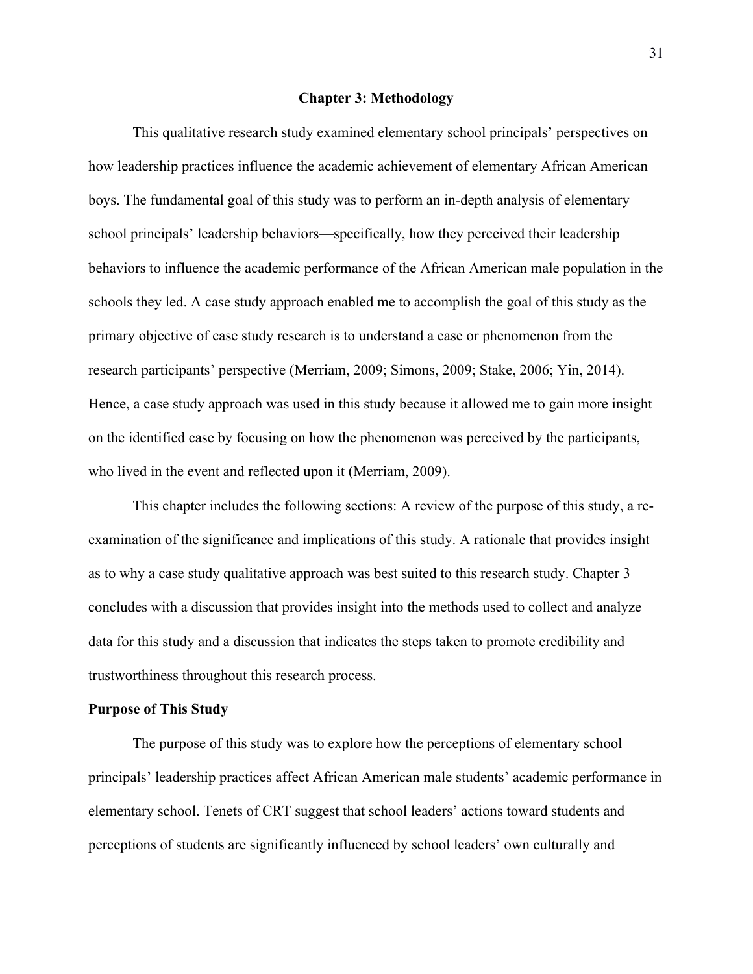### **Chapter 3: Methodology**

This qualitative research study examined elementary school principals' perspectives on how leadership practices influence the academic achievement of elementary African American boys. The fundamental goal of this study was to perform an in-depth analysis of elementary school principals' leadership behaviors—specifically, how they perceived their leadership behaviors to influence the academic performance of the African American male population in the schools they led. A case study approach enabled me to accomplish the goal of this study as the primary objective of case study research is to understand a case or phenomenon from the research participants' perspective (Merriam, 2009; Simons, 2009; Stake, 2006; Yin, 2014). Hence, a case study approach was used in this study because it allowed me to gain more insight on the identified case by focusing on how the phenomenon was perceived by the participants, who lived in the event and reflected upon it (Merriam, 2009).

This chapter includes the following sections: A review of the purpose of this study, a reexamination of the significance and implications of this study. A rationale that provides insight as to why a case study qualitative approach was best suited to this research study. Chapter 3 concludes with a discussion that provides insight into the methods used to collect and analyze data for this study and a discussion that indicates the steps taken to promote credibility and trustworthiness throughout this research process.

# **Purpose of This Study**

The purpose of this study was to explore how the perceptions of elementary school principals' leadership practices affect African American male students' academic performance in elementary school. Tenets of CRT suggest that school leaders' actions toward students and perceptions of students are significantly influenced by school leaders' own culturally and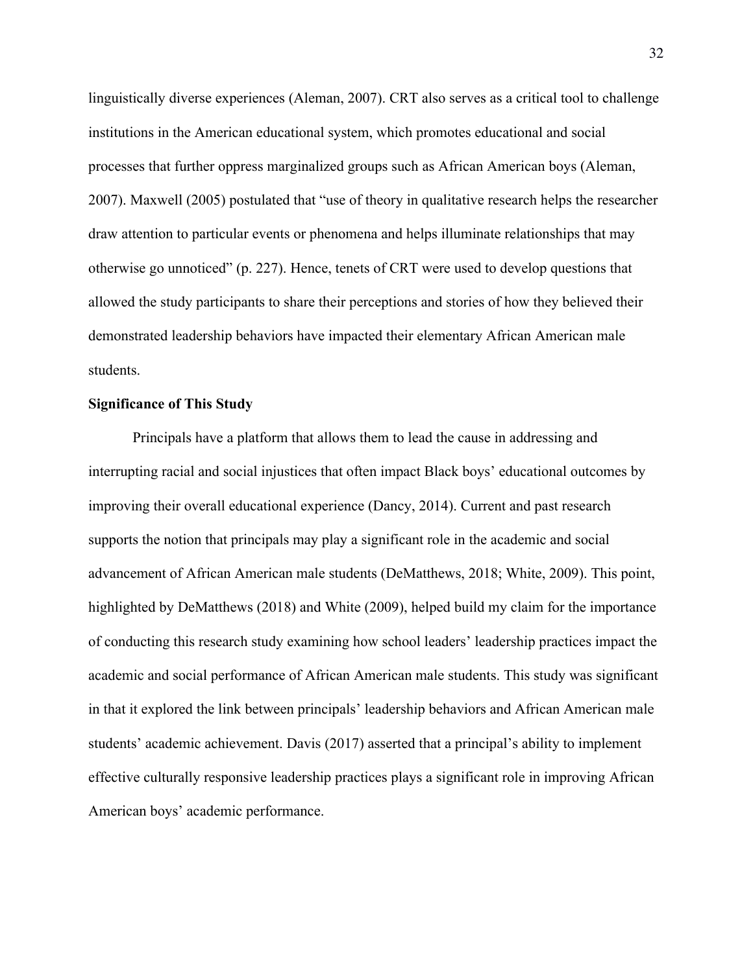linguistically diverse experiences (Aleman, 2007). CRT also serves as a critical tool to challenge institutions in the American educational system, which promotes educational and social processes that further oppress marginalized groups such as African American boys (Aleman, 2007). Maxwell (2005) postulated that "use of theory in qualitative research helps the researcher draw attention to particular events or phenomena and helps illuminate relationships that may otherwise go unnoticed" (p. 227). Hence, tenets of CRT were used to develop questions that allowed the study participants to share their perceptions and stories of how they believed their demonstrated leadership behaviors have impacted their elementary African American male students.

### **Significance of This Study**

Principals have a platform that allows them to lead the cause in addressing and interrupting racial and social injustices that often impact Black boys' educational outcomes by improving their overall educational experience (Dancy, 2014). Current and past research supports the notion that principals may play a significant role in the academic and social advancement of African American male students (DeMatthews, 2018; White, 2009). This point, highlighted by DeMatthews (2018) and White (2009), helped build my claim for the importance of conducting this research study examining how school leaders' leadership practices impact the academic and social performance of African American male students. This study was significant in that it explored the link between principals' leadership behaviors and African American male students' academic achievement. Davis (2017) asserted that a principal's ability to implement effective culturally responsive leadership practices plays a significant role in improving African American boys' academic performance.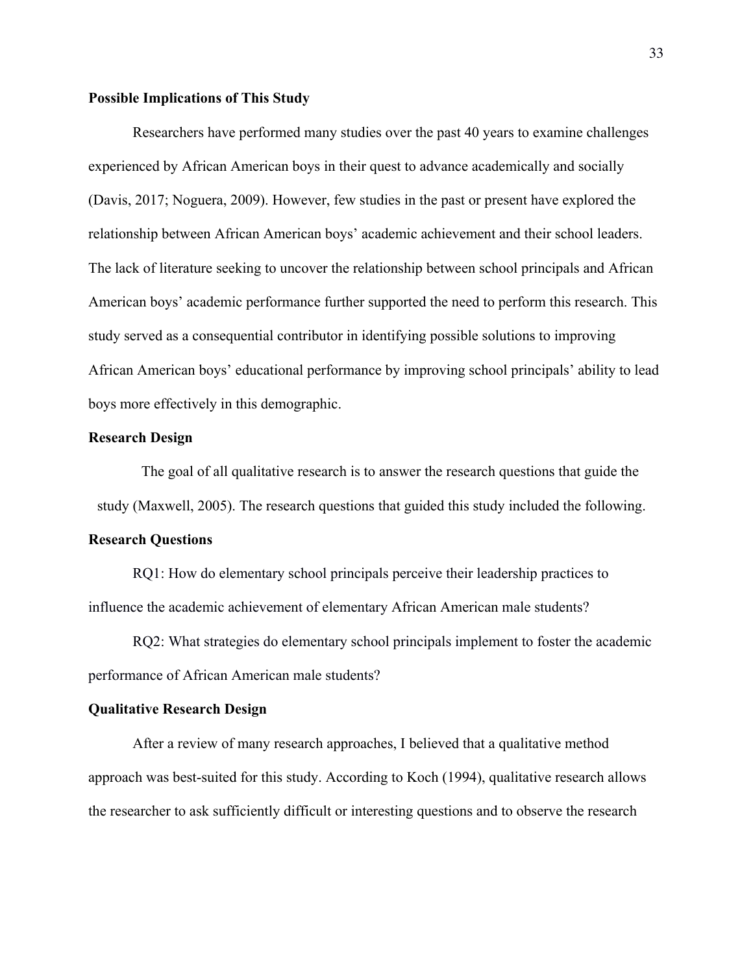## **Possible Implications of This Study**

Researchers have performed many studies over the past 40 years to examine challenges experienced by African American boys in their quest to advance academically and socially (Davis, 2017; Noguera, 2009). However, few studies in the past or present have explored the relationship between African American boys' academic achievement and their school leaders. The lack of literature seeking to uncover the relationship between school principals and African American boys' academic performance further supported the need to perform this research. This study served as a consequential contributor in identifying possible solutions to improving African American boys' educational performance by improving school principals' ability to lead boys more effectively in this demographic.

### **Research Design**

The goal of all qualitative research is to answer the research questions that guide the study (Maxwell, 2005). The research questions that guided this study included the following.

#### **Research Questions**

RQ1: How do elementary school principals perceive their leadership practices to influence the academic achievement of elementary African American male students?

RQ2: What strategies do elementary school principals implement to foster the academic performance of African American male students?

# **Qualitative Research Design**

After a review of many research approaches, I believed that a qualitative method approach was best-suited for this study. According to Koch (1994), qualitative research allows the researcher to ask sufficiently difficult or interesting questions and to observe the research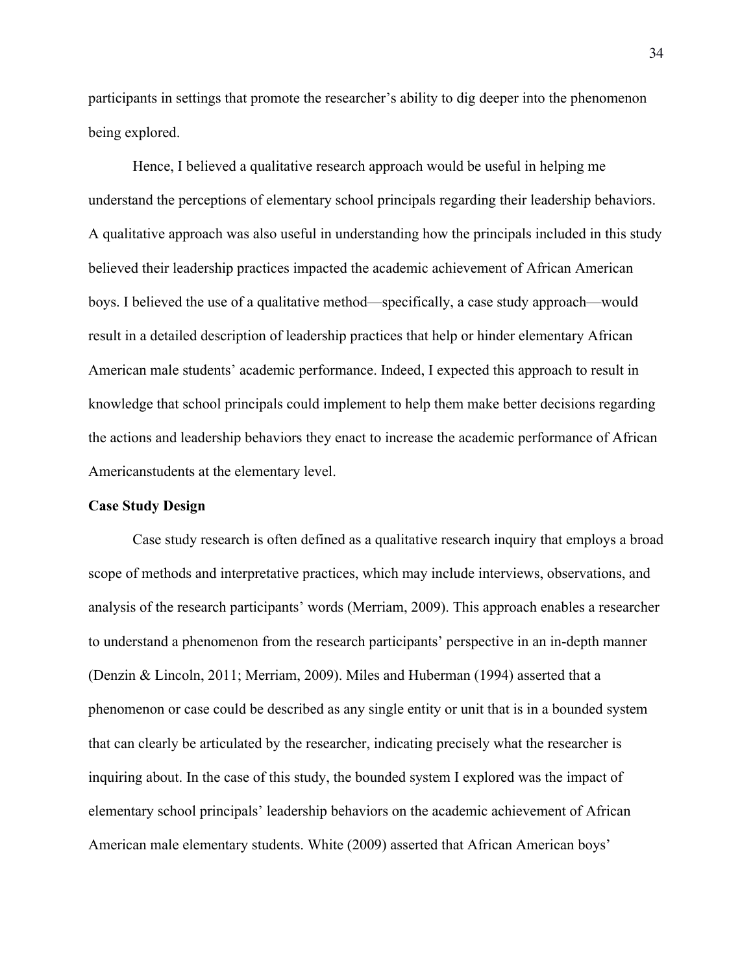participants in settings that promote the researcher's ability to dig deeper into the phenomenon being explored.

Hence, I believed a qualitative research approach would be useful in helping me understand the perceptions of elementary school principals regarding their leadership behaviors. A qualitative approach was also useful in understanding how the principals included in this study believed their leadership practices impacted the academic achievement of African American boys. I believed the use of a qualitative method—specifically, a case study approach—would result in a detailed description of leadership practices that help or hinder elementary African American male students' academic performance. Indeed, I expected this approach to result in knowledge that school principals could implement to help them make better decisions regarding the actions and leadership behaviors they enact to increase the academic performance of African Americanstudents at the elementary level.

#### **Case Study Design**

Case study research is often defined as a qualitative research inquiry that employs a broad scope of methods and interpretative practices, which may include interviews, observations, and analysis of the research participants' words (Merriam, 2009). This approach enables a researcher to understand a phenomenon from the research participants' perspective in an in-depth manner (Denzin & Lincoln, 2011; Merriam, 2009). Miles and Huberman (1994) asserted that a phenomenon or case could be described as any single entity or unit that is in a bounded system that can clearly be articulated by the researcher, indicating precisely what the researcher is inquiring about. In the case of this study, the bounded system I explored was the impact of elementary school principals' leadership behaviors on the academic achievement of African American male elementary students. White (2009) asserted that African American boys'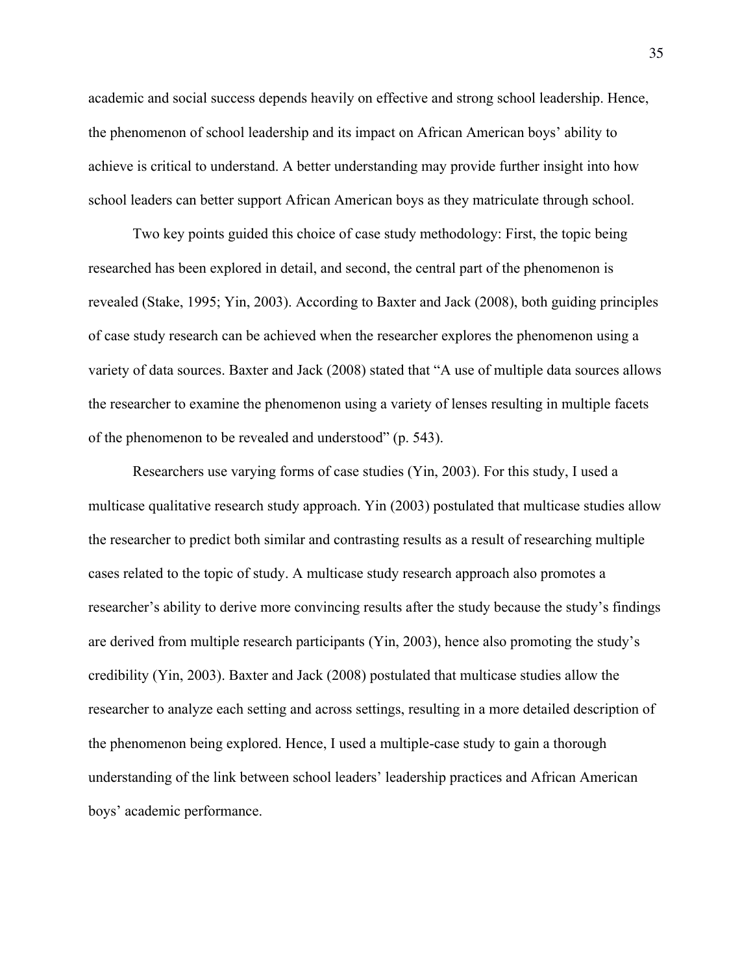academic and social success depends heavily on effective and strong school leadership. Hence, the phenomenon of school leadership and its impact on African American boys' ability to achieve is critical to understand. A better understanding may provide further insight into how school leaders can better support African American boys as they matriculate through school.

Two key points guided this choice of case study methodology: First, the topic being researched has been explored in detail, and second, the central part of the phenomenon is revealed (Stake, 1995; Yin, 2003). According to Baxter and Jack (2008), both guiding principles of case study research can be achieved when the researcher explores the phenomenon using a variety of data sources. Baxter and Jack (2008) stated that "A use of multiple data sources allows the researcher to examine the phenomenon using a variety of lenses resulting in multiple facets of the phenomenon to be revealed and understood" (p. 543).

Researchers use varying forms of case studies (Yin, 2003). For this study, I used a multicase qualitative research study approach. Yin (2003) postulated that multicase studies allow the researcher to predict both similar and contrasting results as a result of researching multiple cases related to the topic of study. A multicase study research approach also promotes a researcher's ability to derive more convincing results after the study because the study's findings are derived from multiple research participants (Yin, 2003), hence also promoting the study's credibility (Yin, 2003). Baxter and Jack (2008) postulated that multicase studies allow the researcher to analyze each setting and across settings, resulting in a more detailed description of the phenomenon being explored. Hence, I used a multiple-case study to gain a thorough understanding of the link between school leaders' leadership practices and African American boys' academic performance.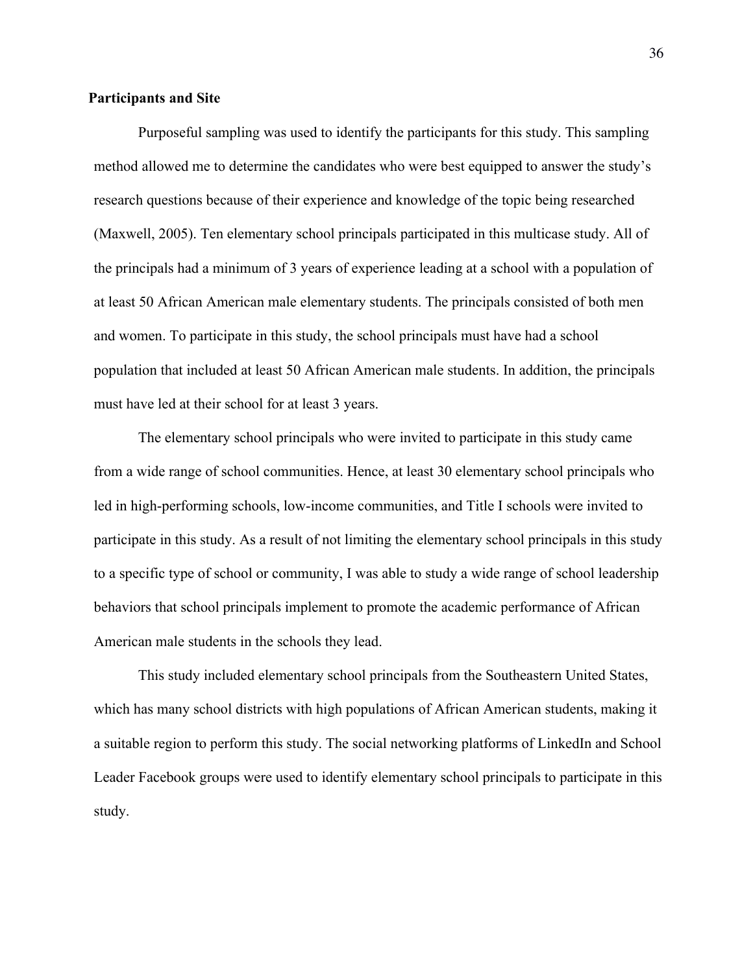# **Participants and Site**

Purposeful sampling was used to identify the participants for this study. This sampling method allowed me to determine the candidates who were best equipped to answer the study's research questions because of their experience and knowledge of the topic being researched (Maxwell, 2005). Ten elementary school principals participated in this multicase study. All of the principals had a minimum of 3 years of experience leading at a school with a population of at least 50 African American male elementary students. The principals consisted of both men and women. To participate in this study, the school principals must have had a school population that included at least 50 African American male students. In addition, the principals must have led at their school for at least 3 years.

The elementary school principals who were invited to participate in this study came from a wide range of school communities. Hence, at least 30 elementary school principals who led in high-performing schools, low-income communities, and Title I schools were invited to participate in this study. As a result of not limiting the elementary school principals in this study to a specific type of school or community, I was able to study a wide range of school leadership behaviors that school principals implement to promote the academic performance of African American male students in the schools they lead.

This study included elementary school principals from the Southeastern United States, which has many school districts with high populations of African American students, making it a suitable region to perform this study. The social networking platforms of LinkedIn and School Leader Facebook groups were used to identify elementary school principals to participate in this study.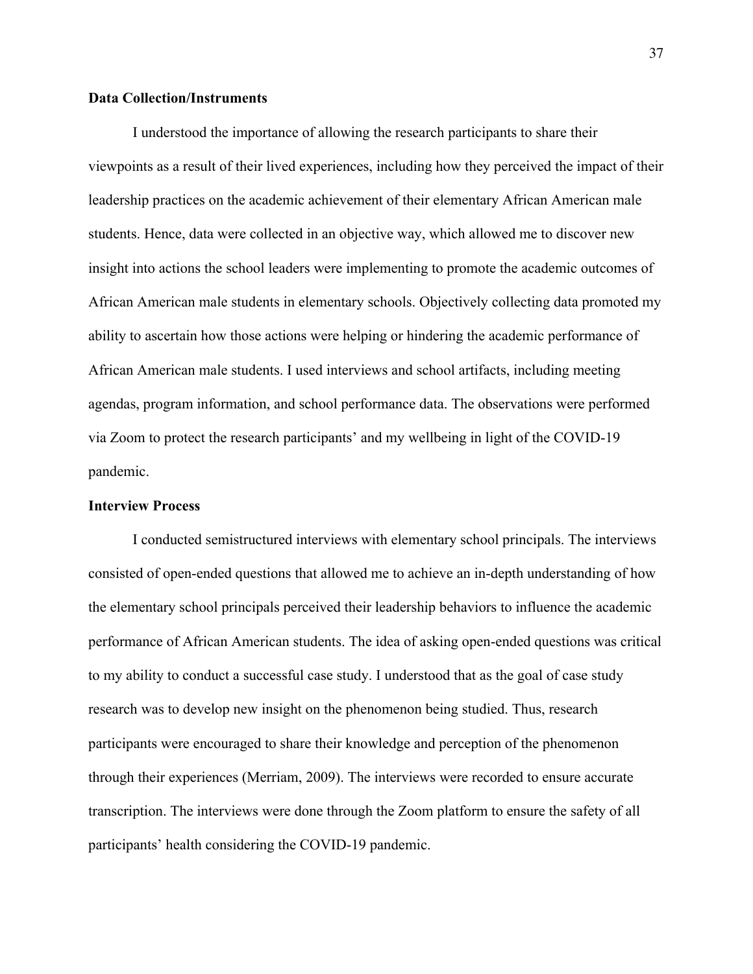# **Data Collection/Instruments**

I understood the importance of allowing the research participants to share their viewpoints as a result of their lived experiences, including how they perceived the impact of their leadership practices on the academic achievement of their elementary African American male students. Hence, data were collected in an objective way, which allowed me to discover new insight into actions the school leaders were implementing to promote the academic outcomes of African American male students in elementary schools. Objectively collecting data promoted my ability to ascertain how those actions were helping or hindering the academic performance of African American male students. I used interviews and school artifacts, including meeting agendas, program information, and school performance data. The observations were performed via Zoom to protect the research participants' and my wellbeing in light of the COVID-19 pandemic.

### **Interview Process**

I conducted semistructured interviews with elementary school principals. The interviews consisted of open-ended questions that allowed me to achieve an in-depth understanding of how the elementary school principals perceived their leadership behaviors to influence the academic performance of African American students. The idea of asking open-ended questions was critical to my ability to conduct a successful case study. I understood that as the goal of case study research was to develop new insight on the phenomenon being studied. Thus, research participants were encouraged to share their knowledge and perception of the phenomenon through their experiences (Merriam, 2009). The interviews were recorded to ensure accurate transcription. The interviews were done through the Zoom platform to ensure the safety of all participants' health considering the COVID-19 pandemic.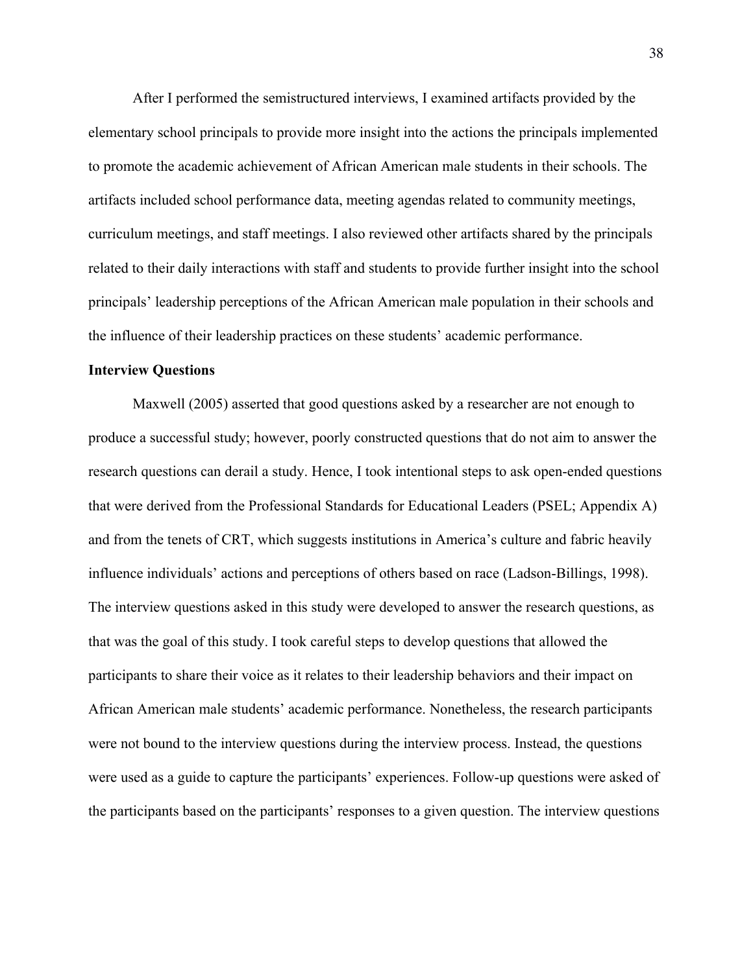After I performed the semistructured interviews, I examined artifacts provided by the elementary school principals to provide more insight into the actions the principals implemented to promote the academic achievement of African American male students in their schools. The artifacts included school performance data, meeting agendas related to community meetings, curriculum meetings, and staff meetings. I also reviewed other artifacts shared by the principals related to their daily interactions with staff and students to provide further insight into the school principals' leadership perceptions of the African American male population in their schools and the influence of their leadership practices on these students' academic performance.

### **Interview Questions**

Maxwell (2005) asserted that good questions asked by a researcher are not enough to produce a successful study; however, poorly constructed questions that do not aim to answer the research questions can derail a study. Hence, I took intentional steps to ask open-ended questions that were derived from the Professional Standards for Educational Leaders (PSEL; Appendix A) and from the tenets of CRT, which suggests institutions in America's culture and fabric heavily influence individuals' actions and perceptions of others based on race (Ladson-Billings, 1998). The interview questions asked in this study were developed to answer the research questions, as that was the goal of this study. I took careful steps to develop questions that allowed the participants to share their voice as it relates to their leadership behaviors and their impact on African American male students' academic performance. Nonetheless, the research participants were not bound to the interview questions during the interview process. Instead, the questions were used as a guide to capture the participants' experiences. Follow-up questions were asked of the participants based on the participants' responses to a given question. The interview questions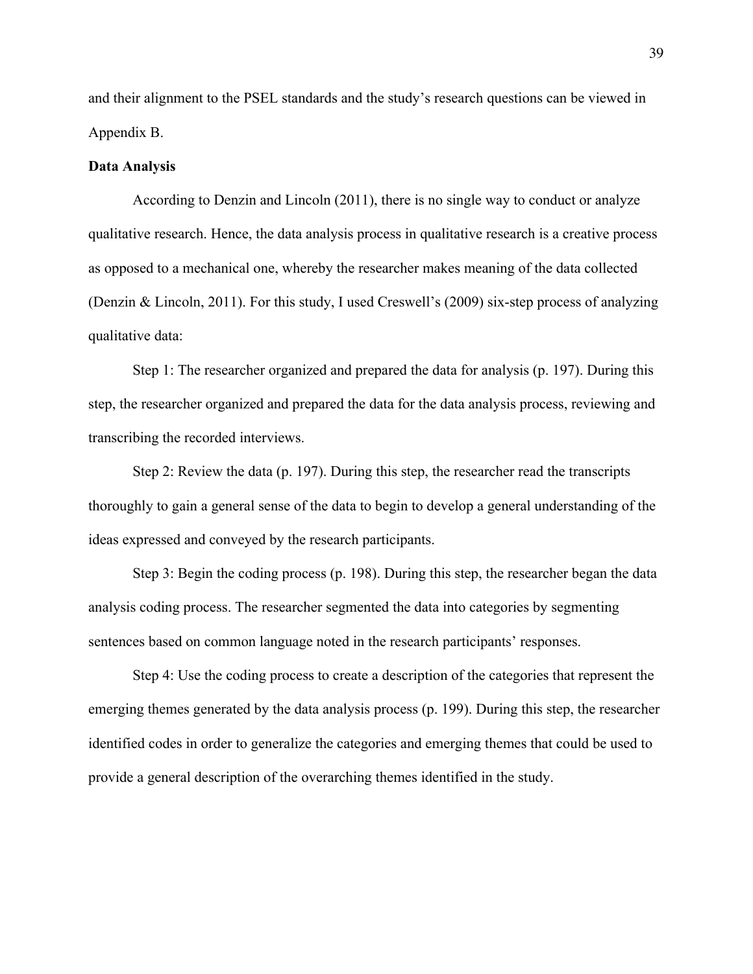and their alignment to the PSEL standards and the study's research questions can be viewed in Appendix B.

### **Data Analysis**

According to Denzin and Lincoln (2011), there is no single way to conduct or analyze qualitative research. Hence, the data analysis process in qualitative research is a creative process as opposed to a mechanical one, whereby the researcher makes meaning of the data collected (Denzin & Lincoln, 2011). For this study, I used Creswell's (2009) six-step process of analyzing qualitative data:

Step 1: The researcher organized and prepared the data for analysis (p. 197). During this step, the researcher organized and prepared the data for the data analysis process, reviewing and transcribing the recorded interviews.

Step 2: Review the data (p. 197). During this step, the researcher read the transcripts thoroughly to gain a general sense of the data to begin to develop a general understanding of the ideas expressed and conveyed by the research participants.

Step 3: Begin the coding process (p. 198). During this step, the researcher began the data analysis coding process. The researcher segmented the data into categories by segmenting sentences based on common language noted in the research participants' responses.

Step 4: Use the coding process to create a description of the categories that represent the emerging themes generated by the data analysis process (p. 199). During this step, the researcher identified codes in order to generalize the categories and emerging themes that could be used to provide a general description of the overarching themes identified in the study.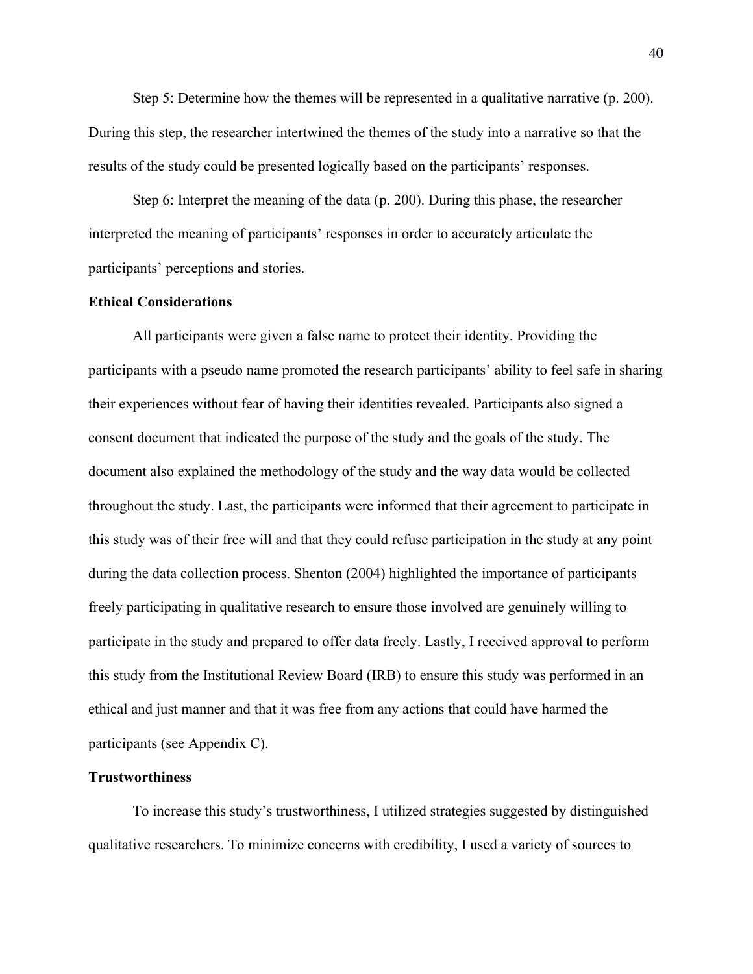Step 5: Determine how the themes will be represented in a qualitative narrative (p. 200). During this step, the researcher intertwined the themes of the study into a narrative so that the results of the study could be presented logically based on the participants' responses.

Step 6: Interpret the meaning of the data (p. 200). During this phase, the researcher interpreted the meaning of participants' responses in order to accurately articulate the participants' perceptions and stories.

### **Ethical Considerations**

All participants were given a false name to protect their identity. Providing the participants with a pseudo name promoted the research participants' ability to feel safe in sharing their experiences without fear of having their identities revealed. Participants also signed a consent document that indicated the purpose of the study and the goals of the study. The document also explained the methodology of the study and the way data would be collected throughout the study. Last, the participants were informed that their agreement to participate in this study was of their free will and that they could refuse participation in the study at any point during the data collection process. Shenton (2004) highlighted the importance of participants freely participating in qualitative research to ensure those involved are genuinely willing to participate in the study and prepared to offer data freely. Lastly, I received approval to perform this study from the Institutional Review Board (IRB) to ensure this study was performed in an ethical and just manner and that it was free from any actions that could have harmed the participants (see Appendix C).

# **Trustworthiness**

To increase this study's trustworthiness, I utilized strategies suggested by distinguished qualitative researchers. To minimize concerns with credibility, I used a variety of sources to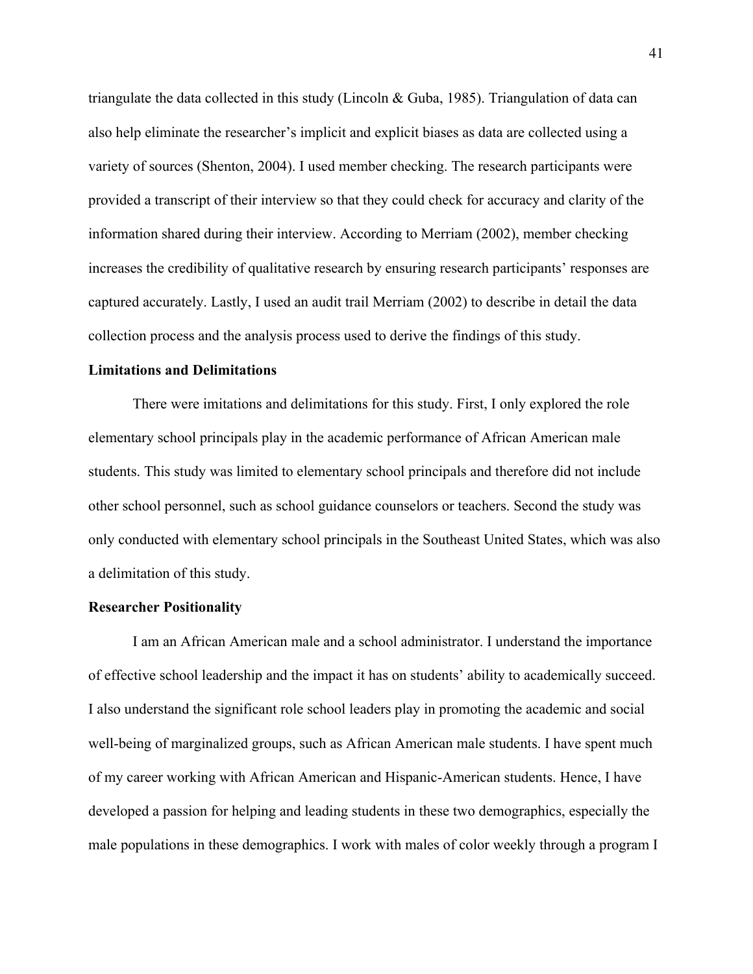triangulate the data collected in this study (Lincoln & Guba, 1985). Triangulation of data can also help eliminate the researcher's implicit and explicit biases as data are collected using a variety of sources (Shenton, 2004). I used member checking. The research participants were provided a transcript of their interview so that they could check for accuracy and clarity of the information shared during their interview. According to Merriam (2002), member checking increases the credibility of qualitative research by ensuring research participants' responses are captured accurately. Lastly, I used an audit trail Merriam (2002) to describe in detail the data collection process and the analysis process used to derive the findings of this study.

### **Limitations and Delimitations**

There were imitations and delimitations for this study. First, I only explored the role elementary school principals play in the academic performance of African American male students. This study was limited to elementary school principals and therefore did not include other school personnel, such as school guidance counselors or teachers. Second the study was only conducted with elementary school principals in the Southeast United States, which was also a delimitation of this study.

# **Researcher Positionality**

I am an African American male and a school administrator. I understand the importance of effective school leadership and the impact it has on students' ability to academically succeed. I also understand the significant role school leaders play in promoting the academic and social well-being of marginalized groups, such as African American male students. I have spent much of my career working with African American and Hispanic-American students. Hence, I have developed a passion for helping and leading students in these two demographics, especially the male populations in these demographics. I work with males of color weekly through a program I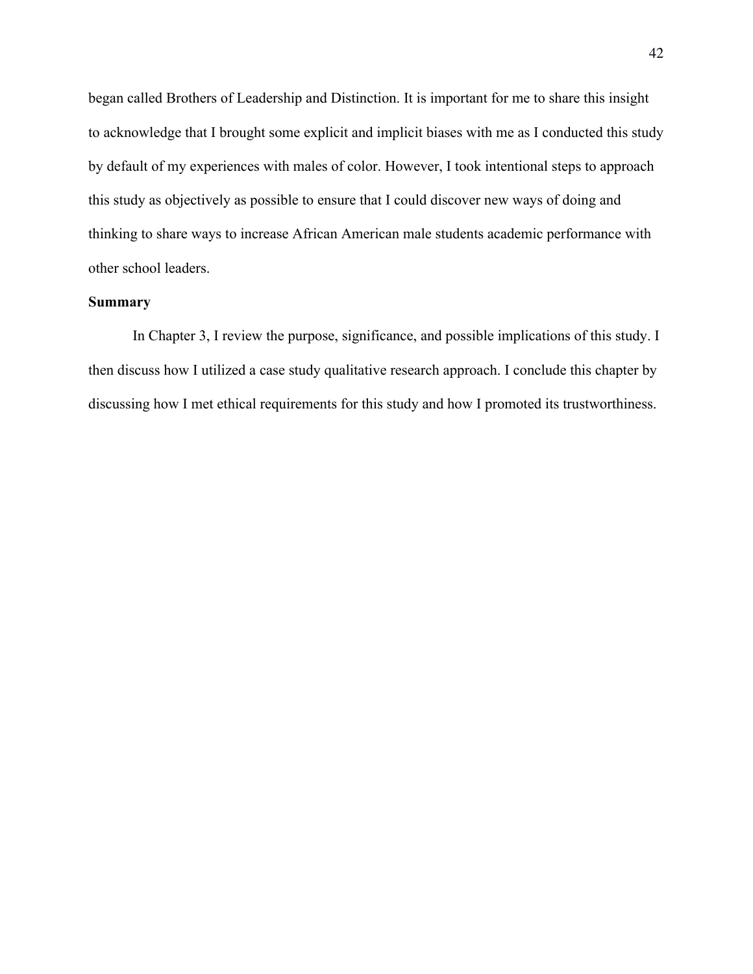began called Brothers of Leadership and Distinction. It is important for me to share this insight to acknowledge that I brought some explicit and implicit biases with me as I conducted this study by default of my experiences with males of color. However, I took intentional steps to approach this study as objectively as possible to ensure that I could discover new ways of doing and thinking to share ways to increase African American male students academic performance with other school leaders.

## **Summary**

In Chapter 3, I review the purpose, significance, and possible implications of this study. I then discuss how I utilized a case study qualitative research approach. I conclude this chapter by discussing how I met ethical requirements for this study and how I promoted its trustworthiness.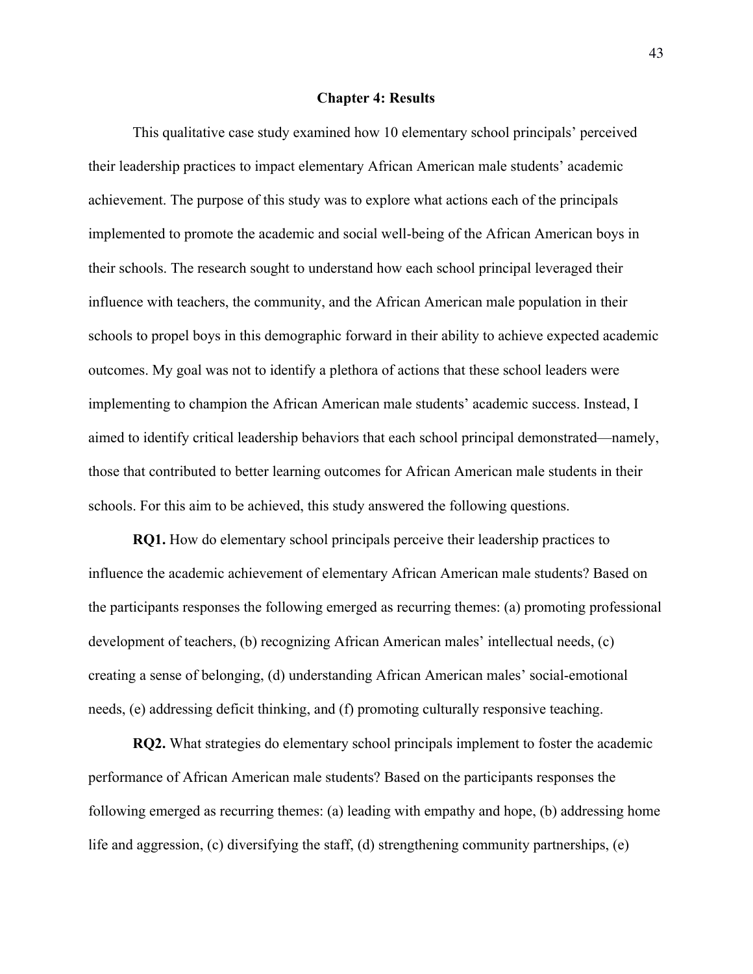## **Chapter 4: Results**

This qualitative case study examined how 10 elementary school principals' perceived their leadership practices to impact elementary African American male students' academic achievement. The purpose of this study was to explore what actions each of the principals implemented to promote the academic and social well-being of the African American boys in their schools. The research sought to understand how each school principal leveraged their influence with teachers, the community, and the African American male population in their schools to propel boys in this demographic forward in their ability to achieve expected academic outcomes. My goal was not to identify a plethora of actions that these school leaders were implementing to champion the African American male students' academic success. Instead, I aimed to identify critical leadership behaviors that each school principal demonstrated—namely, those that contributed to better learning outcomes for African American male students in their schools. For this aim to be achieved, this study answered the following questions.

**RQ1.** How do elementary school principals perceive their leadership practices to influence the academic achievement of elementary African American male students? Based on the participants responses the following emerged as recurring themes: (a) promoting professional development of teachers, (b) recognizing African American males' intellectual needs, (c) creating a sense of belonging, (d) understanding African American males' social-emotional needs, (e) addressing deficit thinking, and (f) promoting culturally responsive teaching.

**RQ2.** What strategies do elementary school principals implement to foster the academic performance of African American male students? Based on the participants responses the following emerged as recurring themes: (a) leading with empathy and hope, (b) addressing home life and aggression, (c) diversifying the staff, (d) strengthening community partnerships, (e)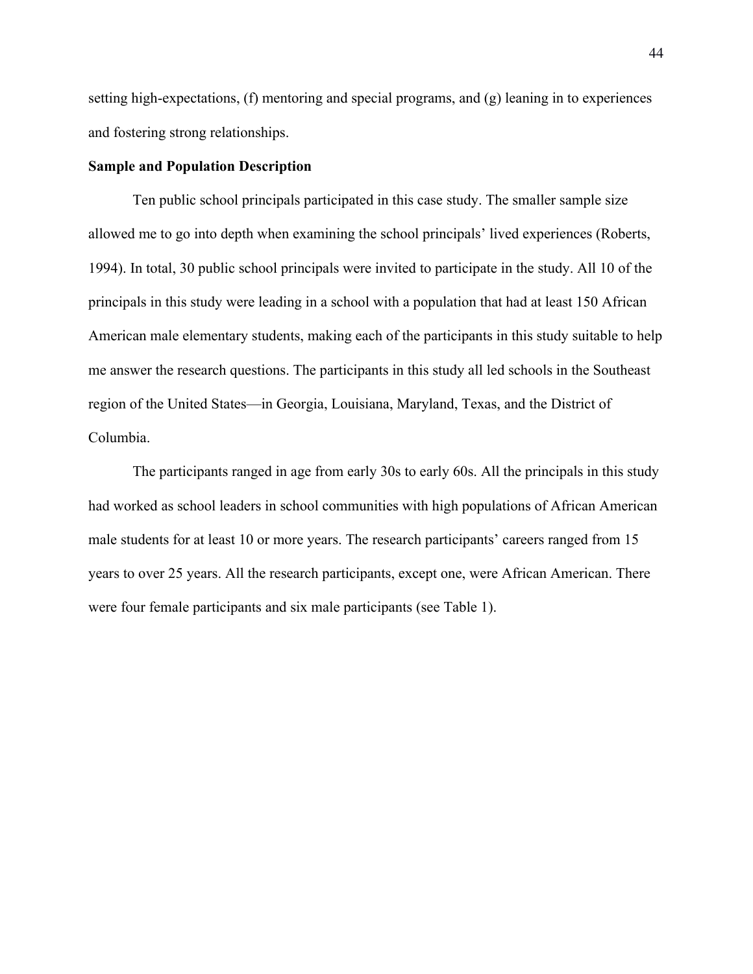setting high-expectations, (f) mentoring and special programs, and (g) leaning in to experiences and fostering strong relationships.

# **Sample and Population Description**

Ten public school principals participated in this case study. The smaller sample size allowed me to go into depth when examining the school principals' lived experiences (Roberts, 1994). In total, 30 public school principals were invited to participate in the study. All 10 of the principals in this study were leading in a school with a population that had at least 150 African American male elementary students, making each of the participants in this study suitable to help me answer the research questions. The participants in this study all led schools in the Southeast region of the United States—in Georgia, Louisiana, Maryland, Texas, and the District of Columbia.

The participants ranged in age from early 30s to early 60s. All the principals in this study had worked as school leaders in school communities with high populations of African American male students for at least 10 or more years. The research participants' careers ranged from 15 years to over 25 years. All the research participants, except one, were African American. There were four female participants and six male participants (see Table 1).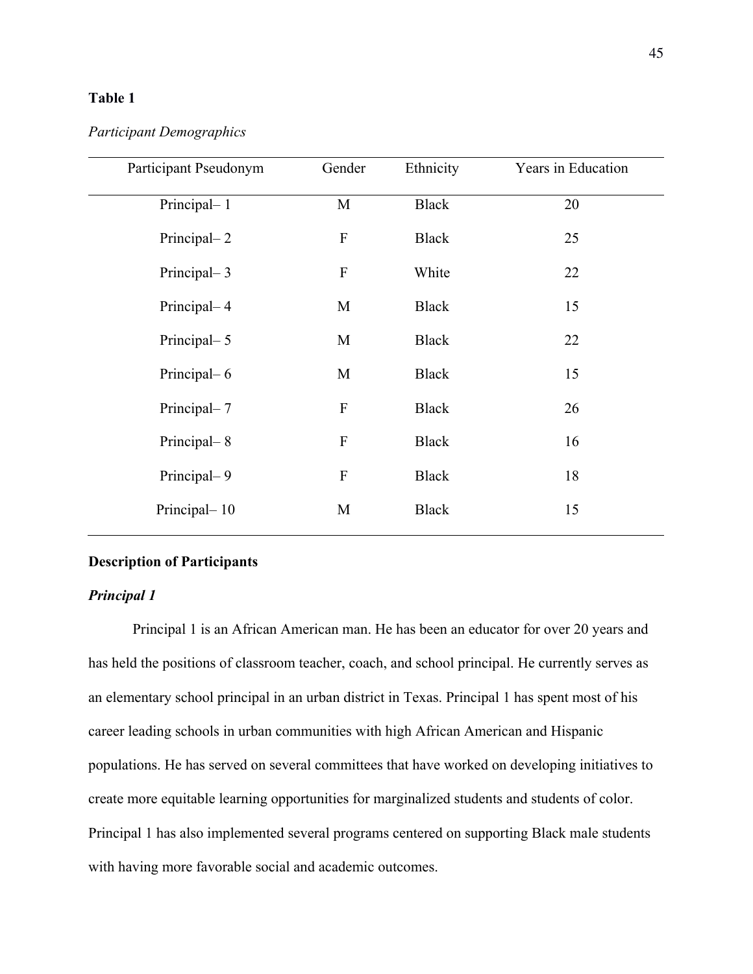# **Table 1**

# *Participant Demographics*

| Participant Pseudonym | Gender                    | Ethnicity    | Years in Education |
|-----------------------|---------------------------|--------------|--------------------|
|                       |                           |              |                    |
| Principal-1           | M                         | <b>Black</b> | 20                 |
| Principal-2           | $\boldsymbol{\mathrm{F}}$ | <b>Black</b> | 25                 |
| Principal-3           | ${\bf F}$                 | White        | 22                 |
| Principal-4           | M                         | <b>Black</b> | 15                 |
| Principal-5           | M                         | <b>Black</b> | 22                 |
| Principal-6           | M                         | <b>Black</b> | 15                 |
| Principal-7           | ${\bf F}$                 | <b>Black</b> | 26                 |
| Principal-8           | ${\bf F}$                 | <b>Black</b> | 16                 |
| Principal-9           | ${\bf F}$                 | <b>Black</b> | 18                 |
| Principal-10          | M                         | <b>Black</b> | 15                 |

# **Description of Participants**

# *Principal 1*

Principal 1 is an African American man. He has been an educator for over 20 years and has held the positions of classroom teacher, coach, and school principal. He currently serves as an elementary school principal in an urban district in Texas. Principal 1 has spent most of his career leading schools in urban communities with high African American and Hispanic populations. He has served on several committees that have worked on developing initiatives to create more equitable learning opportunities for marginalized students and students of color. Principal 1 has also implemented several programs centered on supporting Black male students with having more favorable social and academic outcomes.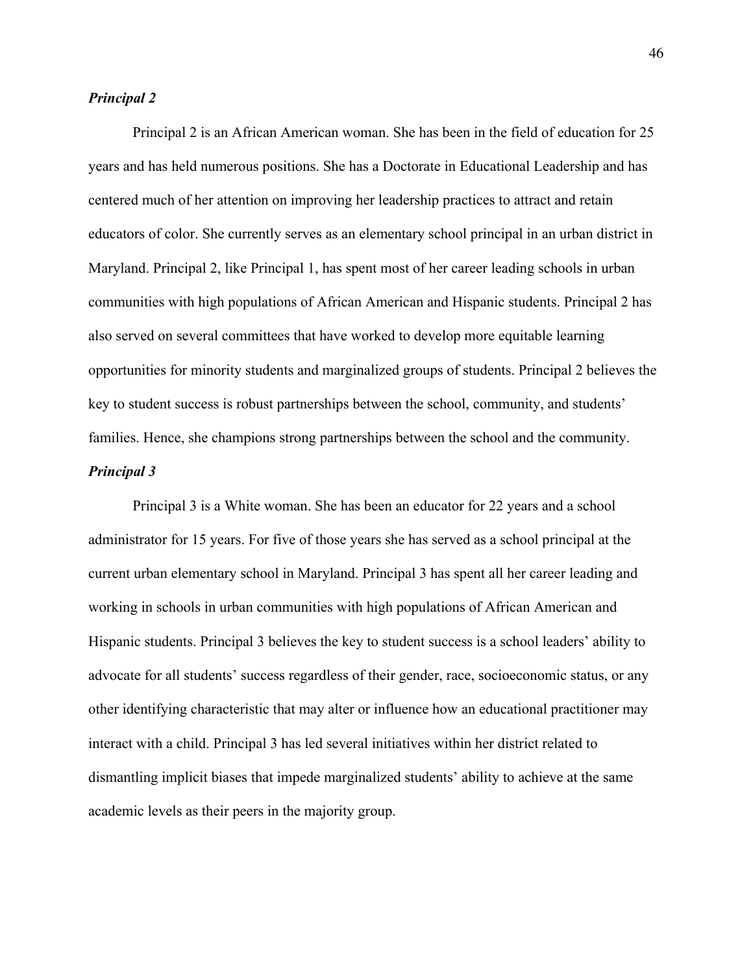# *Principal 2*

Principal 2 is an African American woman. She has been in the field of education for 25 years and has held numerous positions. She has a Doctorate in Educational Leadership and has centered much of her attention on improving her leadership practices to attract and retain educators of color. She currently serves as an elementary school principal in an urban district in Maryland. Principal 2, like Principal 1, has spent most of her career leading schools in urban communities with high populations of African American and Hispanic students. Principal 2 has also served on several committees that have worked to develop more equitable learning opportunities for minority students and marginalized groups of students. Principal 2 believes the key to student success is robust partnerships between the school, community, and students' families. Hence, she champions strong partnerships between the school and the community.

# *Principal 3*

Principal 3 is a White woman. She has been an educator for 22 years and a school administrator for 15 years. For five of those years she has served as a school principal at the current urban elementary school in Maryland. Principal 3 has spent all her career leading and working in schools in urban communities with high populations of African American and Hispanic students. Principal 3 believes the key to student success is a school leaders' ability to advocate for all students' success regardless of their gender, race, socioeconomic status, or any other identifying characteristic that may alter or influence how an educational practitioner may interact with a child. Principal 3 has led several initiatives within her district related to dismantling implicit biases that impede marginalized students' ability to achieve at the same academic levels as their peers in the majority group.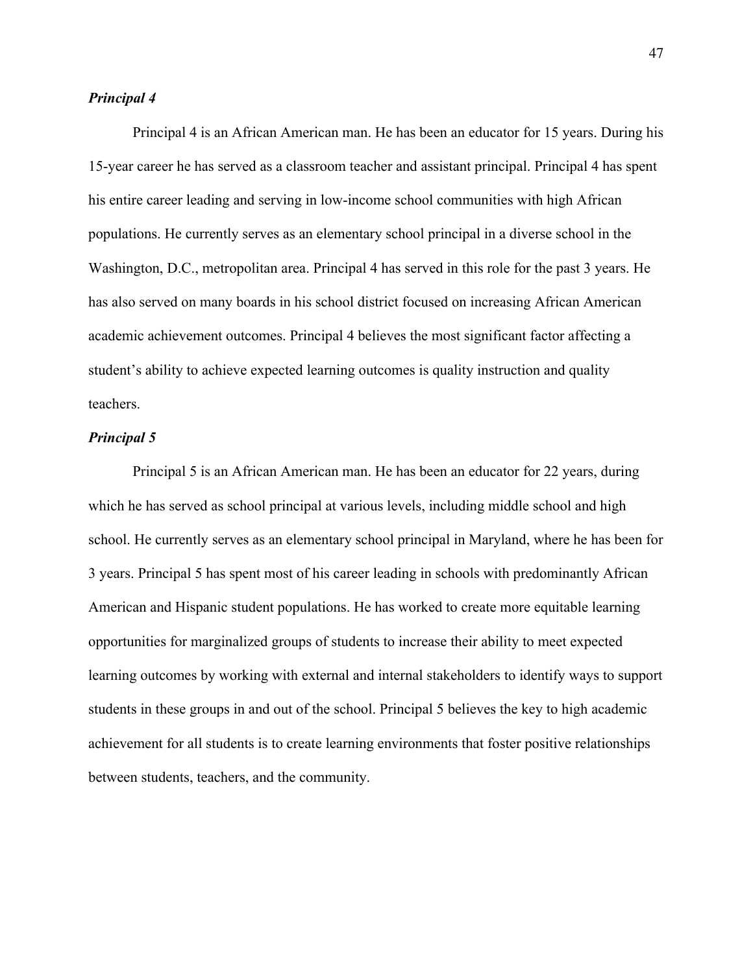# *Principal 4*

Principal 4 is an African American man. He has been an educator for 15 years. During his 15-year career he has served as a classroom teacher and assistant principal. Principal 4 has spent his entire career leading and serving in low-income school communities with high African populations. He currently serves as an elementary school principal in a diverse school in the Washington, D.C., metropolitan area. Principal 4 has served in this role for the past 3 years. He has also served on many boards in his school district focused on increasing African American academic achievement outcomes. Principal 4 believes the most significant factor affecting a student's ability to achieve expected learning outcomes is quality instruction and quality teachers.

### *Principal 5*

Principal 5 is an African American man. He has been an educator for 22 years, during which he has served as school principal at various levels, including middle school and high school. He currently serves as an elementary school principal in Maryland, where he has been for 3 years. Principal 5 has spent most of his career leading in schools with predominantly African American and Hispanic student populations. He has worked to create more equitable learning opportunities for marginalized groups of students to increase their ability to meet expected learning outcomes by working with external and internal stakeholders to identify ways to support students in these groups in and out of the school. Principal 5 believes the key to high academic achievement for all students is to create learning environments that foster positive relationships between students, teachers, and the community.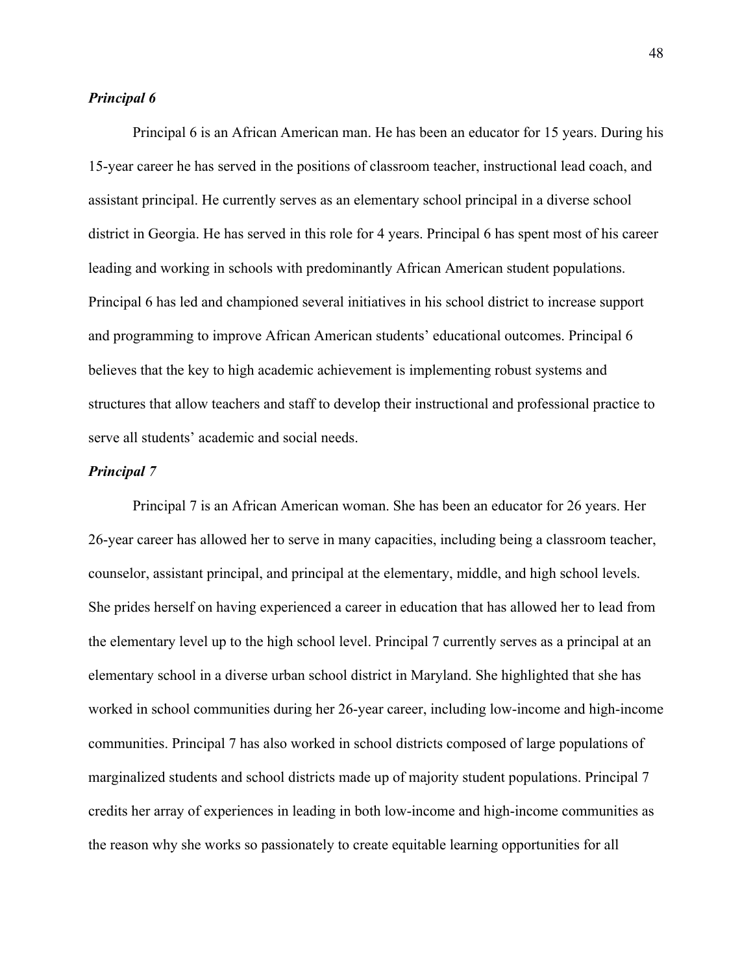# *Principal 6*

Principal 6 is an African American man. He has been an educator for 15 years. During his 15-year career he has served in the positions of classroom teacher, instructional lead coach, and assistant principal. He currently serves as an elementary school principal in a diverse school district in Georgia. He has served in this role for 4 years. Principal 6 has spent most of his career leading and working in schools with predominantly African American student populations. Principal 6 has led and championed several initiatives in his school district to increase support and programming to improve African American students' educational outcomes. Principal 6 believes that the key to high academic achievement is implementing robust systems and structures that allow teachers and staff to develop their instructional and professional practice to serve all students' academic and social needs.

# *Principal 7*

Principal 7 is an African American woman. She has been an educator for 26 years. Her 26-year career has allowed her to serve in many capacities, including being a classroom teacher, counselor, assistant principal, and principal at the elementary, middle, and high school levels. She prides herself on having experienced a career in education that has allowed her to lead from the elementary level up to the high school level. Principal 7 currently serves as a principal at an elementary school in a diverse urban school district in Maryland. She highlighted that she has worked in school communities during her 26-year career, including low-income and high-income communities. Principal 7 has also worked in school districts composed of large populations of marginalized students and school districts made up of majority student populations. Principal 7 credits her array of experiences in leading in both low-income and high-income communities as the reason why she works so passionately to create equitable learning opportunities for all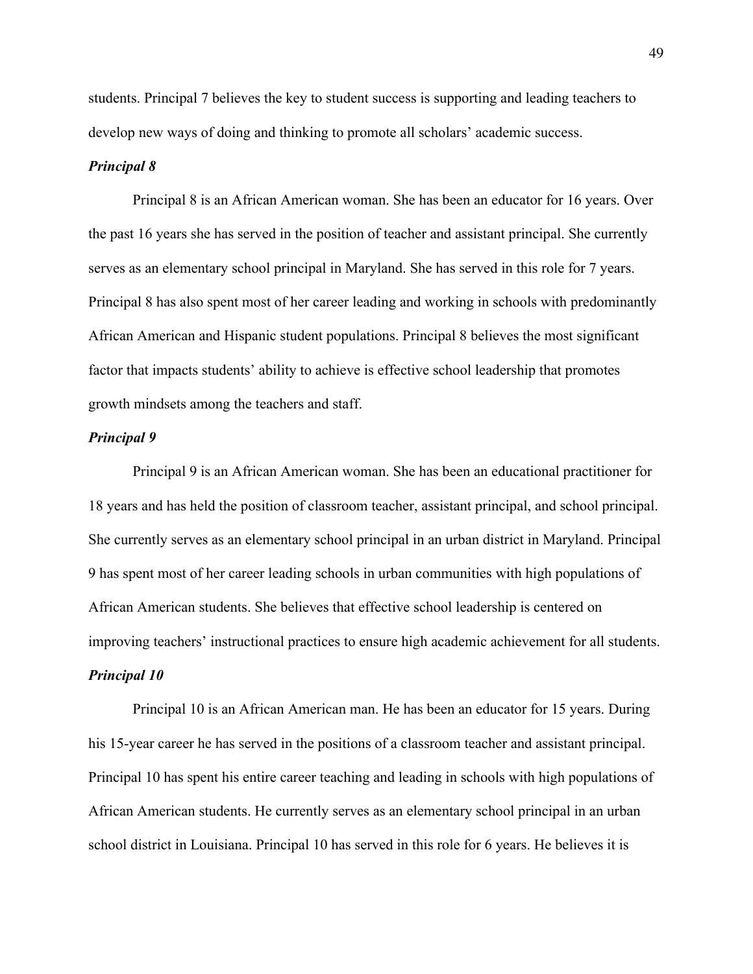students. Principal 7 believes the key to student success is supporting and leading teachers to develop new ways of doing and thinking to promote all scholars' academic success.

### *Principal 8*

Principal 8 is an African American woman. She has been an educator for 16 years. Over the past 16 years she has served in the position of teacher and assistant principal. She currently serves as an elementary school principal in Maryland. She has served in this role for 7 years. Principal 8 has also spent most of her career leading and working in schools with predominantly African American and Hispanic student populations. Principal 8 believes the most significant factor that impacts students' ability to achieve is effective school leadership that promotes growth mindsets among the teachers and staff.

#### *Principal 9*

Principal 9 is an African American woman. She has been an educational practitioner for 18 years and has held the position of classroom teacher, assistant principal, and school principal. She currently serves as an elementary school principal in an urban district in Maryland. Principal 9 has spent most of her career leading schools in urban communities with high populations of African American students. She believes that effective school leadership is centered on improving teachers' instructional practices to ensure high academic achievement for all students. *Principal 10* 

Principal 10 is an African American man. He has been an educator for 15 years. During his 15-year career he has served in the positions of a classroom teacher and assistant principal. Principal 10 has spent his entire career teaching and leading in schools with high populations of African American students. He currently serves as an elementary school principal in an urban school district in Louisiana. Principal 10 has served in this role for 6 years. He believes it is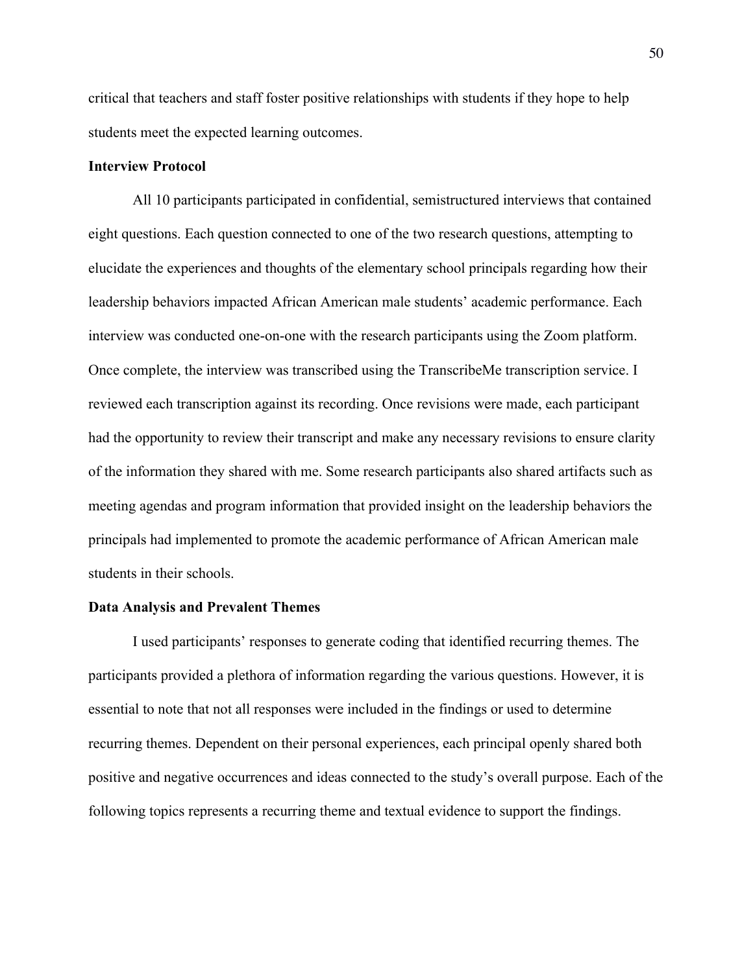critical that teachers and staff foster positive relationships with students if they hope to help students meet the expected learning outcomes.

## **Interview Protocol**

All 10 participants participated in confidential, semistructured interviews that contained eight questions. Each question connected to one of the two research questions, attempting to elucidate the experiences and thoughts of the elementary school principals regarding how their leadership behaviors impacted African American male students' academic performance. Each interview was conducted one-on-one with the research participants using the Zoom platform. Once complete, the interview was transcribed using the TranscribeMe transcription service. I reviewed each transcription against its recording. Once revisions were made, each participant had the opportunity to review their transcript and make any necessary revisions to ensure clarity of the information they shared with me. Some research participants also shared artifacts such as meeting agendas and program information that provided insight on the leadership behaviors the principals had implemented to promote the academic performance of African American male students in their schools.

# **Data Analysis and Prevalent Themes**

I used participants' responses to generate coding that identified recurring themes. The participants provided a plethora of information regarding the various questions. However, it is essential to note that not all responses were included in the findings or used to determine recurring themes. Dependent on their personal experiences, each principal openly shared both positive and negative occurrences and ideas connected to the study's overall purpose. Each of the following topics represents a recurring theme and textual evidence to support the findings.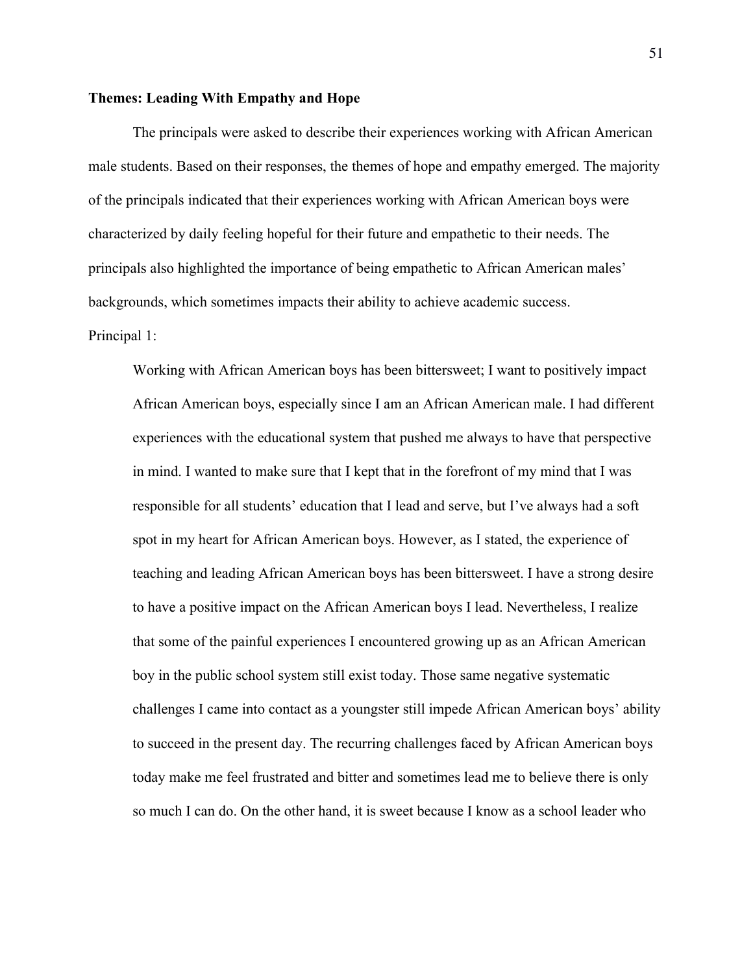## **Themes: Leading With Empathy and Hope**

The principals were asked to describe their experiences working with African American male students. Based on their responses, the themes of hope and empathy emerged. The majority of the principals indicated that their experiences working with African American boys were characterized by daily feeling hopeful for their future and empathetic to their needs. The principals also highlighted the importance of being empathetic to African American males' backgrounds, which sometimes impacts their ability to achieve academic success. Principal 1:

Working with African American boys has been bittersweet; I want to positively impact African American boys, especially since I am an African American male. I had different experiences with the educational system that pushed me always to have that perspective in mind. I wanted to make sure that I kept that in the forefront of my mind that I was responsible for all students' education that I lead and serve, but I've always had a soft spot in my heart for African American boys. However, as I stated, the experience of teaching and leading African American boys has been bittersweet. I have a strong desire to have a positive impact on the African American boys I lead. Nevertheless, I realize that some of the painful experiences I encountered growing up as an African American boy in the public school system still exist today. Those same negative systematic challenges I came into contact as a youngster still impede African American boys' ability to succeed in the present day. The recurring challenges faced by African American boys today make me feel frustrated and bitter and sometimes lead me to believe there is only so much I can do. On the other hand, it is sweet because I know as a school leader who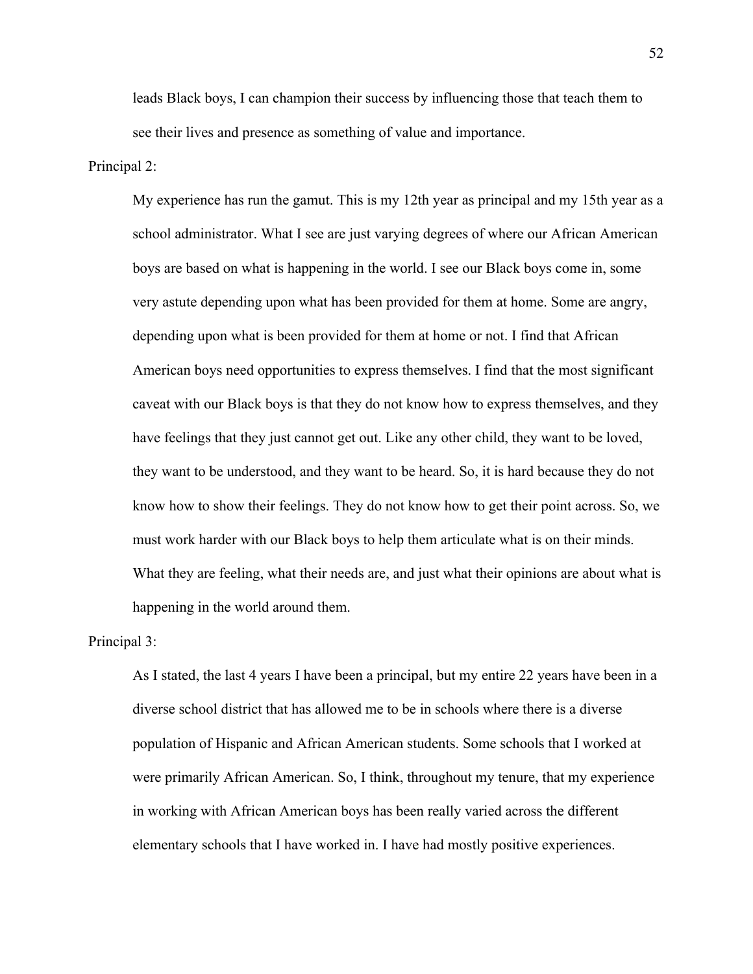leads Black boys, I can champion their success by influencing those that teach them to see their lives and presence as something of value and importance.

### Principal 2:

My experience has run the gamut. This is my 12th year as principal and my 15th year as a school administrator. What I see are just varying degrees of where our African American boys are based on what is happening in the world. I see our Black boys come in, some very astute depending upon what has been provided for them at home. Some are angry, depending upon what is been provided for them at home or not. I find that African American boys need opportunities to express themselves. I find that the most significant caveat with our Black boys is that they do not know how to express themselves, and they have feelings that they just cannot get out. Like any other child, they want to be loved, they want to be understood, and they want to be heard. So, it is hard because they do not know how to show their feelings. They do not know how to get their point across. So, we must work harder with our Black boys to help them articulate what is on their minds. What they are feeling, what their needs are, and just what their opinions are about what is happening in the world around them.

# Principal 3:

As I stated, the last 4 years I have been a principal, but my entire 22 years have been in a diverse school district that has allowed me to be in schools where there is a diverse population of Hispanic and African American students. Some schools that I worked at were primarily African American. So, I think, throughout my tenure, that my experience in working with African American boys has been really varied across the different elementary schools that I have worked in. I have had mostly positive experiences.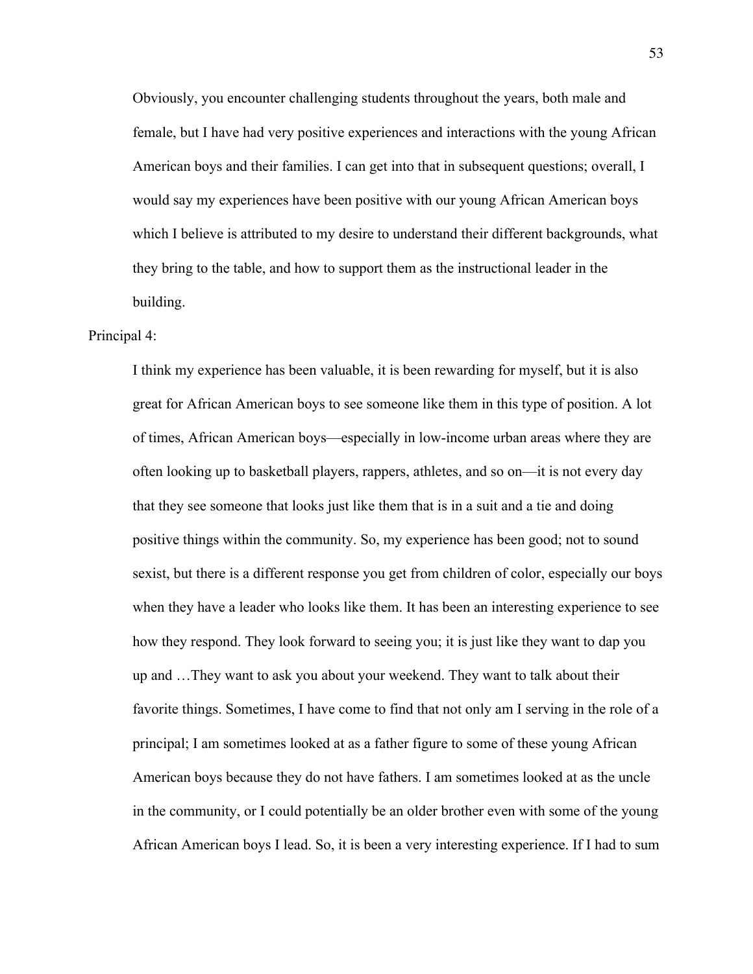Obviously, you encounter challenging students throughout the years, both male and female, but I have had very positive experiences and interactions with the young African American boys and their families. I can get into that in subsequent questions; overall, I would say my experiences have been positive with our young African American boys which I believe is attributed to my desire to understand their different backgrounds, what they bring to the table, and how to support them as the instructional leader in the building.

# Principal 4:

I think my experience has been valuable, it is been rewarding for myself, but it is also great for African American boys to see someone like them in this type of position. A lot of times, African American boys—especially in low-income urban areas where they are often looking up to basketball players, rappers, athletes, and so on—it is not every day that they see someone that looks just like them that is in a suit and a tie and doing positive things within the community. So, my experience has been good; not to sound sexist, but there is a different response you get from children of color, especially our boys when they have a leader who looks like them. It has been an interesting experience to see how they respond. They look forward to seeing you; it is just like they want to dap you up and …They want to ask you about your weekend. They want to talk about their favorite things. Sometimes, I have come to find that not only am I serving in the role of a principal; I am sometimes looked at as a father figure to some of these young African American boys because they do not have fathers. I am sometimes looked at as the uncle in the community, or I could potentially be an older brother even with some of the young African American boys I lead. So, it is been a very interesting experience. If I had to sum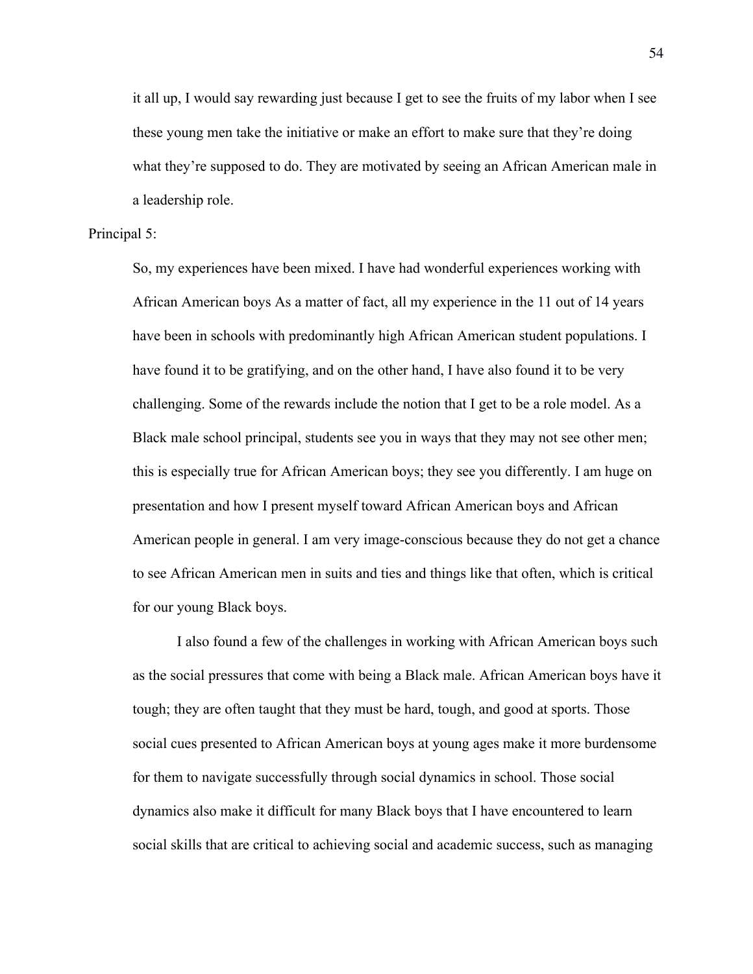it all up, I would say rewarding just because I get to see the fruits of my labor when I see these young men take the initiative or make an effort to make sure that they're doing what they're supposed to do. They are motivated by seeing an African American male in a leadership role.

### Principal 5:

So, my experiences have been mixed. I have had wonderful experiences working with African American boys As a matter of fact, all my experience in the 11 out of 14 years have been in schools with predominantly high African American student populations. I have found it to be gratifying, and on the other hand, I have also found it to be very challenging. Some of the rewards include the notion that I get to be a role model. As a Black male school principal, students see you in ways that they may not see other men; this is especially true for African American boys; they see you differently. I am huge on presentation and how I present myself toward African American boys and African American people in general. I am very image-conscious because they do not get a chance to see African American men in suits and ties and things like that often, which is critical for our young Black boys.

I also found a few of the challenges in working with African American boys such as the social pressures that come with being a Black male. African American boys have it tough; they are often taught that they must be hard, tough, and good at sports. Those social cues presented to African American boys at young ages make it more burdensome for them to navigate successfully through social dynamics in school. Those social dynamics also make it difficult for many Black boys that I have encountered to learn social skills that are critical to achieving social and academic success, such as managing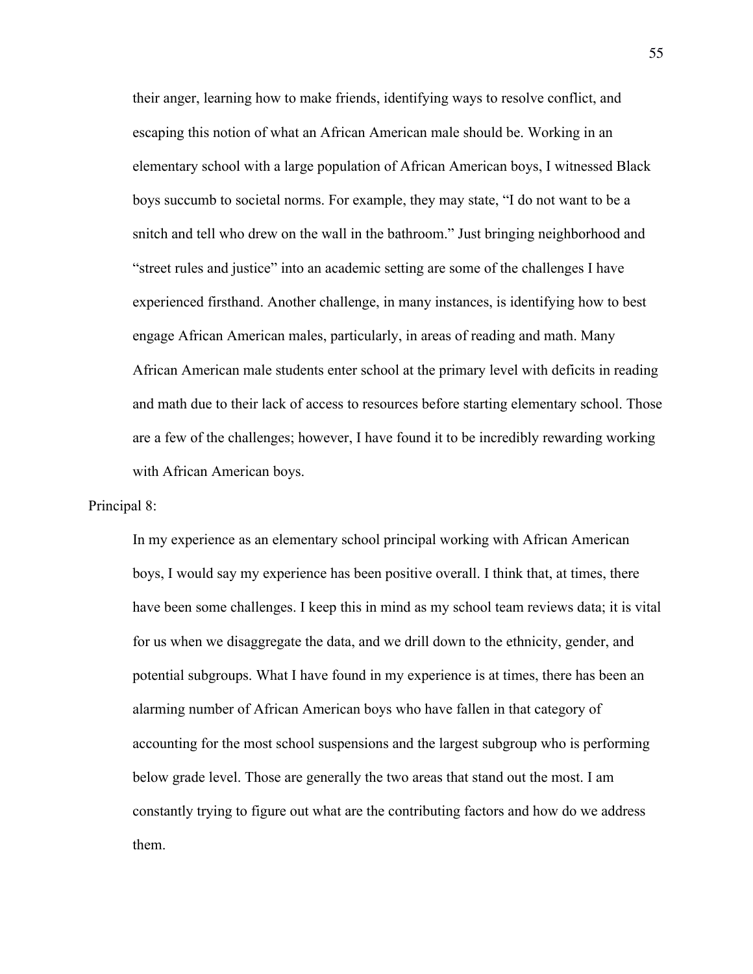their anger, learning how to make friends, identifying ways to resolve conflict, and escaping this notion of what an African American male should be. Working in an elementary school with a large population of African American boys, I witnessed Black boys succumb to societal norms. For example, they may state, "I do not want to be a snitch and tell who drew on the wall in the bathroom." Just bringing neighborhood and "street rules and justice" into an academic setting are some of the challenges I have experienced firsthand. Another challenge, in many instances, is identifying how to best engage African American males, particularly, in areas of reading and math. Many African American male students enter school at the primary level with deficits in reading and math due to their lack of access to resources before starting elementary school. Those are a few of the challenges; however, I have found it to be incredibly rewarding working with African American boys.

Principal 8:

In my experience as an elementary school principal working with African American boys, I would say my experience has been positive overall. I think that, at times, there have been some challenges. I keep this in mind as my school team reviews data; it is vital for us when we disaggregate the data, and we drill down to the ethnicity, gender, and potential subgroups. What I have found in my experience is at times, there has been an alarming number of African American boys who have fallen in that category of accounting for the most school suspensions and the largest subgroup who is performing below grade level. Those are generally the two areas that stand out the most. I am constantly trying to figure out what are the contributing factors and how do we address them.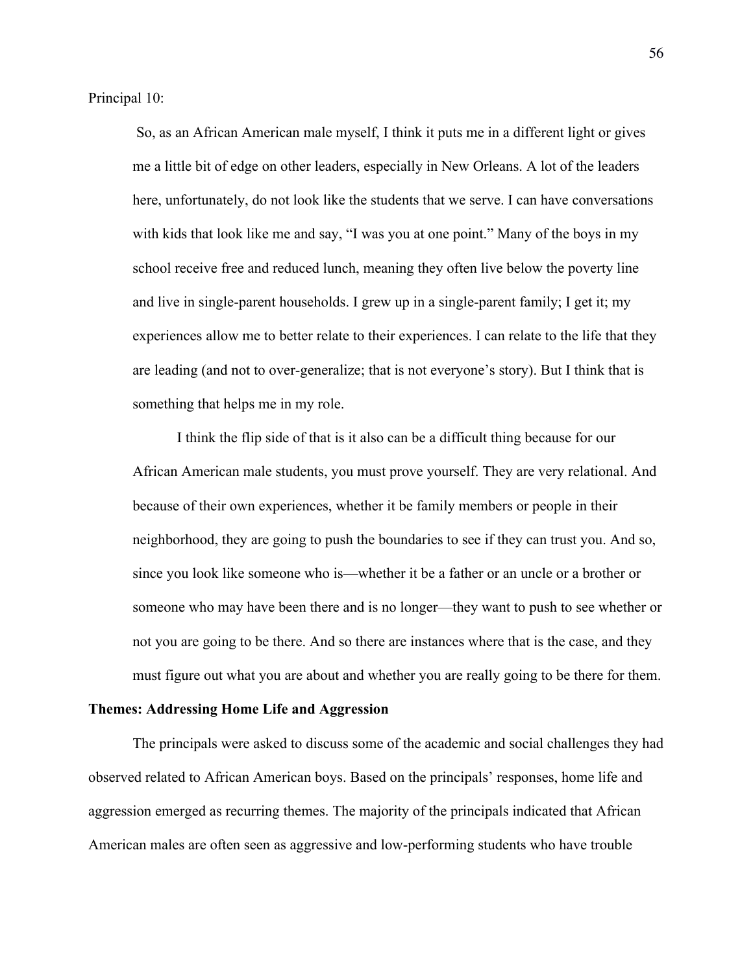Principal 10:

So, as an African American male myself, I think it puts me in a different light or gives me a little bit of edge on other leaders, especially in New Orleans. A lot of the leaders here, unfortunately, do not look like the students that we serve. I can have conversations with kids that look like me and say, "I was you at one point." Many of the boys in my school receive free and reduced lunch, meaning they often live below the poverty line and live in single-parent households. I grew up in a single-parent family; I get it; my experiences allow me to better relate to their experiences. I can relate to the life that they are leading (and not to over-generalize; that is not everyone's story). But I think that is something that helps me in my role.

I think the flip side of that is it also can be a difficult thing because for our African American male students, you must prove yourself. They are very relational. And because of their own experiences, whether it be family members or people in their neighborhood, they are going to push the boundaries to see if they can trust you. And so, since you look like someone who is—whether it be a father or an uncle or a brother or someone who may have been there and is no longer—they want to push to see whether or not you are going to be there. And so there are instances where that is the case, and they must figure out what you are about and whether you are really going to be there for them.

## **Themes: Addressing Home Life and Aggression**

The principals were asked to discuss some of the academic and social challenges they had observed related to African American boys. Based on the principals' responses, home life and aggression emerged as recurring themes. The majority of the principals indicated that African American males are often seen as aggressive and low-performing students who have trouble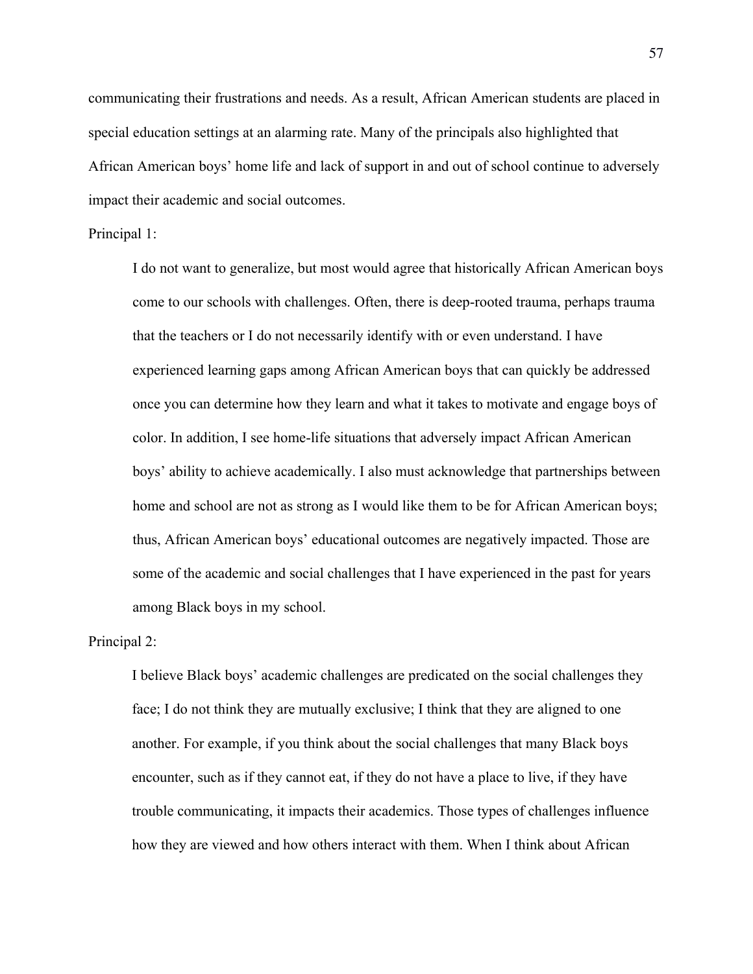communicating their frustrations and needs. As a result, African American students are placed in special education settings at an alarming rate. Many of the principals also highlighted that African American boys' home life and lack of support in and out of school continue to adversely impact their academic and social outcomes.

### Principal 1:

I do not want to generalize, but most would agree that historically African American boys come to our schools with challenges. Often, there is deep-rooted trauma, perhaps trauma that the teachers or I do not necessarily identify with or even understand. I have experienced learning gaps among African American boys that can quickly be addressed once you can determine how they learn and what it takes to motivate and engage boys of color. In addition, I see home-life situations that adversely impact African American boys' ability to achieve academically. I also must acknowledge that partnerships between home and school are not as strong as I would like them to be for African American boys; thus, African American boys' educational outcomes are negatively impacted. Those are some of the academic and social challenges that I have experienced in the past for years among Black boys in my school.

# Principal 2:

I believe Black boys' academic challenges are predicated on the social challenges they face; I do not think they are mutually exclusive; I think that they are aligned to one another. For example, if you think about the social challenges that many Black boys encounter, such as if they cannot eat, if they do not have a place to live, if they have trouble communicating, it impacts their academics. Those types of challenges influence how they are viewed and how others interact with them. When I think about African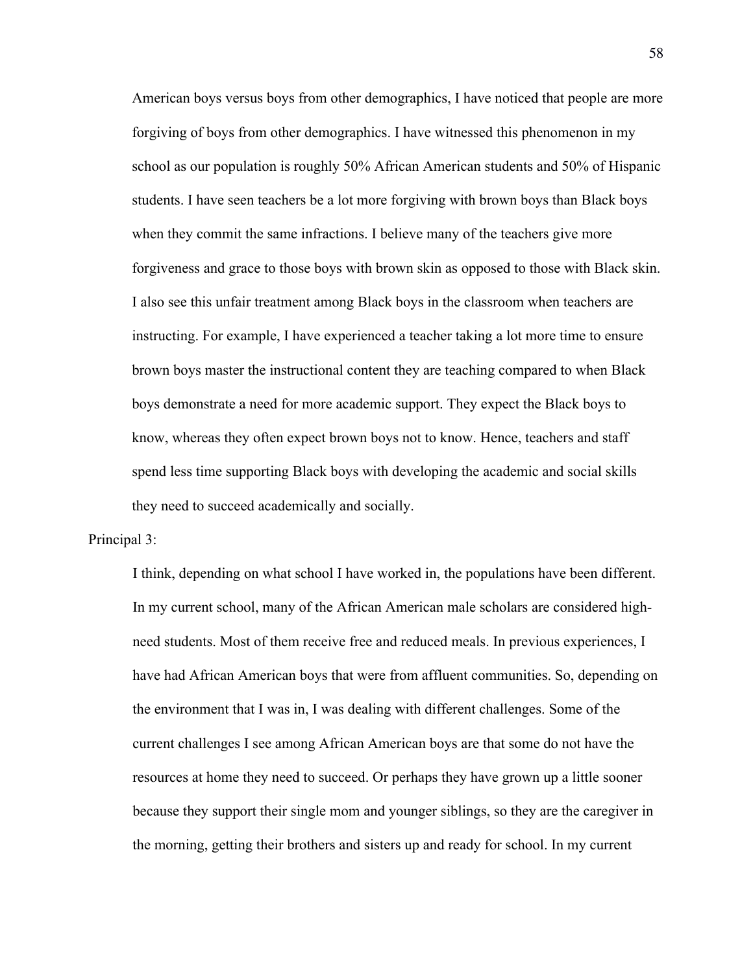American boys versus boys from other demographics, I have noticed that people are more forgiving of boys from other demographics. I have witnessed this phenomenon in my school as our population is roughly 50% African American students and 50% of Hispanic students. I have seen teachers be a lot more forgiving with brown boys than Black boys when they commit the same infractions. I believe many of the teachers give more forgiveness and grace to those boys with brown skin as opposed to those with Black skin. I also see this unfair treatment among Black boys in the classroom when teachers are instructing. For example, I have experienced a teacher taking a lot more time to ensure brown boys master the instructional content they are teaching compared to when Black boys demonstrate a need for more academic support. They expect the Black boys to know, whereas they often expect brown boys not to know. Hence, teachers and staff spend less time supporting Black boys with developing the academic and social skills they need to succeed academically and socially.

Principal 3:

I think, depending on what school I have worked in, the populations have been different. In my current school, many of the African American male scholars are considered highneed students. Most of them receive free and reduced meals. In previous experiences, I have had African American boys that were from affluent communities. So, depending on the environment that I was in, I was dealing with different challenges. Some of the current challenges I see among African American boys are that some do not have the resources at home they need to succeed. Or perhaps they have grown up a little sooner because they support their single mom and younger siblings, so they are the caregiver in the morning, getting their brothers and sisters up and ready for school. In my current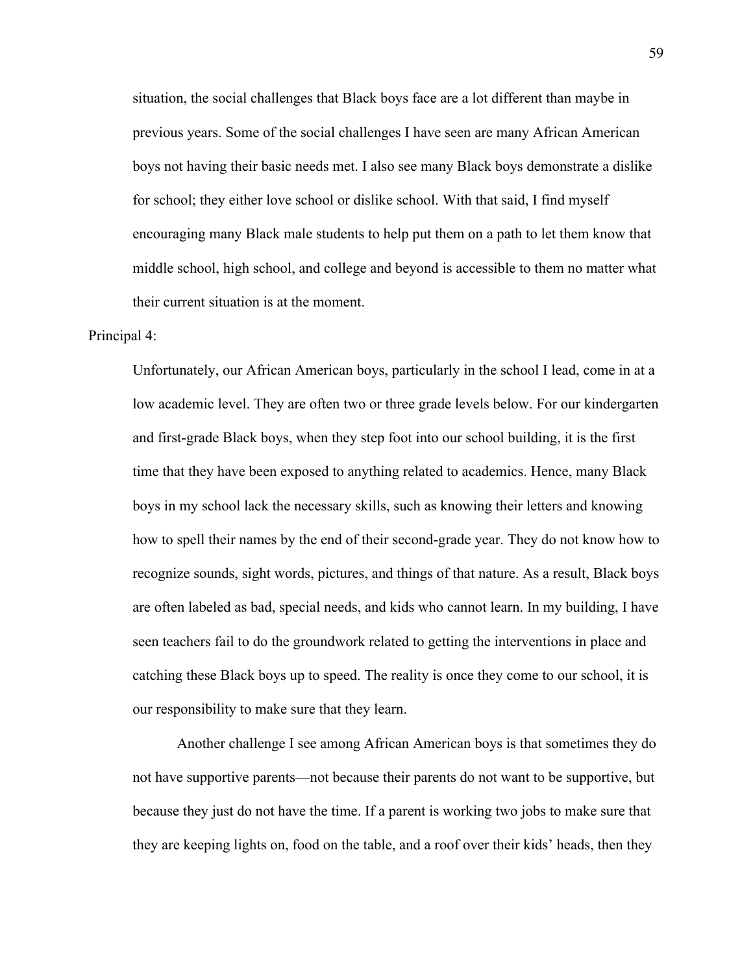situation, the social challenges that Black boys face are a lot different than maybe in previous years. Some of the social challenges I have seen are many African American boys not having their basic needs met. I also see many Black boys demonstrate a dislike for school; they either love school or dislike school. With that said, I find myself encouraging many Black male students to help put them on a path to let them know that middle school, high school, and college and beyond is accessible to them no matter what their current situation is at the moment.

# Principal 4:

Unfortunately, our African American boys, particularly in the school I lead, come in at a low academic level. They are often two or three grade levels below. For our kindergarten and first-grade Black boys, when they step foot into our school building, it is the first time that they have been exposed to anything related to academics. Hence, many Black boys in my school lack the necessary skills, such as knowing their letters and knowing how to spell their names by the end of their second-grade year. They do not know how to recognize sounds, sight words, pictures, and things of that nature. As a result, Black boys are often labeled as bad, special needs, and kids who cannot learn. In my building, I have seen teachers fail to do the groundwork related to getting the interventions in place and catching these Black boys up to speed. The reality is once they come to our school, it is our responsibility to make sure that they learn.

Another challenge I see among African American boys is that sometimes they do not have supportive parents—not because their parents do not want to be supportive, but because they just do not have the time. If a parent is working two jobs to make sure that they are keeping lights on, food on the table, and a roof over their kids' heads, then they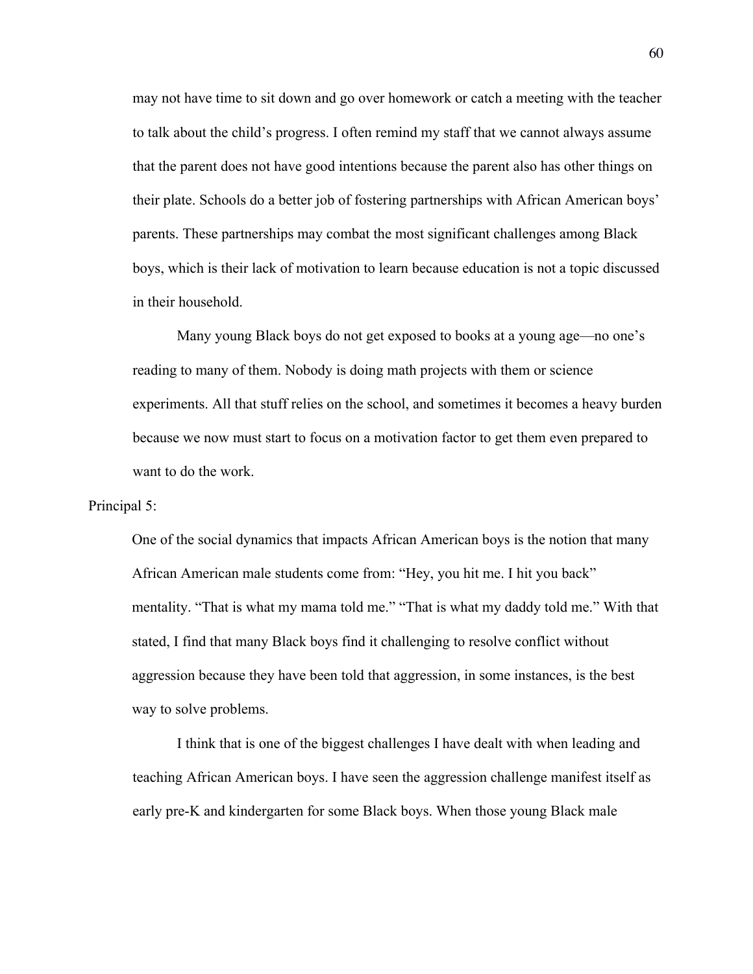may not have time to sit down and go over homework or catch a meeting with the teacher to talk about the child's progress. I often remind my staff that we cannot always assume that the parent does not have good intentions because the parent also has other things on their plate. Schools do a better job of fostering partnerships with African American boys' parents. These partnerships may combat the most significant challenges among Black boys, which is their lack of motivation to learn because education is not a topic discussed in their household.

Many young Black boys do not get exposed to books at a young age—no one's reading to many of them. Nobody is doing math projects with them or science experiments. All that stuff relies on the school, and sometimes it becomes a heavy burden because we now must start to focus on a motivation factor to get them even prepared to want to do the work.

#### Principal 5:

One of the social dynamics that impacts African American boys is the notion that many African American male students come from: "Hey, you hit me. I hit you back" mentality. "That is what my mama told me." "That is what my daddy told me." With that stated, I find that many Black boys find it challenging to resolve conflict without aggression because they have been told that aggression, in some instances, is the best way to solve problems.

I think that is one of the biggest challenges I have dealt with when leading and teaching African American boys. I have seen the aggression challenge manifest itself as early pre-K and kindergarten for some Black boys. When those young Black male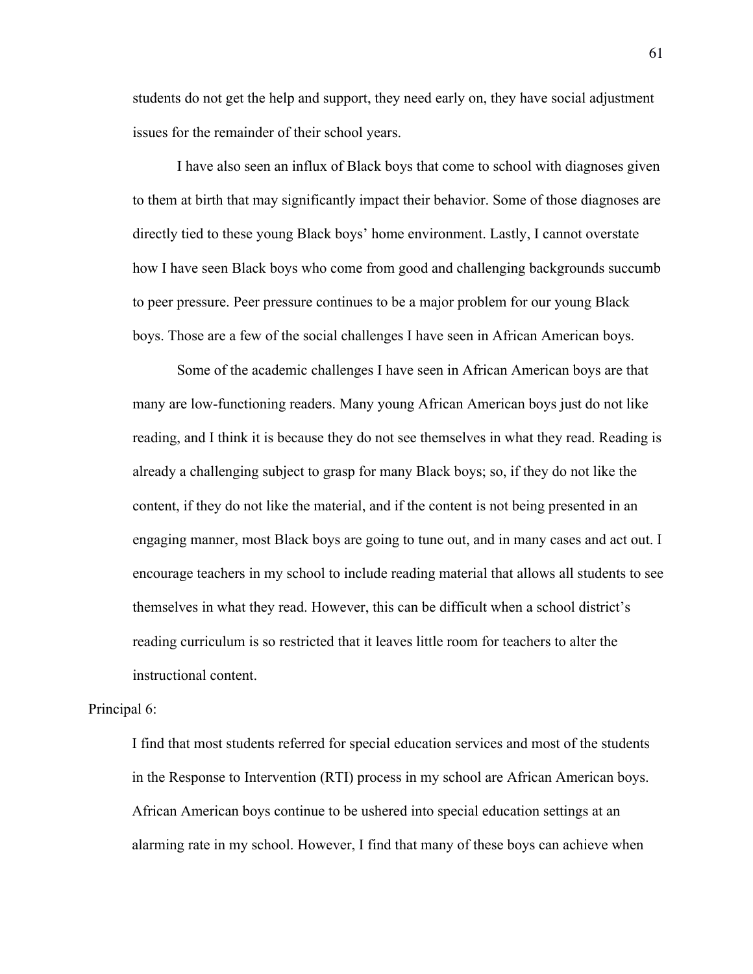students do not get the help and support, they need early on, they have social adjustment issues for the remainder of their school years.

I have also seen an influx of Black boys that come to school with diagnoses given to them at birth that may significantly impact their behavior. Some of those diagnoses are directly tied to these young Black boys' home environment. Lastly, I cannot overstate how I have seen Black boys who come from good and challenging backgrounds succumb to peer pressure. Peer pressure continues to be a major problem for our young Black boys. Those are a few of the social challenges I have seen in African American boys.

Some of the academic challenges I have seen in African American boys are that many are low-functioning readers. Many young African American boys just do not like reading, and I think it is because they do not see themselves in what they read. Reading is already a challenging subject to grasp for many Black boys; so, if they do not like the content, if they do not like the material, and if the content is not being presented in an engaging manner, most Black boys are going to tune out, and in many cases and act out. I encourage teachers in my school to include reading material that allows all students to see themselves in what they read. However, this can be difficult when a school district's reading curriculum is so restricted that it leaves little room for teachers to alter the instructional content.

# Principal 6:

I find that most students referred for special education services and most of the students in the Response to Intervention (RTI) process in my school are African American boys. African American boys continue to be ushered into special education settings at an alarming rate in my school. However, I find that many of these boys can achieve when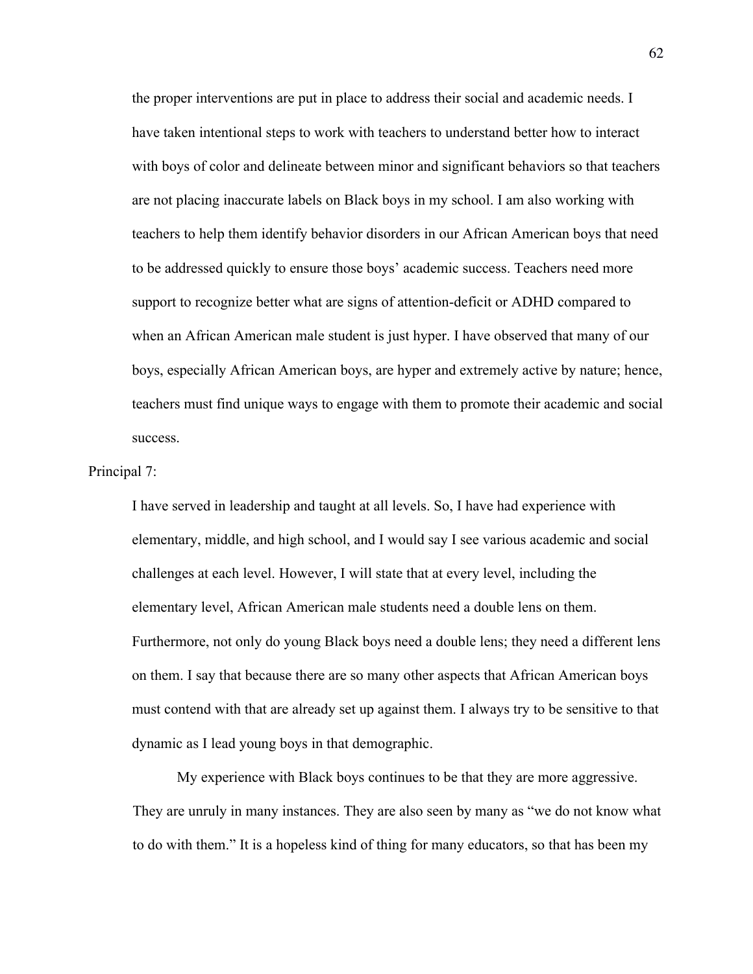the proper interventions are put in place to address their social and academic needs. I have taken intentional steps to work with teachers to understand better how to interact with boys of color and delineate between minor and significant behaviors so that teachers are not placing inaccurate labels on Black boys in my school. I am also working with teachers to help them identify behavior disorders in our African American boys that need to be addressed quickly to ensure those boys' academic success. Teachers need more support to recognize better what are signs of attention-deficit or ADHD compared to when an African American male student is just hyper. I have observed that many of our boys, especially African American boys, are hyper and extremely active by nature; hence, teachers must find unique ways to engage with them to promote their academic and social success.

#### Principal 7:

I have served in leadership and taught at all levels. So, I have had experience with elementary, middle, and high school, and I would say I see various academic and social challenges at each level. However, I will state that at every level, including the elementary level, African American male students need a double lens on them. Furthermore, not only do young Black boys need a double lens; they need a different lens on them. I say that because there are so many other aspects that African American boys must contend with that are already set up against them. I always try to be sensitive to that dynamic as I lead young boys in that demographic.

My experience with Black boys continues to be that they are more aggressive. They are unruly in many instances. They are also seen by many as "we do not know what to do with them." It is a hopeless kind of thing for many educators, so that has been my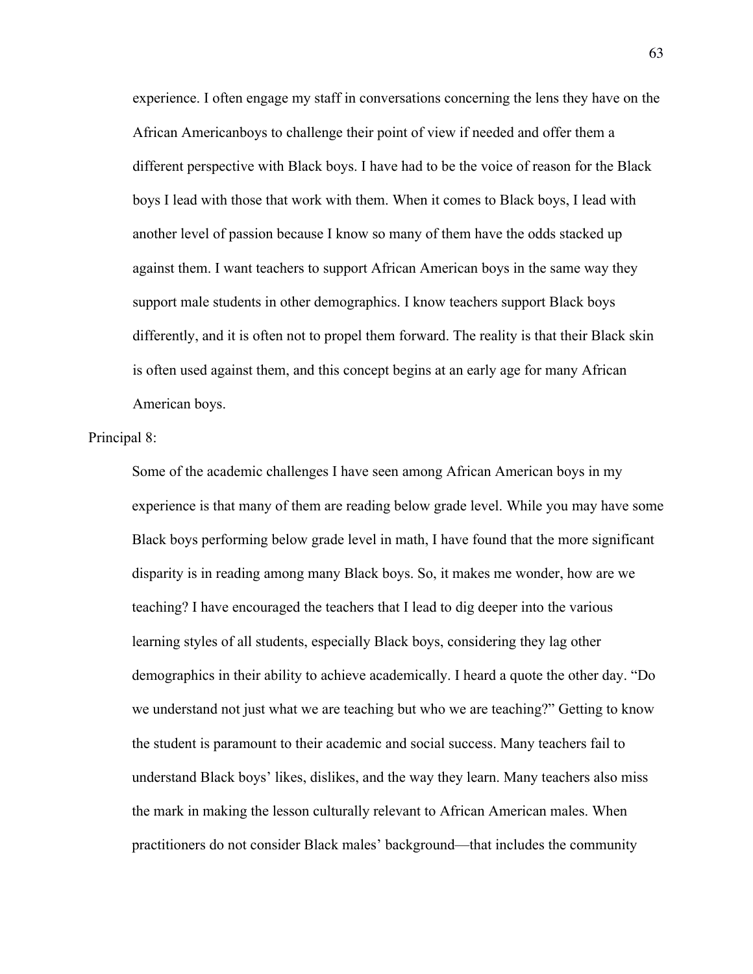experience. I often engage my staff in conversations concerning the lens they have on the African Americanboys to challenge their point of view if needed and offer them a different perspective with Black boys. I have had to be the voice of reason for the Black boys I lead with those that work with them. When it comes to Black boys, I lead with another level of passion because I know so many of them have the odds stacked up against them. I want teachers to support African American boys in the same way they support male students in other demographics. I know teachers support Black boys differently, and it is often not to propel them forward. The reality is that their Black skin is often used against them, and this concept begins at an early age for many African American boys.

#### Principal 8:

Some of the academic challenges I have seen among African American boys in my experience is that many of them are reading below grade level. While you may have some Black boys performing below grade level in math, I have found that the more significant disparity is in reading among many Black boys. So, it makes me wonder, how are we teaching? I have encouraged the teachers that I lead to dig deeper into the various learning styles of all students, especially Black boys, considering they lag other demographics in their ability to achieve academically. I heard a quote the other day. "Do we understand not just what we are teaching but who we are teaching?" Getting to know the student is paramount to their academic and social success. Many teachers fail to understand Black boys' likes, dislikes, and the way they learn. Many teachers also miss the mark in making the lesson culturally relevant to African American males. When practitioners do not consider Black males' background—that includes the community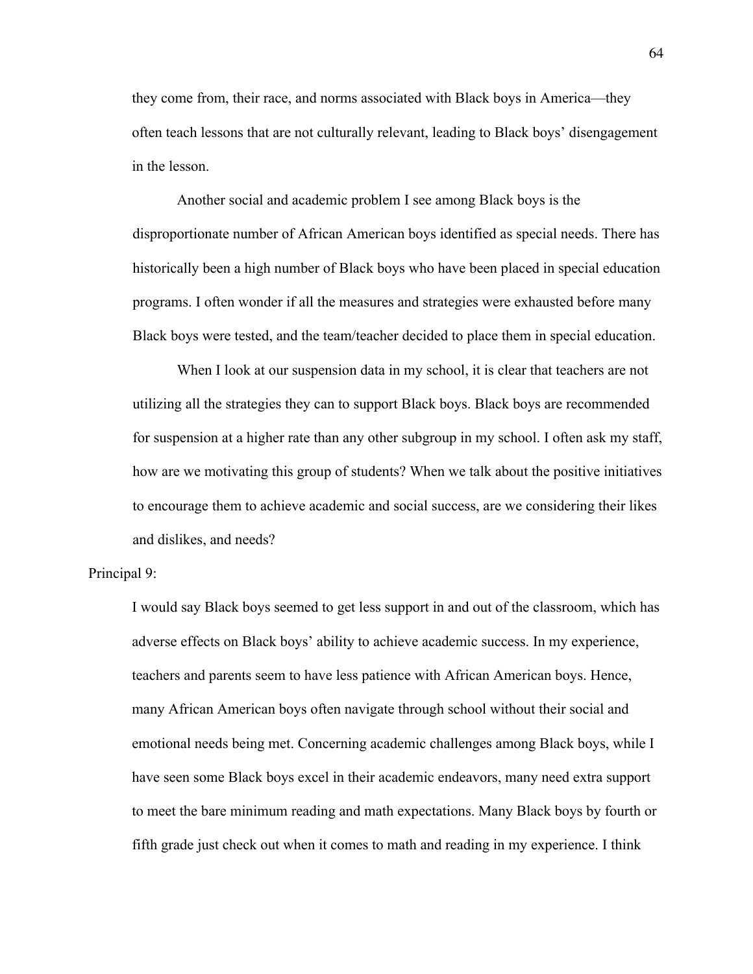they come from, their race, and norms associated with Black boys in America—they often teach lessons that are not culturally relevant, leading to Black boys' disengagement in the lesson.

Another social and academic problem I see among Black boys is the disproportionate number of African American boys identified as special needs. There has historically been a high number of Black boys who have been placed in special education programs. I often wonder if all the measures and strategies were exhausted before many Black boys were tested, and the team/teacher decided to place them in special education.

When I look at our suspension data in my school, it is clear that teachers are not utilizing all the strategies they can to support Black boys. Black boys are recommended for suspension at a higher rate than any other subgroup in my school. I often ask my staff, how are we motivating this group of students? When we talk about the positive initiatives to encourage them to achieve academic and social success, are we considering their likes and dislikes, and needs?

Principal 9:

I would say Black boys seemed to get less support in and out of the classroom, which has adverse effects on Black boys' ability to achieve academic success. In my experience, teachers and parents seem to have less patience with African American boys. Hence, many African American boys often navigate through school without their social and emotional needs being met. Concerning academic challenges among Black boys, while I have seen some Black boys excel in their academic endeavors, many need extra support to meet the bare minimum reading and math expectations. Many Black boys by fourth or fifth grade just check out when it comes to math and reading in my experience. I think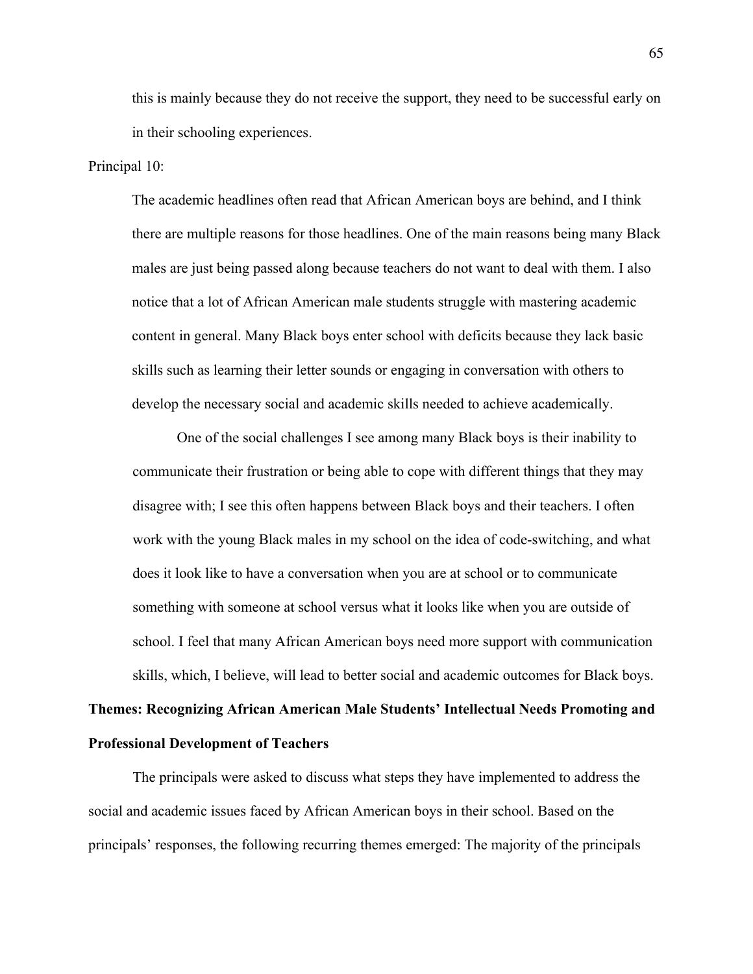this is mainly because they do not receive the support, they need to be successful early on in their schooling experiences.

## Principal 10:

The academic headlines often read that African American boys are behind, and I think there are multiple reasons for those headlines. One of the main reasons being many Black males are just being passed along because teachers do not want to deal with them. I also notice that a lot of African American male students struggle with mastering academic content in general. Many Black boys enter school with deficits because they lack basic skills such as learning their letter sounds or engaging in conversation with others to develop the necessary social and academic skills needed to achieve academically.

One of the social challenges I see among many Black boys is their inability to communicate their frustration or being able to cope with different things that they may disagree with; I see this often happens between Black boys and their teachers. I often work with the young Black males in my school on the idea of code-switching, and what does it look like to have a conversation when you are at school or to communicate something with someone at school versus what it looks like when you are outside of school. I feel that many African American boys need more support with communication skills, which, I believe, will lead to better social and academic outcomes for Black boys.

# **Themes: Recognizing African American Male Students' Intellectual Needs Promoting and Professional Development of Teachers**

The principals were asked to discuss what steps they have implemented to address the social and academic issues faced by African American boys in their school. Based on the principals' responses, the following recurring themes emerged: The majority of the principals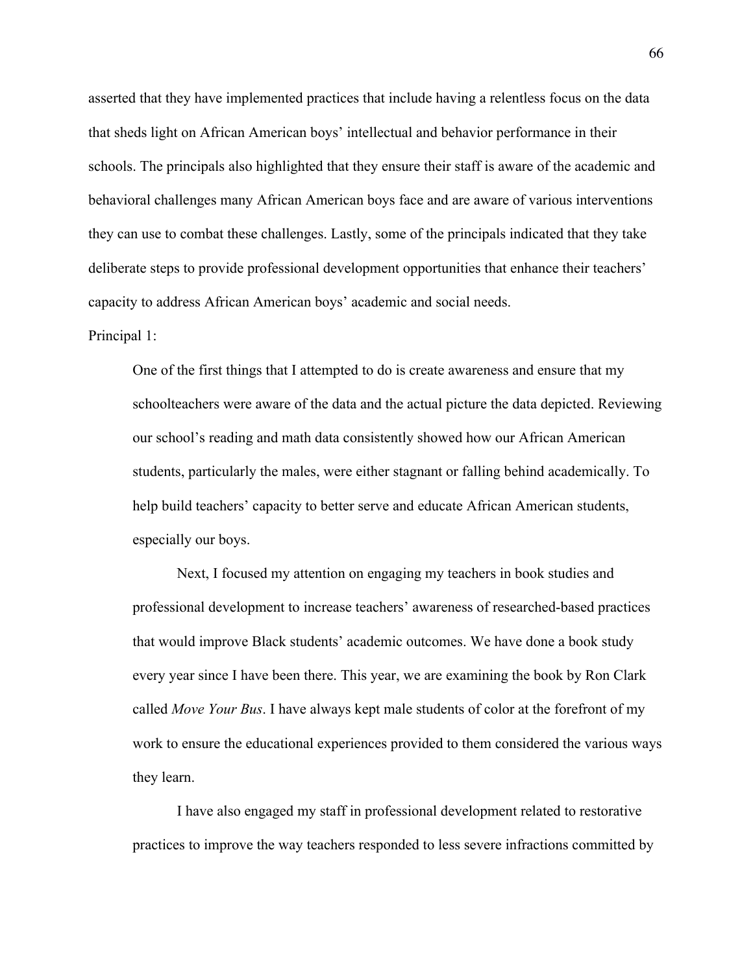asserted that they have implemented practices that include having a relentless focus on the data that sheds light on African American boys' intellectual and behavior performance in their schools. The principals also highlighted that they ensure their staff is aware of the academic and behavioral challenges many African American boys face and are aware of various interventions they can use to combat these challenges. Lastly, some of the principals indicated that they take deliberate steps to provide professional development opportunities that enhance their teachers' capacity to address African American boys' academic and social needs.

#### Principal 1:

One of the first things that I attempted to do is create awareness and ensure that my schoolteachers were aware of the data and the actual picture the data depicted. Reviewing our school's reading and math data consistently showed how our African American students, particularly the males, were either stagnant or falling behind academically. To help build teachers' capacity to better serve and educate African American students, especially our boys.

Next, I focused my attention on engaging my teachers in book studies and professional development to increase teachers' awareness of researched-based practices that would improve Black students' academic outcomes. We have done a book study every year since I have been there. This year, we are examining the book by Ron Clark called *Move Your Bus*. I have always kept male students of color at the forefront of my work to ensure the educational experiences provided to them considered the various ways they learn.

I have also engaged my staff in professional development related to restorative practices to improve the way teachers responded to less severe infractions committed by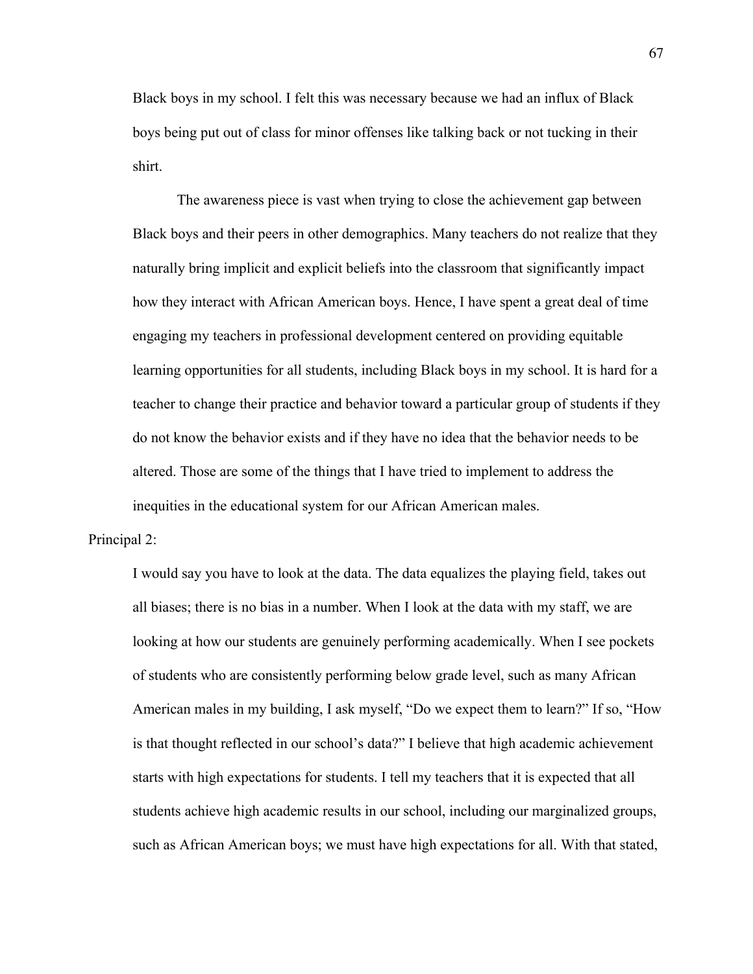Black boys in my school. I felt this was necessary because we had an influx of Black boys being put out of class for minor offenses like talking back or not tucking in their shirt.

The awareness piece is vast when trying to close the achievement gap between Black boys and their peers in other demographics. Many teachers do not realize that they naturally bring implicit and explicit beliefs into the classroom that significantly impact how they interact with African American boys. Hence, I have spent a great deal of time engaging my teachers in professional development centered on providing equitable learning opportunities for all students, including Black boys in my school. It is hard for a teacher to change their practice and behavior toward a particular group of students if they do not know the behavior exists and if they have no idea that the behavior needs to be altered. Those are some of the things that I have tried to implement to address the inequities in the educational system for our African American males.

### Principal 2:

I would say you have to look at the data. The data equalizes the playing field, takes out all biases; there is no bias in a number. When I look at the data with my staff, we are looking at how our students are genuinely performing academically. When I see pockets of students who are consistently performing below grade level, such as many African American males in my building, I ask myself, "Do we expect them to learn?" If so, "How is that thought reflected in our school's data?" I believe that high academic achievement starts with high expectations for students. I tell my teachers that it is expected that all students achieve high academic results in our school, including our marginalized groups, such as African American boys; we must have high expectations for all. With that stated,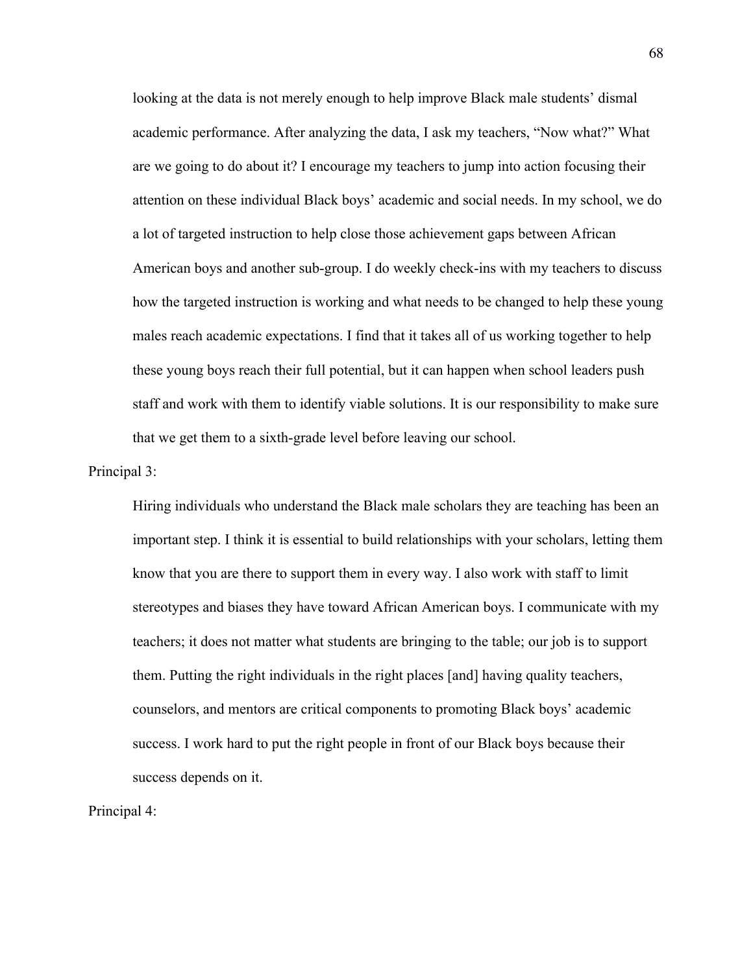looking at the data is not merely enough to help improve Black male students' dismal academic performance. After analyzing the data, I ask my teachers, "Now what?" What are we going to do about it? I encourage my teachers to jump into action focusing their attention on these individual Black boys' academic and social needs. In my school, we do a lot of targeted instruction to help close those achievement gaps between African American boys and another sub-group. I do weekly check-ins with my teachers to discuss how the targeted instruction is working and what needs to be changed to help these young males reach academic expectations. I find that it takes all of us working together to help these young boys reach their full potential, but it can happen when school leaders push staff and work with them to identify viable solutions. It is our responsibility to make sure that we get them to a sixth-grade level before leaving our school.

Principal 3:

Hiring individuals who understand the Black male scholars they are teaching has been an important step. I think it is essential to build relationships with your scholars, letting them know that you are there to support them in every way. I also work with staff to limit stereotypes and biases they have toward African American boys. I communicate with my teachers; it does not matter what students are bringing to the table; our job is to support them. Putting the right individuals in the right places [and] having quality teachers, counselors, and mentors are critical components to promoting Black boys' academic success. I work hard to put the right people in front of our Black boys because their success depends on it.

Principal 4: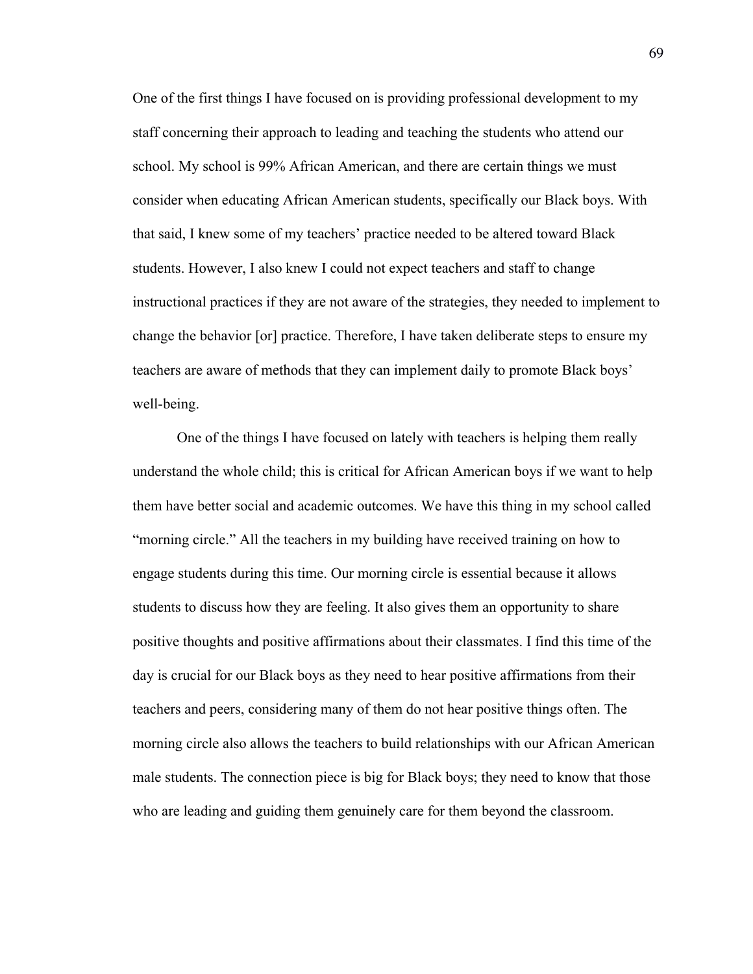One of the first things I have focused on is providing professional development to my staff concerning their approach to leading and teaching the students who attend our school. My school is 99% African American, and there are certain things we must consider when educating African American students, specifically our Black boys. With that said, I knew some of my teachers' practice needed to be altered toward Black students. However, I also knew I could not expect teachers and staff to change instructional practices if they are not aware of the strategies, they needed to implement to change the behavior [or] practice. Therefore, I have taken deliberate steps to ensure my teachers are aware of methods that they can implement daily to promote Black boys' well-being.

One of the things I have focused on lately with teachers is helping them really understand the whole child; this is critical for African American boys if we want to help them have better social and academic outcomes. We have this thing in my school called "morning circle." All the teachers in my building have received training on how to engage students during this time. Our morning circle is essential because it allows students to discuss how they are feeling. It also gives them an opportunity to share positive thoughts and positive affirmations about their classmates. I find this time of the day is crucial for our Black boys as they need to hear positive affirmations from their teachers and peers, considering many of them do not hear positive things often. The morning circle also allows the teachers to build relationships with our African American male students. The connection piece is big for Black boys; they need to know that those who are leading and guiding them genuinely care for them beyond the classroom.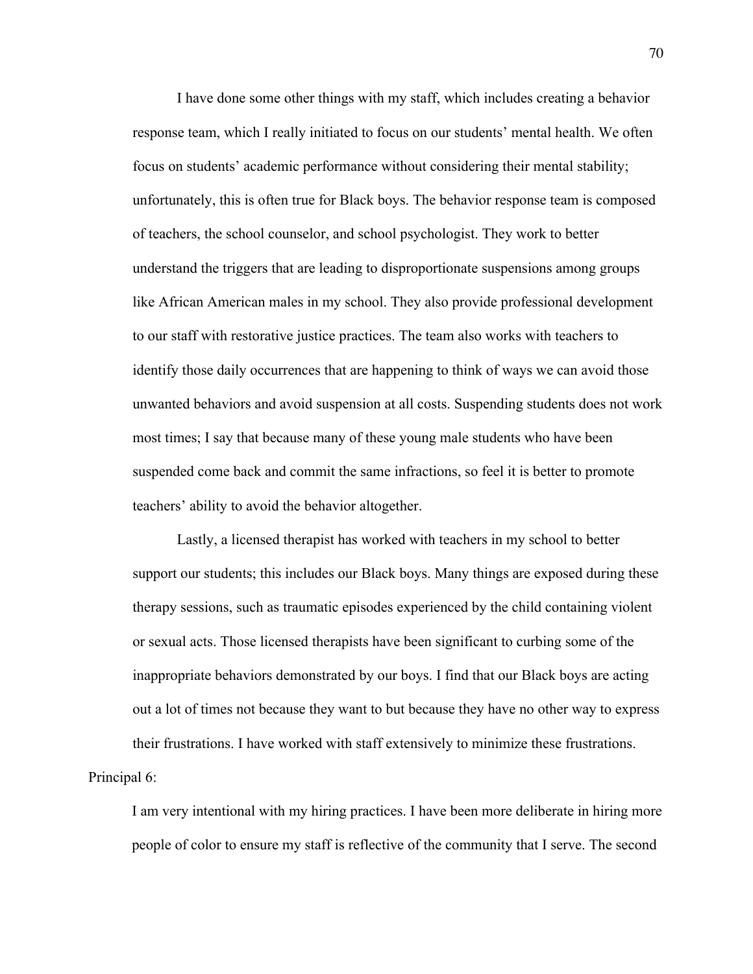I have done some other things with my staff, which includes creating a behavior response team, which I really initiated to focus on our students' mental health. We often focus on students' academic performance without considering their mental stability; unfortunately, this is often true for Black boys. The behavior response team is composed of teachers, the school counselor, and school psychologist. They work to better understand the triggers that are leading to disproportionate suspensions among groups like African American males in my school. They also provide professional development to our staff with restorative justice practices. The team also works with teachers to identify those daily occurrences that are happening to think of ways we can avoid those unwanted behaviors and avoid suspension at all costs. Suspending students does not work most times; I say that because many of these young male students who have been suspended come back and commit the same infractions, so feel it is better to promote teachers' ability to avoid the behavior altogether.

Lastly, a licensed therapist has worked with teachers in my school to better support our students; this includes our Black boys. Many things are exposed during these therapy sessions, such as traumatic episodes experienced by the child containing violent or sexual acts. Those licensed therapists have been significant to curbing some of the inappropriate behaviors demonstrated by our boys. I find that our Black boys are acting out a lot of times not because they want to but because they have no other way to express their frustrations. I have worked with staff extensively to minimize these frustrations.

Principal 6:

I am very intentional with my hiring practices. I have been more deliberate in hiring more people of color to ensure my staff is reflective of the community that I serve. The second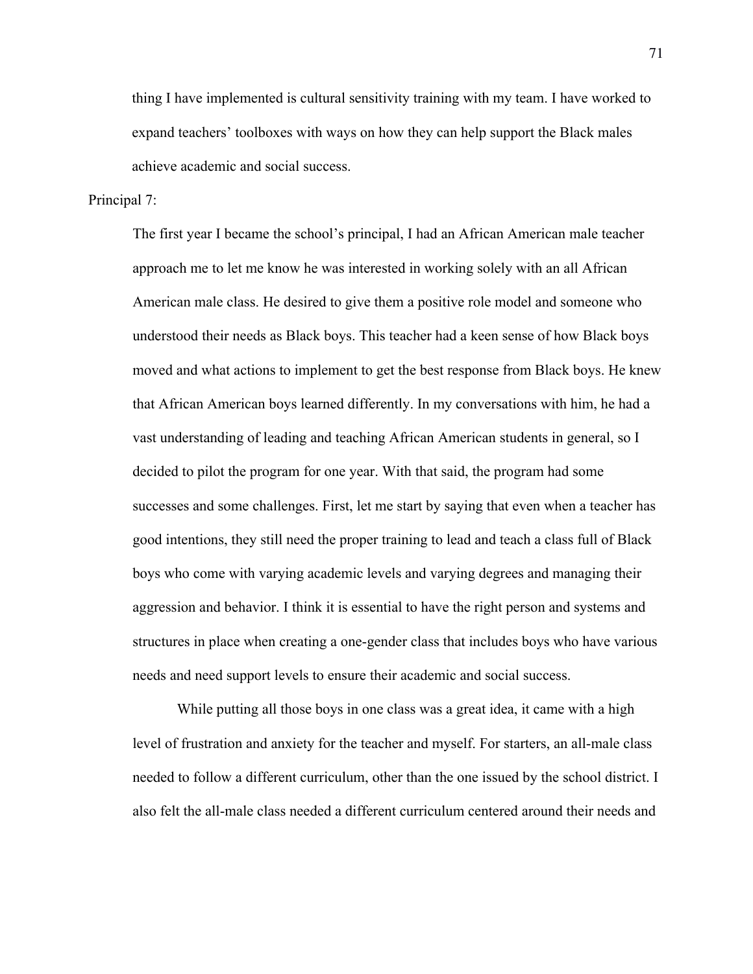thing I have implemented is cultural sensitivity training with my team. I have worked to expand teachers' toolboxes with ways on how they can help support the Black males achieve academic and social success.

Principal 7:

The first year I became the school's principal, I had an African American male teacher approach me to let me know he was interested in working solely with an all African American male class. He desired to give them a positive role model and someone who understood their needs as Black boys. This teacher had a keen sense of how Black boys moved and what actions to implement to get the best response from Black boys. He knew that African American boys learned differently. In my conversations with him, he had a vast understanding of leading and teaching African American students in general, so I decided to pilot the program for one year. With that said, the program had some successes and some challenges. First, let me start by saying that even when a teacher has good intentions, they still need the proper training to lead and teach a class full of Black boys who come with varying academic levels and varying degrees and managing their aggression and behavior. I think it is essential to have the right person and systems and structures in place when creating a one-gender class that includes boys who have various needs and need support levels to ensure their academic and social success.

While putting all those boys in one class was a great idea, it came with a high level of frustration and anxiety for the teacher and myself. For starters, an all-male class needed to follow a different curriculum, other than the one issued by the school district. I also felt the all-male class needed a different curriculum centered around their needs and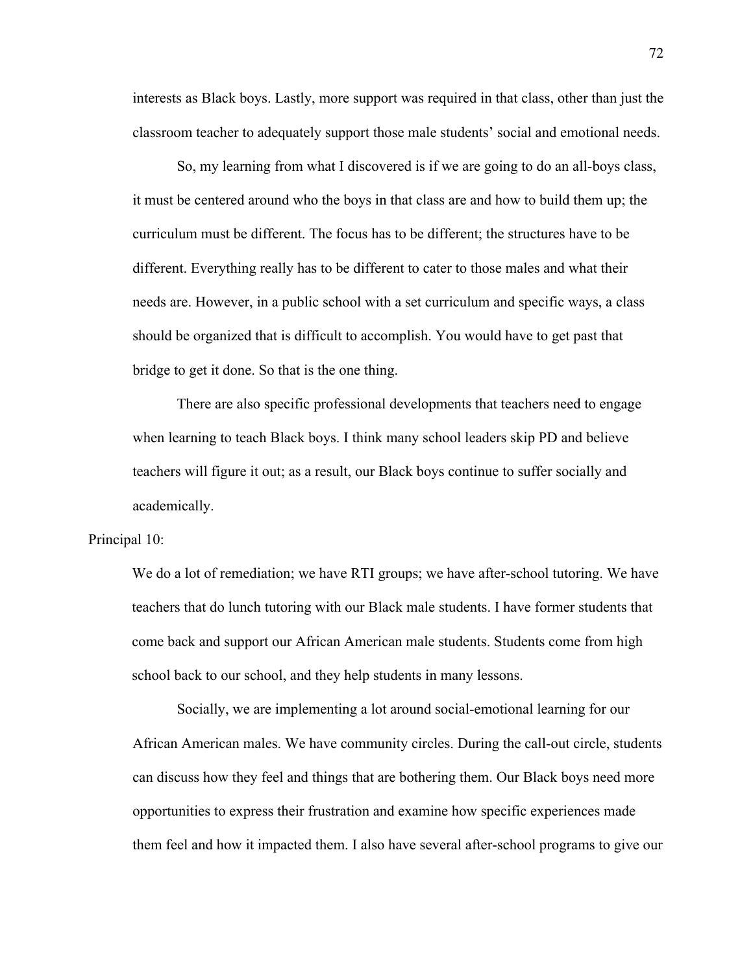interests as Black boys. Lastly, more support was required in that class, other than just the classroom teacher to adequately support those male students' social and emotional needs.

So, my learning from what I discovered is if we are going to do an all-boys class, it must be centered around who the boys in that class are and how to build them up; the curriculum must be different. The focus has to be different; the structures have to be different. Everything really has to be different to cater to those males and what their needs are. However, in a public school with a set curriculum and specific ways, a class should be organized that is difficult to accomplish. You would have to get past that bridge to get it done. So that is the one thing.

There are also specific professional developments that teachers need to engage when learning to teach Black boys. I think many school leaders skip PD and believe teachers will figure it out; as a result, our Black boys continue to suffer socially and academically.

### Principal 10:

We do a lot of remediation; we have RTI groups; we have after-school tutoring. We have teachers that do lunch tutoring with our Black male students. I have former students that come back and support our African American male students. Students come from high school back to our school, and they help students in many lessons.

Socially, we are implementing a lot around social-emotional learning for our African American males. We have community circles. During the call-out circle, students can discuss how they feel and things that are bothering them. Our Black boys need more opportunities to express their frustration and examine how specific experiences made them feel and how it impacted them. I also have several after-school programs to give our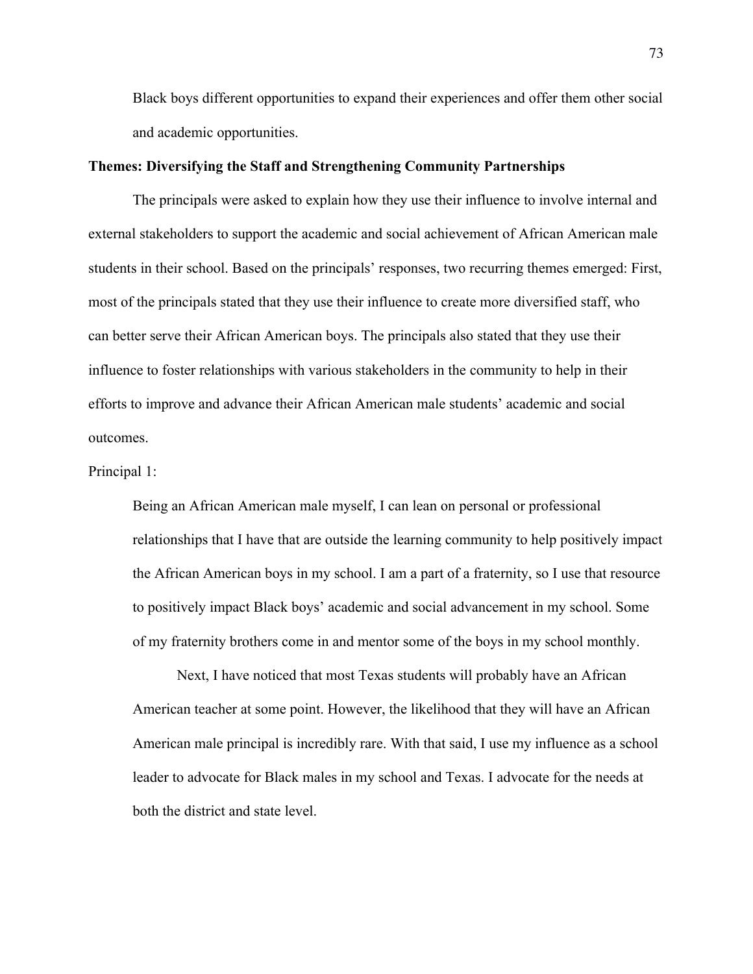Black boys different opportunities to expand their experiences and offer them other social and academic opportunities.

## **Themes: Diversifying the Staff and Strengthening Community Partnerships**

The principals were asked to explain how they use their influence to involve internal and external stakeholders to support the academic and social achievement of African American male students in their school. Based on the principals' responses, two recurring themes emerged: First, most of the principals stated that they use their influence to create more diversified staff, who can better serve their African American boys. The principals also stated that they use their influence to foster relationships with various stakeholders in the community to help in their efforts to improve and advance their African American male students' academic and social outcomes.

Principal 1:

Being an African American male myself, I can lean on personal or professional relationships that I have that are outside the learning community to help positively impact the African American boys in my school. I am a part of a fraternity, so I use that resource to positively impact Black boys' academic and social advancement in my school. Some of my fraternity brothers come in and mentor some of the boys in my school monthly.

Next, I have noticed that most Texas students will probably have an African American teacher at some point. However, the likelihood that they will have an African American male principal is incredibly rare. With that said, I use my influence as a school leader to advocate for Black males in my school and Texas. I advocate for the needs at both the district and state level.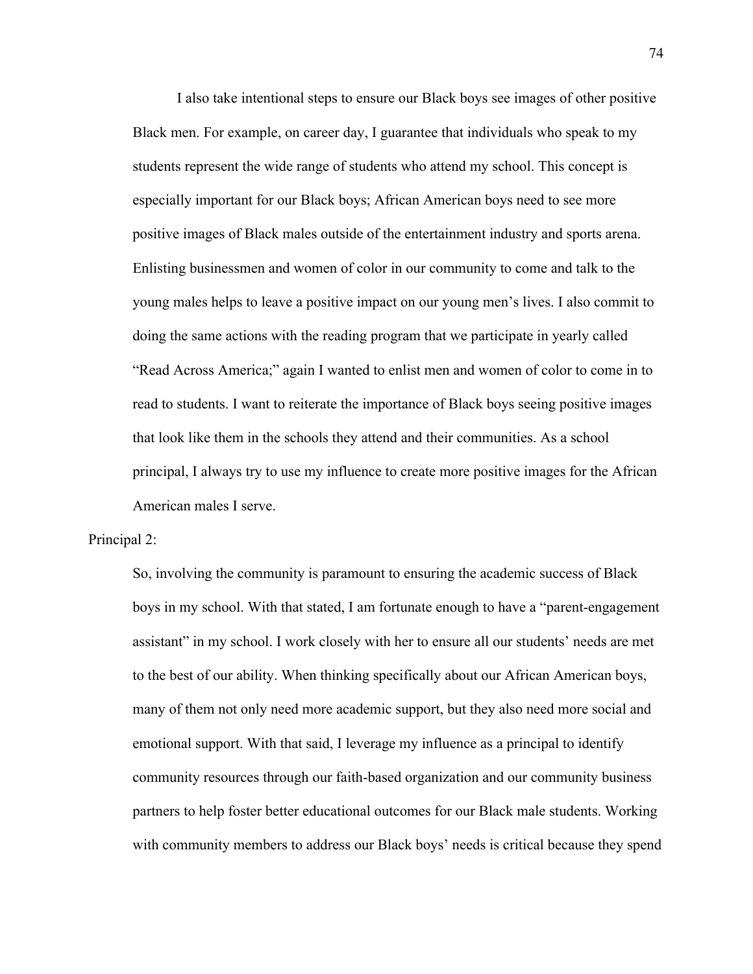I also take intentional steps to ensure our Black boys see images of other positive Black men. For example, on career day, I guarantee that individuals who speak to my students represent the wide range of students who attend my school. This concept is especially important for our Black boys; African American boys need to see more positive images of Black males outside of the entertainment industry and sports arena. Enlisting businessmen and women of color in our community to come and talk to the young males helps to leave a positive impact on our young men's lives. I also commit to doing the same actions with the reading program that we participate in yearly called "Read Across America;" again I wanted to enlist men and women of color to come in to read to students. I want to reiterate the importance of Black boys seeing positive images that look like them in the schools they attend and their communities. As a school principal, I always try to use my influence to create more positive images for the African American males I serve.

### Principal 2:

So, involving the community is paramount to ensuring the academic success of Black boys in my school. With that stated, I am fortunate enough to have a "parent-engagement assistant" in my school. I work closely with her to ensure all our students' needs are met to the best of our ability. When thinking specifically about our African American boys, many of them not only need more academic support, but they also need more social and emotional support. With that said, I leverage my influence as a principal to identify community resources through our faith-based organization and our community business partners to help foster better educational outcomes for our Black male students. Working with community members to address our Black boys' needs is critical because they spend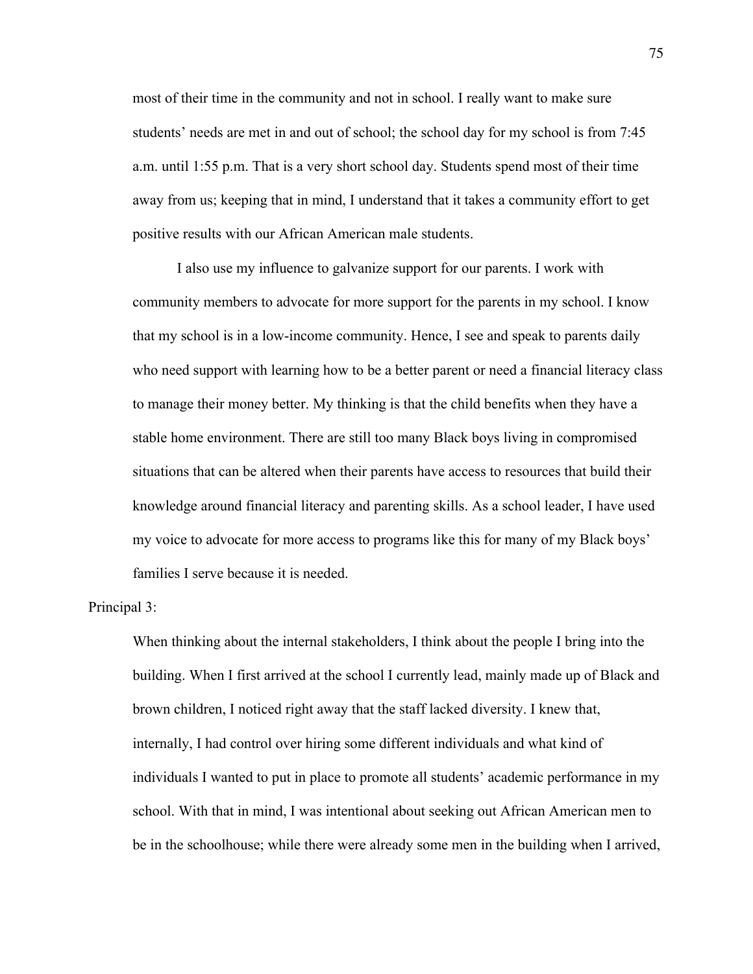most of their time in the community and not in school. I really want to make sure students' needs are met in and out of school; the school day for my school is from 7:45 a.m. until 1:55 p.m. That is a very short school day. Students spend most of their time away from us; keeping that in mind, I understand that it takes a community effort to get positive results with our African American male students.

I also use my influence to galvanize support for our parents. I work with community members to advocate for more support for the parents in my school. I know that my school is in a low-income community. Hence, I see and speak to parents daily who need support with learning how to be a better parent or need a financial literacy class to manage their money better. My thinking is that the child benefits when they have a stable home environment. There are still too many Black boys living in compromised situations that can be altered when their parents have access to resources that build their knowledge around financial literacy and parenting skills. As a school leader, I have used my voice to advocate for more access to programs like this for many of my Black boys' families I serve because it is needed.

Principal 3:

When thinking about the internal stakeholders, I think about the people I bring into the building. When I first arrived at the school I currently lead, mainly made up of Black and brown children, I noticed right away that the staff lacked diversity. I knew that, internally, I had control over hiring some different individuals and what kind of individuals I wanted to put in place to promote all students' academic performance in my school. With that in mind, I was intentional about seeking out African American men to be in the schoolhouse; while there were already some men in the building when I arrived,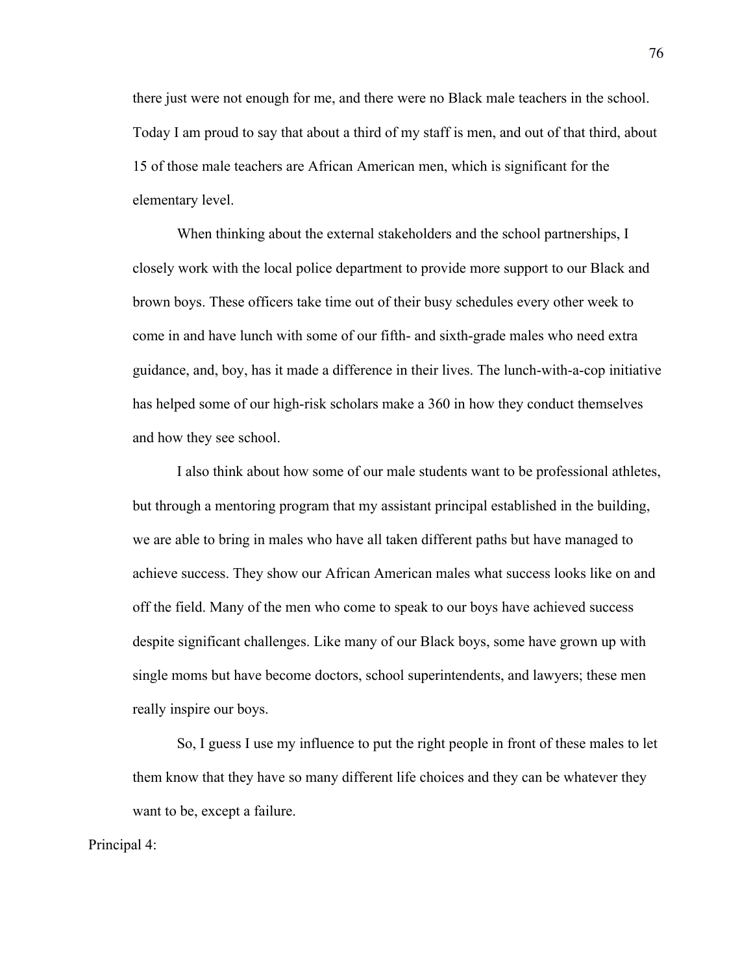there just were not enough for me, and there were no Black male teachers in the school. Today I am proud to say that about a third of my staff is men, and out of that third, about 15 of those male teachers are African American men, which is significant for the elementary level.

When thinking about the external stakeholders and the school partnerships, I closely work with the local police department to provide more support to our Black and brown boys. These officers take time out of their busy schedules every other week to come in and have lunch with some of our fifth- and sixth-grade males who need extra guidance, and, boy, has it made a difference in their lives. The lunch-with-a-cop initiative has helped some of our high-risk scholars make a 360 in how they conduct themselves and how they see school.

I also think about how some of our male students want to be professional athletes, but through a mentoring program that my assistant principal established in the building, we are able to bring in males who have all taken different paths but have managed to achieve success. They show our African American males what success looks like on and off the field. Many of the men who come to speak to our boys have achieved success despite significant challenges. Like many of our Black boys, some have grown up with single moms but have become doctors, school superintendents, and lawyers; these men really inspire our boys.

So, I guess I use my influence to put the right people in front of these males to let them know that they have so many different life choices and they can be whatever they want to be, except a failure.

Principal 4: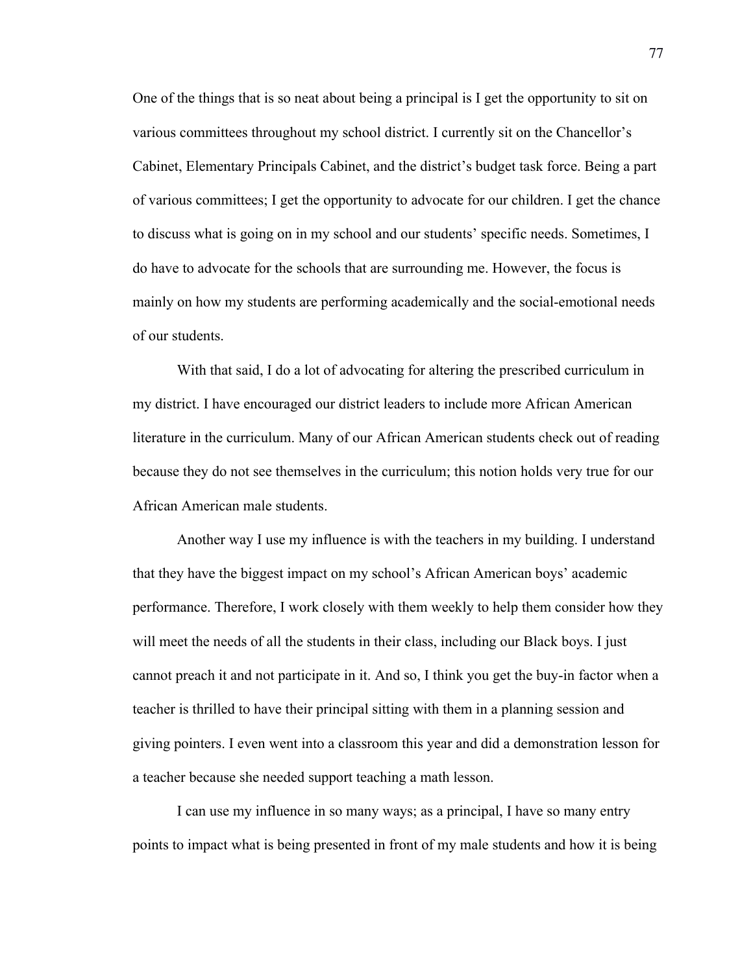One of the things that is so neat about being a principal is I get the opportunity to sit on various committees throughout my school district. I currently sit on the Chancellor's Cabinet, Elementary Principals Cabinet, and the district's budget task force. Being a part of various committees; I get the opportunity to advocate for our children. I get the chance to discuss what is going on in my school and our students' specific needs. Sometimes, I do have to advocate for the schools that are surrounding me. However, the focus is mainly on how my students are performing academically and the social-emotional needs of our students.

With that said, I do a lot of advocating for altering the prescribed curriculum in my district. I have encouraged our district leaders to include more African American literature in the curriculum. Many of our African American students check out of reading because they do not see themselves in the curriculum; this notion holds very true for our African American male students.

Another way I use my influence is with the teachers in my building. I understand that they have the biggest impact on my school's African American boys' academic performance. Therefore, I work closely with them weekly to help them consider how they will meet the needs of all the students in their class, including our Black boys. I just cannot preach it and not participate in it. And so, I think you get the buy-in factor when a teacher is thrilled to have their principal sitting with them in a planning session and giving pointers. I even went into a classroom this year and did a demonstration lesson for a teacher because she needed support teaching a math lesson.

I can use my influence in so many ways; as a principal, I have so many entry points to impact what is being presented in front of my male students and how it is being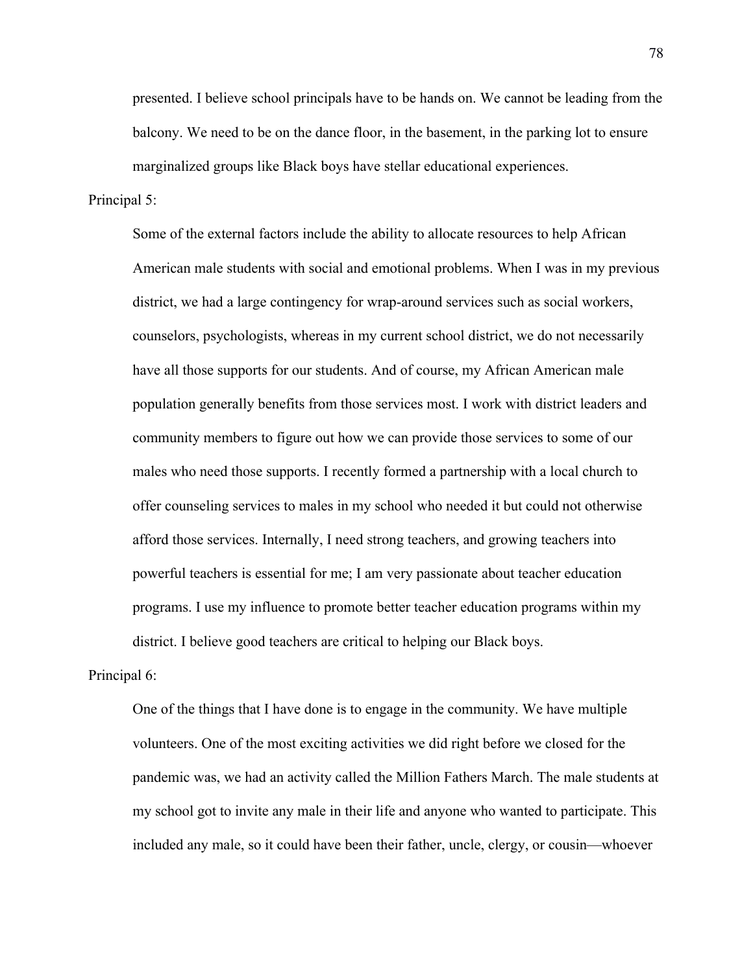presented. I believe school principals have to be hands on. We cannot be leading from the balcony. We need to be on the dance floor, in the basement, in the parking lot to ensure marginalized groups like Black boys have stellar educational experiences.

## Principal 5:

Some of the external factors include the ability to allocate resources to help African American male students with social and emotional problems. When I was in my previous district, we had a large contingency for wrap-around services such as social workers, counselors, psychologists, whereas in my current school district, we do not necessarily have all those supports for our students. And of course, my African American male population generally benefits from those services most. I work with district leaders and community members to figure out how we can provide those services to some of our males who need those supports. I recently formed a partnership with a local church to offer counseling services to males in my school who needed it but could not otherwise afford those services. Internally, I need strong teachers, and growing teachers into powerful teachers is essential for me; I am very passionate about teacher education programs. I use my influence to promote better teacher education programs within my district. I believe good teachers are critical to helping our Black boys.

### Principal 6:

One of the things that I have done is to engage in the community. We have multiple volunteers. One of the most exciting activities we did right before we closed for the pandemic was, we had an activity called the Million Fathers March. The male students at my school got to invite any male in their life and anyone who wanted to participate. This included any male, so it could have been their father, uncle, clergy, or cousin—whoever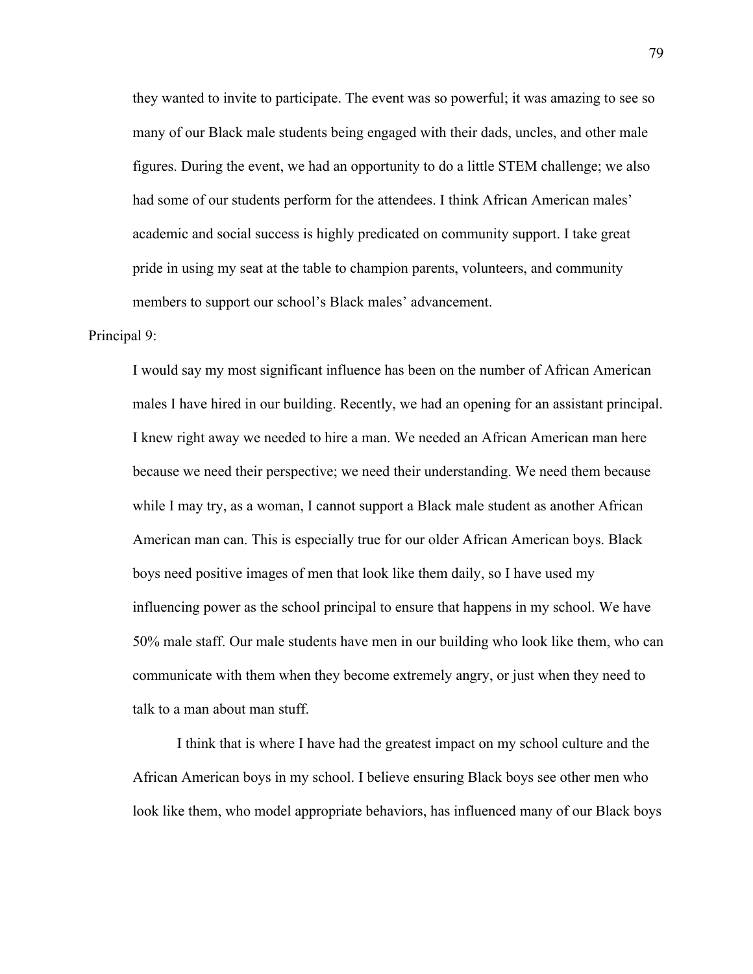they wanted to invite to participate. The event was so powerful; it was amazing to see so many of our Black male students being engaged with their dads, uncles, and other male figures. During the event, we had an opportunity to do a little STEM challenge; we also had some of our students perform for the attendees. I think African American males' academic and social success is highly predicated on community support. I take great pride in using my seat at the table to champion parents, volunteers, and community members to support our school's Black males' advancement.

## Principal 9:

I would say my most significant influence has been on the number of African American males I have hired in our building. Recently, we had an opening for an assistant principal. I knew right away we needed to hire a man. We needed an African American man here because we need their perspective; we need their understanding. We need them because while I may try, as a woman, I cannot support a Black male student as another African American man can. This is especially true for our older African American boys. Black boys need positive images of men that look like them daily, so I have used my influencing power as the school principal to ensure that happens in my school. We have 50% male staff. Our male students have men in our building who look like them, who can communicate with them when they become extremely angry, or just when they need to talk to a man about man stuff.

I think that is where I have had the greatest impact on my school culture and the African American boys in my school. I believe ensuring Black boys see other men who look like them, who model appropriate behaviors, has influenced many of our Black boys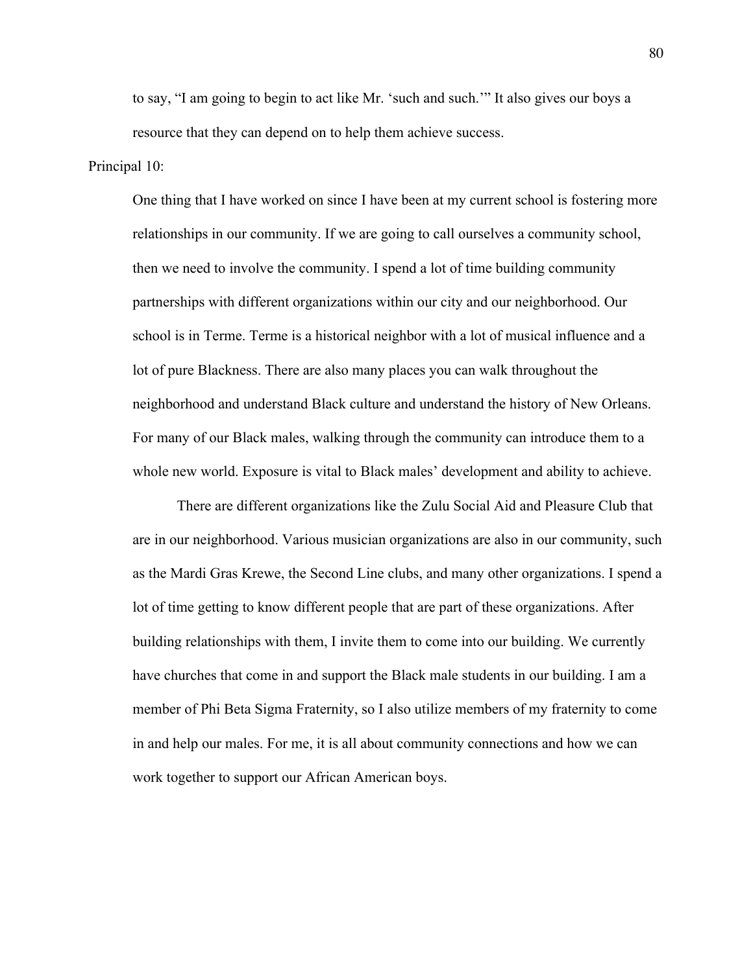to say, "I am going to begin to act like Mr. 'such and such.'" It also gives our boys a resource that they can depend on to help them achieve success.

## Principal 10:

One thing that I have worked on since I have been at my current school is fostering more relationships in our community. If we are going to call ourselves a community school, then we need to involve the community. I spend a lot of time building community partnerships with different organizations within our city and our neighborhood. Our school is in Terme. Terme is a historical neighbor with a lot of musical influence and a lot of pure Blackness. There are also many places you can walk throughout the neighborhood and understand Black culture and understand the history of New Orleans. For many of our Black males, walking through the community can introduce them to a whole new world. Exposure is vital to Black males' development and ability to achieve.

There are different organizations like the Zulu Social Aid and Pleasure Club that are in our neighborhood. Various musician organizations are also in our community, such as the Mardi Gras Krewe, the Second Line clubs, and many other organizations. I spend a lot of time getting to know different people that are part of these organizations. After building relationships with them, I invite them to come into our building. We currently have churches that come in and support the Black male students in our building. I am a member of Phi Beta Sigma Fraternity, so I also utilize members of my fraternity to come in and help our males. For me, it is all about community connections and how we can work together to support our African American boys.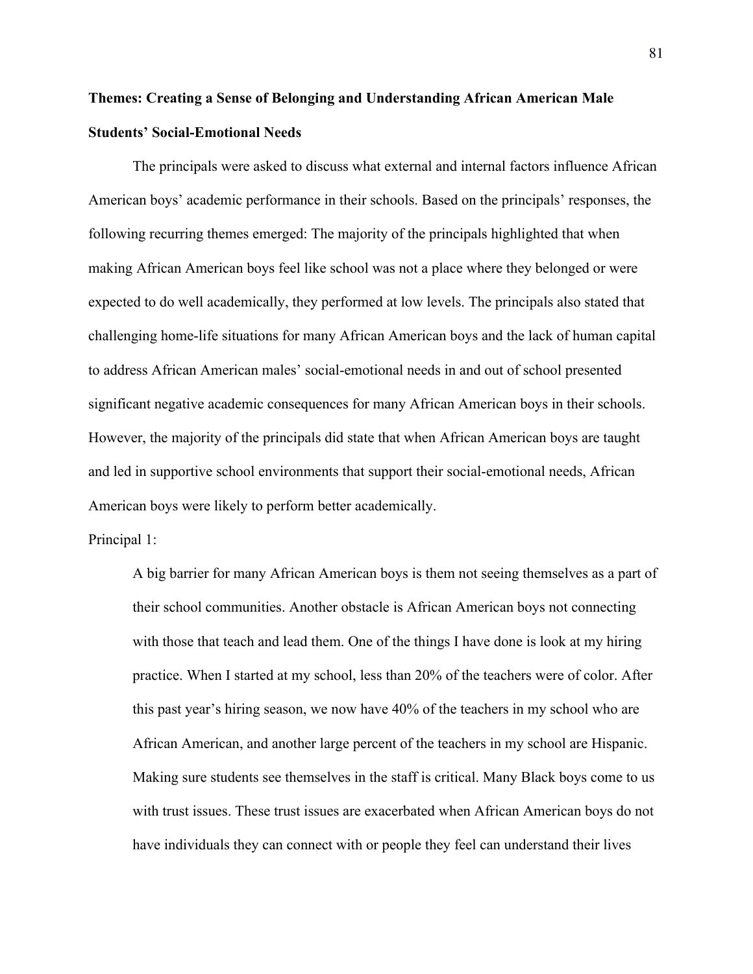## **Themes: Creating a Sense of Belonging and Understanding African American Male Students' Social-Emotional Needs**

The principals were asked to discuss what external and internal factors influence African American boys' academic performance in their schools. Based on the principals' responses, the following recurring themes emerged: The majority of the principals highlighted that when making African American boys feel like school was not a place where they belonged or were expected to do well academically, they performed at low levels. The principals also stated that challenging home-life situations for many African American boys and the lack of human capital to address African American males' social-emotional needs in and out of school presented significant negative academic consequences for many African American boys in their schools. However, the majority of the principals did state that when African American boys are taught and led in supportive school environments that support their social-emotional needs, African American boys were likely to perform better academically.

Principal 1:

A big barrier for many African American boys is them not seeing themselves as a part of their school communities. Another obstacle is African American boys not connecting with those that teach and lead them. One of the things I have done is look at my hiring practice. When I started at my school, less than 20% of the teachers were of color. After this past year's hiring season, we now have 40% of the teachers in my school who are African American, and another large percent of the teachers in my school are Hispanic. Making sure students see themselves in the staff is critical. Many Black boys come to us with trust issues. These trust issues are exacerbated when African American boys do not have individuals they can connect with or people they feel can understand their lives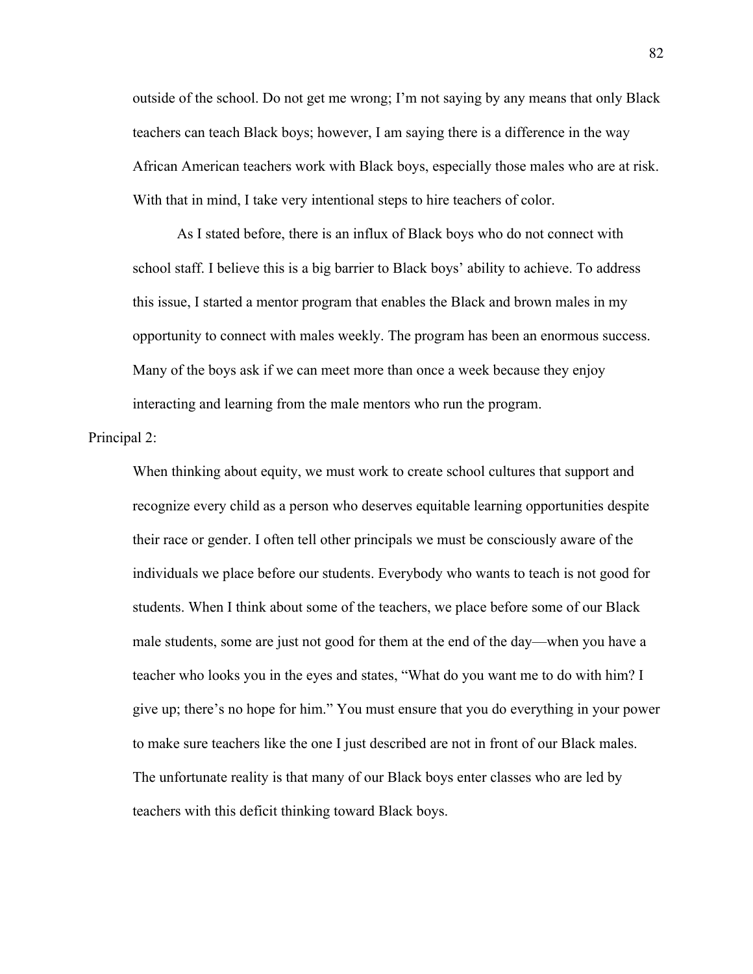outside of the school. Do not get me wrong; I'm not saying by any means that only Black teachers can teach Black boys; however, I am saying there is a difference in the way African American teachers work with Black boys, especially those males who are at risk. With that in mind, I take very intentional steps to hire teachers of color.

As I stated before, there is an influx of Black boys who do not connect with school staff. I believe this is a big barrier to Black boys' ability to achieve. To address this issue, I started a mentor program that enables the Black and brown males in my opportunity to connect with males weekly. The program has been an enormous success. Many of the boys ask if we can meet more than once a week because they enjoy interacting and learning from the male mentors who run the program.

Principal 2:

When thinking about equity, we must work to create school cultures that support and recognize every child as a person who deserves equitable learning opportunities despite their race or gender. I often tell other principals we must be consciously aware of the individuals we place before our students. Everybody who wants to teach is not good for students. When I think about some of the teachers, we place before some of our Black male students, some are just not good for them at the end of the day—when you have a teacher who looks you in the eyes and states, "What do you want me to do with him? I give up; there's no hope for him." You must ensure that you do everything in your power to make sure teachers like the one I just described are not in front of our Black males. The unfortunate reality is that many of our Black boys enter classes who are led by teachers with this deficit thinking toward Black boys.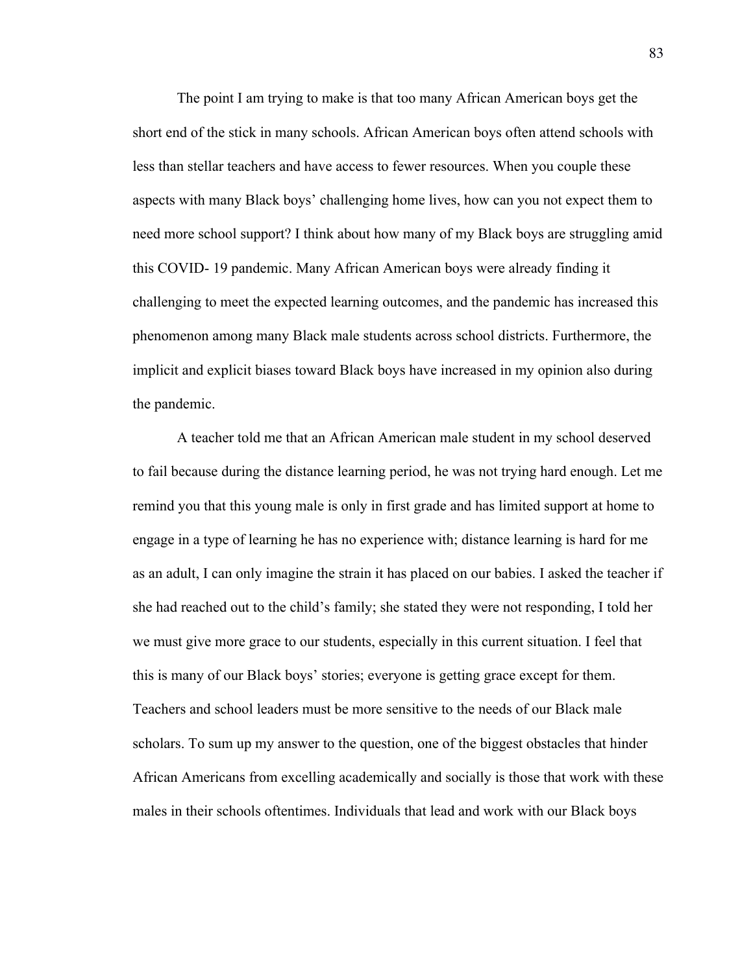The point I am trying to make is that too many African American boys get the short end of the stick in many schools. African American boys often attend schools with less than stellar teachers and have access to fewer resources. When you couple these aspects with many Black boys' challenging home lives, how can you not expect them to need more school support? I think about how many of my Black boys are struggling amid this COVID- 19 pandemic. Many African American boys were already finding it challenging to meet the expected learning outcomes, and the pandemic has increased this phenomenon among many Black male students across school districts. Furthermore, the implicit and explicit biases toward Black boys have increased in my opinion also during the pandemic.

A teacher told me that an African American male student in my school deserved to fail because during the distance learning period, he was not trying hard enough. Let me remind you that this young male is only in first grade and has limited support at home to engage in a type of learning he has no experience with; distance learning is hard for me as an adult, I can only imagine the strain it has placed on our babies. I asked the teacher if she had reached out to the child's family; she stated they were not responding, I told her we must give more grace to our students, especially in this current situation. I feel that this is many of our Black boys' stories; everyone is getting grace except for them. Teachers and school leaders must be more sensitive to the needs of our Black male scholars. To sum up my answer to the question, one of the biggest obstacles that hinder African Americans from excelling academically and socially is those that work with these males in their schools oftentimes. Individuals that lead and work with our Black boys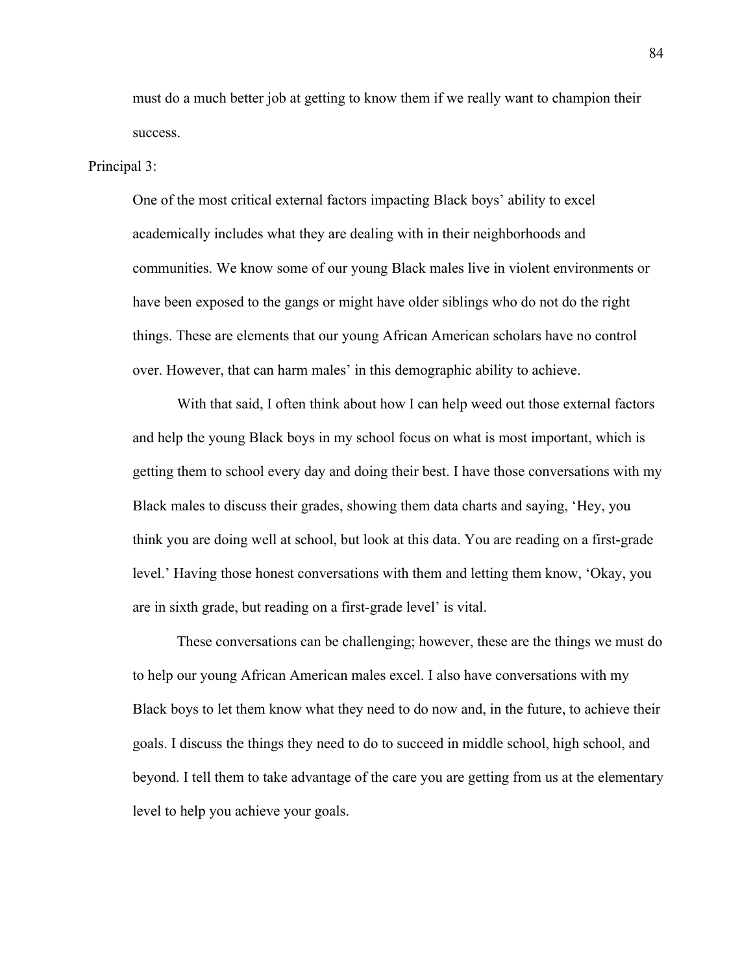must do a much better job at getting to know them if we really want to champion their success.

#### Principal 3:

One of the most critical external factors impacting Black boys' ability to excel academically includes what they are dealing with in their neighborhoods and communities. We know some of our young Black males live in violent environments or have been exposed to the gangs or might have older siblings who do not do the right things. These are elements that our young African American scholars have no control over. However, that can harm males' in this demographic ability to achieve.

With that said, I often think about how I can help weed out those external factors and help the young Black boys in my school focus on what is most important, which is getting them to school every day and doing their best. I have those conversations with my Black males to discuss their grades, showing them data charts and saying, 'Hey, you think you are doing well at school, but look at this data. You are reading on a first-grade level.' Having those honest conversations with them and letting them know, 'Okay, you are in sixth grade, but reading on a first-grade level' is vital.

These conversations can be challenging; however, these are the things we must do to help our young African American males excel. I also have conversations with my Black boys to let them know what they need to do now and, in the future, to achieve their goals. I discuss the things they need to do to succeed in middle school, high school, and beyond. I tell them to take advantage of the care you are getting from us at the elementary level to help you achieve your goals.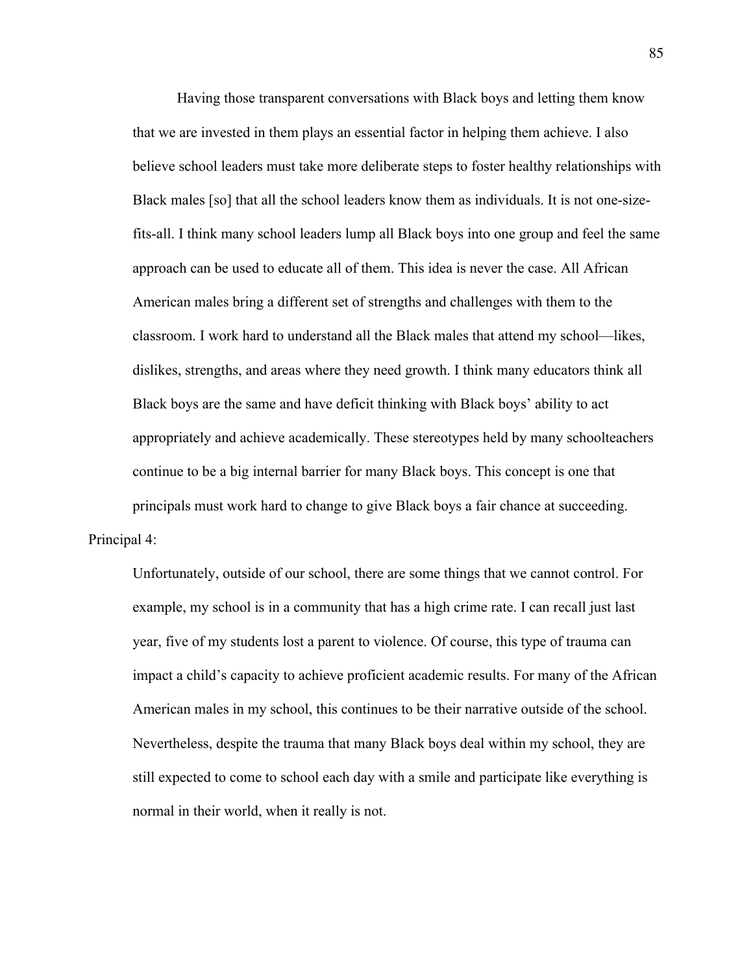Having those transparent conversations with Black boys and letting them know that we are invested in them plays an essential factor in helping them achieve. I also believe school leaders must take more deliberate steps to foster healthy relationships with Black males [so] that all the school leaders know them as individuals. It is not one-sizefits-all. I think many school leaders lump all Black boys into one group and feel the same approach can be used to educate all of them. This idea is never the case. All African American males bring a different set of strengths and challenges with them to the classroom. I work hard to understand all the Black males that attend my school—likes, dislikes, strengths, and areas where they need growth. I think many educators think all Black boys are the same and have deficit thinking with Black boys' ability to act appropriately and achieve academically. These stereotypes held by many schoolteachers continue to be a big internal barrier for many Black boys. This concept is one that principals must work hard to change to give Black boys a fair chance at succeeding. Principal 4:

Unfortunately, outside of our school, there are some things that we cannot control. For example, my school is in a community that has a high crime rate. I can recall just last year, five of my students lost a parent to violence. Of course, this type of trauma can impact a child's capacity to achieve proficient academic results. For many of the African American males in my school, this continues to be their narrative outside of the school. Nevertheless, despite the trauma that many Black boys deal within my school, they are still expected to come to school each day with a smile and participate like everything is normal in their world, when it really is not.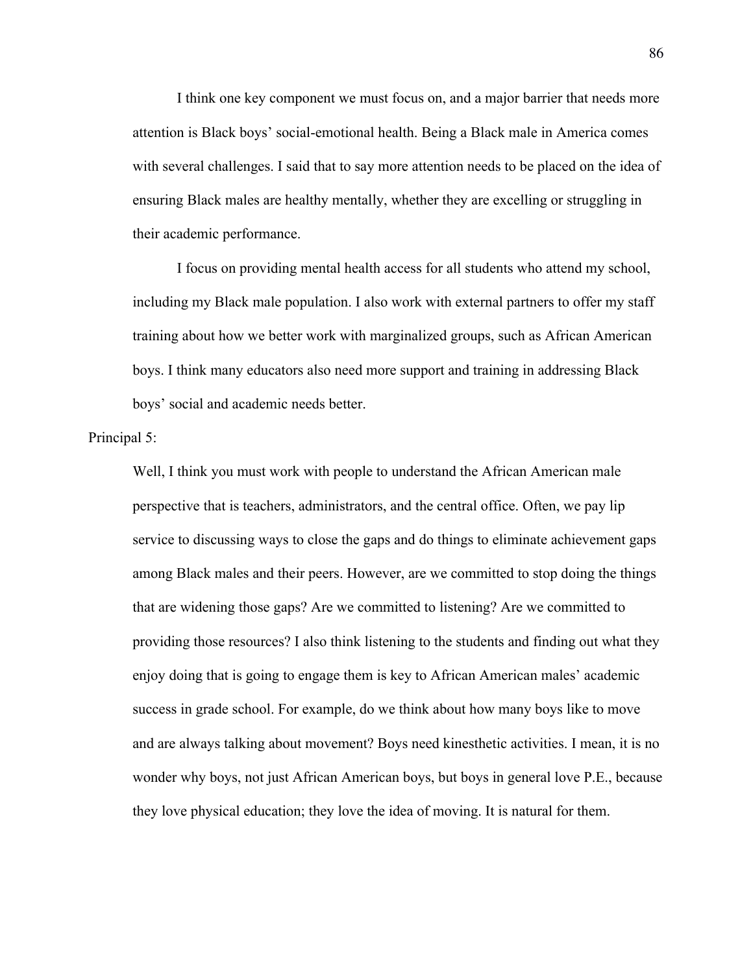I think one key component we must focus on, and a major barrier that needs more attention is Black boys' social-emotional health. Being a Black male in America comes with several challenges. I said that to say more attention needs to be placed on the idea of ensuring Black males are healthy mentally, whether they are excelling or struggling in their academic performance.

I focus on providing mental health access for all students who attend my school, including my Black male population. I also work with external partners to offer my staff training about how we better work with marginalized groups, such as African American boys. I think many educators also need more support and training in addressing Black boys' social and academic needs better.

Principal 5:

Well, I think you must work with people to understand the African American male perspective that is teachers, administrators, and the central office. Often, we pay lip service to discussing ways to close the gaps and do things to eliminate achievement gaps among Black males and their peers. However, are we committed to stop doing the things that are widening those gaps? Are we committed to listening? Are we committed to providing those resources? I also think listening to the students and finding out what they enjoy doing that is going to engage them is key to African American males' academic success in grade school. For example, do we think about how many boys like to move and are always talking about movement? Boys need kinesthetic activities. I mean, it is no wonder why boys, not just African American boys, but boys in general love P.E., because they love physical education; they love the idea of moving. It is natural for them.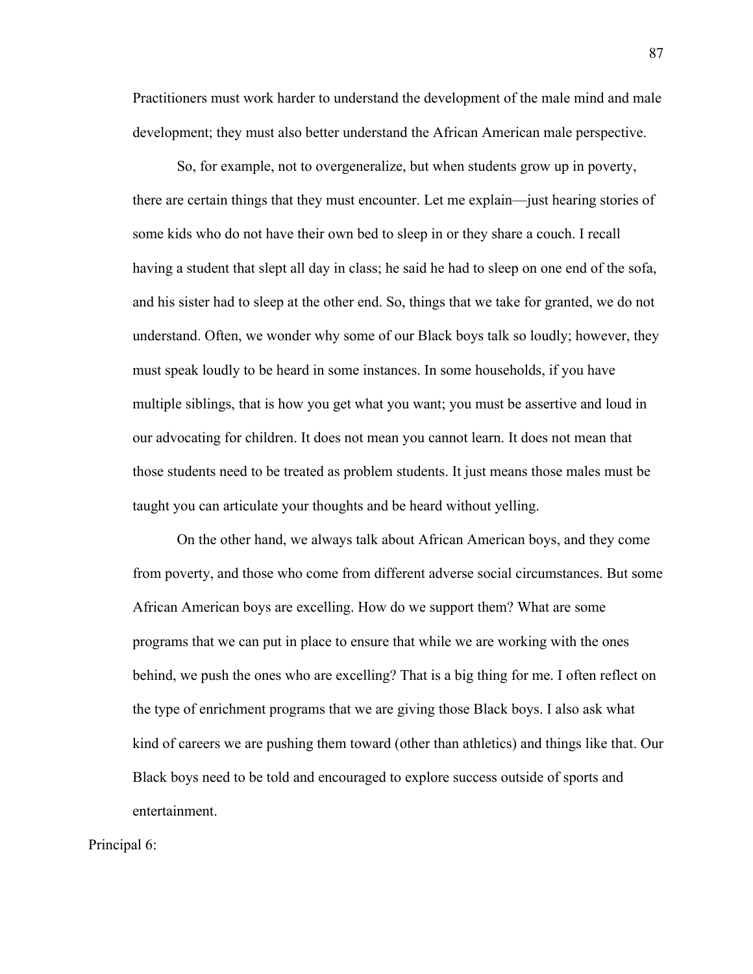Practitioners must work harder to understand the development of the male mind and male development; they must also better understand the African American male perspective.

So, for example, not to overgeneralize, but when students grow up in poverty, there are certain things that they must encounter. Let me explain—just hearing stories of some kids who do not have their own bed to sleep in or they share a couch. I recall having a student that slept all day in class; he said he had to sleep on one end of the sofa, and his sister had to sleep at the other end. So, things that we take for granted, we do not understand. Often, we wonder why some of our Black boys talk so loudly; however, they must speak loudly to be heard in some instances. In some households, if you have multiple siblings, that is how you get what you want; you must be assertive and loud in our advocating for children. It does not mean you cannot learn. It does not mean that those students need to be treated as problem students. It just means those males must be taught you can articulate your thoughts and be heard without yelling.

On the other hand, we always talk about African American boys, and they come from poverty, and those who come from different adverse social circumstances. But some African American boys are excelling. How do we support them? What are some programs that we can put in place to ensure that while we are working with the ones behind, we push the ones who are excelling? That is a big thing for me. I often reflect on the type of enrichment programs that we are giving those Black boys. I also ask what kind of careers we are pushing them toward (other than athletics) and things like that. Our Black boys need to be told and encouraged to explore success outside of sports and entertainment.

Principal 6: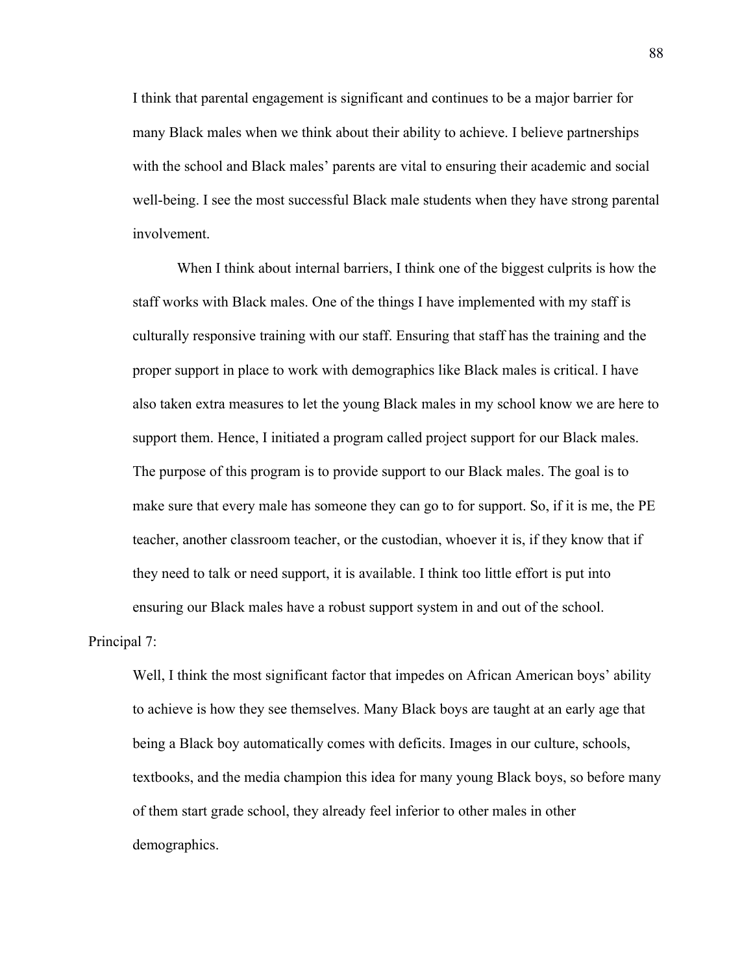I think that parental engagement is significant and continues to be a major barrier for many Black males when we think about their ability to achieve. I believe partnerships with the school and Black males' parents are vital to ensuring their academic and social well-being. I see the most successful Black male students when they have strong parental involvement.

When I think about internal barriers, I think one of the biggest culprits is how the staff works with Black males. One of the things I have implemented with my staff is culturally responsive training with our staff. Ensuring that staff has the training and the proper support in place to work with demographics like Black males is critical. I have also taken extra measures to let the young Black males in my school know we are here to support them. Hence, I initiated a program called project support for our Black males. The purpose of this program is to provide support to our Black males. The goal is to make sure that every male has someone they can go to for support. So, if it is me, the PE teacher, another classroom teacher, or the custodian, whoever it is, if they know that if they need to talk or need support, it is available. I think too little effort is put into ensuring our Black males have a robust support system in and out of the school.

Principal 7:

Well, I think the most significant factor that impedes on African American boys' ability to achieve is how they see themselves. Many Black boys are taught at an early age that being a Black boy automatically comes with deficits. Images in our culture, schools, textbooks, and the media champion this idea for many young Black boys, so before many of them start grade school, they already feel inferior to other males in other demographics.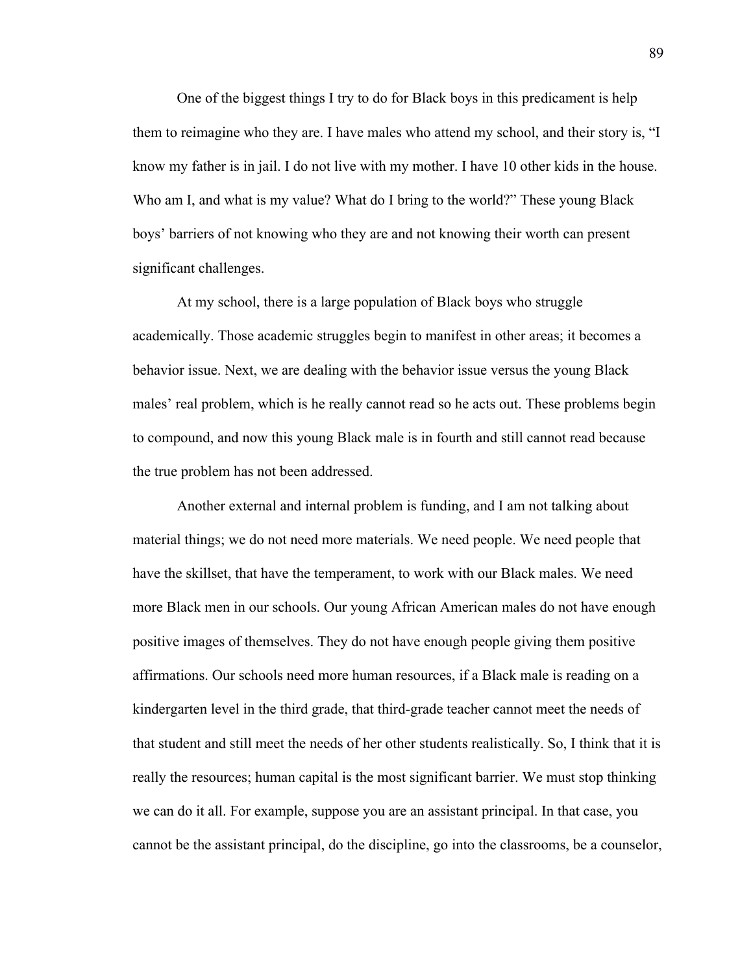One of the biggest things I try to do for Black boys in this predicament is help them to reimagine who they are. I have males who attend my school, and their story is, "I know my father is in jail. I do not live with my mother. I have 10 other kids in the house. Who am I, and what is my value? What do I bring to the world?" These young Black boys' barriers of not knowing who they are and not knowing their worth can present significant challenges.

At my school, there is a large population of Black boys who struggle academically. Those academic struggles begin to manifest in other areas; it becomes a behavior issue. Next, we are dealing with the behavior issue versus the young Black males' real problem, which is he really cannot read so he acts out. These problems begin to compound, and now this young Black male is in fourth and still cannot read because the true problem has not been addressed.

Another external and internal problem is funding, and I am not talking about material things; we do not need more materials. We need people. We need people that have the skillset, that have the temperament, to work with our Black males. We need more Black men in our schools. Our young African American males do not have enough positive images of themselves. They do not have enough people giving them positive affirmations. Our schools need more human resources, if a Black male is reading on a kindergarten level in the third grade, that third-grade teacher cannot meet the needs of that student and still meet the needs of her other students realistically. So, I think that it is really the resources; human capital is the most significant barrier. We must stop thinking we can do it all. For example, suppose you are an assistant principal. In that case, you cannot be the assistant principal, do the discipline, go into the classrooms, be a counselor,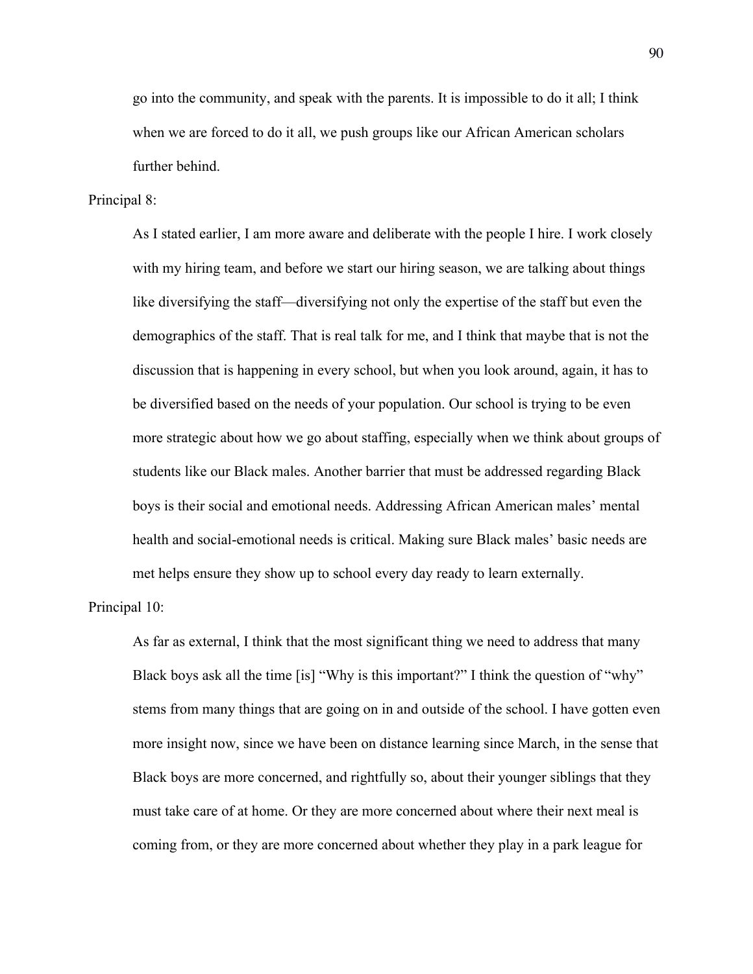go into the community, and speak with the parents. It is impossible to do it all; I think when we are forced to do it all, we push groups like our African American scholars further behind.

## Principal 8:

As I stated earlier, I am more aware and deliberate with the people I hire. I work closely with my hiring team, and before we start our hiring season, we are talking about things like diversifying the staff—diversifying not only the expertise of the staff but even the demographics of the staff. That is real talk for me, and I think that maybe that is not the discussion that is happening in every school, but when you look around, again, it has to be diversified based on the needs of your population. Our school is trying to be even more strategic about how we go about staffing, especially when we think about groups of students like our Black males. Another barrier that must be addressed regarding Black boys is their social and emotional needs. Addressing African American males' mental health and social-emotional needs is critical. Making sure Black males' basic needs are met helps ensure they show up to school every day ready to learn externally.

Principal 10:

As far as external, I think that the most significant thing we need to address that many Black boys ask all the time [is] "Why is this important?" I think the question of "why" stems from many things that are going on in and outside of the school. I have gotten even more insight now, since we have been on distance learning since March, in the sense that Black boys are more concerned, and rightfully so, about their younger siblings that they must take care of at home. Or they are more concerned about where their next meal is coming from, or they are more concerned about whether they play in a park league for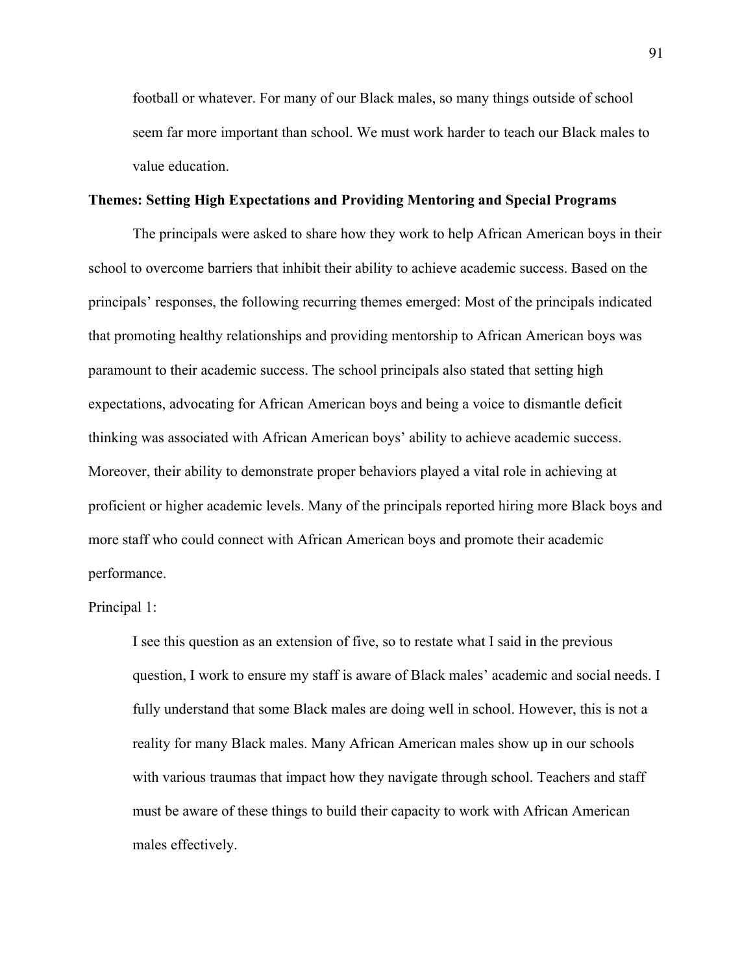football or whatever. For many of our Black males, so many things outside of school seem far more important than school. We must work harder to teach our Black males to value education.

#### **Themes: Setting High Expectations and Providing Mentoring and Special Programs**

The principals were asked to share how they work to help African American boys in their school to overcome barriers that inhibit their ability to achieve academic success. Based on the principals' responses, the following recurring themes emerged: Most of the principals indicated that promoting healthy relationships and providing mentorship to African American boys was paramount to their academic success. The school principals also stated that setting high expectations, advocating for African American boys and being a voice to dismantle deficit thinking was associated with African American boys' ability to achieve academic success. Moreover, their ability to demonstrate proper behaviors played a vital role in achieving at proficient or higher academic levels. Many of the principals reported hiring more Black boys and more staff who could connect with African American boys and promote their academic performance.

Principal 1:

I see this question as an extension of five, so to restate what I said in the previous question, I work to ensure my staff is aware of Black males' academic and social needs. I fully understand that some Black males are doing well in school. However, this is not a reality for many Black males. Many African American males show up in our schools with various traumas that impact how they navigate through school. Teachers and staff must be aware of these things to build their capacity to work with African American males effectively.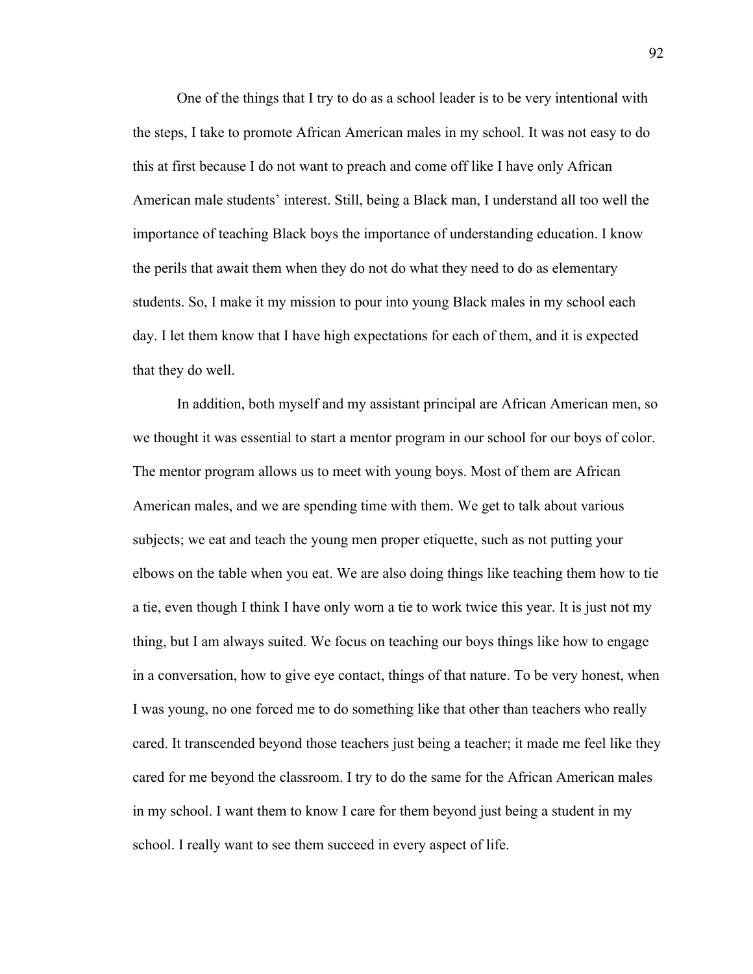One of the things that I try to do as a school leader is to be very intentional with the steps, I take to promote African American males in my school. It was not easy to do this at first because I do not want to preach and come off like I have only African American male students' interest. Still, being a Black man, I understand all too well the importance of teaching Black boys the importance of understanding education. I know the perils that await them when they do not do what they need to do as elementary students. So, I make it my mission to pour into young Black males in my school each day. I let them know that I have high expectations for each of them, and it is expected that they do well.

In addition, both myself and my assistant principal are African American men, so we thought it was essential to start a mentor program in our school for our boys of color. The mentor program allows us to meet with young boys. Most of them are African American males, and we are spending time with them. We get to talk about various subjects; we eat and teach the young men proper etiquette, such as not putting your elbows on the table when you eat. We are also doing things like teaching them how to tie a tie, even though I think I have only worn a tie to work twice this year. It is just not my thing, but I am always suited. We focus on teaching our boys things like how to engage in a conversation, how to give eye contact, things of that nature. To be very honest, when I was young, no one forced me to do something like that other than teachers who really cared. It transcended beyond those teachers just being a teacher; it made me feel like they cared for me beyond the classroom. I try to do the same for the African American males in my school. I want them to know I care for them beyond just being a student in my school. I really want to see them succeed in every aspect of life.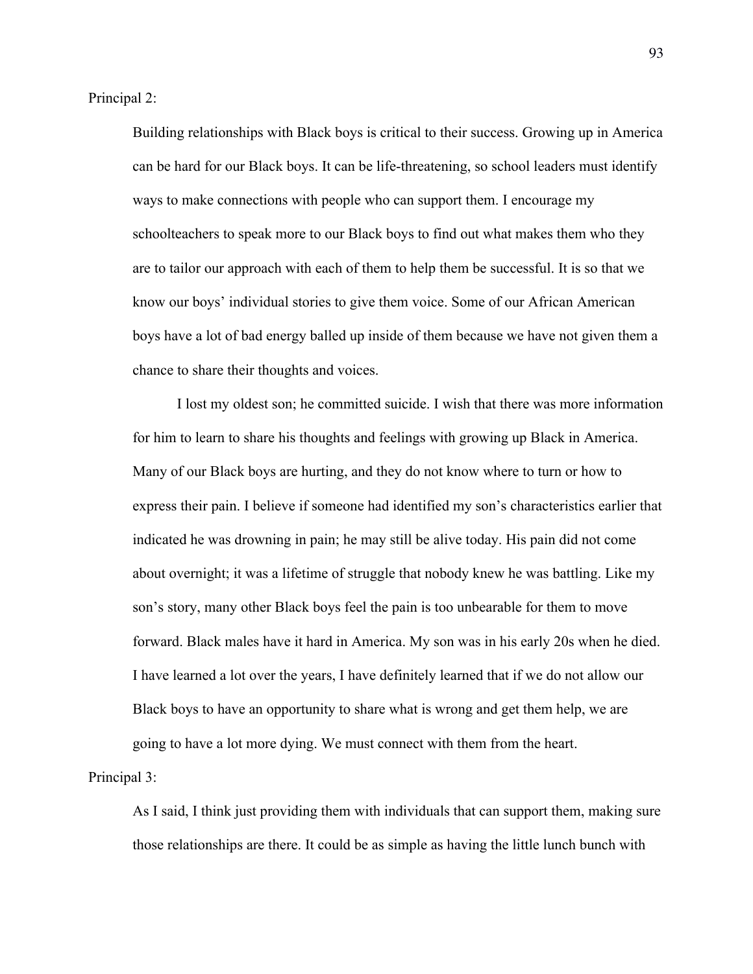Principal 2:

Building relationships with Black boys is critical to their success. Growing up in America can be hard for our Black boys. It can be life-threatening, so school leaders must identify ways to make connections with people who can support them. I encourage my schoolteachers to speak more to our Black boys to find out what makes them who they are to tailor our approach with each of them to help them be successful. It is so that we know our boys' individual stories to give them voice. Some of our African American boys have a lot of bad energy balled up inside of them because we have not given them a chance to share their thoughts and voices.

I lost my oldest son; he committed suicide. I wish that there was more information for him to learn to share his thoughts and feelings with growing up Black in America. Many of our Black boys are hurting, and they do not know where to turn or how to express their pain. I believe if someone had identified my son's characteristics earlier that indicated he was drowning in pain; he may still be alive today. His pain did not come about overnight; it was a lifetime of struggle that nobody knew he was battling. Like my son's story, many other Black boys feel the pain is too unbearable for them to move forward. Black males have it hard in America. My son was in his early 20s when he died. I have learned a lot over the years, I have definitely learned that if we do not allow our Black boys to have an opportunity to share what is wrong and get them help, we are going to have a lot more dying. We must connect with them from the heart.

Principal 3:

As I said, I think just providing them with individuals that can support them, making sure those relationships are there. It could be as simple as having the little lunch bunch with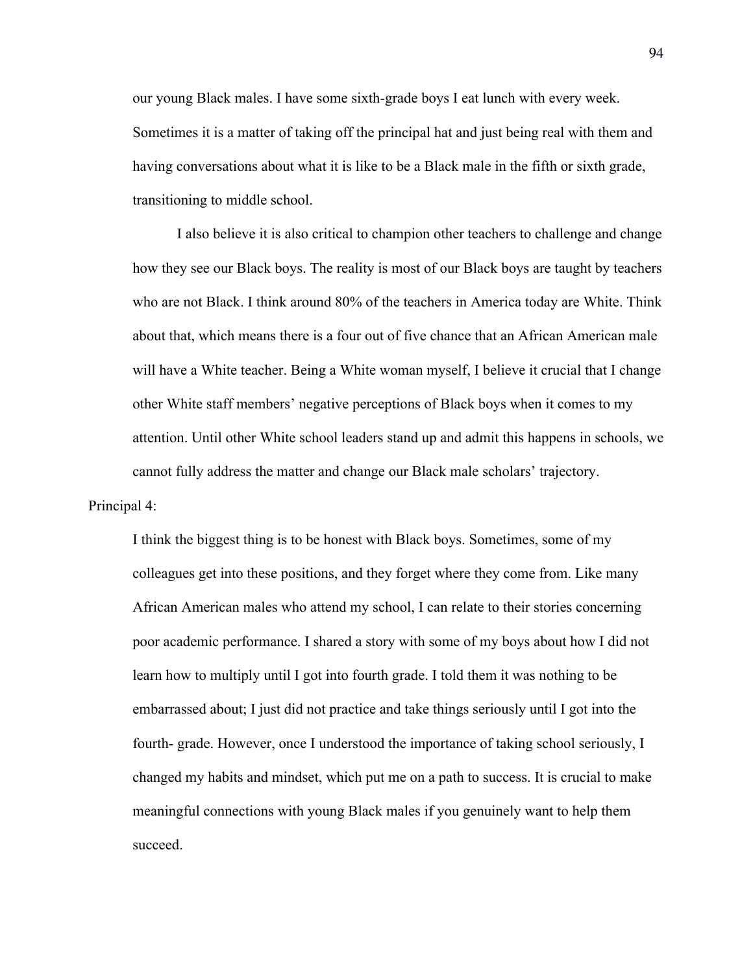our young Black males. I have some sixth-grade boys I eat lunch with every week. Sometimes it is a matter of taking off the principal hat and just being real with them and having conversations about what it is like to be a Black male in the fifth or sixth grade, transitioning to middle school.

I also believe it is also critical to champion other teachers to challenge and change how they see our Black boys. The reality is most of our Black boys are taught by teachers who are not Black. I think around 80% of the teachers in America today are White. Think about that, which means there is a four out of five chance that an African American male will have a White teacher. Being a White woman myself, I believe it crucial that I change other White staff members' negative perceptions of Black boys when it comes to my attention. Until other White school leaders stand up and admit this happens in schools, we cannot fully address the matter and change our Black male scholars' trajectory.

Principal 4:

I think the biggest thing is to be honest with Black boys. Sometimes, some of my colleagues get into these positions, and they forget where they come from. Like many African American males who attend my school, I can relate to their stories concerning poor academic performance. I shared a story with some of my boys about how I did not learn how to multiply until I got into fourth grade. I told them it was nothing to be embarrassed about; I just did not practice and take things seriously until I got into the fourth- grade. However, once I understood the importance of taking school seriously, I changed my habits and mindset, which put me on a path to success. It is crucial to make meaningful connections with young Black males if you genuinely want to help them succeed.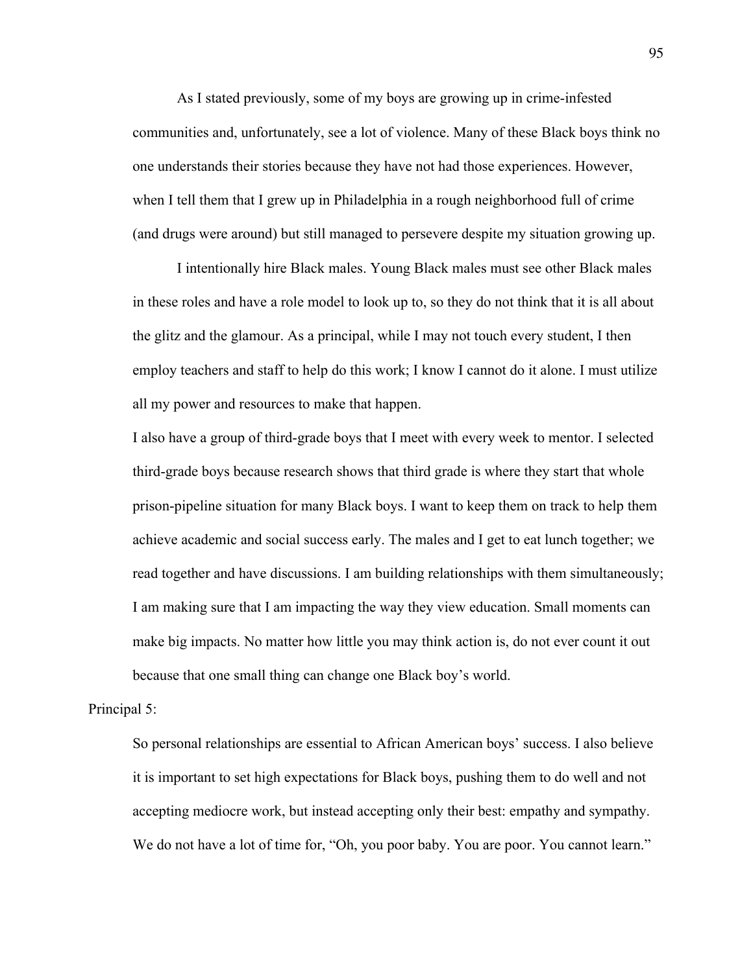As I stated previously, some of my boys are growing up in crime-infested communities and, unfortunately, see a lot of violence. Many of these Black boys think no one understands their stories because they have not had those experiences. However, when I tell them that I grew up in Philadelphia in a rough neighborhood full of crime (and drugs were around) but still managed to persevere despite my situation growing up.

I intentionally hire Black males. Young Black males must see other Black males in these roles and have a role model to look up to, so they do not think that it is all about the glitz and the glamour. As a principal, while I may not touch every student, I then employ teachers and staff to help do this work; I know I cannot do it alone. I must utilize all my power and resources to make that happen.

I also have a group of third-grade boys that I meet with every week to mentor. I selected third-grade boys because research shows that third grade is where they start that whole prison-pipeline situation for many Black boys. I want to keep them on track to help them achieve academic and social success early. The males and I get to eat lunch together; we read together and have discussions. I am building relationships with them simultaneously; I am making sure that I am impacting the way they view education. Small moments can make big impacts. No matter how little you may think action is, do not ever count it out because that one small thing can change one Black boy's world.

## Principal 5:

So personal relationships are essential to African American boys' success. I also believe it is important to set high expectations for Black boys, pushing them to do well and not accepting mediocre work, but instead accepting only their best: empathy and sympathy. We do not have a lot of time for, "Oh, you poor baby. You are poor. You cannot learn."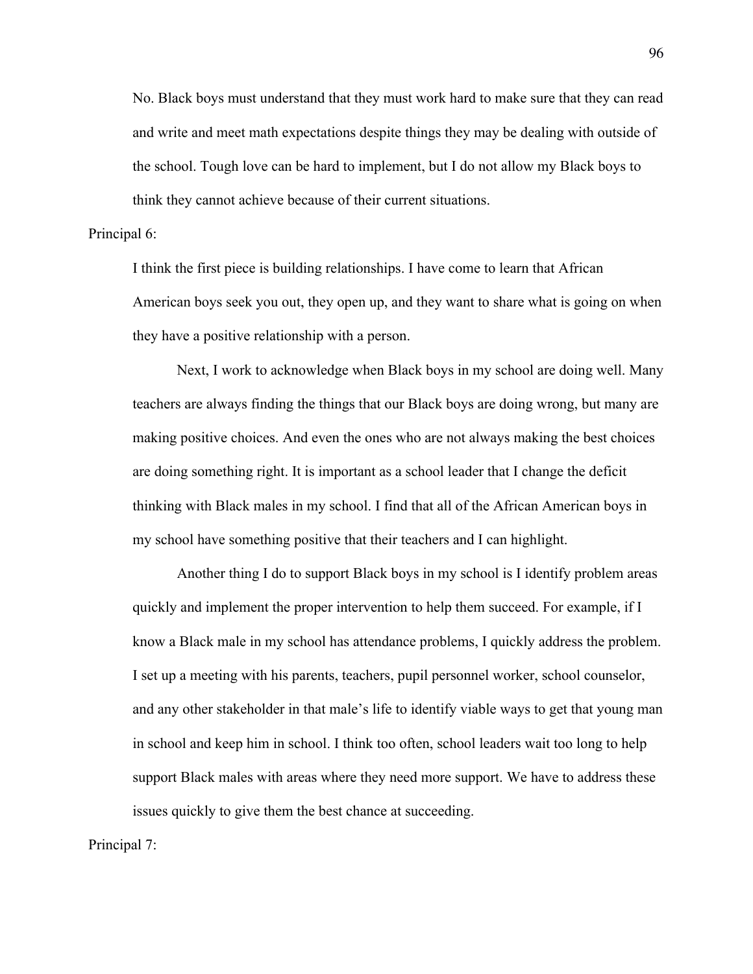No. Black boys must understand that they must work hard to make sure that they can read and write and meet math expectations despite things they may be dealing with outside of the school. Tough love can be hard to implement, but I do not allow my Black boys to think they cannot achieve because of their current situations.

## Principal 6:

I think the first piece is building relationships. I have come to learn that African American boys seek you out, they open up, and they want to share what is going on when they have a positive relationship with a person.

Next, I work to acknowledge when Black boys in my school are doing well. Many teachers are always finding the things that our Black boys are doing wrong, but many are making positive choices. And even the ones who are not always making the best choices are doing something right. It is important as a school leader that I change the deficit thinking with Black males in my school. I find that all of the African American boys in my school have something positive that their teachers and I can highlight.

Another thing I do to support Black boys in my school is I identify problem areas quickly and implement the proper intervention to help them succeed. For example, if I know a Black male in my school has attendance problems, I quickly address the problem. I set up a meeting with his parents, teachers, pupil personnel worker, school counselor, and any other stakeholder in that male's life to identify viable ways to get that young man in school and keep him in school. I think too often, school leaders wait too long to help support Black males with areas where they need more support. We have to address these issues quickly to give them the best chance at succeeding.

Principal 7: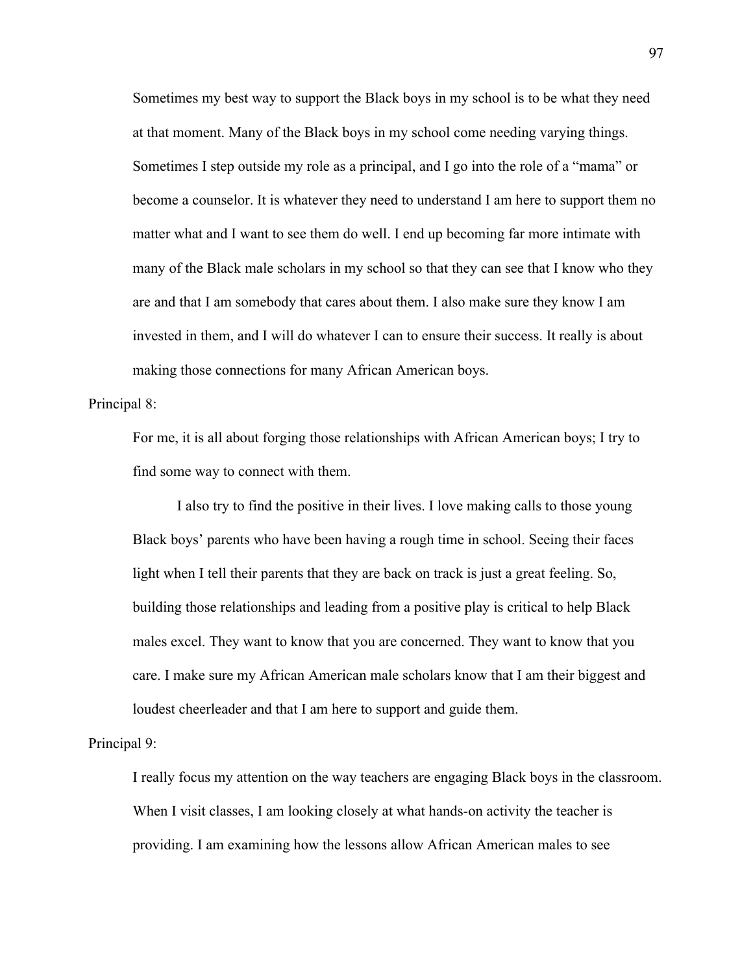Sometimes my best way to support the Black boys in my school is to be what they need at that moment. Many of the Black boys in my school come needing varying things. Sometimes I step outside my role as a principal, and I go into the role of a "mama" or become a counselor. It is whatever they need to understand I am here to support them no matter what and I want to see them do well. I end up becoming far more intimate with many of the Black male scholars in my school so that they can see that I know who they are and that I am somebody that cares about them. I also make sure they know I am invested in them, and I will do whatever I can to ensure their success. It really is about making those connections for many African American boys.

## Principal 8:

For me, it is all about forging those relationships with African American boys; I try to find some way to connect with them.

I also try to find the positive in their lives. I love making calls to those young Black boys' parents who have been having a rough time in school. Seeing their faces light when I tell their parents that they are back on track is just a great feeling. So, building those relationships and leading from a positive play is critical to help Black males excel. They want to know that you are concerned. They want to know that you care. I make sure my African American male scholars know that I am their biggest and loudest cheerleader and that I am here to support and guide them.

## Principal 9:

I really focus my attention on the way teachers are engaging Black boys in the classroom. When I visit classes, I am looking closely at what hands-on activity the teacher is providing. I am examining how the lessons allow African American males to see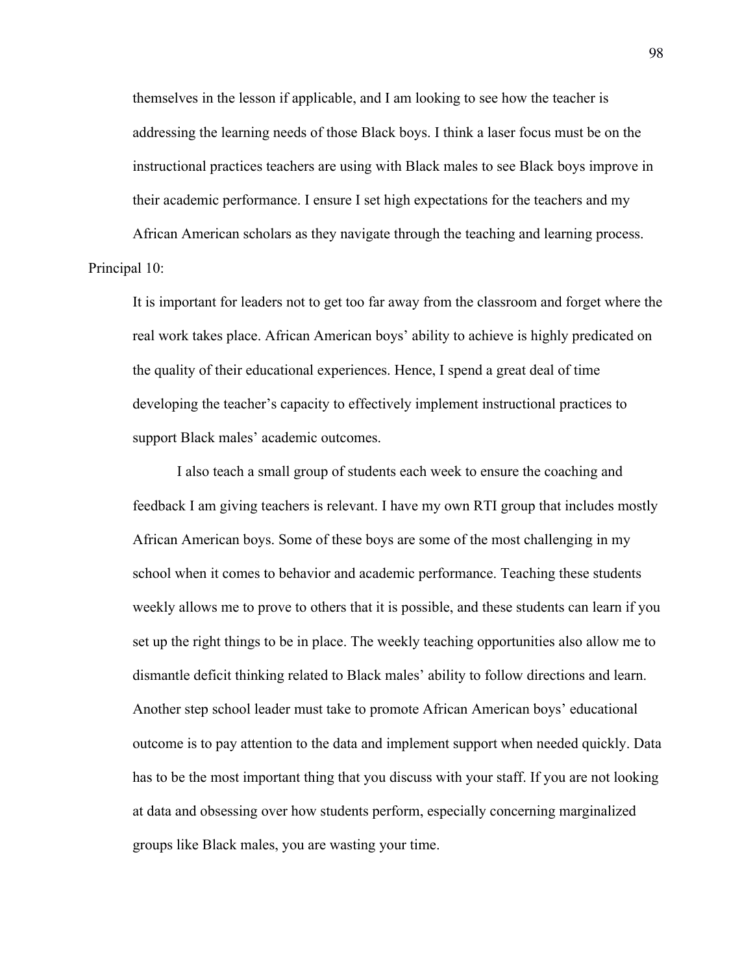themselves in the lesson if applicable, and I am looking to see how the teacher is addressing the learning needs of those Black boys. I think a laser focus must be on the instructional practices teachers are using with Black males to see Black boys improve in their academic performance. I ensure I set high expectations for the teachers and my

African American scholars as they navigate through the teaching and learning process. Principal 10:

It is important for leaders not to get too far away from the classroom and forget where the real work takes place. African American boys' ability to achieve is highly predicated on the quality of their educational experiences. Hence, I spend a great deal of time developing the teacher's capacity to effectively implement instructional practices to support Black males' academic outcomes.

I also teach a small group of students each week to ensure the coaching and feedback I am giving teachers is relevant. I have my own RTI group that includes mostly African American boys. Some of these boys are some of the most challenging in my school when it comes to behavior and academic performance. Teaching these students weekly allows me to prove to others that it is possible, and these students can learn if you set up the right things to be in place. The weekly teaching opportunities also allow me to dismantle deficit thinking related to Black males' ability to follow directions and learn. Another step school leader must take to promote African American boys' educational outcome is to pay attention to the data and implement support when needed quickly. Data has to be the most important thing that you discuss with your staff. If you are not looking at data and obsessing over how students perform, especially concerning marginalized groups like Black males, you are wasting your time.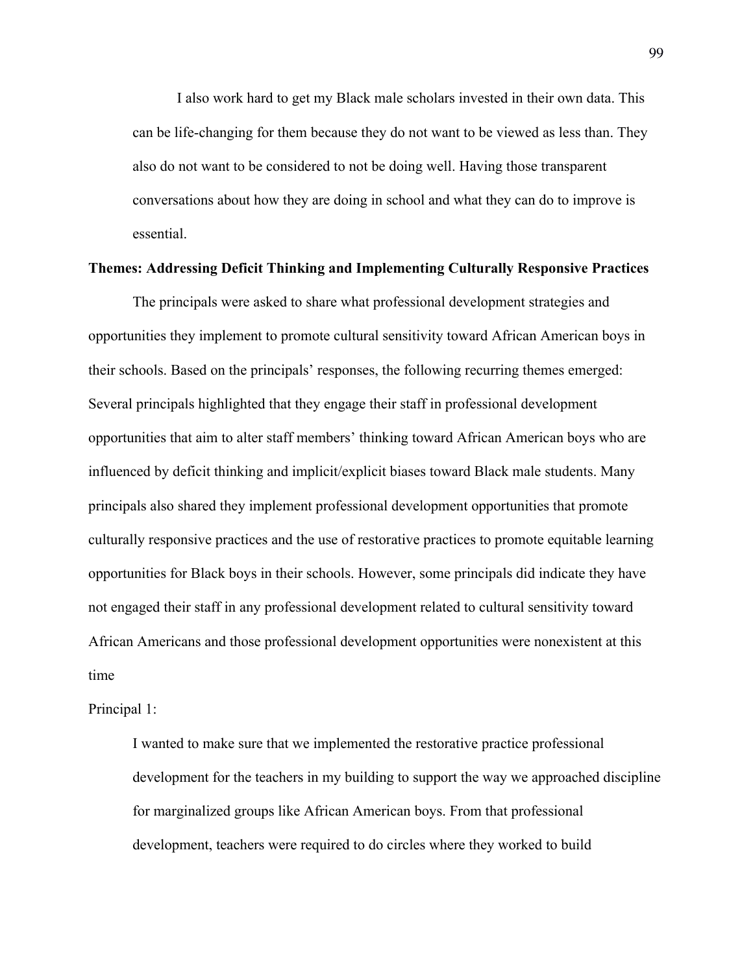I also work hard to get my Black male scholars invested in their own data. This can be life-changing for them because they do not want to be viewed as less than. They also do not want to be considered to not be doing well. Having those transparent conversations about how they are doing in school and what they can do to improve is essential.

## **Themes: Addressing Deficit Thinking and Implementing Culturally Responsive Practices**

The principals were asked to share what professional development strategies and opportunities they implement to promote cultural sensitivity toward African American boys in their schools. Based on the principals' responses, the following recurring themes emerged: Several principals highlighted that they engage their staff in professional development opportunities that aim to alter staff members' thinking toward African American boys who are influenced by deficit thinking and implicit/explicit biases toward Black male students. Many principals also shared they implement professional development opportunities that promote culturally responsive practices and the use of restorative practices to promote equitable learning opportunities for Black boys in their schools. However, some principals did indicate they have not engaged their staff in any professional development related to cultural sensitivity toward African Americans and those professional development opportunities were nonexistent at this time

Principal 1:

I wanted to make sure that we implemented the restorative practice professional development for the teachers in my building to support the way we approached discipline for marginalized groups like African American boys. From that professional development, teachers were required to do circles where they worked to build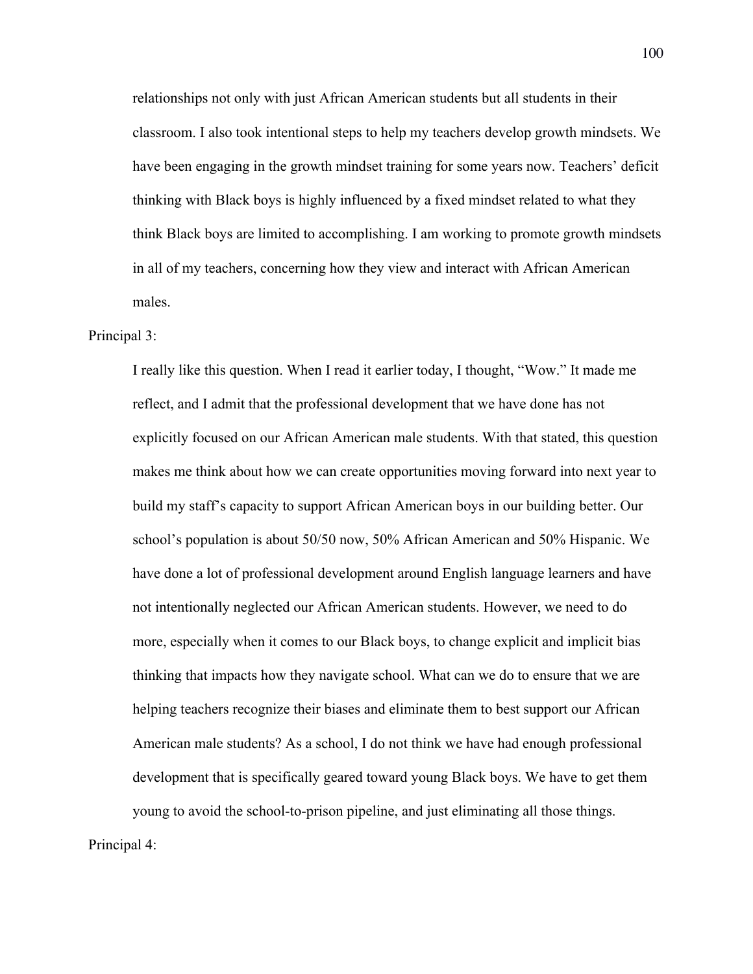relationships not only with just African American students but all students in their classroom. I also took intentional steps to help my teachers develop growth mindsets. We have been engaging in the growth mindset training for some years now. Teachers' deficit thinking with Black boys is highly influenced by a fixed mindset related to what they think Black boys are limited to accomplishing. I am working to promote growth mindsets in all of my teachers, concerning how they view and interact with African American males.

# Principal 3:

I really like this question. When I read it earlier today, I thought, "Wow." It made me reflect, and I admit that the professional development that we have done has not explicitly focused on our African American male students. With that stated, this question makes me think about how we can create opportunities moving forward into next year to build my staff's capacity to support African American boys in our building better. Our school's population is about 50/50 now, 50% African American and 50% Hispanic. We have done a lot of professional development around English language learners and have not intentionally neglected our African American students. However, we need to do more, especially when it comes to our Black boys, to change explicit and implicit bias thinking that impacts how they navigate school. What can we do to ensure that we are helping teachers recognize their biases and eliminate them to best support our African American male students? As a school, I do not think we have had enough professional development that is specifically geared toward young Black boys. We have to get them young to avoid the school-to-prison pipeline, and just eliminating all those things.

Principal 4:

100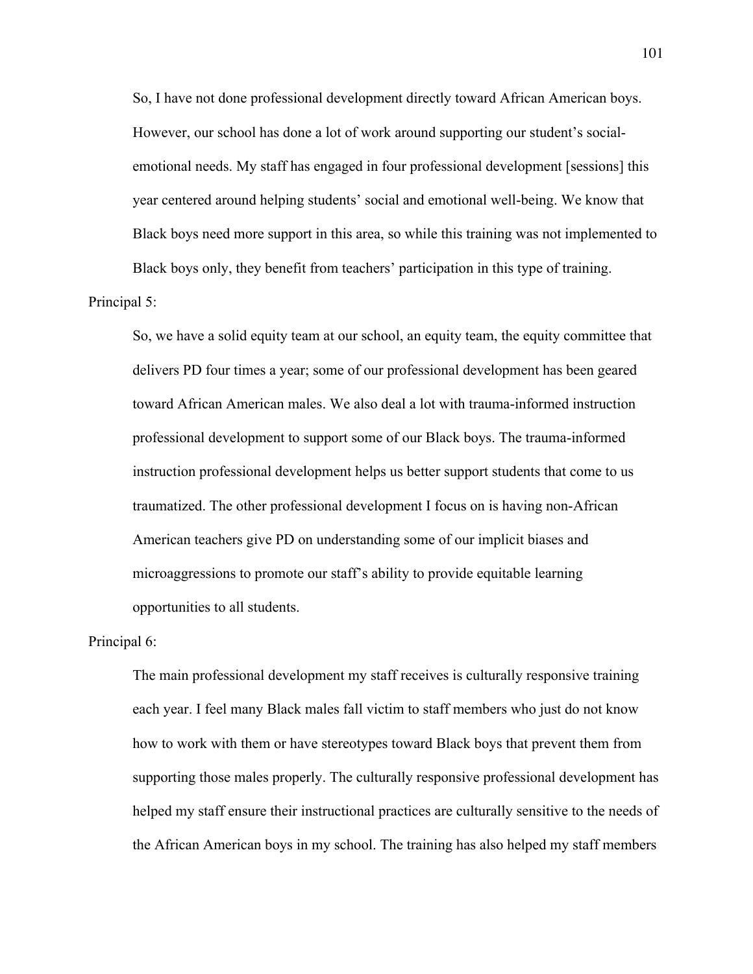So, I have not done professional development directly toward African American boys. However, our school has done a lot of work around supporting our student's socialemotional needs. My staff has engaged in four professional development [sessions] this year centered around helping students' social and emotional well-being. We know that Black boys need more support in this area, so while this training was not implemented to Black boys only, they benefit from teachers' participation in this type of training.

# Principal 5:

So, we have a solid equity team at our school, an equity team, the equity committee that delivers PD four times a year; some of our professional development has been geared toward African American males. We also deal a lot with trauma-informed instruction professional development to support some of our Black boys. The trauma-informed instruction professional development helps us better support students that come to us traumatized. The other professional development I focus on is having non-African American teachers give PD on understanding some of our implicit biases and microaggressions to promote our staff's ability to provide equitable learning opportunities to all students.

# Principal 6:

The main professional development my staff receives is culturally responsive training each year. I feel many Black males fall victim to staff members who just do not know how to work with them or have stereotypes toward Black boys that prevent them from supporting those males properly. The culturally responsive professional development has helped my staff ensure their instructional practices are culturally sensitive to the needs of the African American boys in my school. The training has also helped my staff members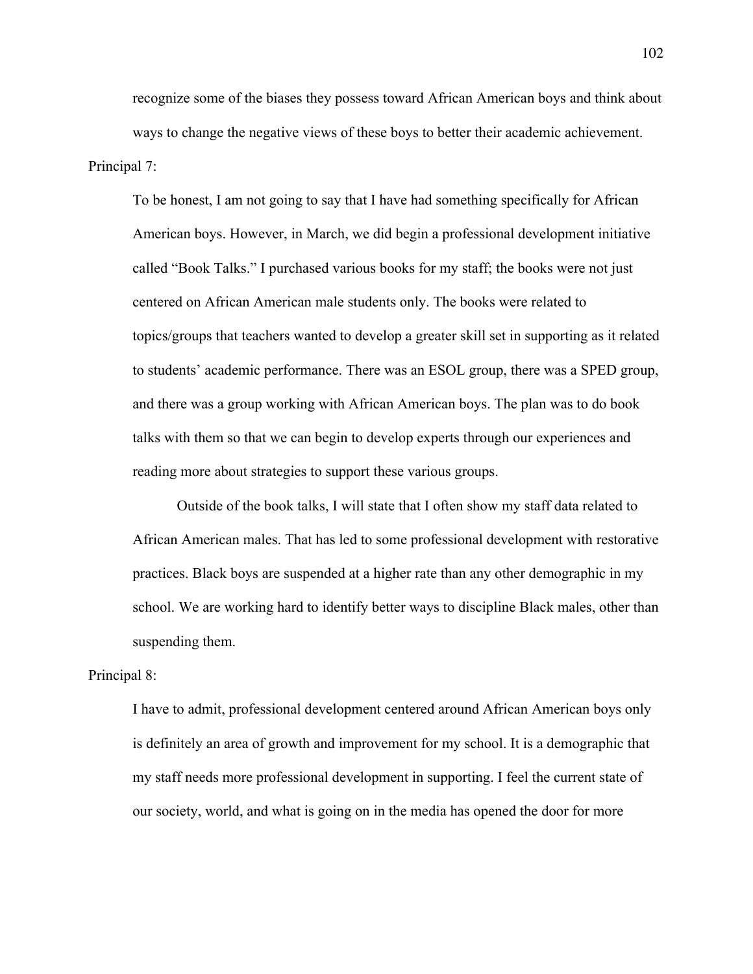recognize some of the biases they possess toward African American boys and think about ways to change the negative views of these boys to better their academic achievement. Principal 7:

To be honest, I am not going to say that I have had something specifically for African American boys. However, in March, we did begin a professional development initiative called "Book Talks." I purchased various books for my staff; the books were not just centered on African American male students only. The books were related to topics/groups that teachers wanted to develop a greater skill set in supporting as it related to students' academic performance. There was an ESOL group, there was a SPED group, and there was a group working with African American boys. The plan was to do book talks with them so that we can begin to develop experts through our experiences and reading more about strategies to support these various groups.

Outside of the book talks, I will state that I often show my staff data related to African American males. That has led to some professional development with restorative practices. Black boys are suspended at a higher rate than any other demographic in my school. We are working hard to identify better ways to discipline Black males, other than suspending them.

#### Principal 8:

I have to admit, professional development centered around African American boys only is definitely an area of growth and improvement for my school. It is a demographic that my staff needs more professional development in supporting. I feel the current state of our society, world, and what is going on in the media has opened the door for more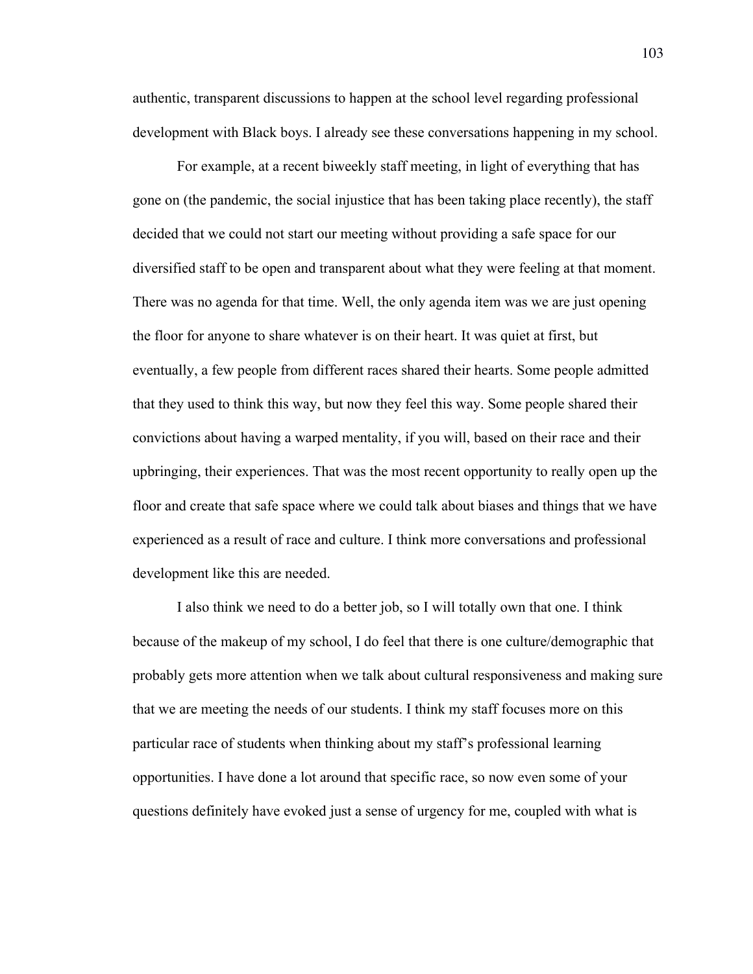authentic, transparent discussions to happen at the school level regarding professional development with Black boys. I already see these conversations happening in my school.

For example, at a recent biweekly staff meeting, in light of everything that has gone on (the pandemic, the social injustice that has been taking place recently), the staff decided that we could not start our meeting without providing a safe space for our diversified staff to be open and transparent about what they were feeling at that moment. There was no agenda for that time. Well, the only agenda item was we are just opening the floor for anyone to share whatever is on their heart. It was quiet at first, but eventually, a few people from different races shared their hearts. Some people admitted that they used to think this way, but now they feel this way. Some people shared their convictions about having a warped mentality, if you will, based on their race and their upbringing, their experiences. That was the most recent opportunity to really open up the floor and create that safe space where we could talk about biases and things that we have experienced as a result of race and culture. I think more conversations and professional development like this are needed.

I also think we need to do a better job, so I will totally own that one. I think because of the makeup of my school, I do feel that there is one culture/demographic that probably gets more attention when we talk about cultural responsiveness and making sure that we are meeting the needs of our students. I think my staff focuses more on this particular race of students when thinking about my staff's professional learning opportunities. I have done a lot around that specific race, so now even some of your questions definitely have evoked just a sense of urgency for me, coupled with what is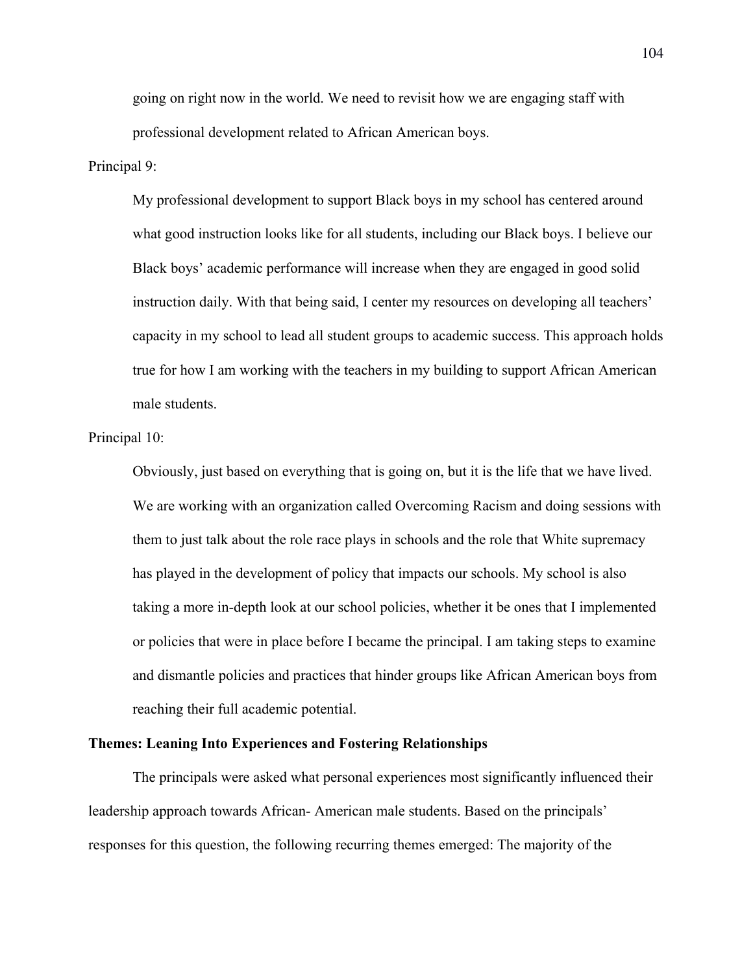going on right now in the world. We need to revisit how we are engaging staff with professional development related to African American boys.

# Principal 9:

My professional development to support Black boys in my school has centered around what good instruction looks like for all students, including our Black boys. I believe our Black boys' academic performance will increase when they are engaged in good solid instruction daily. With that being said, I center my resources on developing all teachers' capacity in my school to lead all student groups to academic success. This approach holds true for how I am working with the teachers in my building to support African American male students.

#### Principal 10:

Obviously, just based on everything that is going on, but it is the life that we have lived. We are working with an organization called Overcoming Racism and doing sessions with them to just talk about the role race plays in schools and the role that White supremacy has played in the development of policy that impacts our schools. My school is also taking a more in-depth look at our school policies, whether it be ones that I implemented or policies that were in place before I became the principal. I am taking steps to examine and dismantle policies and practices that hinder groups like African American boys from reaching their full academic potential.

# **Themes: Leaning Into Experiences and Fostering Relationships**

The principals were asked what personal experiences most significantly influenced their leadership approach towards African- American male students. Based on the principals' responses for this question, the following recurring themes emerged: The majority of the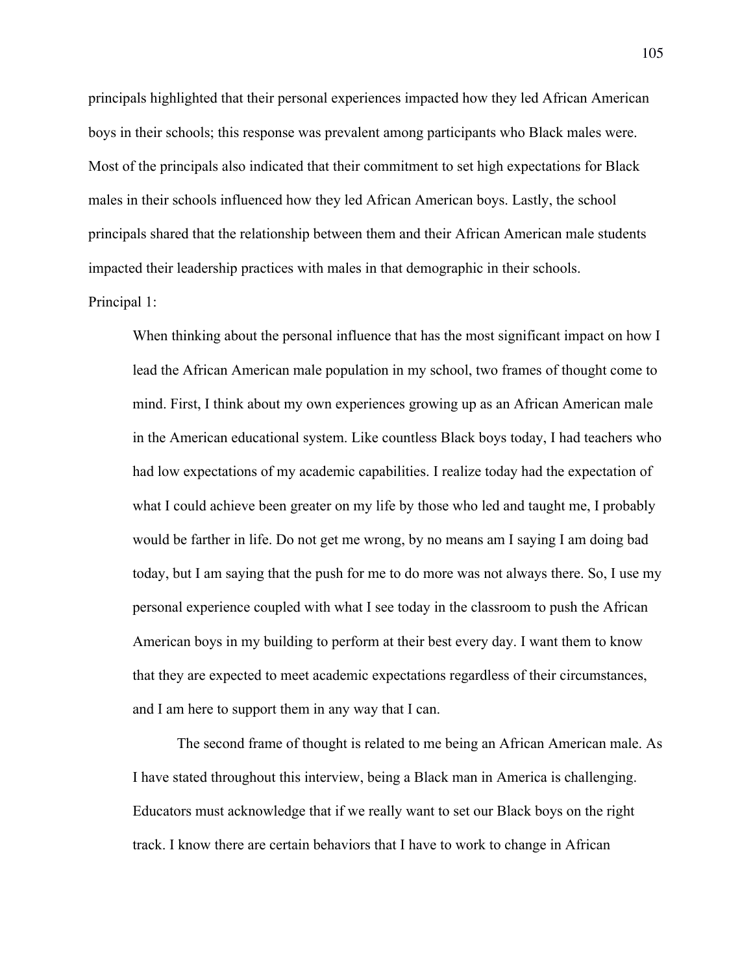principals highlighted that their personal experiences impacted how they led African American boys in their schools; this response was prevalent among participants who Black males were. Most of the principals also indicated that their commitment to set high expectations for Black males in their schools influenced how they led African American boys. Lastly, the school principals shared that the relationship between them and their African American male students impacted their leadership practices with males in that demographic in their schools.

#### Principal 1:

When thinking about the personal influence that has the most significant impact on how I lead the African American male population in my school, two frames of thought come to mind. First, I think about my own experiences growing up as an African American male in the American educational system. Like countless Black boys today, I had teachers who had low expectations of my academic capabilities. I realize today had the expectation of what I could achieve been greater on my life by those who led and taught me, I probably would be farther in life. Do not get me wrong, by no means am I saying I am doing bad today, but I am saying that the push for me to do more was not always there. So, I use my personal experience coupled with what I see today in the classroom to push the African American boys in my building to perform at their best every day. I want them to know that they are expected to meet academic expectations regardless of their circumstances, and I am here to support them in any way that I can.

The second frame of thought is related to me being an African American male. As I have stated throughout this interview, being a Black man in America is challenging. Educators must acknowledge that if we really want to set our Black boys on the right track. I know there are certain behaviors that I have to work to change in African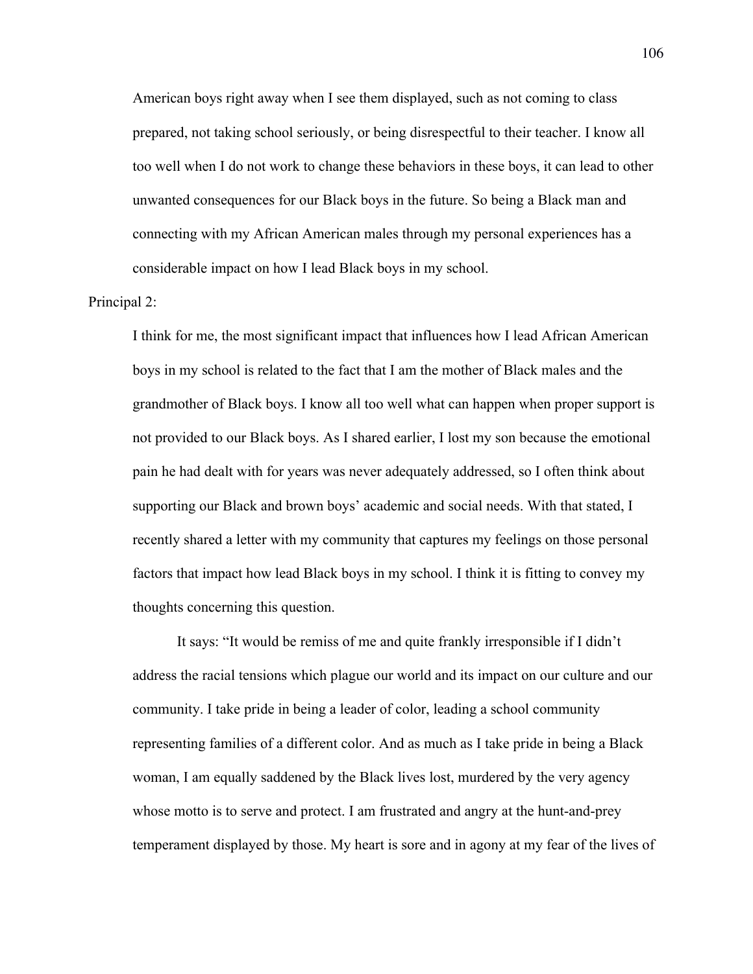American boys right away when I see them displayed, such as not coming to class prepared, not taking school seriously, or being disrespectful to their teacher. I know all too well when I do not work to change these behaviors in these boys, it can lead to other unwanted consequences for our Black boys in the future. So being a Black man and connecting with my African American males through my personal experiences has a considerable impact on how I lead Black boys in my school.

#### Principal 2:

I think for me, the most significant impact that influences how I lead African American boys in my school is related to the fact that I am the mother of Black males and the grandmother of Black boys. I know all too well what can happen when proper support is not provided to our Black boys. As I shared earlier, I lost my son because the emotional pain he had dealt with for years was never adequately addressed, so I often think about supporting our Black and brown boys' academic and social needs. With that stated, I recently shared a letter with my community that captures my feelings on those personal factors that impact how lead Black boys in my school. I think it is fitting to convey my thoughts concerning this question.

It says: "It would be remiss of me and quite frankly irresponsible if I didn't address the racial tensions which plague our world and its impact on our culture and our community. I take pride in being a leader of color, leading a school community representing families of a different color. And as much as I take pride in being a Black woman, I am equally saddened by the Black lives lost, murdered by the very agency whose motto is to serve and protect. I am frustrated and angry at the hunt-and-prey temperament displayed by those. My heart is sore and in agony at my fear of the lives of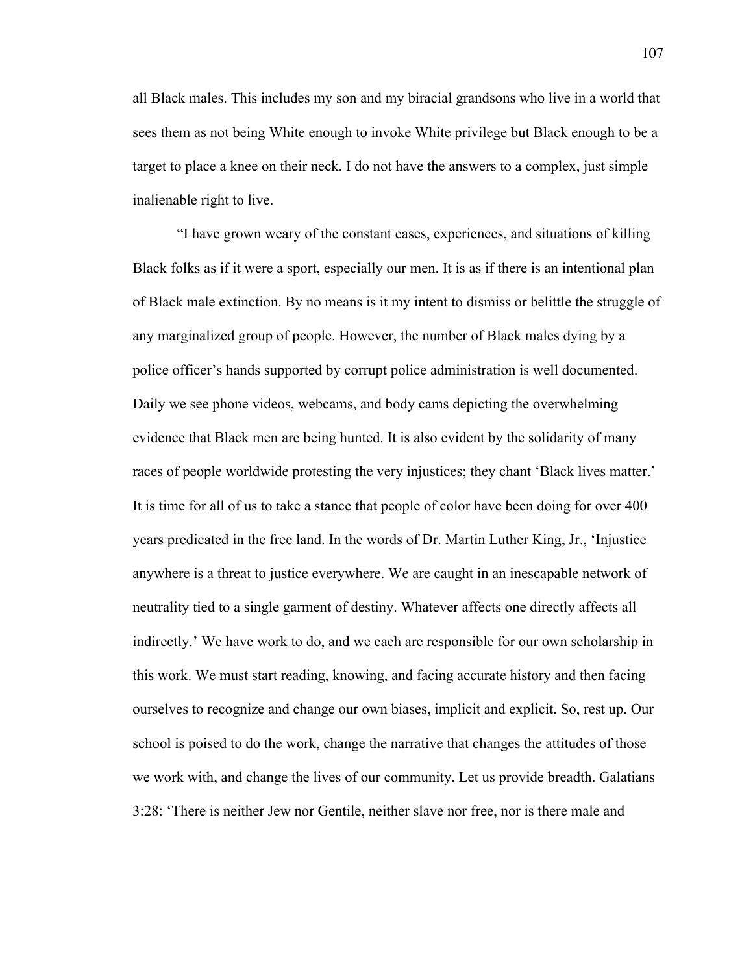all Black males. This includes my son and my biracial grandsons who live in a world that sees them as not being White enough to invoke White privilege but Black enough to be a target to place a knee on their neck. I do not have the answers to a complex, just simple inalienable right to live.

"I have grown weary of the constant cases, experiences, and situations of killing Black folks as if it were a sport, especially our men. It is as if there is an intentional plan of Black male extinction. By no means is it my intent to dismiss or belittle the struggle of any marginalized group of people. However, the number of Black males dying by a police officer's hands supported by corrupt police administration is well documented. Daily we see phone videos, webcams, and body cams depicting the overwhelming evidence that Black men are being hunted. It is also evident by the solidarity of many races of people worldwide protesting the very injustices; they chant 'Black lives matter.' It is time for all of us to take a stance that people of color have been doing for over 400 years predicated in the free land. In the words of Dr. Martin Luther King, Jr., 'Injustice anywhere is a threat to justice everywhere. We are caught in an inescapable network of neutrality tied to a single garment of destiny. Whatever affects one directly affects all indirectly.' We have work to do, and we each are responsible for our own scholarship in this work. We must start reading, knowing, and facing accurate history and then facing ourselves to recognize and change our own biases, implicit and explicit. So, rest up. Our school is poised to do the work, change the narrative that changes the attitudes of those we work with, and change the lives of our community. Let us provide breadth. Galatians 3:28: 'There is neither Jew nor Gentile, neither slave nor free, nor is there male and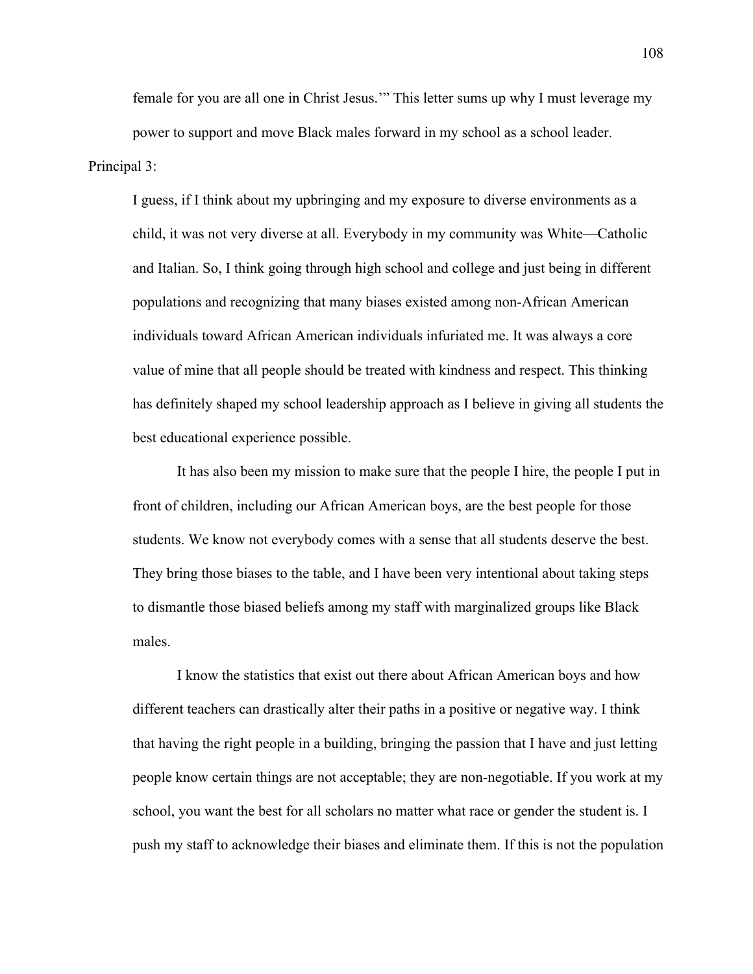female for you are all one in Christ Jesus.'" This letter sums up why I must leverage my power to support and move Black males forward in my school as a school leader. Principal 3:

I guess, if I think about my upbringing and my exposure to diverse environments as a child, it was not very diverse at all. Everybody in my community was White—Catholic and Italian. So, I think going through high school and college and just being in different populations and recognizing that many biases existed among non-African American individuals toward African American individuals infuriated me. It was always a core value of mine that all people should be treated with kindness and respect. This thinking has definitely shaped my school leadership approach as I believe in giving all students the best educational experience possible.

It has also been my mission to make sure that the people I hire, the people I put in front of children, including our African American boys, are the best people for those students. We know not everybody comes with a sense that all students deserve the best. They bring those biases to the table, and I have been very intentional about taking steps to dismantle those biased beliefs among my staff with marginalized groups like Black males.

I know the statistics that exist out there about African American boys and how different teachers can drastically alter their paths in a positive or negative way. I think that having the right people in a building, bringing the passion that I have and just letting people know certain things are not acceptable; they are non-negotiable. If you work at my school, you want the best for all scholars no matter what race or gender the student is. I push my staff to acknowledge their biases and eliminate them. If this is not the population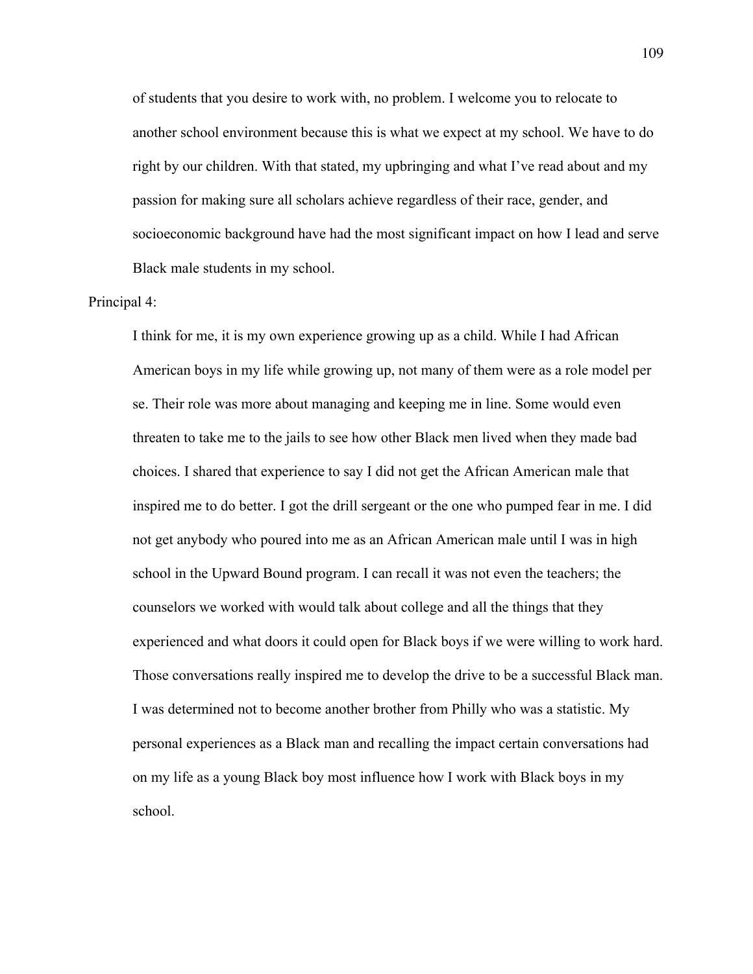of students that you desire to work with, no problem. I welcome you to relocate to another school environment because this is what we expect at my school. We have to do right by our children. With that stated, my upbringing and what I've read about and my passion for making sure all scholars achieve regardless of their race, gender, and socioeconomic background have had the most significant impact on how I lead and serve Black male students in my school.

#### Principal 4:

I think for me, it is my own experience growing up as a child. While I had African American boys in my life while growing up, not many of them were as a role model per se. Their role was more about managing and keeping me in line. Some would even threaten to take me to the jails to see how other Black men lived when they made bad choices. I shared that experience to say I did not get the African American male that inspired me to do better. I got the drill sergeant or the one who pumped fear in me. I did not get anybody who poured into me as an African American male until I was in high school in the Upward Bound program. I can recall it was not even the teachers; the counselors we worked with would talk about college and all the things that they experienced and what doors it could open for Black boys if we were willing to work hard. Those conversations really inspired me to develop the drive to be a successful Black man. I was determined not to become another brother from Philly who was a statistic. My personal experiences as a Black man and recalling the impact certain conversations had on my life as a young Black boy most influence how I work with Black boys in my school.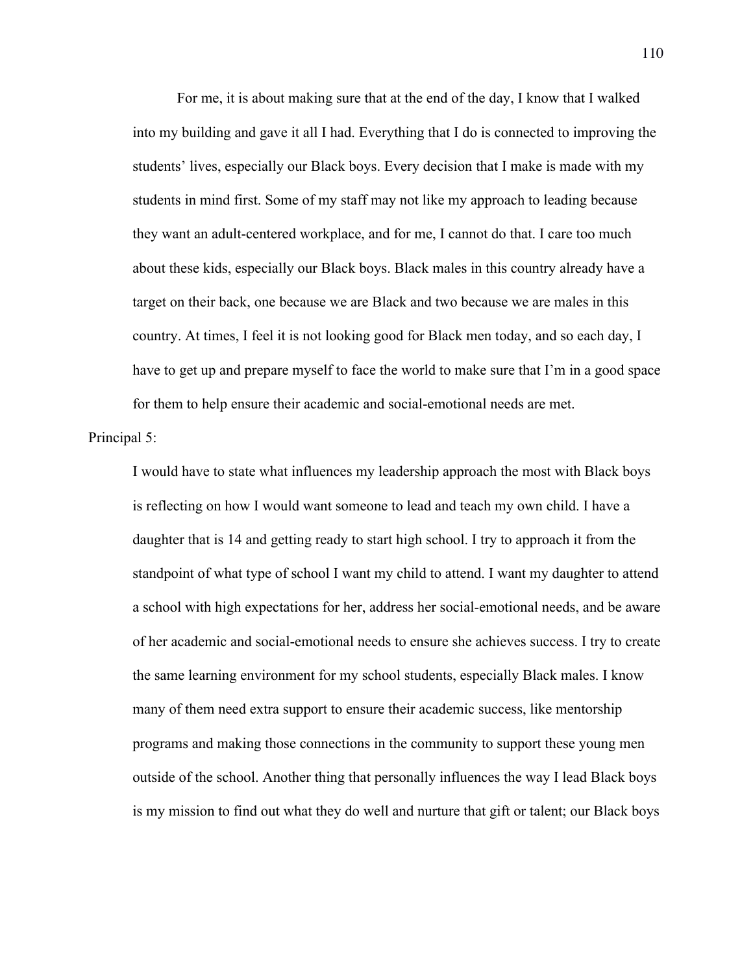For me, it is about making sure that at the end of the day, I know that I walked into my building and gave it all I had. Everything that I do is connected to improving the students' lives, especially our Black boys. Every decision that I make is made with my students in mind first. Some of my staff may not like my approach to leading because they want an adult-centered workplace, and for me, I cannot do that. I care too much about these kids, especially our Black boys. Black males in this country already have a target on their back, one because we are Black and two because we are males in this country. At times, I feel it is not looking good for Black men today, and so each day, I have to get up and prepare myself to face the world to make sure that I'm in a good space for them to help ensure their academic and social-emotional needs are met.

#### Principal 5:

I would have to state what influences my leadership approach the most with Black boys is reflecting on how I would want someone to lead and teach my own child. I have a daughter that is 14 and getting ready to start high school. I try to approach it from the standpoint of what type of school I want my child to attend. I want my daughter to attend a school with high expectations for her, address her social-emotional needs, and be aware of her academic and social-emotional needs to ensure she achieves success. I try to create the same learning environment for my school students, especially Black males. I know many of them need extra support to ensure their academic success, like mentorship programs and making those connections in the community to support these young men outside of the school. Another thing that personally influences the way I lead Black boys is my mission to find out what they do well and nurture that gift or talent; our Black boys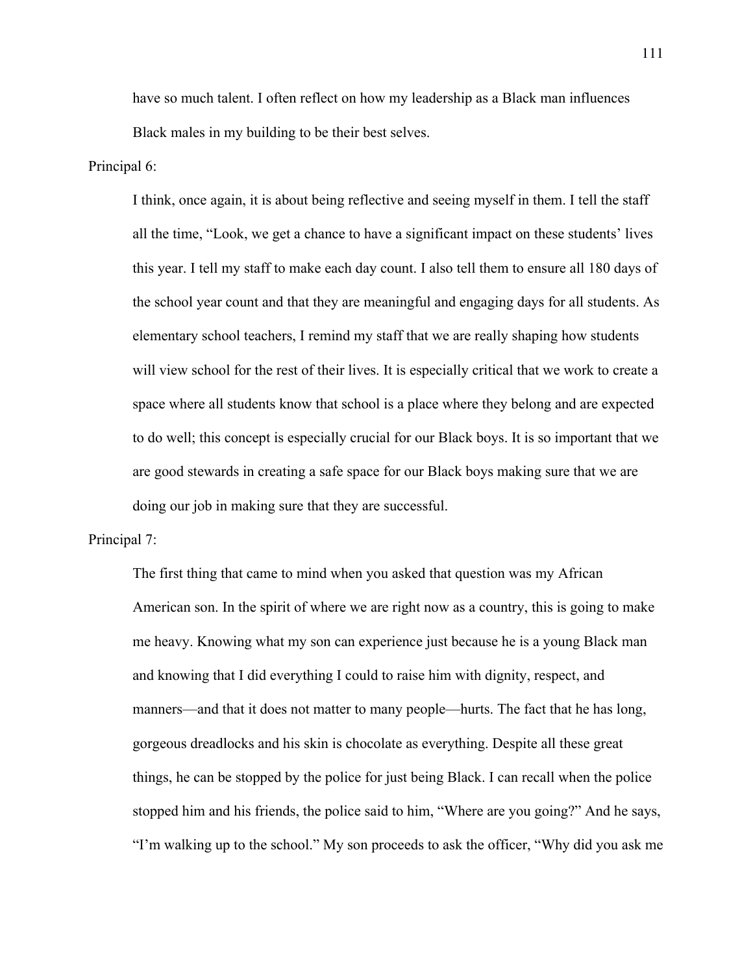have so much talent. I often reflect on how my leadership as a Black man influences Black males in my building to be their best selves.

#### Principal 6:

I think, once again, it is about being reflective and seeing myself in them. I tell the staff all the time, "Look, we get a chance to have a significant impact on these students' lives this year. I tell my staff to make each day count. I also tell them to ensure all 180 days of the school year count and that they are meaningful and engaging days for all students. As elementary school teachers, I remind my staff that we are really shaping how students will view school for the rest of their lives. It is especially critical that we work to create a space where all students know that school is a place where they belong and are expected to do well; this concept is especially crucial for our Black boys. It is so important that we are good stewards in creating a safe space for our Black boys making sure that we are doing our job in making sure that they are successful.

#### Principal 7:

The first thing that came to mind when you asked that question was my African American son. In the spirit of where we are right now as a country, this is going to make me heavy. Knowing what my son can experience just because he is a young Black man and knowing that I did everything I could to raise him with dignity, respect, and manners—and that it does not matter to many people—hurts. The fact that he has long, gorgeous dreadlocks and his skin is chocolate as everything. Despite all these great things, he can be stopped by the police for just being Black. I can recall when the police stopped him and his friends, the police said to him, "Where are you going?" And he says, "I'm walking up to the school." My son proceeds to ask the officer, "Why did you ask me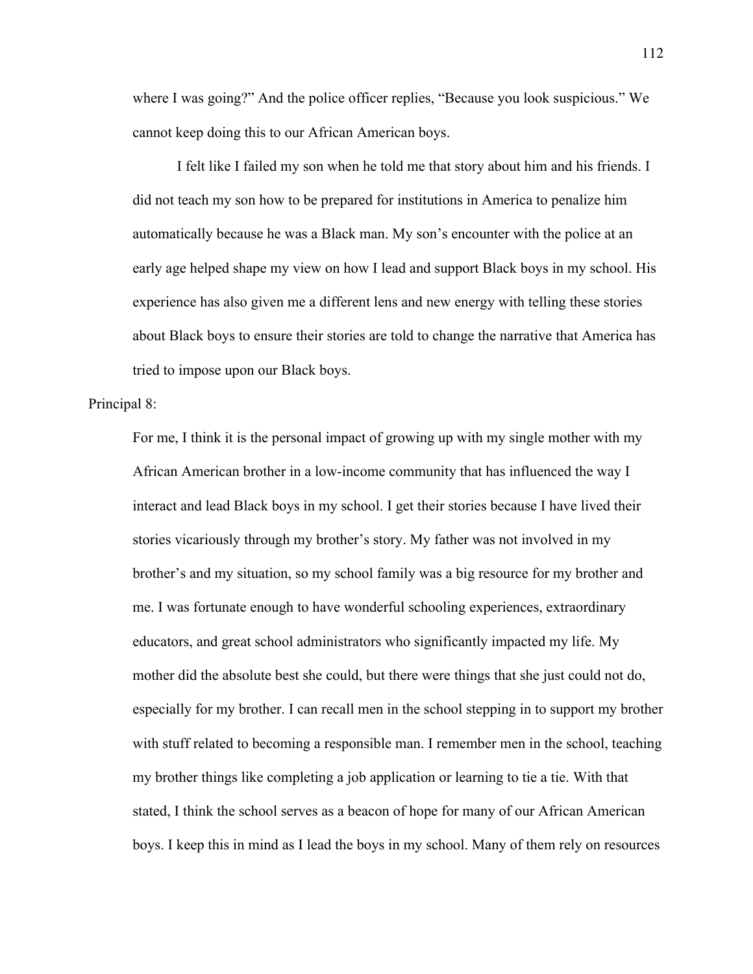where I was going?" And the police officer replies, "Because you look suspicious." We cannot keep doing this to our African American boys.

I felt like I failed my son when he told me that story about him and his friends. I did not teach my son how to be prepared for institutions in America to penalize him automatically because he was a Black man. My son's encounter with the police at an early age helped shape my view on how I lead and support Black boys in my school. His experience has also given me a different lens and new energy with telling these stories about Black boys to ensure their stories are told to change the narrative that America has tried to impose upon our Black boys.

#### Principal 8:

For me, I think it is the personal impact of growing up with my single mother with my African American brother in a low-income community that has influenced the way I interact and lead Black boys in my school. I get their stories because I have lived their stories vicariously through my brother's story. My father was not involved in my brother's and my situation, so my school family was a big resource for my brother and me. I was fortunate enough to have wonderful schooling experiences, extraordinary educators, and great school administrators who significantly impacted my life. My mother did the absolute best she could, but there were things that she just could not do, especially for my brother. I can recall men in the school stepping in to support my brother with stuff related to becoming a responsible man. I remember men in the school, teaching my brother things like completing a job application or learning to tie a tie. With that stated, I think the school serves as a beacon of hope for many of our African American boys. I keep this in mind as I lead the boys in my school. Many of them rely on resources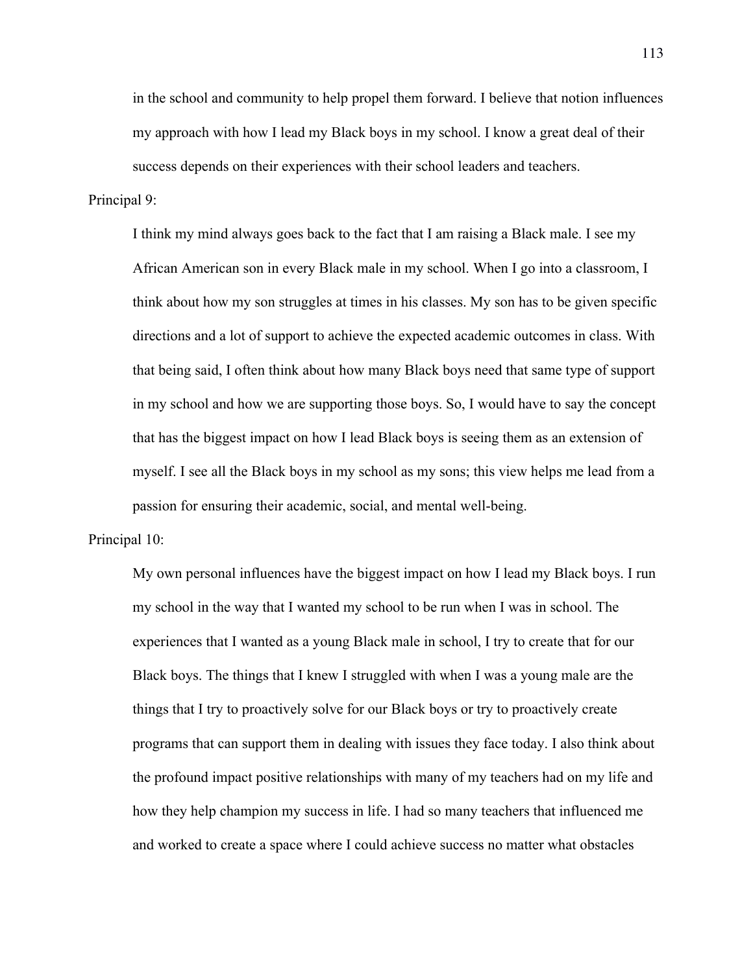in the school and community to help propel them forward. I believe that notion influences my approach with how I lead my Black boys in my school. I know a great deal of their success depends on their experiences with their school leaders and teachers.

#### Principal 9:

I think my mind always goes back to the fact that I am raising a Black male. I see my African American son in every Black male in my school. When I go into a classroom, I think about how my son struggles at times in his classes. My son has to be given specific directions and a lot of support to achieve the expected academic outcomes in class. With that being said, I often think about how many Black boys need that same type of support in my school and how we are supporting those boys. So, I would have to say the concept that has the biggest impact on how I lead Black boys is seeing them as an extension of myself. I see all the Black boys in my school as my sons; this view helps me lead from a passion for ensuring their academic, social, and mental well-being.

#### Principal 10:

My own personal influences have the biggest impact on how I lead my Black boys. I run my school in the way that I wanted my school to be run when I was in school. The experiences that I wanted as a young Black male in school, I try to create that for our Black boys. The things that I knew I struggled with when I was a young male are the things that I try to proactively solve for our Black boys or try to proactively create programs that can support them in dealing with issues they face today. I also think about the profound impact positive relationships with many of my teachers had on my life and how they help champion my success in life. I had so many teachers that influenced me and worked to create a space where I could achieve success no matter what obstacles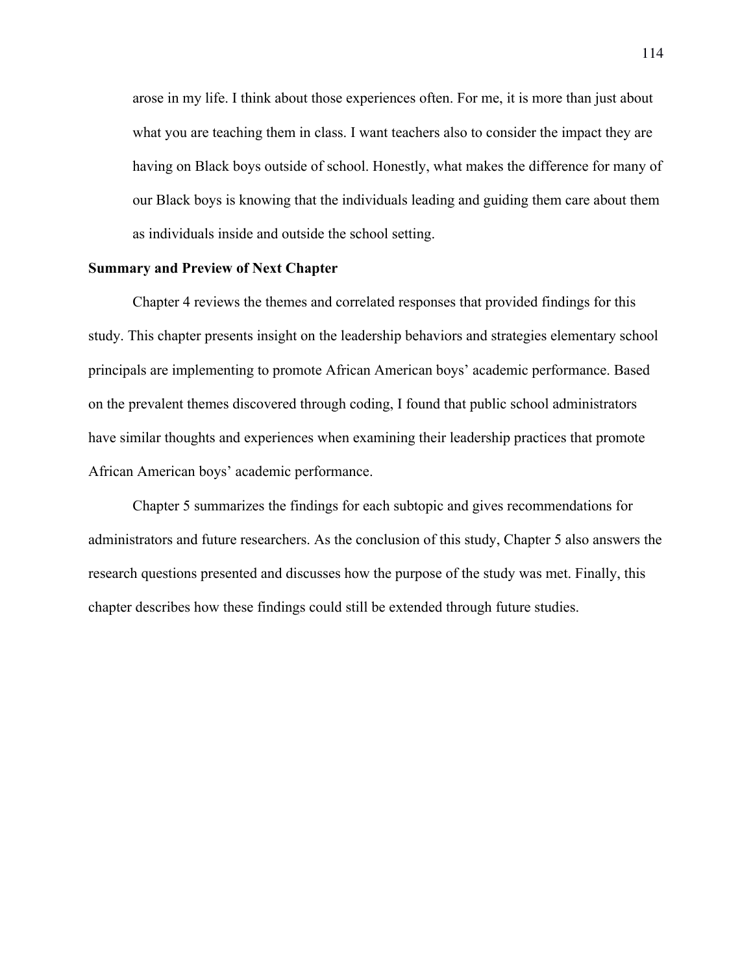arose in my life. I think about those experiences often. For me, it is more than just about what you are teaching them in class. I want teachers also to consider the impact they are having on Black boys outside of school. Honestly, what makes the difference for many of our Black boys is knowing that the individuals leading and guiding them care about them as individuals inside and outside the school setting.

## **Summary and Preview of Next Chapter**

Chapter 4 reviews the themes and correlated responses that provided findings for this study. This chapter presents insight on the leadership behaviors and strategies elementary school principals are implementing to promote African American boys' academic performance. Based on the prevalent themes discovered through coding, I found that public school administrators have similar thoughts and experiences when examining their leadership practices that promote African American boys' academic performance.

Chapter 5 summarizes the findings for each subtopic and gives recommendations for administrators and future researchers. As the conclusion of this study, Chapter 5 also answers the research questions presented and discusses how the purpose of the study was met. Finally, this chapter describes how these findings could still be extended through future studies.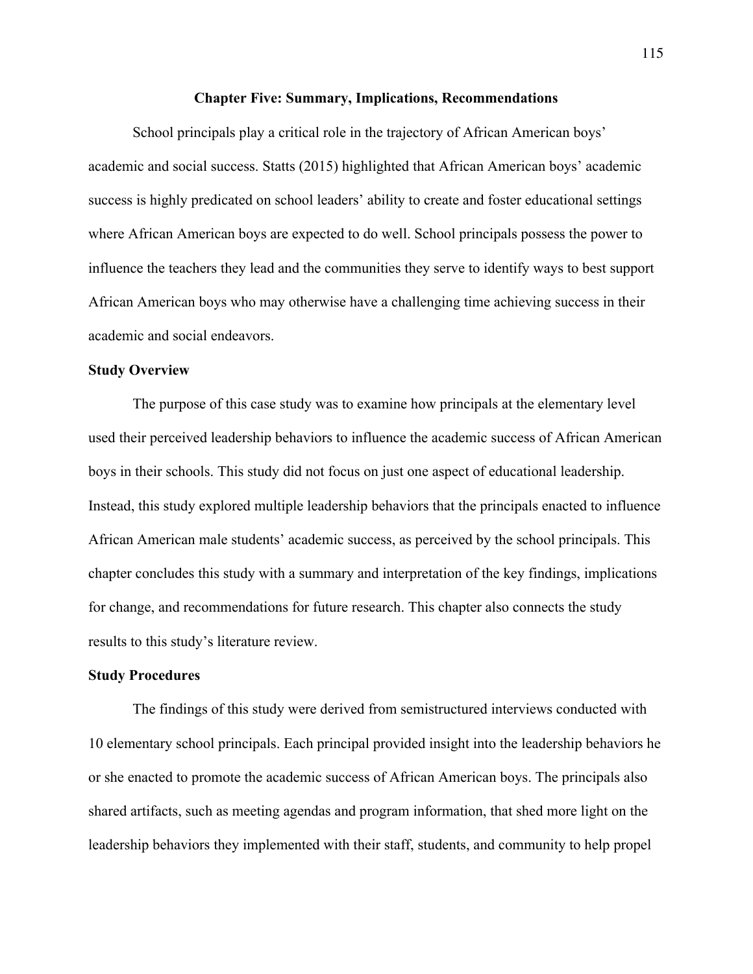#### **Chapter Five: Summary, Implications, Recommendations**

School principals play a critical role in the trajectory of African American boys' academic and social success. Statts (2015) highlighted that African American boys' academic success is highly predicated on school leaders' ability to create and foster educational settings where African American boys are expected to do well. School principals possess the power to influence the teachers they lead and the communities they serve to identify ways to best support African American boys who may otherwise have a challenging time achieving success in their academic and social endeavors.

#### **Study Overview**

The purpose of this case study was to examine how principals at the elementary level used their perceived leadership behaviors to influence the academic success of African American boys in their schools. This study did not focus on just one aspect of educational leadership. Instead, this study explored multiple leadership behaviors that the principals enacted to influence African American male students' academic success, as perceived by the school principals. This chapter concludes this study with a summary and interpretation of the key findings, implications for change, and recommendations for future research. This chapter also connects the study results to this study's literature review.

#### **Study Procedures**

The findings of this study were derived from semistructured interviews conducted with 10 elementary school principals. Each principal provided insight into the leadership behaviors he or she enacted to promote the academic success of African American boys. The principals also shared artifacts, such as meeting agendas and program information, that shed more light on the leadership behaviors they implemented with their staff, students, and community to help propel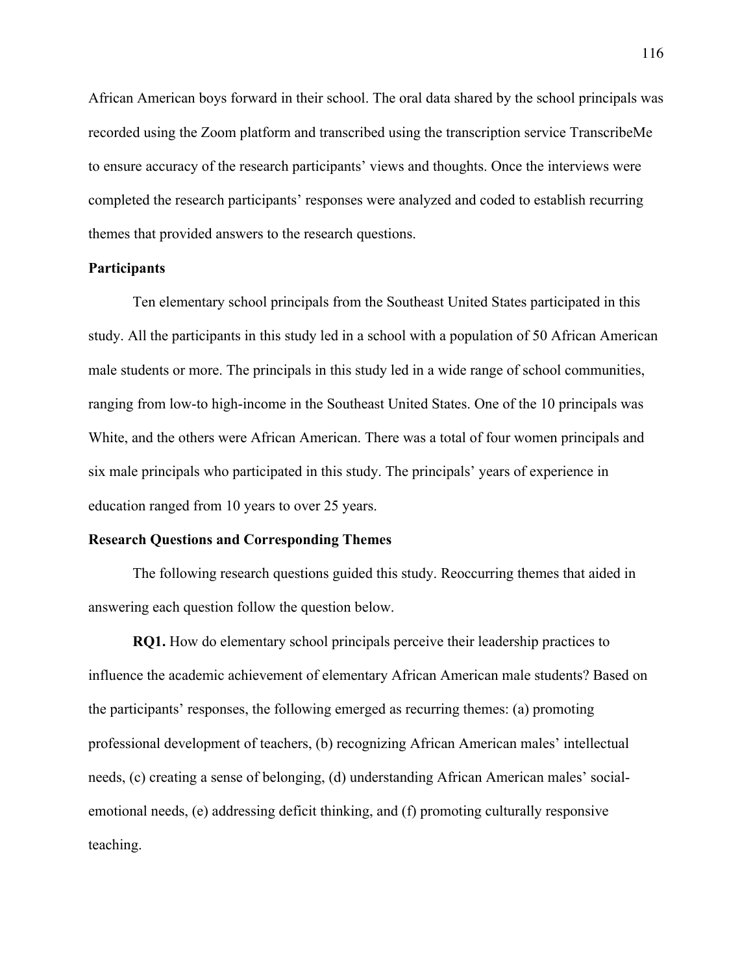African American boys forward in their school. The oral data shared by the school principals was recorded using the Zoom platform and transcribed using the transcription service TranscribeMe to ensure accuracy of the research participants' views and thoughts. Once the interviews were completed the research participants' responses were analyzed and coded to establish recurring themes that provided answers to the research questions.

# **Participants**

Ten elementary school principals from the Southeast United States participated in this study. All the participants in this study led in a school with a population of 50 African American male students or more. The principals in this study led in a wide range of school communities, ranging from low-to high-income in the Southeast United States. One of the 10 principals was White, and the others were African American. There was a total of four women principals and six male principals who participated in this study. The principals' years of experience in education ranged from 10 years to over 25 years.

#### **Research Questions and Corresponding Themes**

The following research questions guided this study. Reoccurring themes that aided in answering each question follow the question below.

**RQ1.** How do elementary school principals perceive their leadership practices to influence the academic achievement of elementary African American male students? Based on the participants' responses, the following emerged as recurring themes: (a) promoting professional development of teachers, (b) recognizing African American males' intellectual needs, (c) creating a sense of belonging, (d) understanding African American males' socialemotional needs, (e) addressing deficit thinking, and (f) promoting culturally responsive teaching.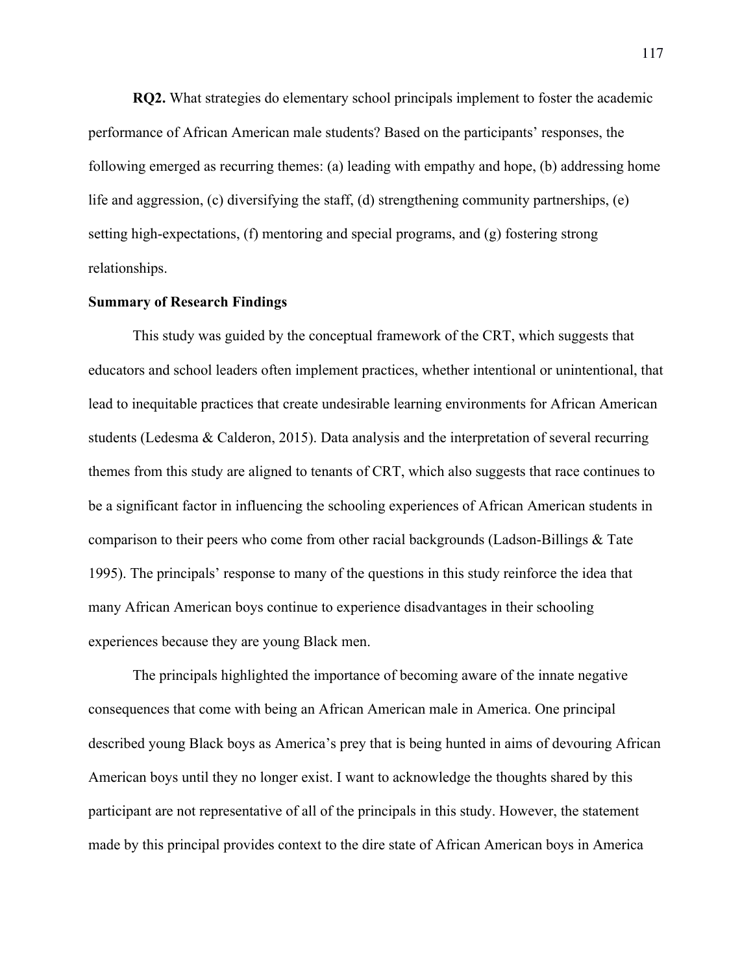**RQ2.** What strategies do elementary school principals implement to foster the academic performance of African American male students? Based on the participants' responses, the following emerged as recurring themes: (a) leading with empathy and hope, (b) addressing home life and aggression, (c) diversifying the staff, (d) strengthening community partnerships, (e) setting high-expectations, (f) mentoring and special programs, and (g) fostering strong relationships.

# **Summary of Research Findings**

This study was guided by the conceptual framework of the CRT, which suggests that educators and school leaders often implement practices, whether intentional or unintentional, that lead to inequitable practices that create undesirable learning environments for African American students (Ledesma & Calderon, 2015). Data analysis and the interpretation of several recurring themes from this study are aligned to tenants of CRT, which also suggests that race continues to be a significant factor in influencing the schooling experiences of African American students in comparison to their peers who come from other racial backgrounds (Ladson-Billings & Tate 1995). The principals' response to many of the questions in this study reinforce the idea that many African American boys continue to experience disadvantages in their schooling experiences because they are young Black men.

The principals highlighted the importance of becoming aware of the innate negative consequences that come with being an African American male in America. One principal described young Black boys as America's prey that is being hunted in aims of devouring African American boys until they no longer exist. I want to acknowledge the thoughts shared by this participant are not representative of all of the principals in this study. However, the statement made by this principal provides context to the dire state of African American boys in America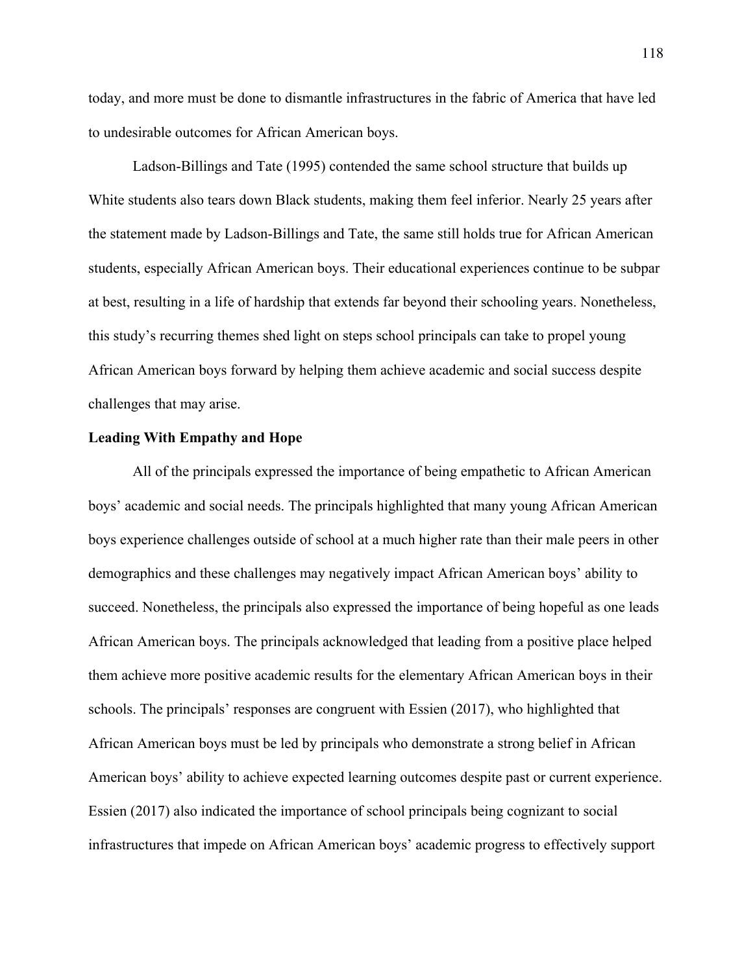today, and more must be done to dismantle infrastructures in the fabric of America that have led to undesirable outcomes for African American boys.

Ladson-Billings and Tate (1995) contended the same school structure that builds up White students also tears down Black students, making them feel inferior. Nearly 25 years after the statement made by Ladson-Billings and Tate, the same still holds true for African American students, especially African American boys. Their educational experiences continue to be subpar at best, resulting in a life of hardship that extends far beyond their schooling years. Nonetheless, this study's recurring themes shed light on steps school principals can take to propel young African American boys forward by helping them achieve academic and social success despite challenges that may arise.

# **Leading With Empathy and Hope**

All of the principals expressed the importance of being empathetic to African American boys' academic and social needs. The principals highlighted that many young African American boys experience challenges outside of school at a much higher rate than their male peers in other demographics and these challenges may negatively impact African American boys' ability to succeed. Nonetheless, the principals also expressed the importance of being hopeful as one leads African American boys. The principals acknowledged that leading from a positive place helped them achieve more positive academic results for the elementary African American boys in their schools. The principals' responses are congruent with Essien (2017), who highlighted that African American boys must be led by principals who demonstrate a strong belief in African American boys' ability to achieve expected learning outcomes despite past or current experience. Essien (2017) also indicated the importance of school principals being cognizant to social infrastructures that impede on African American boys' academic progress to effectively support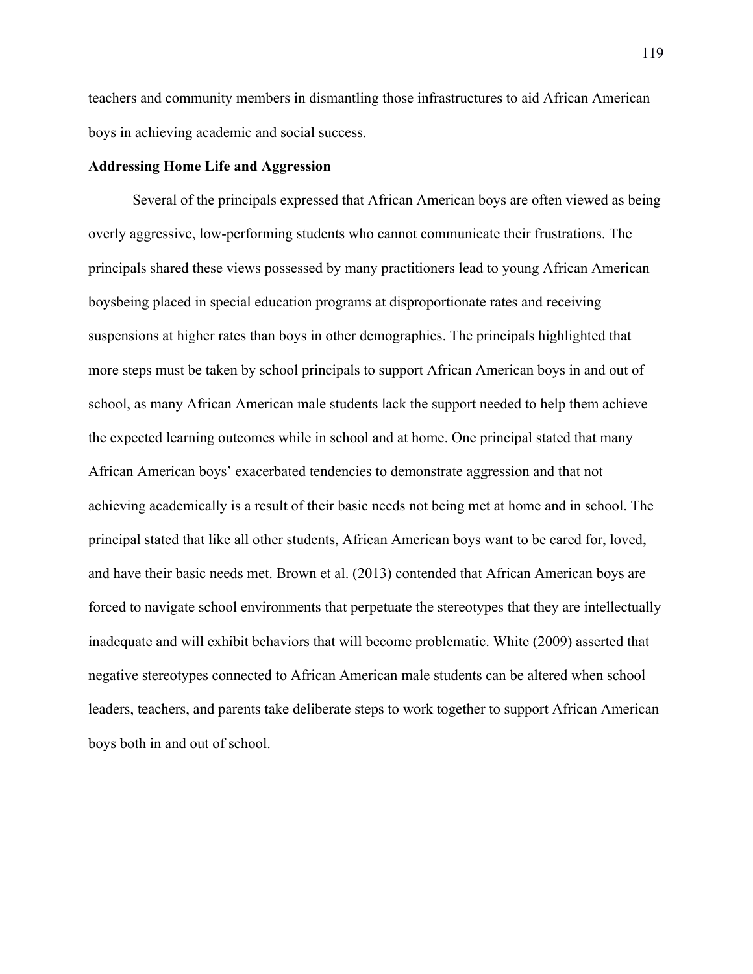teachers and community members in dismantling those infrastructures to aid African American boys in achieving academic and social success.

#### **Addressing Home Life and Aggression**

Several of the principals expressed that African American boys are often viewed as being overly aggressive, low-performing students who cannot communicate their frustrations. The principals shared these views possessed by many practitioners lead to young African American boysbeing placed in special education programs at disproportionate rates and receiving suspensions at higher rates than boys in other demographics. The principals highlighted that more steps must be taken by school principals to support African American boys in and out of school, as many African American male students lack the support needed to help them achieve the expected learning outcomes while in school and at home. One principal stated that many African American boys' exacerbated tendencies to demonstrate aggression and that not achieving academically is a result of their basic needs not being met at home and in school. The principal stated that like all other students, African American boys want to be cared for, loved, and have their basic needs met. Brown et al. (2013) contended that African American boys are forced to navigate school environments that perpetuate the stereotypes that they are intellectually inadequate and will exhibit behaviors that will become problematic. White (2009) asserted that negative stereotypes connected to African American male students can be altered when school leaders, teachers, and parents take deliberate steps to work together to support African American boys both in and out of school.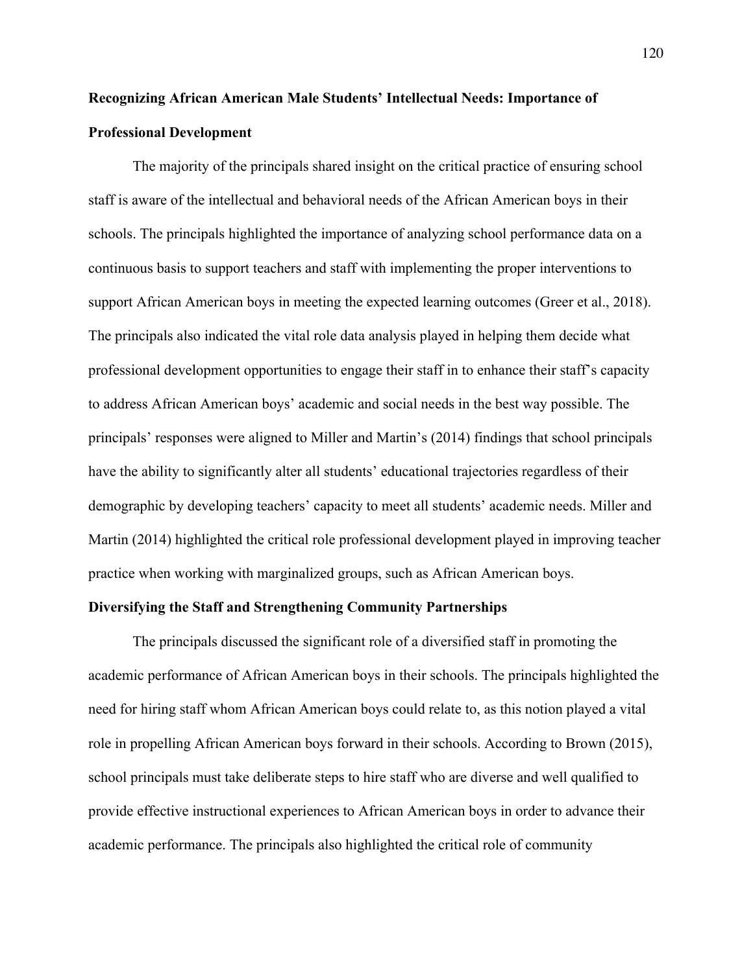# **Recognizing African American Male Students' Intellectual Needs: Importance of Professional Development**

The majority of the principals shared insight on the critical practice of ensuring school staff is aware of the intellectual and behavioral needs of the African American boys in their schools. The principals highlighted the importance of analyzing school performance data on a continuous basis to support teachers and staff with implementing the proper interventions to support African American boys in meeting the expected learning outcomes (Greer et al., 2018). The principals also indicated the vital role data analysis played in helping them decide what professional development opportunities to engage their staff in to enhance their staff's capacity to address African American boys' academic and social needs in the best way possible. The principals' responses were aligned to Miller and Martin's (2014) findings that school principals have the ability to significantly alter all students' educational trajectories regardless of their demographic by developing teachers' capacity to meet all students' academic needs. Miller and Martin (2014) highlighted the critical role professional development played in improving teacher practice when working with marginalized groups, such as African American boys.

## **Diversifying the Staff and Strengthening Community Partnerships**

The principals discussed the significant role of a diversified staff in promoting the academic performance of African American boys in their schools. The principals highlighted the need for hiring staff whom African American boys could relate to, as this notion played a vital role in propelling African American boys forward in their schools. According to Brown (2015), school principals must take deliberate steps to hire staff who are diverse and well qualified to provide effective instructional experiences to African American boys in order to advance their academic performance. The principals also highlighted the critical role of community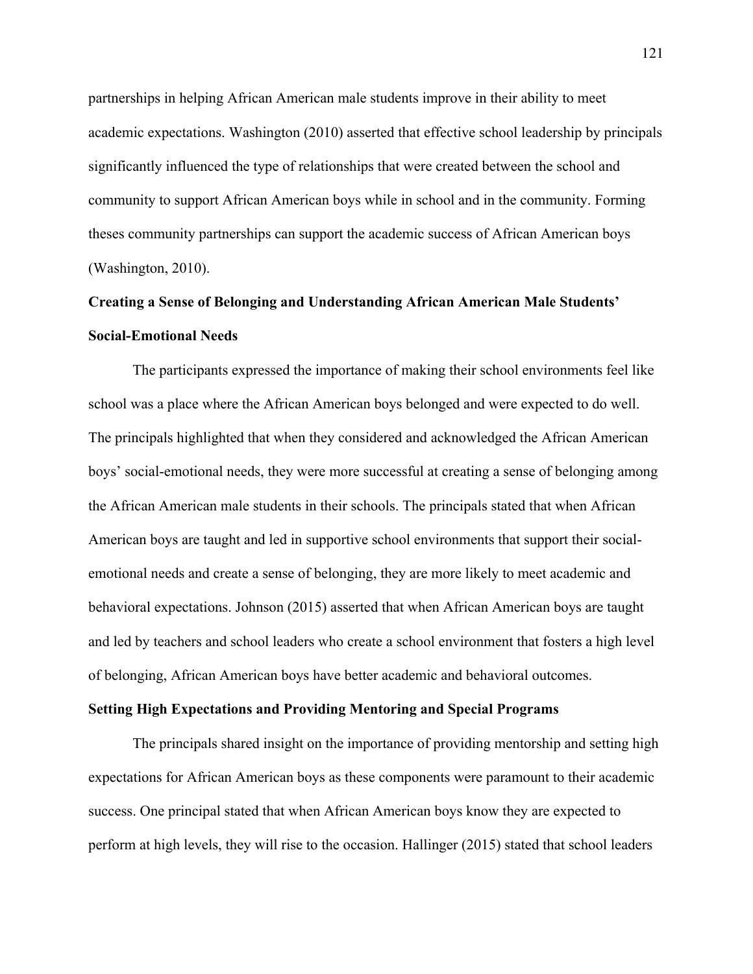partnerships in helping African American male students improve in their ability to meet academic expectations. Washington (2010) asserted that effective school leadership by principals significantly influenced the type of relationships that were created between the school and community to support African American boys while in school and in the community. Forming theses community partnerships can support the academic success of African American boys (Washington, 2010).

# **Creating a Sense of Belonging and Understanding African American Male Students' Social-Emotional Needs**

The participants expressed the importance of making their school environments feel like school was a place where the African American boys belonged and were expected to do well. The principals highlighted that when they considered and acknowledged the African American boys' social-emotional needs, they were more successful at creating a sense of belonging among the African American male students in their schools. The principals stated that when African American boys are taught and led in supportive school environments that support their socialemotional needs and create a sense of belonging, they are more likely to meet academic and behavioral expectations. Johnson (2015) asserted that when African American boys are taught and led by teachers and school leaders who create a school environment that fosters a high level of belonging, African American boys have better academic and behavioral outcomes.

# **Setting High Expectations and Providing Mentoring and Special Programs**

The principals shared insight on the importance of providing mentorship and setting high expectations for African American boys as these components were paramount to their academic success. One principal stated that when African American boys know they are expected to perform at high levels, they will rise to the occasion. Hallinger (2015) stated that school leaders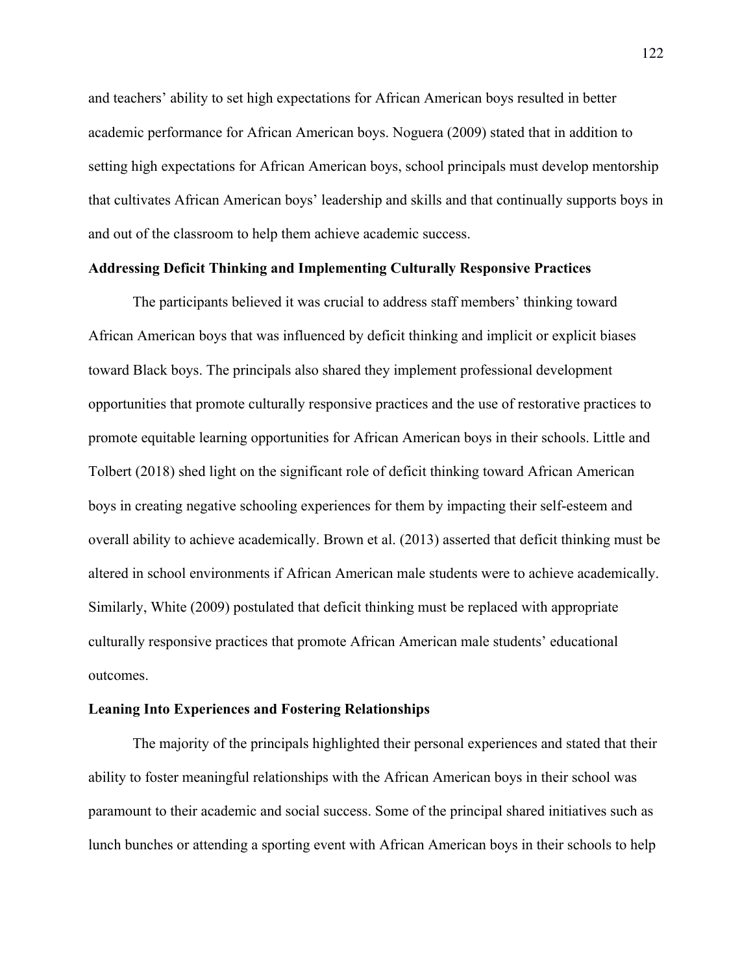and teachers' ability to set high expectations for African American boys resulted in better academic performance for African American boys. Noguera (2009) stated that in addition to setting high expectations for African American boys, school principals must develop mentorship that cultivates African American boys' leadership and skills and that continually supports boys in and out of the classroom to help them achieve academic success.

# **Addressing Deficit Thinking and Implementing Culturally Responsive Practices**

The participants believed it was crucial to address staff members' thinking toward African American boys that was influenced by deficit thinking and implicit or explicit biases toward Black boys. The principals also shared they implement professional development opportunities that promote culturally responsive practices and the use of restorative practices to promote equitable learning opportunities for African American boys in their schools. Little and Tolbert (2018) shed light on the significant role of deficit thinking toward African American boys in creating negative schooling experiences for them by impacting their self-esteem and overall ability to achieve academically. Brown et al. (2013) asserted that deficit thinking must be altered in school environments if African American male students were to achieve academically. Similarly, White (2009) postulated that deficit thinking must be replaced with appropriate culturally responsive practices that promote African American male students' educational outcomes.

# **Leaning Into Experiences and Fostering Relationships**

The majority of the principals highlighted their personal experiences and stated that their ability to foster meaningful relationships with the African American boys in their school was paramount to their academic and social success. Some of the principal shared initiatives such as lunch bunches or attending a sporting event with African American boys in their schools to help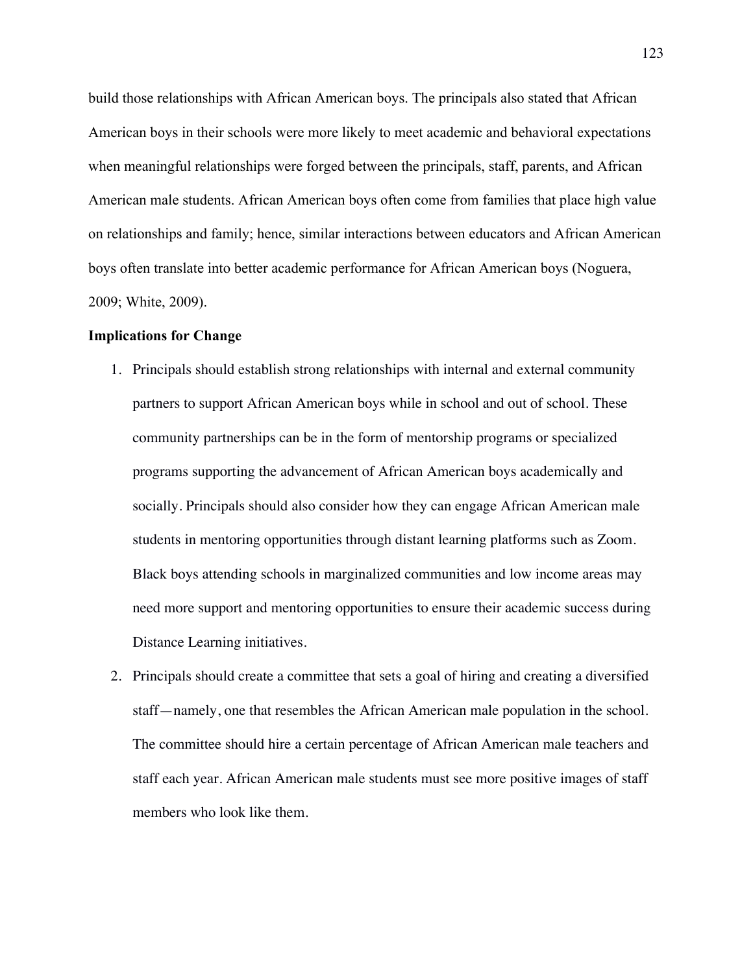build those relationships with African American boys. The principals also stated that African American boys in their schools were more likely to meet academic and behavioral expectations when meaningful relationships were forged between the principals, staff, parents, and African American male students. African American boys often come from families that place high value on relationships and family; hence, similar interactions between educators and African American boys often translate into better academic performance for African American boys (Noguera, 2009; White, 2009).

#### **Implications for Change**

- 1. Principals should establish strong relationships with internal and external community partners to support African American boys while in school and out of school. These community partnerships can be in the form of mentorship programs or specialized programs supporting the advancement of African American boys academically and socially. Principals should also consider how they can engage African American male students in mentoring opportunities through distant learning platforms such as Zoom. Black boys attending schools in marginalized communities and low income areas may need more support and mentoring opportunities to ensure their academic success during Distance Learning initiatives.
- 2. Principals should create a committee that sets a goal of hiring and creating a diversified staff—namely, one that resembles the African American male population in the school. The committee should hire a certain percentage of African American male teachers and staff each year. African American male students must see more positive images of staff members who look like them.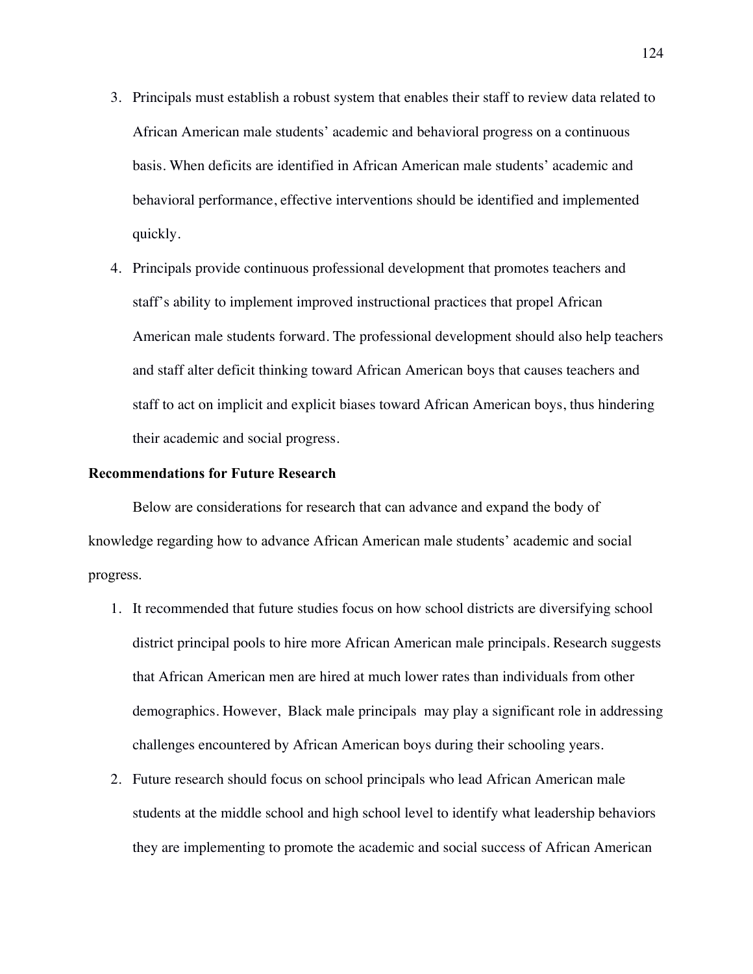- 3. Principals must establish a robust system that enables their staff to review data related to African American male students' academic and behavioral progress on a continuous basis. When deficits are identified in African American male students' academic and behavioral performance, effective interventions should be identified and implemented quickly.
- 4. Principals provide continuous professional development that promotes teachers and staff's ability to implement improved instructional practices that propel African American male students forward. The professional development should also help teachers and staff alter deficit thinking toward African American boys that causes teachers and staff to act on implicit and explicit biases toward African American boys, thus hindering their academic and social progress.

# **Recommendations for Future Research**

Below are considerations for research that can advance and expand the body of knowledge regarding how to advance African American male students' academic and social progress.

- 1. It recommended that future studies focus on how school districts are diversifying school district principal pools to hire more African American male principals. Research suggests that African American men are hired at much lower rates than individuals from other demographics. However, Black male principals may play a significant role in addressing challenges encountered by African American boys during their schooling years.
- 2. Future research should focus on school principals who lead African American male students at the middle school and high school level to identify what leadership behaviors they are implementing to promote the academic and social success of African American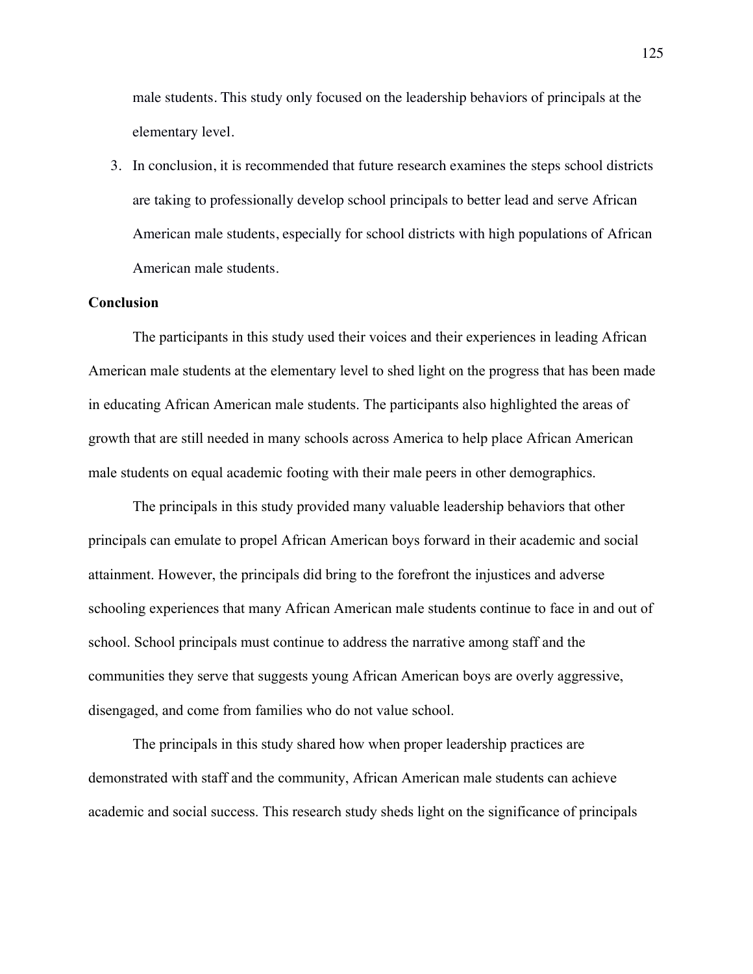male students. This study only focused on the leadership behaviors of principals at the elementary level.

3. In conclusion, it is recommended that future research examines the steps school districts are taking to professionally develop school principals to better lead and serve African American male students, especially for school districts with high populations of African American male students.

# **Conclusion**

The participants in this study used their voices and their experiences in leading African American male students at the elementary level to shed light on the progress that has been made in educating African American male students. The participants also highlighted the areas of growth that are still needed in many schools across America to help place African American male students on equal academic footing with their male peers in other demographics.

The principals in this study provided many valuable leadership behaviors that other principals can emulate to propel African American boys forward in their academic and social attainment. However, the principals did bring to the forefront the injustices and adverse schooling experiences that many African American male students continue to face in and out of school. School principals must continue to address the narrative among staff and the communities they serve that suggests young African American boys are overly aggressive, disengaged, and come from families who do not value school.

The principals in this study shared how when proper leadership practices are demonstrated with staff and the community, African American male students can achieve academic and social success. This research study sheds light on the significance of principals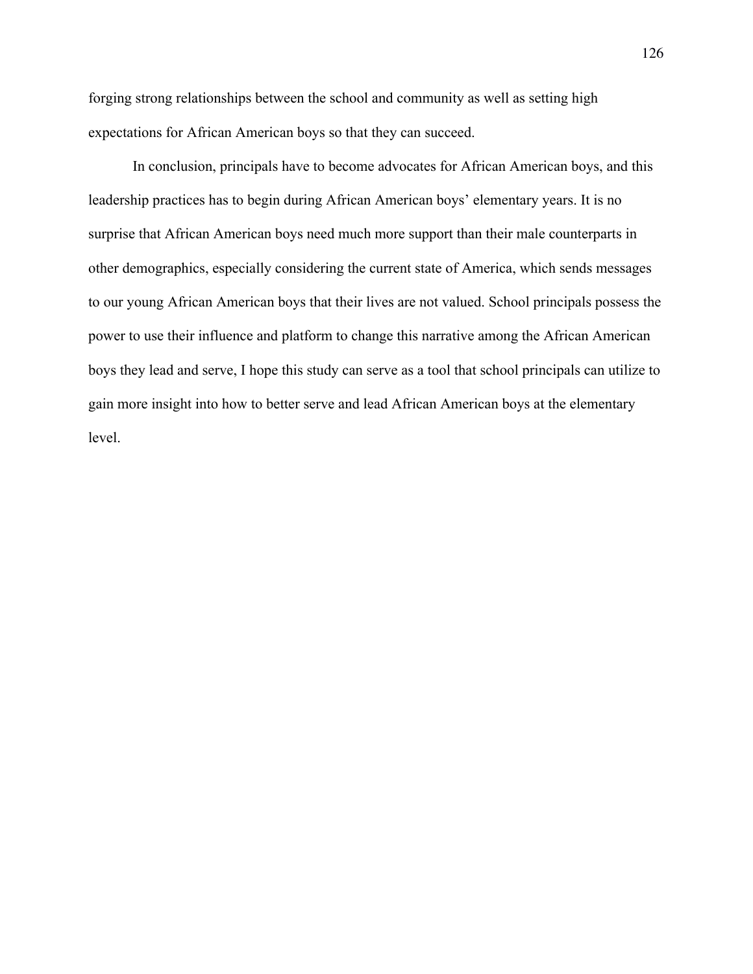forging strong relationships between the school and community as well as setting high expectations for African American boys so that they can succeed.

In conclusion, principals have to become advocates for African American boys, and this leadership practices has to begin during African American boys' elementary years. It is no surprise that African American boys need much more support than their male counterparts in other demographics, especially considering the current state of America, which sends messages to our young African American boys that their lives are not valued. School principals possess the power to use their influence and platform to change this narrative among the African American boys they lead and serve, I hope this study can serve as a tool that school principals can utilize to gain more insight into how to better serve and lead African American boys at the elementary level.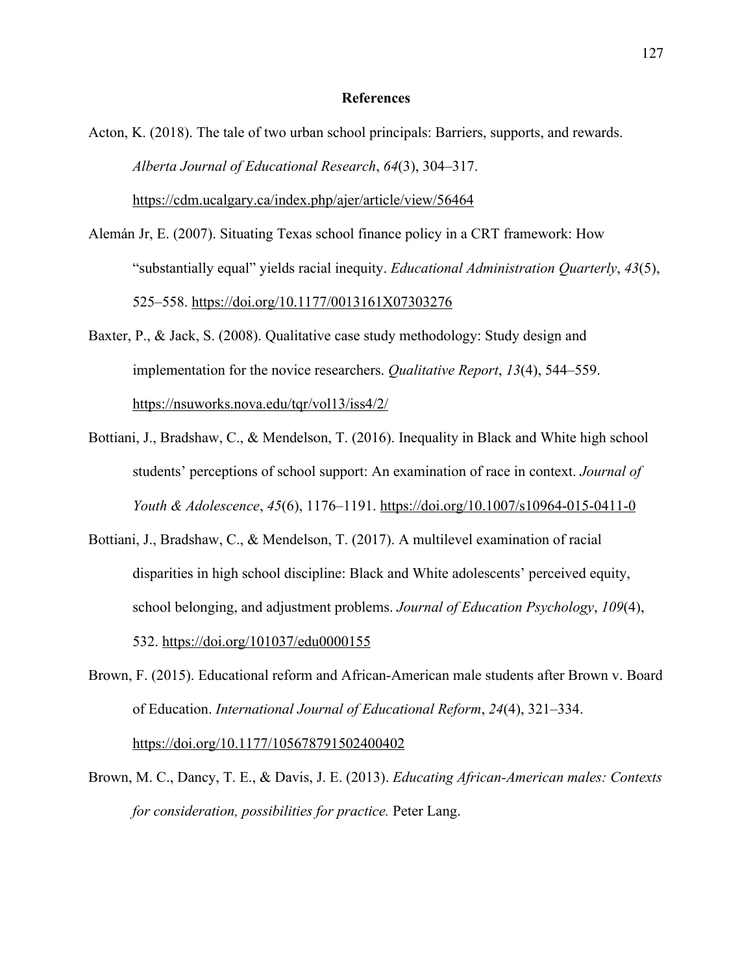#### **References**

Acton, K. (2018). The tale of two urban school principals: Barriers, supports, and rewards. *Alberta Journal of Educational Research*, *64*(3), 304–317.

https://cdm.ucalgary.ca/index.php/ajer/article/view/56464

- Alemán Jr, E. (2007). Situating Texas school finance policy in a CRT framework: How "substantially equal" yields racial inequity. *Educational Administration Quarterly*, *43*(5), 525–558. https://doi.org/10.1177/0013161X07303276
- Baxter, P., & Jack, S. (2008). Qualitative case study methodology: Study design and implementation for the novice researchers. *Qualitative Report*, *13*(4), 544–559. https://nsuworks.nova.edu/tqr/vol13/iss4/2/
- Bottiani, J., Bradshaw, C., & Mendelson, T. (2016). Inequality in Black and White high school students' perceptions of school support: An examination of race in context. *Journal of Youth & Adolescence*, *45*(6), 1176–1191. https://doi.org/10.1007/s10964-015-0411-0
- Bottiani, J., Bradshaw, C., & Mendelson, T. (2017). A multilevel examination of racial disparities in high school discipline: Black and White adolescents' perceived equity, school belonging, and adjustment problems. *Journal of Education Psychology*, *109*(4), 532. https://doi.org/101037/edu0000155
- Brown, F. (2015). Educational reform and African-American male students after Brown v. Board of Education. *International Journal of Educational Reform*, *24*(4), 321–334. https://doi.org/10.1177/105678791502400402
- Brown, M. C., Dancy, T. E., & Davis, J. E. (2013). *Educating African-American males: Contexts for consideration, possibilities for practice.* Peter Lang.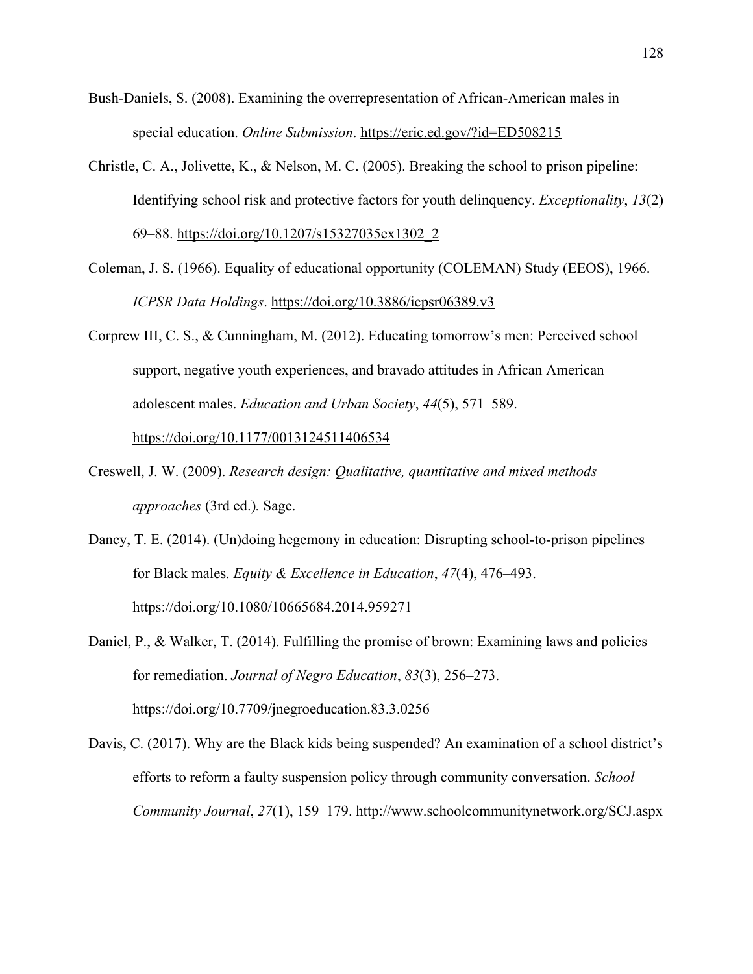- Bush-Daniels, S. (2008). Examining the overrepresentation of African-American males in special education. *Online Submission*. https://eric.ed.gov/?id=ED508215
- Christle, C. A., Jolivette, K., & Nelson, M. C. (2005). Breaking the school to prison pipeline: Identifying school risk and protective factors for youth delinquency. *Exceptionality*, *13*(2) 69–88. https://doi.org/10.1207/s15327035ex1302\_2
- Coleman, J. S. (1966). Equality of educational opportunity (COLEMAN) Study (EEOS), 1966. *ICPSR Data Holdings*. https://doi.org/10.3886/icpsr06389.v3
- Corprew III, C. S., & Cunningham, M. (2012). Educating tomorrow's men: Perceived school support, negative youth experiences, and bravado attitudes in African American adolescent males. *Education and Urban Society*, *44*(5), 571–589.

https://doi.org/10.1177/0013124511406534

- Creswell, J. W. (2009). *Research design: Qualitative, quantitative and mixed methods approaches* (3rd ed.)*.* Sage.
- Dancy, T. E. (2014). (Un)doing hegemony in education: Disrupting school-to-prison pipelines for Black males. *Equity & Excellence in Education*, *47*(4), 476–493. https://doi.org/10.1080/10665684.2014.959271

Daniel, P., & Walker, T. (2014). Fulfilling the promise of brown: Examining laws and policies for remediation. *Journal of Negro Education*, *83*(3), 256–273. https://doi.org/10.7709/jnegroeducation.83.3.0256

Davis, C. (2017). Why are the Black kids being suspended? An examination of a school district's efforts to reform a faulty suspension policy through community conversation. *School Community Journal*, *27*(1), 159–179. http://www.schoolcommunitynetwork.org/SCJ.aspx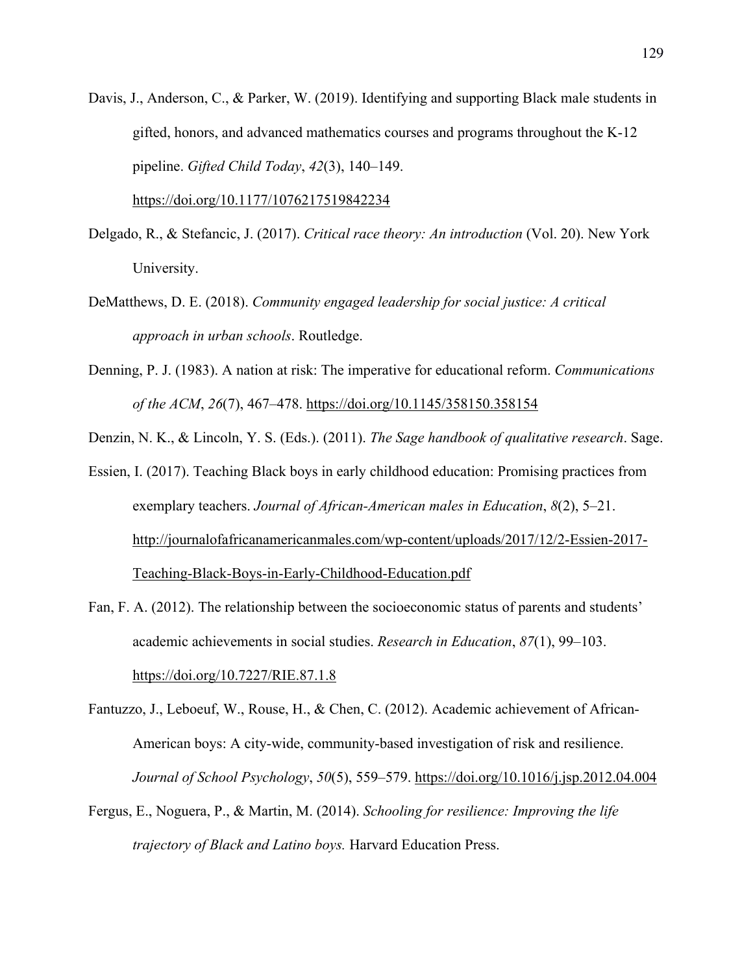Davis, J., Anderson, C., & Parker, W. (2019). Identifying and supporting Black male students in gifted, honors, and advanced mathematics courses and programs throughout the K-12 pipeline. *Gifted Child Today*, *42*(3), 140–149.

https://doi.org/10.1177/1076217519842234

- Delgado, R., & Stefancic, J. (2017). *Critical race theory: An introduction* (Vol. 20). New York University.
- DeMatthews, D. E. (2018). *Community engaged leadership for social justice: A critical approach in urban schools*. Routledge.
- Denning, P. J. (1983). A nation at risk: The imperative for educational reform. *Communications of the ACM*, *26*(7), 467–478. https://doi.org/10.1145/358150.358154

Denzin, N. K., & Lincoln, Y. S. (Eds.). (2011). *The Sage handbook of qualitative research*. Sage.

Essien, I. (2017). Teaching Black boys in early childhood education: Promising practices from exemplary teachers. *Journal of African-American males in Education*, *8*(2), 5–21. http://journalofafricanamericanmales.com/wp-content/uploads/2017/12/2-Essien-2017- Teaching-Black-Boys-in-Early-Childhood-Education.pdf

- Fan, F. A. (2012). The relationship between the socioeconomic status of parents and students' academic achievements in social studies. *Research in Education*, *87*(1), 99–103. https://doi.org/10.7227/RIE.87.1.8
- Fantuzzo, J., Leboeuf, W., Rouse, H., & Chen, C. (2012). Academic achievement of African-American boys: A city-wide, community-based investigation of risk and resilience. *Journal of School Psychology*, *50*(5), 559–579. https://doi.org/10.1016/j.jsp.2012.04.004
- Fergus, E., Noguera, P., & Martin, M. (2014). *Schooling for resilience: Improving the life trajectory of Black and Latino boys.* Harvard Education Press.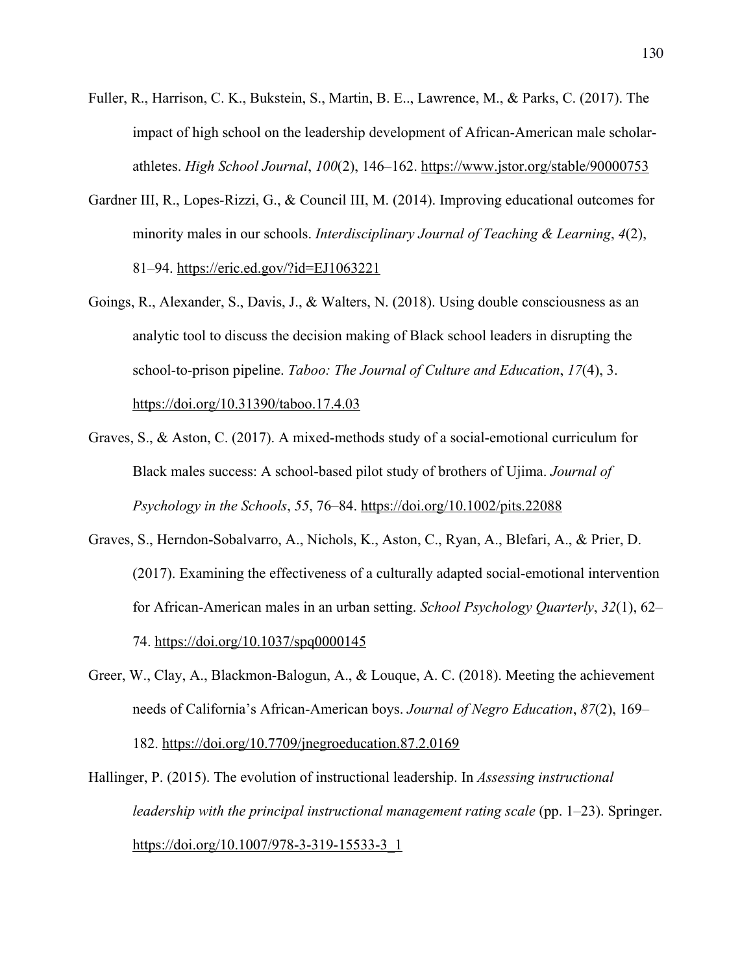- Fuller, R., Harrison, C. K., Bukstein, S., Martin, B. E.., Lawrence, M., & Parks, C. (2017). The impact of high school on the leadership development of African-American male scholarathletes. *High School Journal*, *100*(2), 146–162. https://www.jstor.org/stable/90000753
- Gardner III, R., Lopes-Rizzi, G., & Council III, M. (2014). Improving educational outcomes for minority males in our schools. *Interdisciplinary Journal of Teaching & Learning*, *4*(2), 81–94. https://eric.ed.gov/?id=EJ1063221
- Goings, R., Alexander, S., Davis, J., & Walters, N. (2018). Using double consciousness as an analytic tool to discuss the decision making of Black school leaders in disrupting the school-to-prison pipeline. *Taboo: The Journal of Culture and Education*, *17*(4), 3. https://doi.org/10.31390/taboo.17.4.03
- Graves, S., & Aston, C. (2017). A mixed-methods study of a social-emotional curriculum for Black males success: A school-based pilot study of brothers of Ujima. *Journal of Psychology in the Schools*, *55*, 76–84. https://doi.org/10.1002/pits.22088
- Graves, S., Herndon-Sobalvarro, A., Nichols, K., Aston, C., Ryan, A., Blefari, A., & Prier, D. (2017). Examining the effectiveness of a culturally adapted social-emotional intervention for African-American males in an urban setting. *School Psychology Quarterly*, *32*(1), 62– 74. https://doi.org/10.1037/spq0000145
- Greer, W., Clay, A., Blackmon-Balogun, A., & Louque, A. C. (2018). Meeting the achievement needs of California's African-American boys. *Journal of Negro Education*, *87*(2), 169– 182. https://doi.org/10.7709/jnegroeducation.87.2.0169
- Hallinger, P. (2015). The evolution of instructional leadership. In *Assessing instructional leadership with the principal instructional management rating scale* (pp. 1–23). Springer. https://doi.org/10.1007/978-3-319-15533-3\_1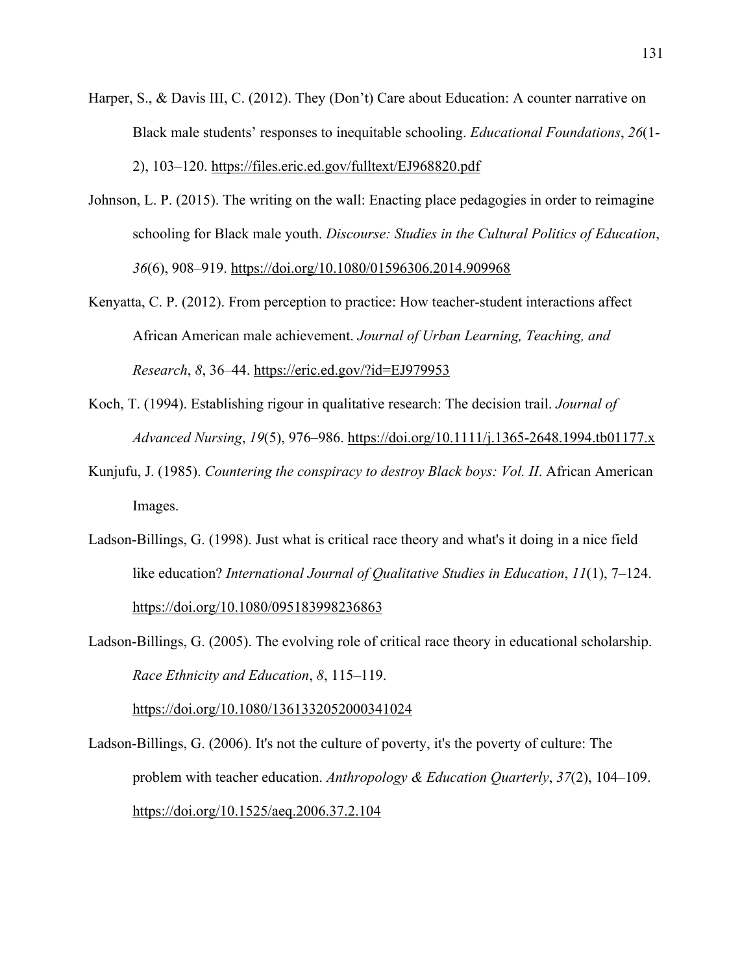- Harper, S., & Davis III, C. (2012). They (Don't) Care about Education: A counter narrative on Black male students' responses to inequitable schooling. *Educational Foundations*, *26*(1- 2), 103–120. https://files.eric.ed.gov/fulltext/EJ968820.pdf
- Johnson, L. P. (2015). The writing on the wall: Enacting place pedagogies in order to reimagine schooling for Black male youth. *Discourse: Studies in the Cultural Politics of Education*, *36*(6), 908–919. https://doi.org/10.1080/01596306.2014.909968
- Kenyatta, C. P. (2012). From perception to practice: How teacher-student interactions affect African American male achievement. *Journal of Urban Learning, Teaching, and Research*, *8*, 36–44. https://eric.ed.gov/?id=EJ979953
- Koch, T. (1994). Establishing rigour in qualitative research: The decision trail. *Journal of Advanced Nursing*, *19*(5), 976–986. https://doi.org/10.1111/j.1365-2648.1994.tb01177.x
- Kunjufu, J. (1985). *Countering the conspiracy to destroy Black boys: Vol. II*. African American Images.
- Ladson-Billings, G. (1998). Just what is critical race theory and what's it doing in a nice field like education? *International Journal of Qualitative Studies in Education*, *11*(1), 7–124. https://doi.org/10.1080/095183998236863
- Ladson-Billings, G. (2005). The evolving role of critical race theory in educational scholarship. *Race Ethnicity and Education*, *8*, 115–119.

https://doi.org/10.1080/1361332052000341024

Ladson‐Billings, G. (2006). It's not the culture of poverty, it's the poverty of culture: The problem with teacher education. *Anthropology & Education Quarterly*, *37*(2), 104–109. https://doi.org/10.1525/aeq.2006.37.2.104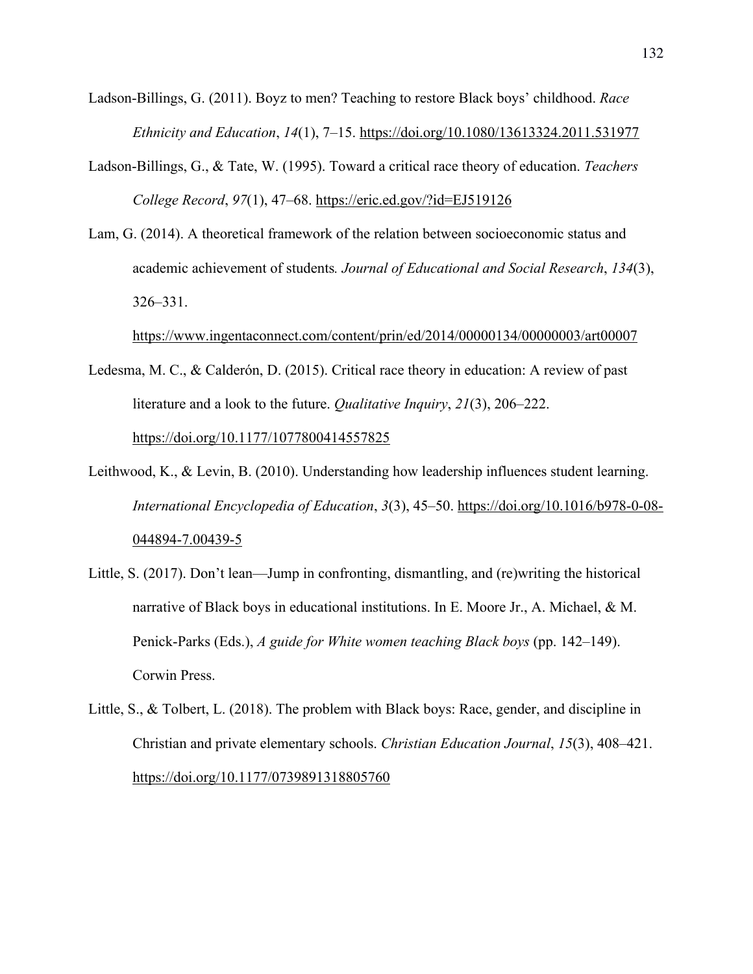- Ladson-Billings, G. (2011). Boyz to men? Teaching to restore Black boys' childhood. *Race Ethnicity and Education*, *14*(1), 7–15. https://doi.org/10.1080/13613324.2011.531977
- Ladson-Billings, G., & Tate, W. (1995). Toward a critical race theory of education. *Teachers College Record*, *97*(1), 47–68. https://eric.ed.gov/?id=EJ519126
- Lam, G. (2014). A theoretical framework of the relation between socioeconomic status and academic achievement of students*. Journal of Educational and Social Research*, *134*(3), 326–331.

https://www.ingentaconnect.com/content/prin/ed/2014/00000134/00000003/art00007

- Ledesma, M. C., & Calderón, D. (2015). Critical race theory in education: A review of past literature and a look to the future. *Qualitative Inquiry*, *21*(3), 206–222. https://doi.org/10.1177/1077800414557825
- Leithwood, K., & Levin, B. (2010). Understanding how leadership influences student learning. *International Encyclopedia of Education*, *3*(3), 45–50. https://doi.org/10.1016/b978-0-08- 044894-7.00439-5
- Little, S. (2017). Don't lean—Jump in confronting, dismantling, and (re)writing the historical narrative of Black boys in educational institutions. In E. Moore Jr., A. Michael, & M. Penick-Parks (Eds.), *A guide for White women teaching Black boys* (pp. 142–149). Corwin Press.
- Little, S., & Tolbert, L. (2018). The problem with Black boys: Race, gender, and discipline in Christian and private elementary schools. *Christian Education Journal*, *15*(3), 408–421. https://doi.org/10.1177/0739891318805760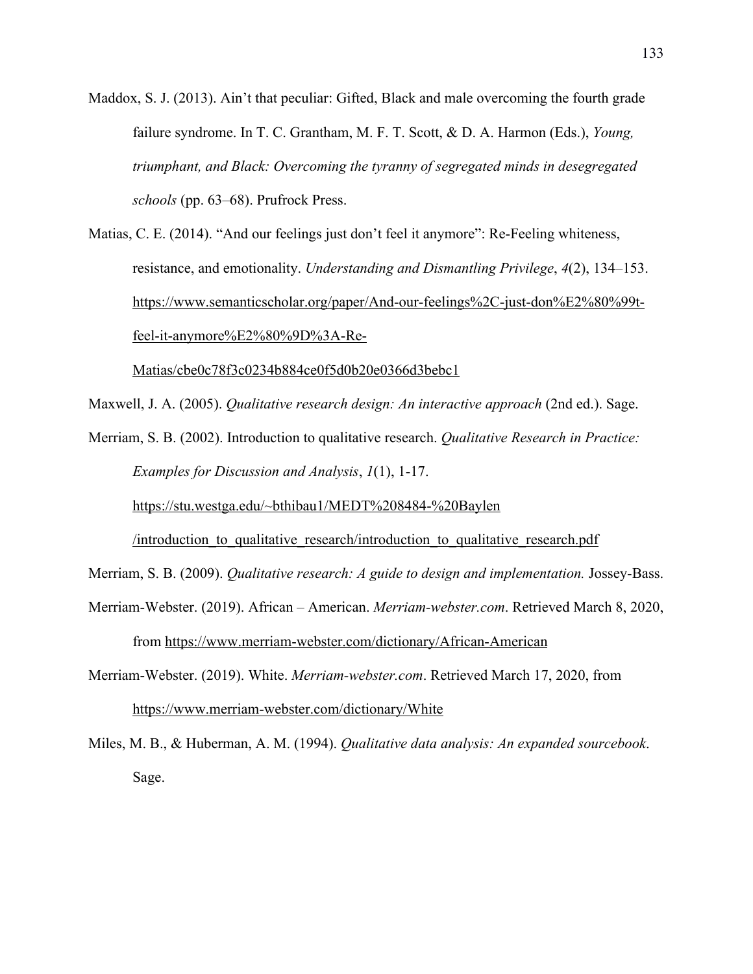- Maddox, S. J. (2013). Ain't that peculiar: Gifted, Black and male overcoming the fourth grade failure syndrome. In T. C. Grantham, M. F. T. Scott, & D. A. Harmon (Eds.), *Young, triumphant, and Black: Overcoming the tyranny of segregated minds in desegregated schools* (pp. 63–68). Prufrock Press.
- Matias, C. E. (2014). "And our feelings just don't feel it anymore": Re-Feeling whiteness, resistance, and emotionality. *Understanding and Dismantling Privilege*, *4*(2), 134–153. https://www.semanticscholar.org/paper/And-our-feelings%2C-just-don%E2%80%99tfeel-it-anymore%E2%80%9D%3A-Re-

Matias/cbe0c78f3c0234b884ce0f5d0b20e0366d3bebc1

Maxwell, J. A. (2005). *Qualitative research design: An interactive approach* (2nd ed.). Sage.

Merriam, S. B. (2002). Introduction to qualitative research. *Qualitative Research in Practice: Examples for Discussion and Analysis*, *1*(1), 1-17.

https://stu.westga.edu/~bthibau1/MEDT%208484-%20Baylen

/introduction\_to\_qualitative\_research/introduction\_to\_qualitative\_research.pdf

Merriam, S. B. (2009). *Qualitative research: A guide to design and implementation.* Jossey-Bass.

- Merriam-Webster. (2019). African American. *Merriam-webster.com*. Retrieved March 8, 2020, from https://www.merriam-webster.com/dictionary/African-American
- Merriam-Webster. (2019). White. *Merriam-webster.com*. Retrieved March 17, 2020, from https://www.merriam-webster.com/dictionary/White
- Miles, M. B., & Huberman, A. M. (1994). *Qualitative data analysis: An expanded sourcebook*. Sage.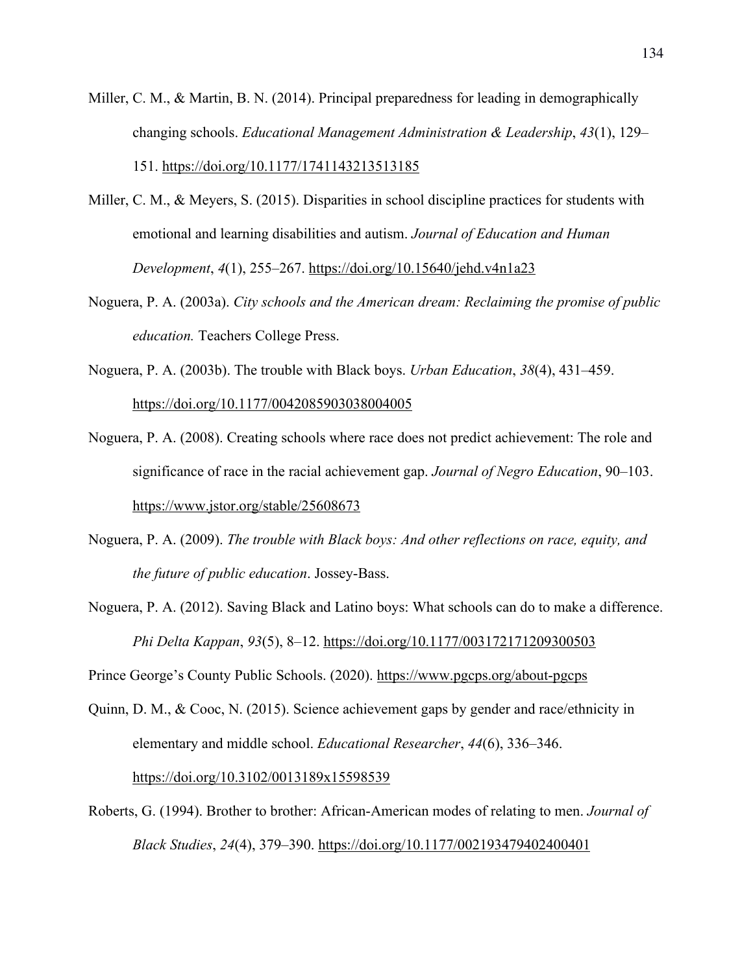- Miller, C. M., & Martin, B. N. (2014). Principal preparedness for leading in demographically changing schools. *Educational Management Administration & Leadership*, *43*(1), 129– 151. https://doi.org/10.1177/1741143213513185
- Miller, C. M., & Meyers, S. (2015). Disparities in school discipline practices for students with emotional and learning disabilities and autism. *Journal of Education and Human Development*, *4*(1), 255–267. https://doi.org/10.15640/jehd.v4n1a23
- Noguera, P. A. (2003a). *City schools and the American dream: Reclaiming the promise of public education.* Teachers College Press.
- Noguera, P. A. (2003b). The trouble with Black boys. *Urban Education*, *38*(4), 431–459. https://doi.org/10.1177/0042085903038004005
- Noguera, P. A. (2008). Creating schools where race does not predict achievement: The role and significance of race in the racial achievement gap. *Journal of Negro Education*, 90–103. https://www.jstor.org/stable/25608673
- Noguera, P. A. (2009). *The trouble with Black boys: And other reflections on race, equity, and the future of public education*. Jossey-Bass.
- Noguera, P. A. (2012). Saving Black and Latino boys: What schools can do to make a difference. *Phi Delta Kappan*, *93*(5), 8–12. https://doi.org/10.1177/003172171209300503

Prince George's County Public Schools. (2020). https://www.pgcps.org/about-pgcps

Quinn, D. M., & Cooc, N. (2015). Science achievement gaps by gender and race/ethnicity in elementary and middle school. *Educational Researcher*, *44*(6), 336–346.

https://doi.org/10.3102/0013189x15598539

Roberts, G. (1994). Brother to brother: African-American modes of relating to men. *Journal of Black Studies*, *24*(4), 379–390. https://doi.org/10.1177/002193479402400401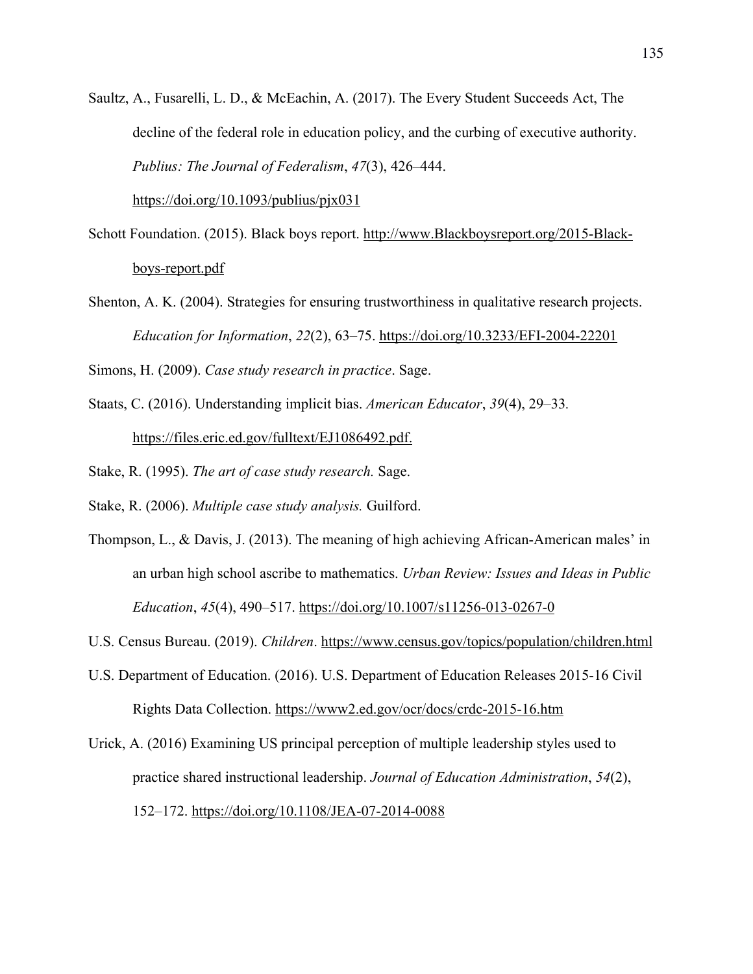Saultz, A., Fusarelli, L. D., & McEachin, A. (2017). The Every Student Succeeds Act, The decline of the federal role in education policy, and the curbing of executive authority. *Publius: The Journal of Federalism*, *47*(3), 426–444.

https://doi.org/10.1093/publius/pjx031

- Schott Foundation. (2015). Black boys report. http://www.Blackboysreport.org/2015-Blackboys-report.pdf
- Shenton, A. K. (2004). Strategies for ensuring trustworthiness in qualitative research projects. *Education for Information*, *22*(2), 63–75. https://doi.org/10.3233/EFI-2004-22201

Simons, H. (2009). *Case study research in practice*. Sage.

Staats, C. (2016). Understanding implicit bias. *American Educator*, *39*(4), 29–33*.* https://files.eric.ed.gov/fulltext/EJ1086492.pdf.

Stake, R. (1995). *The art of case study research.* Sage.

Stake, R. (2006). *Multiple case study analysis.* Guilford.

Thompson, L., & Davis, J. (2013). The meaning of high achieving African-American males' in an urban high school ascribe to mathematics. *Urban Review: Issues and Ideas in Public Education*, *45*(4), 490–517. https://doi.org/10.1007/s11256-013-0267-0

U.S. Census Bureau. (2019). *Children*. https://www.census.gov/topics/population/children.html

U.S. Department of Education. (2016). U.S. Department of Education Releases 2015-16 Civil Rights Data Collection. https://www2.ed.gov/ocr/docs/crdc-2015-16.htm

Urick, A. (2016) Examining US principal perception of multiple leadership styles used to practice shared instructional leadership. *Journal of Education Administration*, *54*(2), 152–172. https://doi.org/10.1108/JEA-07-2014-0088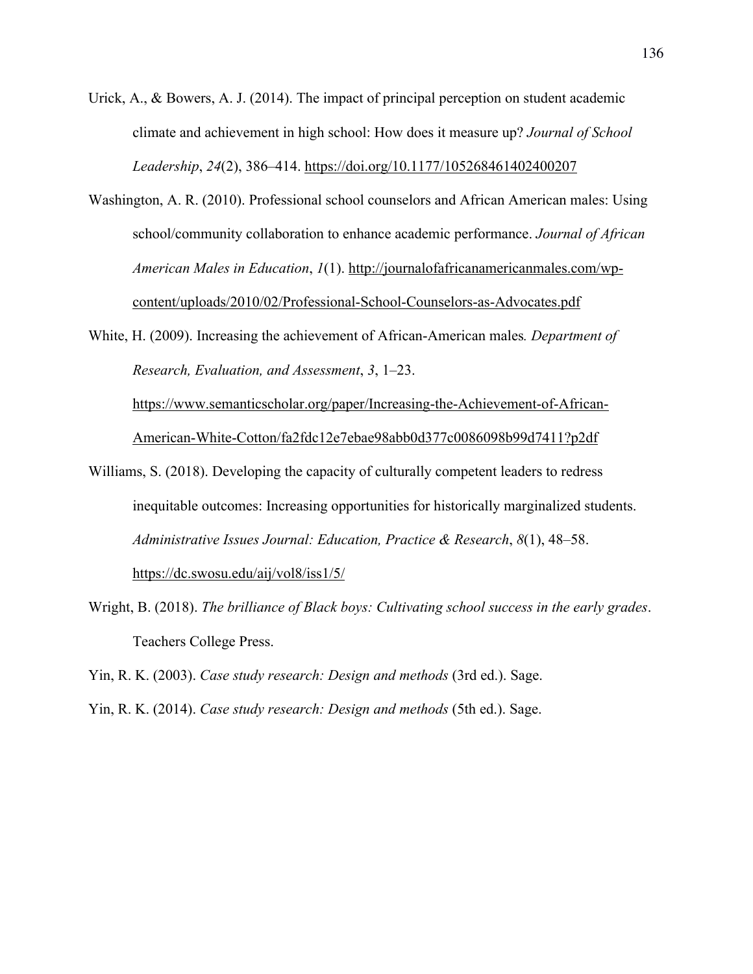- Urick, A., & Bowers, A. J. (2014). The impact of principal perception on student academic climate and achievement in high school: How does it measure up? *Journal of School Leadership*, *24*(2), 386–414. https://doi.org/10.1177/105268461402400207
- Washington, A. R. (2010). Professional school counselors and African American males: Using school/community collaboration to enhance academic performance. *Journal of African American Males in Education*, *1*(1). http://journalofafricanamericanmales.com/wpcontent/uploads/2010/02/Professional-School-Counselors-as-Advocates.pdf
- White, H. (2009). Increasing the achievement of African-American males*. Department of Research, Evaluation, and Assessment*, *3*, 1–23.

https://www.semanticscholar.org/paper/Increasing-the-Achievement-of-African-American-White-Cotton/fa2fdc12e7ebae98abb0d377c0086098b99d7411?p2df

- Williams, S. (2018). Developing the capacity of culturally competent leaders to redress inequitable outcomes: Increasing opportunities for historically marginalized students. *Administrative Issues Journal: Education, Practice & Research*, *8*(1), 48–58. https://dc.swosu.edu/aij/vol8/iss1/5/
- Wright, B. (2018). *The brilliance of Black boys: Cultivating school success in the early grades*. Teachers College Press.

Yin, R. K. (2003). *Case study research: Design and methods* (3rd ed.). Sage.

Yin, R. K. (2014). *Case study research: Design and methods* (5th ed.). Sage.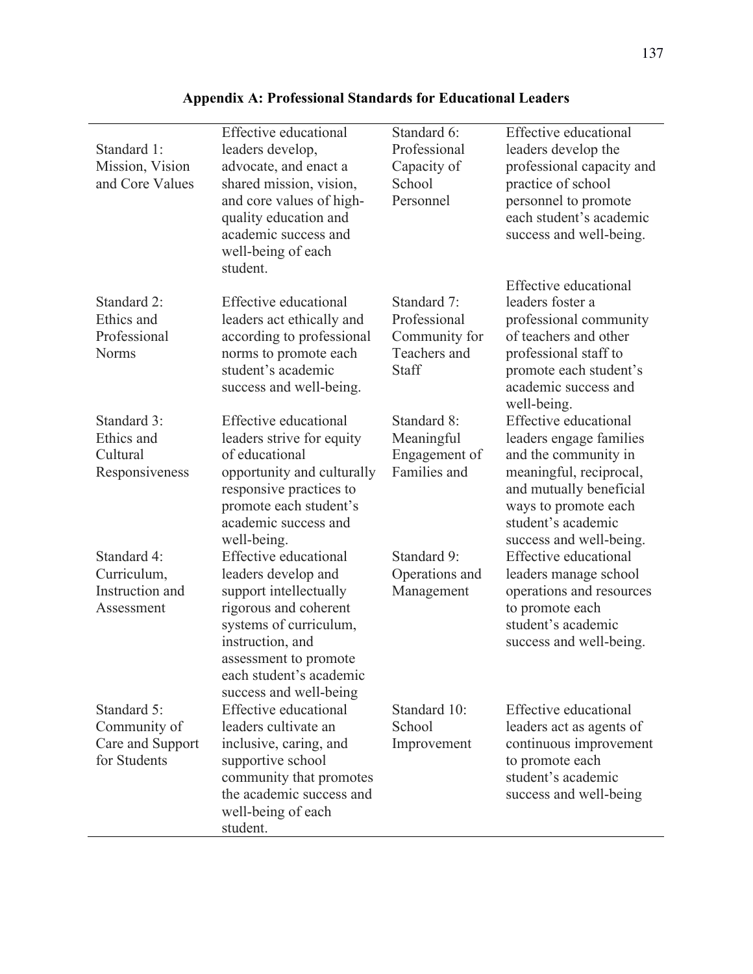| Standard 1:<br>Mission, Vision<br>and Core Values               | Effective educational<br>leaders develop,<br>advocate, and enact a<br>shared mission, vision,<br>and core values of high-<br>quality education and<br>academic success and<br>well-being of each<br>student.    | Standard 6:<br>Professional<br>Capacity of<br>School<br>Personnel     | Effective educational<br>leaders develop the<br>professional capacity and<br>practice of school<br>personnel to promote<br>each student's academic<br>success and well-being.                           |
|-----------------------------------------------------------------|-----------------------------------------------------------------------------------------------------------------------------------------------------------------------------------------------------------------|-----------------------------------------------------------------------|---------------------------------------------------------------------------------------------------------------------------------------------------------------------------------------------------------|
| Standard 2:<br>Ethics and<br>Professional<br><b>Norms</b>       | Effective educational<br>leaders act ethically and<br>according to professional<br>norms to promote each<br>student's academic<br>success and well-being.                                                       | Standard 7:<br>Professional<br>Community for<br>Teachers and<br>Staff | Effective educational<br>leaders foster a<br>professional community<br>of teachers and other<br>professional staff to<br>promote each student's<br>academic success and<br>well-being.                  |
| Standard 3:<br>Ethics and<br>Cultural<br>Responsiveness         | Effective educational<br>leaders strive for equity<br>of educational<br>opportunity and culturally<br>responsive practices to<br>promote each student's<br>academic success and<br>well-being.                  | Standard 8:<br>Meaningful<br>Engagement of<br>Families and            | Effective educational<br>leaders engage families<br>and the community in<br>meaningful, reciprocal,<br>and mutually beneficial<br>ways to promote each<br>student's academic<br>success and well-being. |
| Standard 4:<br>Curriculum,<br>Instruction and<br>Assessment     | <b>Effective educational</b><br>leaders develop and<br>support intellectually<br>rigorous and coherent<br>systems of curriculum,<br>instruction, and<br>assessment to promote<br>each student's academic        | Standard 9:<br>Operations and<br>Management                           | Effective educational<br>leaders manage school<br>operations and resources<br>to promote each<br>student's academic<br>success and well-being.                                                          |
| Standard 5:<br>Community of<br>Care and Support<br>for Students | success and well-being<br>Effective educational<br>leaders cultivate an<br>inclusive, caring, and<br>supportive school<br>community that promotes<br>the academic success and<br>well-being of each<br>student. | Standard 10:<br>School<br>Improvement                                 | Effective educational<br>leaders act as agents of<br>continuous improvement<br>to promote each<br>student's academic<br>success and well-being                                                          |

# **Appendix A: Professional Standards for Educational Leaders**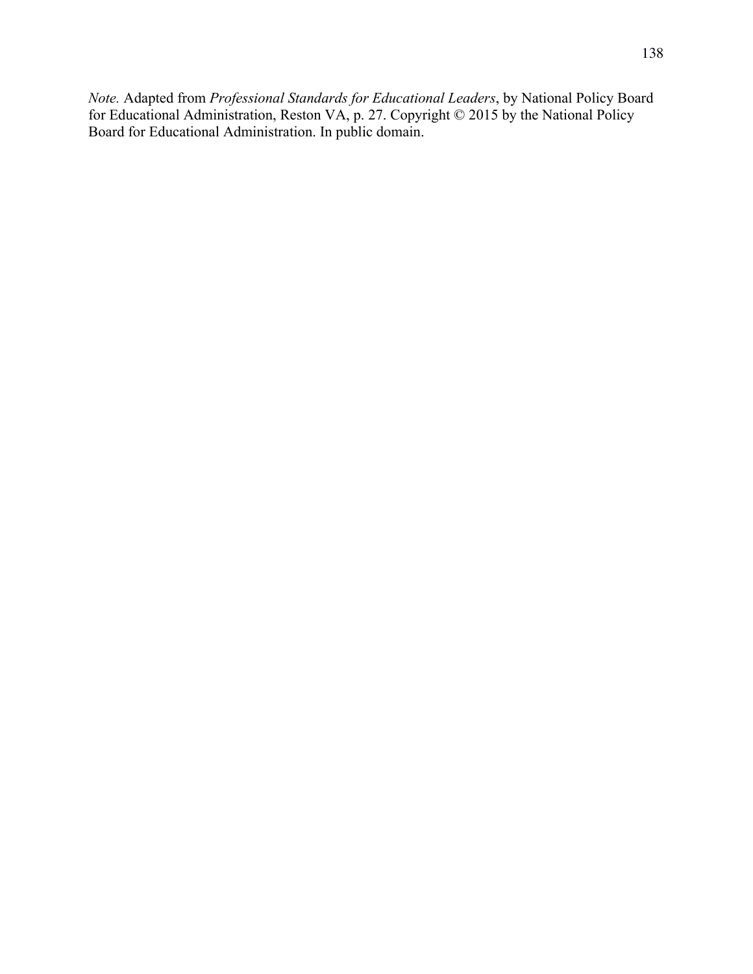*Note.* Adapted from *Professional Standards for Educational Leaders*, by National Policy Board for Educational Administration, Reston VA, p. 27. Copyright © 2015 by the National Policy Board for Educational Administration. In public domain.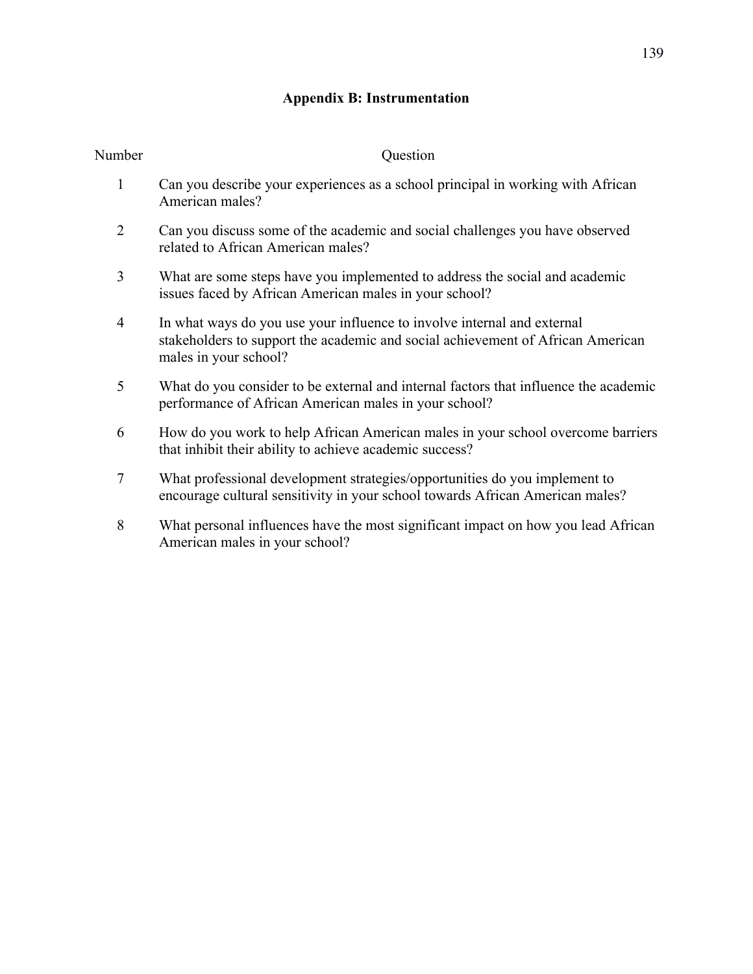# **Appendix B: Instrumentation**

| Number         | Question                                                                                                                                                                            |
|----------------|-------------------------------------------------------------------------------------------------------------------------------------------------------------------------------------|
| 1              | Can you describe your experiences as a school principal in working with African<br>American males?                                                                                  |
| $\overline{2}$ | Can you discuss some of the academic and social challenges you have observed<br>related to African American males?                                                                  |
| 3              | What are some steps have you implemented to address the social and academic<br>issues faced by African American males in your school?                                               |
| 4              | In what ways do you use your influence to involve internal and external<br>stakeholders to support the academic and social achievement of African American<br>males in your school? |
| 5              | What do you consider to be external and internal factors that influence the academic<br>performance of African American males in your school?                                       |
| 6              | How do you work to help African American males in your school overcome barriers<br>that inhibit their ability to achieve academic success?                                          |
| 7              | What professional development strategies/opportunities do you implement to<br>encourage cultural sensitivity in your school towards African American males?                         |
| 8              | What personal influences have the most significant impact on how you lead African<br>American males in your school?                                                                 |